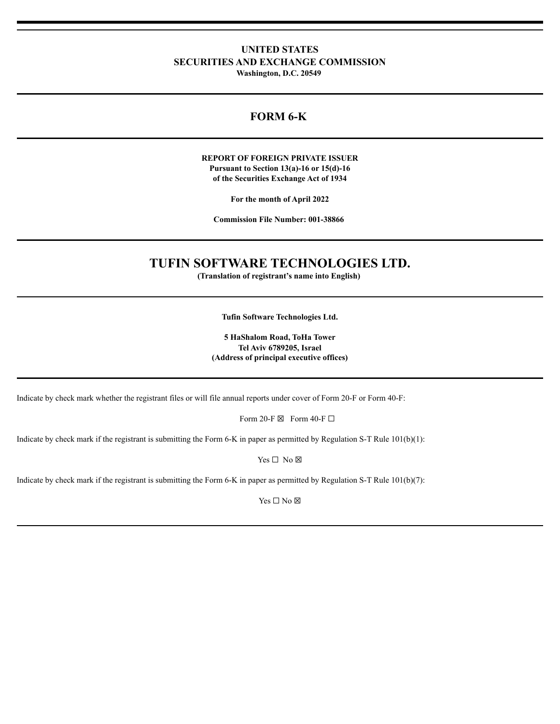# **UNITED STATES SECURITIES AND EXCHANGE COMMISSION**

**Washington, D.C. 20549**

# **FORM 6-K**

## **REPORT OF FOREIGN PRIVATE ISSUER Pursuant to Section 13(a)-16 or 15(d)-16 of the Securities Exchange Act of 1934**

**For the month of April 2022**

**Commission File Number: 001-38866**

# **TUFIN SOFTWARE TECHNOLOGIES LTD.**

**(Translation of registrant's name into English)**

**Tufin Software Technologies Ltd.**

**5 HaShalom Road, ToHa Tower Tel Aviv 6789205, Israel (Address of principal executive offices)**

Indicate by check mark whether the registrant files or will file annual reports under cover of Form 20-F or Form 40-F:

Form 20-F  $\boxtimes$  Form 40-F  $\Box$ 

Indicate by check mark if the registrant is submitting the Form 6-K in paper as permitted by Regulation S-T Rule 101(b)(1):

Yes □ No ⊠

Indicate by check mark if the registrant is submitting the Form 6-K in paper as permitted by Regulation S-T Rule 101(b)(7):

Yes □ No ⊠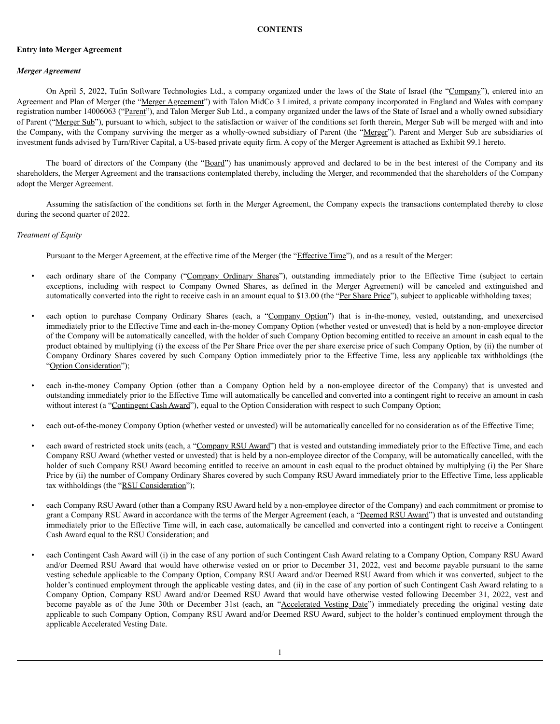### **CONTENTS**

### **Entry into Merger Agreement**

### *Merger Agreement*

On April 5, 2022, Tufin Software Technologies Ltd., a company organized under the laws of the State of Israel (the "Company"), entered into an Agreement and Plan of Merger (the "Merger Agreement") with Talon MidCo 3 Limited, a private company incorporated in England and Wales with company registration number 14006063 ("Parent"), and Talon Merger Sub Ltd., a company organized under the laws of the State of Israel and a wholly owned subsidiary of Parent ("Merger Sub"), pursuant to which, subject to the satisfaction or waiver of the conditions set forth therein, Merger Sub will be merged with and into the Company, with the Company surviving the merger as a wholly-owned subsidiary of Parent (the "Merger"). Parent and Merger Sub are subsidiaries of investment funds advised by Turn/River Capital, a US-based private equity firm. A copy of the Merger Agreement is attached as Exhibit 99.1 hereto.

The board of directors of the Company (the "Board") has unanimously approved and declared to be in the best interest of the Company and its shareholders, the Merger Agreement and the transactions contemplated thereby, including the Merger, and recommended that the shareholders of the Company adopt the Merger Agreement.

Assuming the satisfaction of the conditions set forth in the Merger Agreement, the Company expects the transactions contemplated thereby to close during the second quarter of 2022.

### *Treatment of Equity*

Pursuant to the Merger Agreement, at the effective time of the Merger (the "Effective Time"), and as a result of the Merger:

- each ordinary share of the Company ("Company Ordinary Shares"), outstanding immediately prior to the Effective Time (subject to certain exceptions, including with respect to Company Owned Shares, as defined in the Merger Agreement) will be canceled and extinguished and automatically converted into the right to receive cash in an amount equal to \$13.00 (the "Per Share Price"), subject to applicable withholding taxes;
- each option to purchase Company Ordinary Shares (each, a "Company Option") that is in-the-money, vested, outstanding, and unexercised immediately prior to the Effective Time and each in-the-money Company Option (whether vested or unvested) that is held by a non-employee director of the Company will be automatically cancelled, with the holder of such Company Option becoming entitled to receive an amount in cash equal to the product obtained by multiplying (i) the excess of the Per Share Price over the per share exercise price of such Company Option, by (ii) the number of Company Ordinary Shares covered by such Company Option immediately prior to the Effective Time, less any applicable tax withholdings (the "Option Consideration");
- each in-the-money Company Option (other than a Company Option held by a non-employee director of the Company) that is unvested and outstanding immediately prior to the Effective Time will automatically be cancelled and converted into a contingent right to receive an amount in cash without interest (a "Contingent Cash Award"), equal to the Option Consideration with respect to such Company Option;
- each out-of-the-money Company Option (whether vested or unvested) will be automatically cancelled for no consideration as of the Effective Time;
- each award of restricted stock units (each, a "Company RSU Award") that is vested and outstanding immediately prior to the Effective Time, and each Company RSU Award (whether vested or unvested) that is held by a non-employee director of the Company, will be automatically cancelled, with the holder of such Company RSU Award becoming entitled to receive an amount in cash equal to the product obtained by multiplying (i) the Per Share Price by (ii) the number of Company Ordinary Shares covered by such Company RSU Award immediately prior to the Effective Time, less applicable tax withholdings (the "RSU Consideration");
- each Company RSU Award (other than a Company RSU Award held by a non-employee director of the Company) and each commitment or promise to grant a Company RSU Award in accordance with the terms of the Merger Agreement (each, a "Deemed RSU Award") that is unvested and outstanding immediately prior to the Effective Time will, in each case, automatically be cancelled and converted into a contingent right to receive a Contingent Cash Award equal to the RSU Consideration; and
- each Contingent Cash Award will (i) in the case of any portion of such Contingent Cash Award relating to a Company Option, Company RSU Award and/or Deemed RSU Award that would have otherwise vested on or prior to December 31, 2022, vest and become payable pursuant to the same vesting schedule applicable to the Company Option, Company RSU Award and/or Deemed RSU Award from which it was converted, subject to the holder's continued employment through the applicable vesting dates, and (ii) in the case of any portion of such Contingent Cash Award relating to a Company Option, Company RSU Award and/or Deemed RSU Award that would have otherwise vested following December 31, 2022, vest and become payable as of the June 30th or December 31st (each, an "Accelerated Vesting Date") immediately preceding the original vesting date applicable to such Company Option, Company RSU Award and/or Deemed RSU Award, subject to the holder's continued employment through the applicable Accelerated Vesting Date.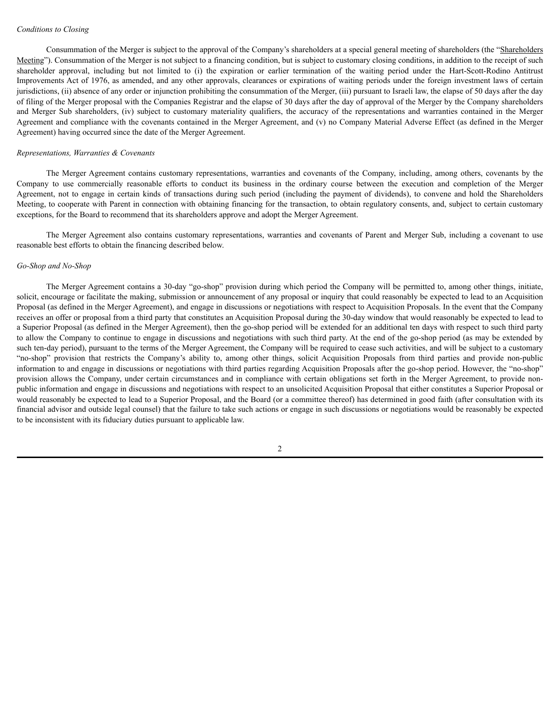### *Conditions to Closing*

Consummation of the Merger is subject to the approval of the Company's shareholders at a special general meeting of shareholders (the "Shareholders Meeting"). Consummation of the Merger is not subject to a financing condition, but is subject to customary closing conditions, in addition to the receipt of such shareholder approval, including but not limited to (i) the expiration or earlier termination of the waiting period under the Hart-Scott-Rodino Antitrust Improvements Act of 1976, as amended, and any other approvals, clearances or expirations of waiting periods under the foreign investment laws of certain jurisdictions, (ii) absence of any order or injunction prohibiting the consummation of the Merger, (iii) pursuant to Israeli law, the elapse of 50 days after the day of filing of the Merger proposal with the Companies Registrar and the elapse of 30 days after the day of approval of the Merger by the Company shareholders and Merger Sub shareholders, (iv) subject to customary materiality qualifiers, the accuracy of the representations and warranties contained in the Merger Agreement and compliance with the covenants contained in the Merger Agreement, and (v) no Company Material Adverse Effect (as defined in the Merger Agreement) having occurred since the date of the Merger Agreement.

#### *Representations, Warranties & Covenants*

The Merger Agreement contains customary representations, warranties and covenants of the Company, including, among others, covenants by the Company to use commercially reasonable efforts to conduct its business in the ordinary course between the execution and completion of the Merger Agreement, not to engage in certain kinds of transactions during such period (including the payment of dividends), to convene and hold the Shareholders Meeting, to cooperate with Parent in connection with obtaining financing for the transaction, to obtain regulatory consents, and, subject to certain customary exceptions, for the Board to recommend that its shareholders approve and adopt the Merger Agreement.

The Merger Agreement also contains customary representations, warranties and covenants of Parent and Merger Sub, including a covenant to use reasonable best efforts to obtain the financing described below.

### *Go-Shop and No-Shop*

The Merger Agreement contains a 30-day "go-shop" provision during which period the Company will be permitted to, among other things, initiate, solicit, encourage or facilitate the making, submission or announcement of any proposal or inquiry that could reasonably be expected to lead to an Acquisition Proposal (as defined in the Merger Agreement), and engage in discussions or negotiations with respect to Acquisition Proposals. In the event that the Company receives an offer or proposal from a third party that constitutes an Acquisition Proposal during the 30-day window that would reasonably be expected to lead to a Superior Proposal (as defined in the Merger Agreement), then the go-shop period will be extended for an additional ten days with respect to such third party to allow the Company to continue to engage in discussions and negotiations with such third party. At the end of the go-shop period (as may be extended by such ten-day period), pursuant to the terms of the Merger Agreement, the Company will be required to cease such activities, and will be subject to a customary "no-shop" provision that restricts the Company's ability to, among other things, solicit Acquisition Proposals from third parties and provide non-public information to and engage in discussions or negotiations with third parties regarding Acquisition Proposals after the go-shop period. However, the "no-shop" provision allows the Company, under certain circumstances and in compliance with certain obligations set forth in the Merger Agreement, to provide nonpublic information and engage in discussions and negotiations with respect to an unsolicited Acquisition Proposal that either constitutes a Superior Proposal or would reasonably be expected to lead to a Superior Proposal, and the Board (or a committee thereof) has determined in good faith (after consultation with its financial advisor and outside legal counsel) that the failure to take such actions or engage in such discussions or negotiations would be reasonably be expected to be inconsistent with its fiduciary duties pursuant to applicable law.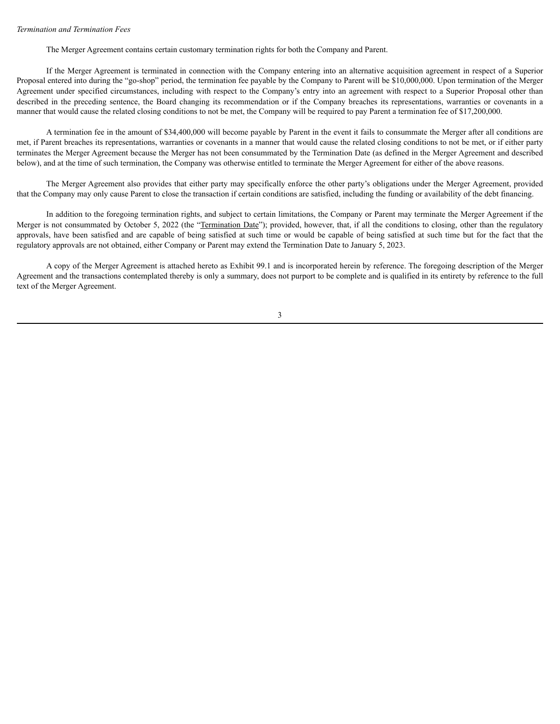### *Termination and Termination Fees*

The Merger Agreement contains certain customary termination rights for both the Company and Parent.

If the Merger Agreement is terminated in connection with the Company entering into an alternative acquisition agreement in respect of a Superior Proposal entered into during the "go-shop" period, the termination fee payable by the Company to Parent will be \$10,000,000. Upon termination of the Merger Agreement under specified circumstances, including with respect to the Company's entry into an agreement with respect to a Superior Proposal other than described in the preceding sentence, the Board changing its recommendation or if the Company breaches its representations, warranties or covenants in a manner that would cause the related closing conditions to not be met, the Company will be required to pay Parent a termination fee of \$17,200,000.

A termination fee in the amount of \$34,400,000 will become payable by Parent in the event it fails to consummate the Merger after all conditions are met, if Parent breaches its representations, warranties or covenants in a manner that would cause the related closing conditions to not be met, or if either party terminates the Merger Agreement because the Merger has not been consummated by the Termination Date (as defined in the Merger Agreement and described below), and at the time of such termination, the Company was otherwise entitled to terminate the Merger Agreement for either of the above reasons.

The Merger Agreement also provides that either party may specifically enforce the other party's obligations under the Merger Agreement, provided that the Company may only cause Parent to close the transaction if certain conditions are satisfied, including the funding or availability of the debt financing.

In addition to the foregoing termination rights, and subject to certain limitations, the Company or Parent may terminate the Merger Agreement if the Merger is not consummated by October 5, 2022 (the "Termination Date"); provided, however, that, if all the conditions to closing, other than the regulatory approvals, have been satisfied and are capable of being satisfied at such time or would be capable of being satisfied at such time but for the fact that the regulatory approvals are not obtained, either Company or Parent may extend the Termination Date to January 5, 2023.

A copy of the Merger Agreement is attached hereto as Exhibit 99.1 and is incorporated herein by reference. The foregoing description of the Merger Agreement and the transactions contemplated thereby is only a summary, does not purport to be complete and is qualified in its entirety by reference to the full text of the Merger Agreement.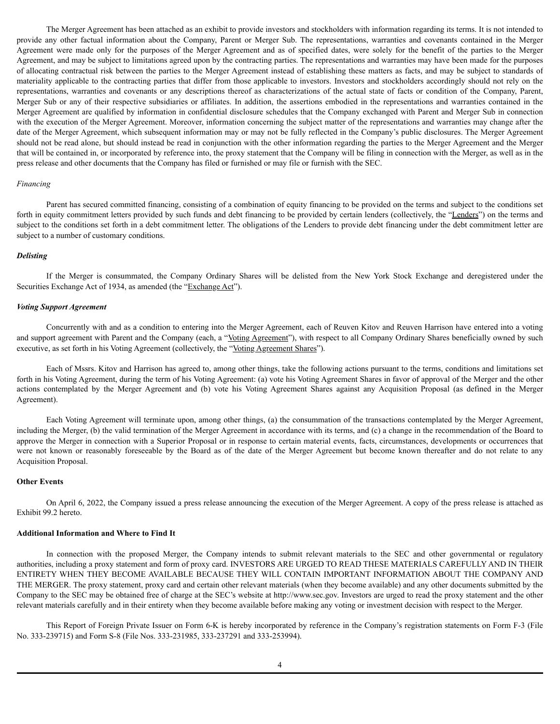The Merger Agreement has been attached as an exhibit to provide investors and stockholders with information regarding its terms. It is not intended to provide any other factual information about the Company, Parent or Merger Sub. The representations, warranties and covenants contained in the Merger Agreement were made only for the purposes of the Merger Agreement and as of specified dates, were solely for the benefit of the parties to the Merger Agreement, and may be subject to limitations agreed upon by the contracting parties. The representations and warranties may have been made for the purposes of allocating contractual risk between the parties to the Merger Agreement instead of establishing these matters as facts, and may be subject to standards of materiality applicable to the contracting parties that differ from those applicable to investors. Investors and stockholders accordingly should not rely on the representations, warranties and covenants or any descriptions thereof as characterizations of the actual state of facts or condition of the Company, Parent, Merger Sub or any of their respective subsidiaries or affiliates. In addition, the assertions embodied in the representations and warranties contained in the Merger Agreement are qualified by information in confidential disclosure schedules that the Company exchanged with Parent and Merger Sub in connection with the execution of the Merger Agreement. Moreover, information concerning the subject matter of the representations and warranties may change after the date of the Merger Agreement, which subsequent information may or may not be fully reflected in the Company's public disclosures. The Merger Agreement should not be read alone, but should instead be read in conjunction with the other information regarding the parties to the Merger Agreement and the Merger that will be contained in, or incorporated by reference into, the proxy statement that the Company will be filing in connection with the Merger, as well as in the press release and other documents that the Company has filed or furnished or may file or furnish with the SEC.

#### *Financing*

Parent has secured committed financing, consisting of a combination of equity financing to be provided on the terms and subject to the conditions set forth in equity commitment letters provided by such funds and debt financing to be provided by certain lenders (collectively, the "Lenders") on the terms and subject to the conditions set forth in a debt commitment letter. The obligations of the Lenders to provide debt financing under the debt commitment letter are subject to a number of customary conditions.

#### *Delisting*

If the Merger is consummated, the Company Ordinary Shares will be delisted from the New York Stock Exchange and deregistered under the Securities Exchange Act of 1934, as amended (the "Exchange Act").

#### *Voting Support Agreement*

Concurrently with and as a condition to entering into the Merger Agreement, each of Reuven Kitov and Reuven Harrison have entered into a voting and support agreement with Parent and the Company (each, a "Voting Agreement"), with respect to all Company Ordinary Shares beneficially owned by such executive, as set forth in his Voting Agreement (collectively, the "Voting Agreement Shares").

Each of Mssrs. Kitov and Harrison has agreed to, among other things, take the following actions pursuant to the terms, conditions and limitations set forth in his Voting Agreement, during the term of his Voting Agreement: (a) vote his Voting Agreement Shares in favor of approval of the Merger and the other actions contemplated by the Merger Agreement and (b) vote his Voting Agreement Shares against any Acquisition Proposal (as defined in the Merger Agreement).

Each Voting Agreement will terminate upon, among other things, (a) the consummation of the transactions contemplated by the Merger Agreement, including the Merger, (b) the valid termination of the Merger Agreement in accordance with its terms, and (c) a change in the recommendation of the Board to approve the Merger in connection with a Superior Proposal or in response to certain material events, facts, circumstances, developments or occurrences that were not known or reasonably foreseeable by the Board as of the date of the Merger Agreement but become known thereafter and do not relate to any Acquisition Proposal.

#### **Other Events**

On April 6, 2022, the Company issued a press release announcing the execution of the Merger Agreement. A copy of the press release is attached as Exhibit 99.2 hereto.

### **Additional Information and Where to Find It**

In connection with the proposed Merger, the Company intends to submit relevant materials to the SEC and other governmental or regulatory authorities, including a proxy statement and form of proxy card. INVESTORS ARE URGED TO READ THESE MATERIALS CAREFULLY AND IN THEIR ENTIRETY WHEN THEY BECOME AVAILABLE BECAUSE THEY WILL CONTAIN IMPORTANT INFORMATION ABOUT THE COMPANY AND THE MERGER. The proxy statement, proxy card and certain other relevant materials (when they become available) and any other documents submitted by the Company to the SEC may be obtained free of charge at the SEC's website at http://www.sec.gov. Investors are urged to read the proxy statement and the other relevant materials carefully and in their entirety when they become available before making any voting or investment decision with respect to the Merger.

This Report of Foreign Private Issuer on Form 6-K is hereby incorporated by reference in the Company's registration statements on Form F-3 (File No. 333-239715) and Form S-8 (File Nos. 333-231985, 333-237291 and 333-253994).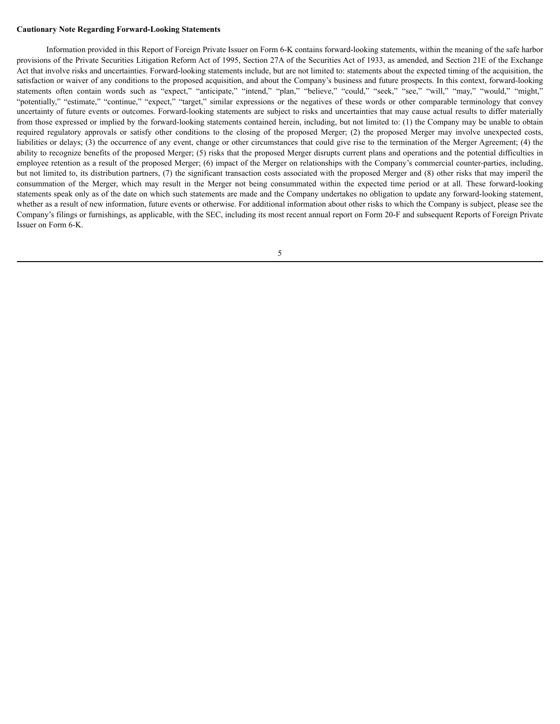#### **Cautionary Note Regarding Forward-Looking Statements**

Information provided in this Report of Foreign Private Issuer on Form 6-K contains forward-looking statements, within the meaning of the safe harbor provisions of the Private Securities Litigation Reform Act of 1995, Section 27A of the Securities Act of 1933, as amended, and Section 21E of the Exchange Act that involve risks and uncertainties. Forward-looking statements include, but are not limited to: statements about the expected timing of the acquisition, the satisfaction or waiver of any conditions to the proposed acquisition, and about the Company's business and future prospects. In this context, forward-looking statements often contain words such as "expect," "anticipate," "intend," "plan," "believe," "could," "seek," "see," "will," "may," "would," "might," "potentially," "estimate," "continue," "expect," "target," similar expressions or the negatives of these words or other comparable terminology that convey uncertainty of future events or outcomes. Forward-looking statements are subject to risks and uncertainties that may cause actual results to differ materially from those expressed or implied by the forward-looking statements contained herein, including, but not limited to: (1) the Company may be unable to obtain required regulatory approvals or satisfy other conditions to the closing of the proposed Merger; (2) the proposed Merger may involve unexpected costs, liabilities or delays; (3) the occurrence of any event, change or other circumstances that could give rise to the termination of the Merger Agreement; (4) the ability to recognize benefits of the proposed Merger; (5) risks that the proposed Merger disrupts current plans and operations and the potential difficulties in employee retention as a result of the proposed Merger; (6) impact of the Merger on relationships with the Company's commercial counter-parties, including, but not limited to, its distribution partners, (7) the significant transaction costs associated with the proposed Merger and (8) other risks that may imperil the consummation of the Merger, which may result in the Merger not being consummated within the expected time period or at all. These forward-looking statements speak only as of the date on which such statements are made and the Company undertakes no obligation to update any forward-looking statement, whether as a result of new information, future events or otherwise. For additional information about other risks to which the Company is subject, please see the Company's filings or furnishings, as applicable, with the SEC, including its most recent annual report on Form 20-F and subsequent Reports of Foreign Private Issuer on Form 6-K.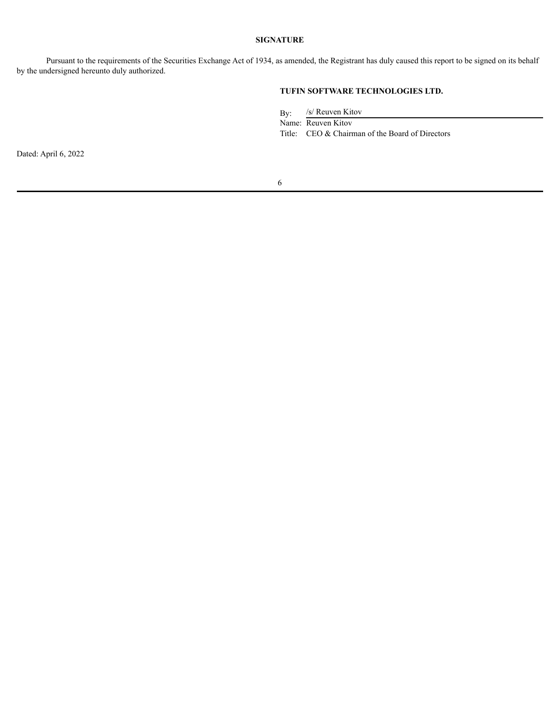### **SIGNATURE**

Pursuant to the requirements of the Securities Exchange Act of 1934, as amended, the Registrant has duly caused this report to be signed on its behalf by the undersigned hereunto duly authorized.

# **TUFIN SOFTWARE TECHNOLOGIES LTD.**

By: /s/ Reuven Kitov

Name: Reuven Kitov

Title: CEO & Chairman of the Board of Directors

Dated: April 6, 2022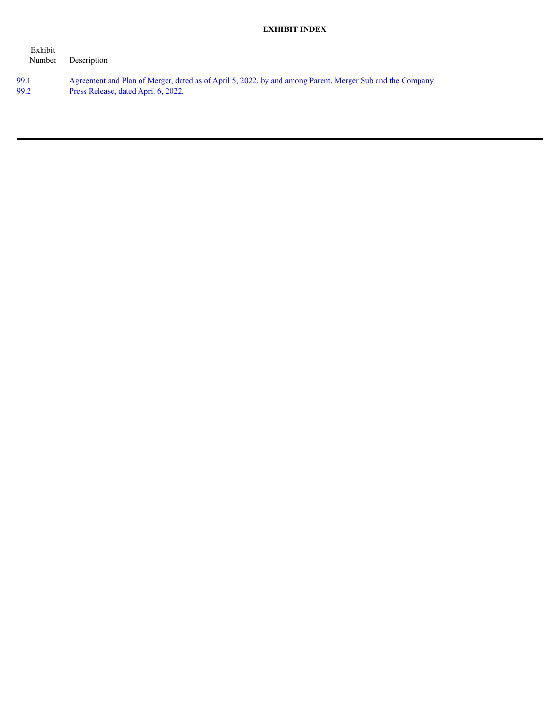### **EXHIBIT INDEX**

| Exhibit<br>Number | Description                                                                                                      |
|-------------------|------------------------------------------------------------------------------------------------------------------|
| 99.1              | <u>Agreement and Plan of Merger, dated as of April 5, 2022, by and among Parent, Merger Sub and the Company.</u> |
| 99.2              | <u>Press Release, dated April 6, 2022.</u>                                                                       |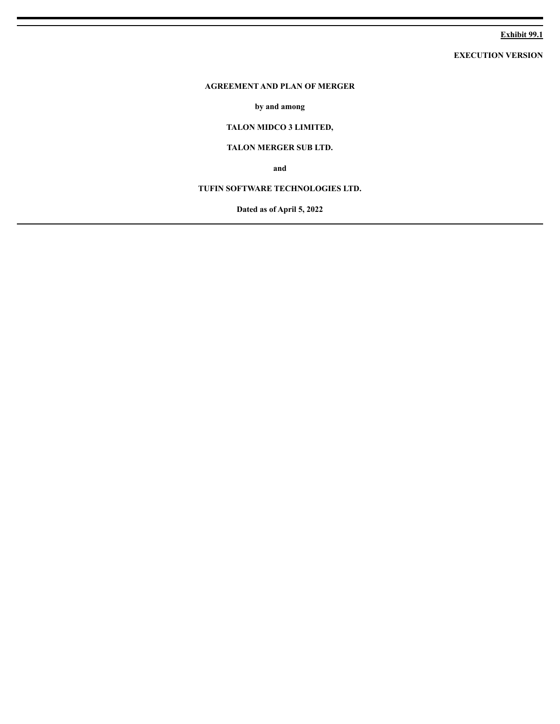## **Exhibit 99.1**

**EXECUTION VERSION**

# <span id="page-8-0"></span>**AGREEMENT AND PLAN OF MERGER**

**by and among**

# **TALON MIDCO 3 LIMITED,**

## **TALON MERGER SUB LTD.**

**and**

# **TUFIN SOFTWARE TECHNOLOGIES LTD.**

**Dated as of April 5, 2022**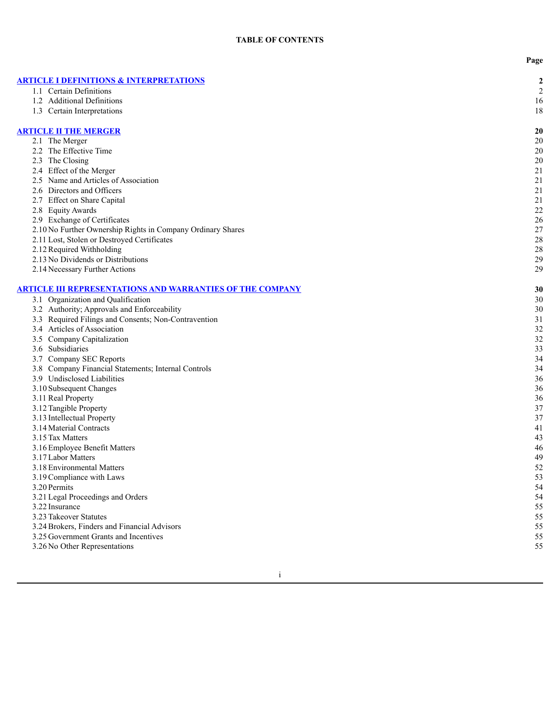**P a g e**

| <b>ARTICLE I DEFINITIONS &amp; INTERPRETATIONS</b>               | $\boldsymbol{2}$ |
|------------------------------------------------------------------|------------------|
| 1.1 Certain Definitions                                          | $\overline{c}$   |
| 1.2 Additional Definitions                                       | 16               |
| 1.3 Certain Interpretations                                      | 18               |
|                                                                  |                  |
| <b>ARTICLE II THE MERGER</b>                                     | 20               |
| 2.1 The Merger                                                   | 20               |
| 2.2 The Effective Time                                           | 20               |
| 2.3 The Closing                                                  | 20               |
| 2.4 Effect of the Merger                                         | 21               |
| 2.5 Name and Articles of Association                             | 21               |
| 2.6 Directors and Officers                                       | 21               |
| 2.7 Effect on Share Capital                                      | 21               |
| 2.8 Equity Awards                                                | 22               |
| 2.9 Exchange of Certificates                                     | 26               |
| 2.10 No Further Ownership Rights in Company Ordinary Shares      | 27               |
| 2.11 Lost, Stolen or Destroyed Certificates                      | 28               |
| 2.12 Required Withholding                                        | 28               |
| 2.13 No Dividends or Distributions                               | 29               |
| 2.14 Necessary Further Actions                                   | 29               |
| <b>ARTICLE III REPRESENTATIONS AND WARRANTIES OF THE COMPANY</b> | 30               |
| 3.1 Organization and Qualification                               | 30               |
| 3.2 Authority; Approvals and Enforceability                      | 30               |
| 3.3 Required Filings and Consents; Non-Contravention             | 31               |
| 3.4 Articles of Association                                      | 32               |
| 3.5 Company Capitalization                                       | 32               |
| 3.6 Subsidiaries                                                 | 33               |
| 3.7 Company SEC Reports                                          | 34               |
| 3.8 Company Financial Statements; Internal Controls              | 34               |
| 3.9 Undisclosed Liabilities                                      | 36               |
| 3.10 Subsequent Changes                                          | 36               |
| 3.11 Real Property                                               | 36               |
| 3.12 Tangible Property                                           | 37               |
| 3.13 Intellectual Property                                       | 37               |
| 3.14 Material Contracts                                          | 41               |
| 3.15 Tax Matters                                                 | 43               |
| 3.16 Employee Benefit Matters                                    | 46               |
| 3.17 Labor Matters                                               | 49               |
| 3.18 Environmental Matters                                       | 52               |
| 3.19 Compliance with Laws                                        | 53               |
| 3.20 Permits                                                     | 54               |
| 3.21 Legal Proceedings and Orders                                | 54               |
| 3.22 Insurance                                                   | 55               |
| 3.23 Takeover Statutes                                           | 55               |
| 3.24 Brokers, Finders and Financial Advisors                     | 55               |
| 3.25 Government Grants and Incentives                            | 55               |
| 3.26 No Other Representations                                    | 55               |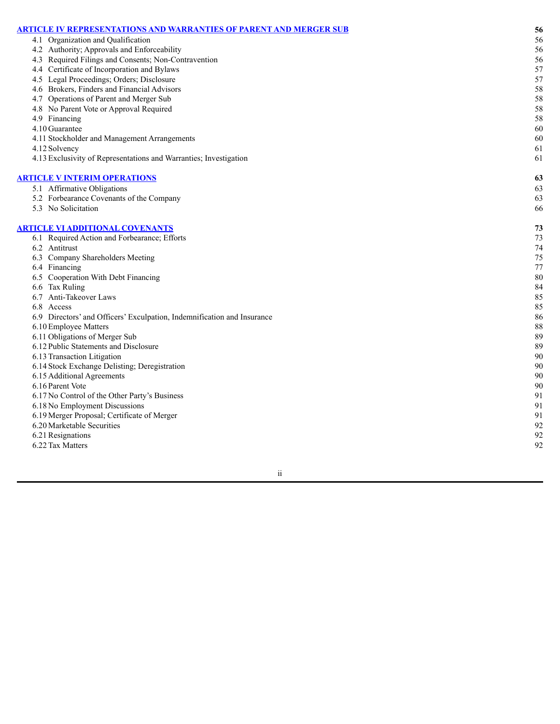| <u>ARTICLE IV REPRESENTATIONS AND WARRANTIES OF PARENT AND MERGER SUB</u> | 56     |
|---------------------------------------------------------------------------|--------|
| 4.1 Organization and Qualification                                        | 56     |
| 4.2 Authority; Approvals and Enforceability                               | 56     |
| 4.3 Required Filings and Consents; Non-Contravention                      | 56     |
| 4.4 Certificate of Incorporation and Bylaws                               | 57     |
| 4.5 Legal Proceedings; Orders; Disclosure                                 | 57     |
| 4.6 Brokers, Finders and Financial Advisors                               | 58     |
| 4.7 Operations of Parent and Merger Sub                                   | 58     |
| 4.8 No Parent Vote or Approval Required                                   | 58     |
| 4.9 Financing                                                             | 58     |
| 4.10 Guarantee                                                            | 60     |
| 4.11 Stockholder and Management Arrangements                              | 60     |
| 4.12 Solvency                                                             | 61     |
| 4.13 Exclusivity of Representations and Warranties; Investigation         | 61     |
| <b>ARTICLE V INTERIM OPERATIONS</b>                                       | 63     |
| 5.1 Affirmative Obligations                                               | 63     |
| 5.2 Forbearance Covenants of the Company                                  | 63     |
| 5.3 No Solicitation                                                       | 66     |
| <b>ARTICLE VI ADDITIONAL COVENANTS</b>                                    | 73     |
| 6.1 Required Action and Forbearance; Efforts                              | 73     |
| 6.2 Antitrust                                                             | 74     |
| 6.3 Company Shareholders Meeting                                          | 75     |
| 6.4 Financing                                                             | 77     |
| 6.5 Cooperation With Debt Financing                                       | 80     |
| 6.6 Tax Ruling                                                            | 84     |
| 6.7 Anti-Takeover Laws                                                    | 85     |
| 6.8 Access                                                                | 85     |
| 6.9 Directors' and Officers' Exculpation, Indemnification and Insurance   | 86     |
| 6.10 Employee Matters                                                     | $88\,$ |
| 6.11 Obligations of Merger Sub                                            | 89     |
| 6.12 Public Statements and Disclosure                                     | 89     |
| 6.13 Transaction Litigation                                               | 90     |
| 6.14 Stock Exchange Delisting; Deregistration                             | 90     |
| 6.15 Additional Agreements                                                | 90     |
| 6.16 Parent Vote                                                          | 90     |
| 6.17 No Control of the Other Party's Business                             | 91     |
| 6.18 No Employment Discussions                                            | 91     |
| 6.19 Merger Proposal; Certificate of Merger                               | 91     |
| 6.20 Marketable Securities                                                | 92     |
| 6.21 Resignations                                                         | 92     |
| 6.22 Tax Matters                                                          | 92     |
|                                                                           |        |

i i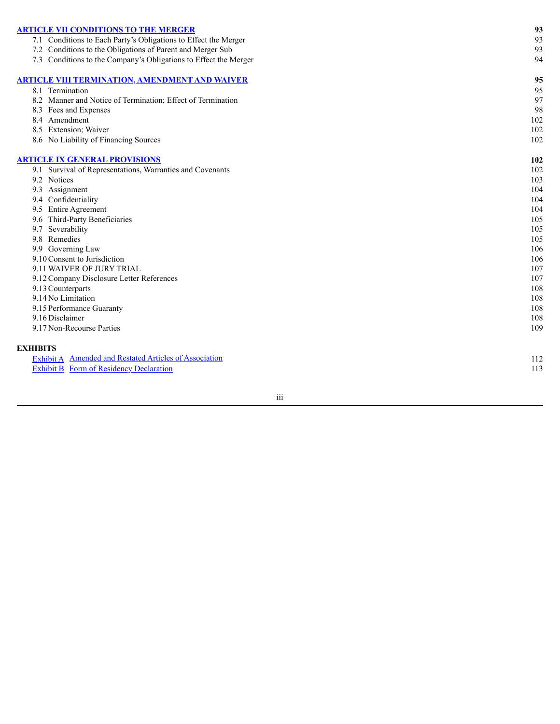| <b>ARTICLE VII CONDITIONS TO THE MERGER</b>                      | 93  |
|------------------------------------------------------------------|-----|
| 7.1 Conditions to Each Party's Obligations to Effect the Merger  | 93  |
| 7.2 Conditions to the Obligations of Parent and Merger Sub       | 93  |
| 7.3 Conditions to the Company's Obligations to Effect the Merger | 94  |
|                                                                  | 95  |
| <u>ARTICLE VIII TERMINATION, AMENDMENT AND WAIVER</u>            |     |
| 8.1 Termination                                                  | 95  |
| 8.2 Manner and Notice of Termination; Effect of Termination      | 97  |
| 8.3 Fees and Expenses                                            | 98  |
| 8.4 Amendment                                                    | 102 |
| 8.5 Extension; Waiver                                            | 102 |
| 8.6 No Liability of Financing Sources                            | 102 |
| <b>ARTICLE IX GENERAL PROVISIONS</b>                             | 102 |
| 9.1 Survival of Representations, Warranties and Covenants        | 102 |
| 9.2 Notices                                                      | 103 |
| 9.3 Assignment                                                   | 104 |
| 9.4 Confidentiality                                              | 104 |
| 9.5 Entire Agreement                                             | 104 |
| 9.6 Third-Party Beneficiaries                                    | 105 |
| 9.7 Severability                                                 | 105 |
| 9.8 Remedies                                                     | 105 |
| 9.9 Governing Law                                                | 106 |
| 9.10 Consent to Jurisdiction                                     | 106 |
| 9.11 WAIVER OF JURY TRIAL                                        | 107 |
| 9.12 Company Disclosure Letter References                        | 107 |
| 9.13 Counterparts                                                | 108 |
| 9.14 No Limitation                                               | 108 |
| 9.15 Performance Guaranty                                        | 108 |
| 9.16 Disclaimer                                                  | 108 |
| 9.17 Non-Recourse Parties                                        | 109 |
|                                                                  |     |
| <b>EXHIBITS</b>                                                  |     |
| Exhibit A Amended and Restated Articles of Association           | 112 |
| <b>Exhibit B</b> Form of Residency Declaration                   | 113 |

i i i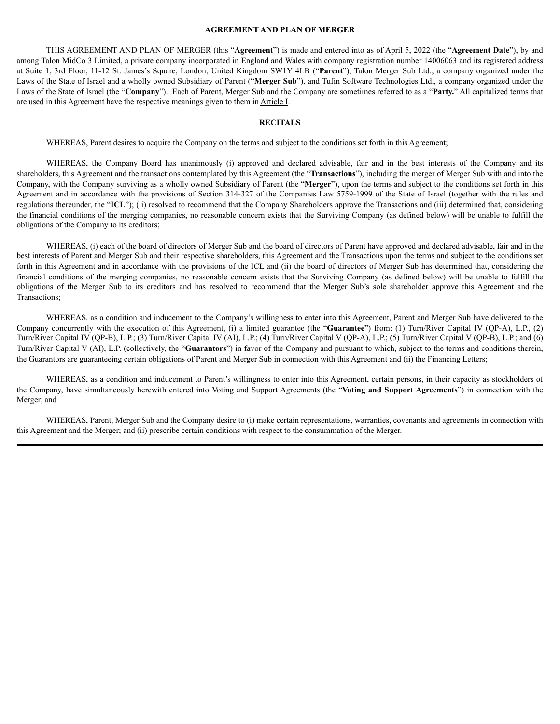### **AGREEMENT AND PLAN OF MERGER**

THIS AGREEMENT AND PLAN OF MERGER (this "**Agreement**") is made and entered into as of April 5, 2022 (the "**Agreement Date**"), by and among Talon MidCo 3 Limited, a private company incorporated in England and Wales with company registration number 14006063 and its registered address at Suite 1, 3rd Floor, 11-12 St. James's Square, London, United Kingdom SW1Y 4LB ("**Parent**"), Talon Merger Sub Ltd., a company organized under the Laws of the State of Israel and a wholly owned Subsidiary of Parent ("**Merger Sub**"), and Tufin Software Technologies Ltd., a company organized under the Laws of the State of Israel (the "**Company**"). Each of Parent, Merger Sub and the Company are sometimes referred to as a "**Party.**" All capitalized terms that are used in this Agreement have the respective meanings given to them in Article I.

### **RECITALS**

WHEREAS, Parent desires to acquire the Company on the terms and subject to the conditions set forth in this Agreement;

WHEREAS, the Company Board has unanimously (i) approved and declared advisable, fair and in the best interests of the Company and its shareholders, this Agreement and the transactions contemplated by this Agreement (the "**Transactions**"), including the merger of Merger Sub with and into the Company, with the Company surviving as a wholly owned Subsidiary of Parent (the "**Merger**"), upon the terms and subject to the conditions set forth in this Agreement and in accordance with the provisions of Section 314-327 of the Companies Law 5759-1999 of the State of Israel (together with the rules and regulations thereunder, the "**ICL**"); (ii) resolved to recommend that the Company Shareholders approve the Transactions and (iii) determined that, considering the financial conditions of the merging companies, no reasonable concern exists that the Surviving Company (as defined below) will be unable to fulfill the obligations of the Company to its creditors;

WHEREAS, (i) each of the board of directors of Merger Sub and the board of directors of Parent have approved and declared advisable, fair and in the best interests of Parent and Merger Sub and their respective shareholders, this Agreement and the Transactions upon the terms and subject to the conditions set forth in this Agreement and in accordance with the provisions of the ICL and (ii) the board of directors of Merger Sub has determined that, considering the financial conditions of the merging companies, no reasonable concern exists that the Surviving Company (as defined below) will be unable to fulfill the obligations of the Merger Sub to its creditors and has resolved to recommend that the Merger Sub's sole shareholder approve this Agreement and the Transactions;

WHEREAS, as a condition and inducement to the Company's willingness to enter into this Agreement, Parent and Merger Sub have delivered to the Company concurrently with the execution of this Agreement, (i) a limited guarantee (the "**Guarantee**") from: (1) Turn/River Capital IV (QP-A), L.P., (2) Turn/River Capital IV (QP-B), L.P.; (3) Turn/River Capital IV (AI), L.P.; (4) Turn/River Capital V (QP-A), L.P.; (5) Turn/River Capital V (QP-B), L.P.; and (6) Turn/River Capital V (AI), L.P. (collectively, the "**Guarantors**") in favor of the Company and pursuant to which, subject to the terms and conditions therein, the Guarantors are guaranteeing certain obligations of Parent and Merger Sub in connection with this Agreement and (ii) the Financing Letters;

WHEREAS, as a condition and inducement to Parent's willingness to enter into this Agreement, certain persons, in their capacity as stockholders of the Company, have simultaneously herewith entered into Voting and Support Agreements (the "**Voting and Support Agreements**") in connection with the Merger; and

WHEREAS, Parent, Merger Sub and the Company desire to (i) make certain representations, warranties, covenants and agreements in connection with this Agreement and the Merger; and (ii) prescribe certain conditions with respect to the consummation of the Merger.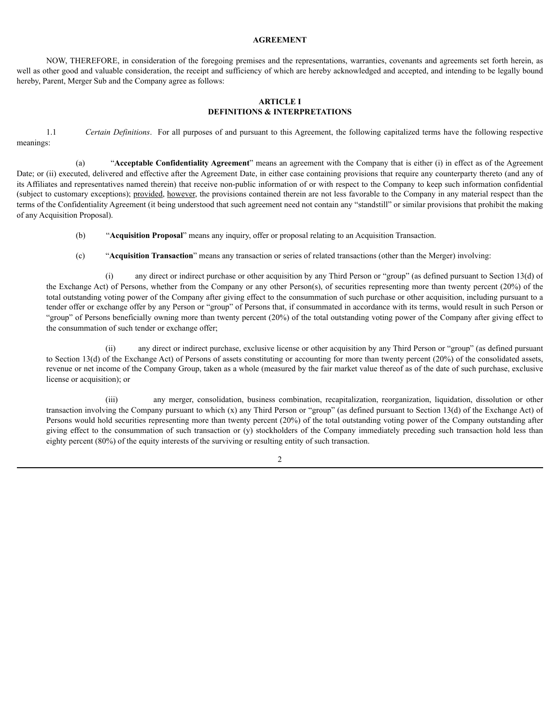### **AGREEMENT**

NOW, THEREFORE, in consideration of the foregoing premises and the representations, warranties, covenants and agreements set forth herein, as well as other good and valuable consideration, the receipt and sufficiency of which are hereby acknowledged and accepted, and intending to be legally bound hereby, Parent, Merger Sub and the Company agree as follows:

### <span id="page-13-0"></span>**ARTICLE I DEFINITIONS & INTERPRETATIONS**

1.1 *Certain Definitions*. For all purposes of and pursuant to this Agreement, the following capitalized terms have the following respective meanings:

(a) "**Acceptable Confidentiality Agreement**" means an agreement with the Company that is either (i) in effect as of the Agreement Date; or (ii) executed, delivered and effective after the Agreement Date, in either case containing provisions that require any counterparty thereto (and any of its Affiliates and representatives named therein) that receive non-public information of or with respect to the Company to keep such information confidential (subject to customary exceptions); provided, however, the provisions contained therein are not less favorable to the Company in any material respect than the terms of the Confidentiality Agreement (it being understood that such agreement need not contain any "standstill" or similar provisions that prohibit the making of any Acquisition Proposal).

- (b) "**Acquisition Proposal**" means any inquiry, offer or proposal relating to an Acquisition Transaction.
- (c) "**Acquisition Transaction**" means any transaction or series of related transactions (other than the Merger) involving:

(i) any direct or indirect purchase or other acquisition by any Third Person or "group" (as defined pursuant to Section 13(d) of the Exchange Act) of Persons, whether from the Company or any other Person(s), of securities representing more than twenty percent (20%) of the total outstanding voting power of the Company after giving effect to the consummation of such purchase or other acquisition, including pursuant to a tender offer or exchange offer by any Person or "group" of Persons that, if consummated in accordance with its terms, would result in such Person or "group" of Persons beneficially owning more than twenty percent (20%) of the total outstanding voting power of the Company after giving effect to the consummation of such tender or exchange offer;

(ii) any direct or indirect purchase, exclusive license or other acquisition by any Third Person or "group" (as defined pursuant to Section 13(d) of the Exchange Act) of Persons of assets constituting or accounting for more than twenty percent (20%) of the consolidated assets, revenue or net income of the Company Group, taken as a whole (measured by the fair market value thereof as of the date of such purchase, exclusive license or acquisition); or

(iii) any merger, consolidation, business combination, recapitalization, reorganization, liquidation, dissolution or other transaction involving the Company pursuant to which  $(x)$  any Third Person or "group" (as defined pursuant to Section 13(d) of the Exchange Act) of Persons would hold securities representing more than twenty percent (20%) of the total outstanding voting power of the Company outstanding after giving effect to the consummation of such transaction or (y) stockholders of the Company immediately preceding such transaction hold less than eighty percent (80%) of the equity interests of the surviving or resulting entity of such transaction.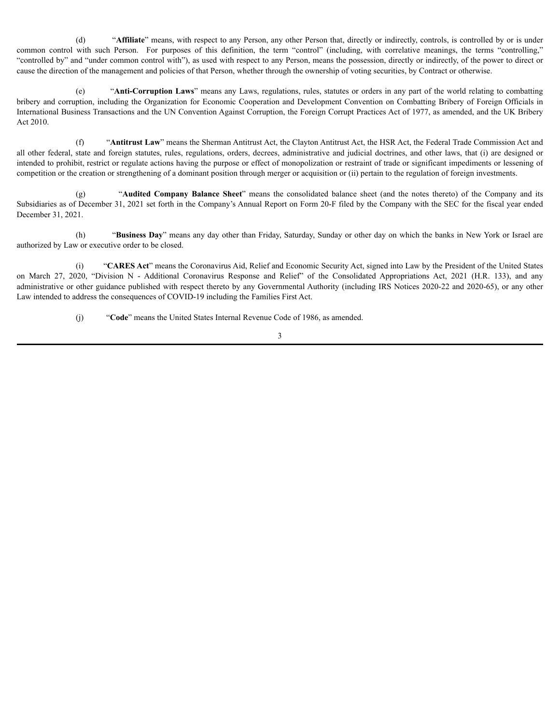(d) "**Affiliate**" means, with respect to any Person, any other Person that, directly or indirectly, controls, is controlled by or is under common control with such Person. For purposes of this definition, the term "control" (including, with correlative meanings, the terms "controlling," "controlled by" and "under common control with"), as used with respect to any Person, means the possession, directly or indirectly, of the power to direct or cause the direction of the management and policies of that Person, whether through the ownership of voting securities, by Contract or otherwise.

(e) "**Anti-Corruption Laws**" means any Laws, regulations, rules, statutes or orders in any part of the world relating to combatting bribery and corruption, including the Organization for Economic Cooperation and Development Convention on Combatting Bribery of Foreign Officials in International Business Transactions and the UN Convention Against Corruption, the Foreign Corrupt Practices Act of 1977, as amended, and the UK Bribery Act 2010.

(f) "**Antitrust Law**" means the Sherman Antitrust Act, the Clayton Antitrust Act, the HSR Act, the Federal Trade Commission Act and all other federal, state and foreign statutes, rules, regulations, orders, decrees, administrative and judicial doctrines, and other laws, that (i) are designed or intended to prohibit, restrict or regulate actions having the purpose or effect of monopolization or restraint of trade or significant impediments or lessening of competition or the creation or strengthening of a dominant position through merger or acquisition or (ii) pertain to the regulation of foreign investments.

(g) "**Audited Company Balance Sheet**" means the consolidated balance sheet (and the notes thereto) of the Company and its Subsidiaries as of December 31, 2021 set forth in the Company's Annual Report on Form 20-F filed by the Company with the SEC for the fiscal year ended December 31, 2021.

(h) "**Business Day**" means any day other than Friday, Saturday, Sunday or other day on which the banks in New York or Israel are authorized by Law or executive order to be closed.

(i) "**CARES Act**" means the Coronavirus Aid, Relief and Economic Security Act, signed into Law by the President of the United States on March 27, 2020, "Division N - Additional Coronavirus Response and Relief" of the Consolidated Appropriations Act, 2021 (H.R. 133), and any administrative or other guidance published with respect thereto by any Governmental Authority (including IRS Notices 2020-22 and 2020-65), or any other Law intended to address the consequences of COVID-19 including the Families First Act.

(j) "**Code**" means the United States Internal Revenue Code of 1986, as amended.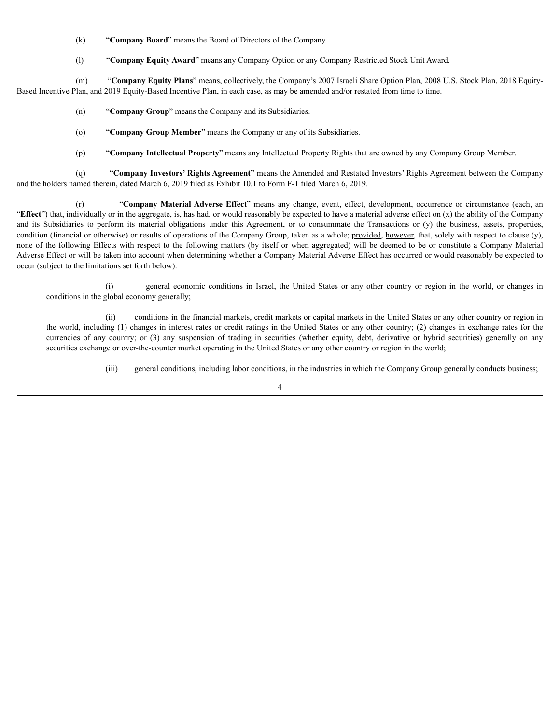- (k) "**Company Board**" means the Board of Directors of the Company.
- (l) "**Company Equity Award**" means any Company Option or any Company Restricted Stock Unit Award.

(m) "**Company Equity Plans**" means, collectively, the Company's 2007 Israeli Share Option Plan, 2008 U.S. Stock Plan, 2018 Equity-Based Incentive Plan, and 2019 Equity-Based Incentive Plan, in each case, as may be amended and/or restated from time to time.

- (n) "**Company Group**" means the Company and its Subsidiaries.
- (o) "**Company Group Member**" means the Company or any of its Subsidiaries.
- (p) "**Company Intellectual Property**" means any Intellectual Property Rights that are owned by any Company Group Member.

(q) "**Company Investors' Rights Agreement**" means the Amended and Restated Investors' Rights Agreement between the Company and the holders named therein, dated March 6, 2019 filed as Exhibit 10.1 to Form F-1 filed March 6, 2019.

(r) "**Company Material Adverse Effect**" means any change, event, effect, development, occurrence or circumstance (each, an "**Effect**") that, individually or in the aggregate, is, has had, or would reasonably be expected to have a material adverse effect on (x) the ability of the Company and its Subsidiaries to perform its material obligations under this Agreement, or to consummate the Transactions or (y) the business, assets, properties, condition (financial or otherwise) or results of operations of the Company Group, taken as a whole; provided, however, that, solely with respect to clause (y), none of the following Effects with respect to the following matters (by itself or when aggregated) will be deemed to be or constitute a Company Material Adverse Effect or will be taken into account when determining whether a Company Material Adverse Effect has occurred or would reasonably be expected to occur (subject to the limitations set forth below):

(i) general economic conditions in Israel, the United States or any other country or region in the world, or changes in conditions in the global economy generally;

(ii) conditions in the financial markets, credit markets or capital markets in the United States or any other country or region in the world, including (1) changes in interest rates or credit ratings in the United States or any other country; (2) changes in exchange rates for the currencies of any country; or (3) any suspension of trading in securities (whether equity, debt, derivative or hybrid securities) generally on any securities exchange or over-the-counter market operating in the United States or any other country or region in the world;

(iii) general conditions, including labor conditions, in the industries in which the Company Group generally conducts business;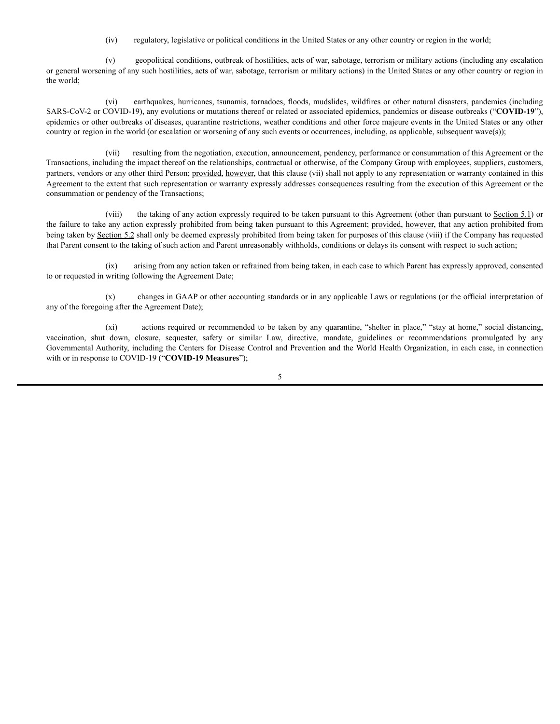(iv) regulatory, legislative or political conditions in the United States or any other country or region in the world;

(v) geopolitical conditions, outbreak of hostilities, acts of war, sabotage, terrorism or military actions (including any escalation or general worsening of any such hostilities, acts of war, sabotage, terrorism or military actions) in the United States or any other country or region in the world;

(vi) earthquakes, hurricanes, tsunamis, tornadoes, floods, mudslides, wildfires or other natural disasters, pandemics (including SARS-CoV-2 or COVID-19), any evolutions or mutations thereof or related or associated epidemics, pandemics or disease outbreaks ("**COVID-19**"), epidemics or other outbreaks of diseases, quarantine restrictions, weather conditions and other force majeure events in the United States or any other country or region in the world (or escalation or worsening of any such events or occurrences, including, as applicable, subsequent wave(s));

(vii) resulting from the negotiation, execution, announcement, pendency, performance or consummation of this Agreement or the Transactions, including the impact thereof on the relationships, contractual or otherwise, of the Company Group with employees, suppliers, customers, partners, vendors or any other third Person; provided, however, that this clause (vii) shall not apply to any representation or warranty contained in this Agreement to the extent that such representation or warranty expressly addresses consequences resulting from the execution of this Agreement or the consummation or pendency of the Transactions;

(viii) the taking of any action expressly required to be taken pursuant to this Agreement (other than pursuant to Section 5.1) or the failure to take any action expressly prohibited from being taken pursuant to this Agreement; provided, however, that any action prohibited from being taken by Section 5.2 shall only be deemed expressly prohibited from being taken for purposes of this clause (viii) if the Company has requested that Parent consent to the taking of such action and Parent unreasonably withholds, conditions or delays its consent with respect to such action;

(ix) arising from any action taken or refrained from being taken, in each case to which Parent has expressly approved, consented to or requested in writing following the Agreement Date;

(x) changes in GAAP or other accounting standards or in any applicable Laws or regulations (or the official interpretation of any of the foregoing after the Agreement Date);

(xi) actions required or recommended to be taken by any quarantine, "shelter in place," "stay at home," social distancing, vaccination, shut down, closure, sequester, safety or similar Law, directive, mandate, guidelines or recommendations promulgated by any Governmental Authority, including the Centers for Disease Control and Prevention and the World Health Organization, in each case, in connection with or in response to COVID-19 ("**COVID-19 Measures**");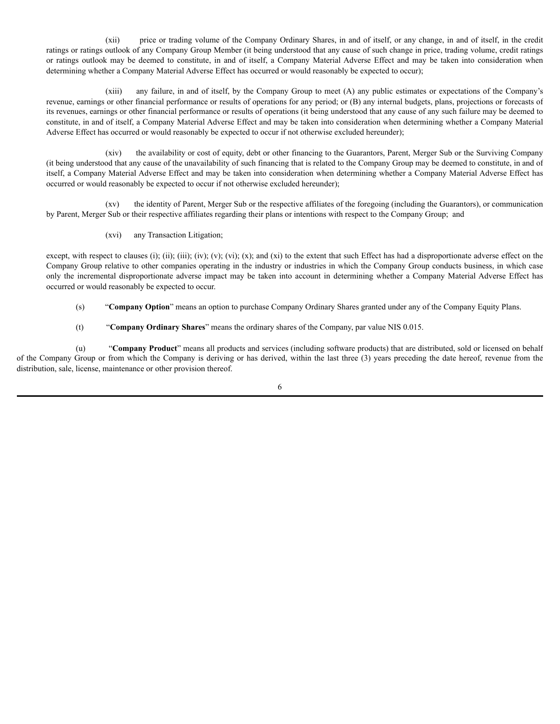(xii) price or trading volume of the Company Ordinary Shares, in and of itself, or any change, in and of itself, in the credit ratings or ratings outlook of any Company Group Member (it being understood that any cause of such change in price, trading volume, credit ratings or ratings outlook may be deemed to constitute, in and of itself, a Company Material Adverse Effect and may be taken into consideration when determining whether a Company Material Adverse Effect has occurred or would reasonably be expected to occur);

(xiii) any failure, in and of itself, by the Company Group to meet (A) any public estimates or expectations of the Company's revenue, earnings or other financial performance or results of operations for any period; or (B) any internal budgets, plans, projections or forecasts of its revenues, earnings or other financial performance or results of operations (it being understood that any cause of any such failure may be deemed to constitute, in and of itself, a Company Material Adverse Effect and may be taken into consideration when determining whether a Company Material Adverse Effect has occurred or would reasonably be expected to occur if not otherwise excluded hereunder);

(xiv) the availability or cost of equity, debt or other financing to the Guarantors, Parent, Merger Sub or the Surviving Company (it being understood that any cause of the unavailability of such financing that is related to the Company Group may be deemed to constitute, in and of itself, a Company Material Adverse Effect and may be taken into consideration when determining whether a Company Material Adverse Effect has occurred or would reasonably be expected to occur if not otherwise excluded hereunder);

(xv) the identity of Parent, Merger Sub or the respective affiliates of the foregoing (including the Guarantors), or communication by Parent, Merger Sub or their respective affiliates regarding their plans or intentions with respect to the Company Group; and

(xvi) any Transaction Litigation;

except, with respect to clauses (i); (ii); (iii); (iv); (v); (vi); (x); and (xi) to the extent that such Effect has had a disproportionate adverse effect on the Company Group relative to other companies operating in the industry or industries in which the Company Group conducts business, in which case only the incremental disproportionate adverse impact may be taken into account in determining whether a Company Material Adverse Effect has occurred or would reasonably be expected to occur.

(s) "**Company Option**" means an option to purchase Company Ordinary Shares granted under any of the Company Equity Plans.

(t) "**Company Ordinary Shares**" means the ordinary shares of the Company, par value NIS 0.015.

(u) "**Company Product**" means all products and services (including software products) that are distributed, sold or licensed on behalf of the Company Group or from which the Company is deriving or has derived, within the last three (3) years preceding the date hereof, revenue from the distribution, sale, license, maintenance or other provision thereof.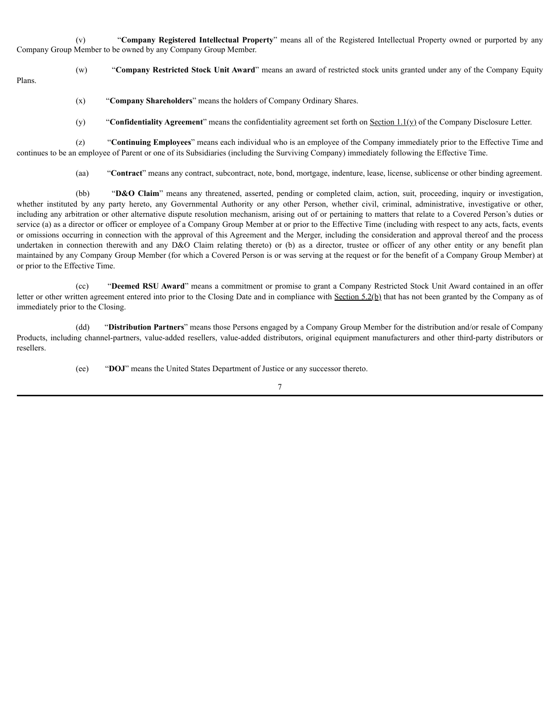(v) "**Company Registered Intellectual Property**" means all of the Registered Intellectual Property owned or purported by any Company Group Member to be owned by any Company Group Member.

(w) "**Company Restricted Stock Unit Award**" means an award of restricted stock units granted under any of the Company Equity Plans.

(x) "**Company Shareholders**" means the holders of Company Ordinary Shares.

(y) "**Confidentiality Agreement**" means the confidentiality agreement set forth on Section 1.1(y) of the Company Disclosure Letter.

(z) "**Continuing Employees**" means each individual who is an employee of the Company immediately prior to the Effective Time and continues to be an employee of Parent or one of its Subsidiaries (including the Surviving Company) immediately following the Effective Time.

(aa) "**Contract**" means any contract, subcontract, note, bond, mortgage, indenture, lease, license, sublicense or other binding agreement.

(bb) "**D&O Claim**" means any threatened, asserted, pending or completed claim, action, suit, proceeding, inquiry or investigation, whether instituted by any party hereto, any Governmental Authority or any other Person, whether civil, criminal, administrative, investigative or other, including any arbitration or other alternative dispute resolution mechanism, arising out of or pertaining to matters that relate to a Covered Person's duties or service (a) as a director or officer or employee of a Company Group Member at or prior to the Effective Time (including with respect to any acts, facts, events or omissions occurring in connection with the approval of this Agreement and the Merger, including the consideration and approval thereof and the process undertaken in connection therewith and any D&O Claim relating thereto) or (b) as a director, trustee or officer of any other entity or any benefit plan maintained by any Company Group Member (for which a Covered Person is or was serving at the request or for the benefit of a Company Group Member) at or prior to the Effective Time.

(cc) "**Deemed RSU Award**" means a commitment or promise to grant a Company Restricted Stock Unit Award contained in an offer letter or other written agreement entered into prior to the Closing Date and in compliance with Section 5.2(b) that has not been granted by the Company as of immediately prior to the Closing.

(dd) "**Distribution Partners**" means those Persons engaged by a Company Group Member for the distribution and/or resale of Company Products, including channel-partners, value-added resellers, value-added distributors, original equipment manufacturers and other third-party distributors or resellers.

(ee) "**DOJ**" means the United States Department of Justice or any successor thereto.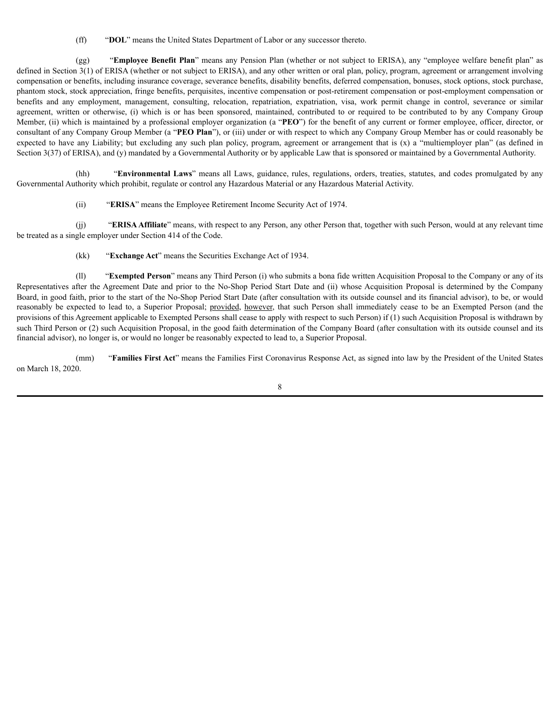(ff) "**DOL**" means the United States Department of Labor or any successor thereto.

(gg) "**Employee Benefit Plan**" means any Pension Plan (whether or not subject to ERISA), any "employee welfare benefit plan" as defined in Section 3(1) of ERISA (whether or not subject to ERISA), and any other written or oral plan, policy, program, agreement or arrangement involving compensation or benefits, including insurance coverage, severance benefits, disability benefits, deferred compensation, bonuses, stock options, stock purchase, phantom stock, stock appreciation, fringe benefits, perquisites, incentive compensation or post-retirement compensation or post-employment compensation or benefits and any employment, management, consulting, relocation, repatriation, expatriation, visa, work permit change in control, severance or similar agreement, written or otherwise, (i) which is or has been sponsored, maintained, contributed to or required to be contributed to by any Company Group Member, (ii) which is maintained by a professional employer organization (a "**PEO**") for the benefit of any current or former employee, officer, director, or consultant of any Company Group Member (a "**PEO Plan**"), or (iii) under or with respect to which any Company Group Member has or could reasonably be expected to have any Liability; but excluding any such plan policy, program, agreement or arrangement that is  $(x)$  a "multiemployer plan" (as defined in Section 3(37) of ERISA), and (y) mandated by a Governmental Authority or by applicable Law that is sponsored or maintained by a Governmental Authority.

(hh) "**Environmental Laws**" means all Laws, guidance, rules, regulations, orders, treaties, statutes, and codes promulgated by any Governmental Authority which prohibit, regulate or control any Hazardous Material or any Hazardous Material Activity.

(ii) "**ERISA**" means the Employee Retirement Income Security Act of 1974.

(jj) "**ERISA Affiliate**" means, with respect to any Person, any other Person that, together with such Person, would at any relevant time be treated as a single employer under Section 414 of the Code.

(kk) "**Exchange Act**" means the Securities Exchange Act of 1934.

(ll) "**Exempted Person**" means any Third Person (i) who submits a bona fide written Acquisition Proposal to the Company or any of its Representatives after the Agreement Date and prior to the No-Shop Period Start Date and (ii) whose Acquisition Proposal is determined by the Company Board, in good faith, prior to the start of the No-Shop Period Start Date (after consultation with its outside counsel and its financial advisor), to be, or would reasonably be expected to lead to, a Superior Proposal; provided, however, that such Person shall immediately cease to be an Exempted Person (and the provisions of this Agreement applicable to Exempted Persons shall cease to apply with respect to such Person) if (1) such Acquisition Proposal is withdrawn by such Third Person or (2) such Acquisition Proposal, in the good faith determination of the Company Board (after consultation with its outside counsel and its financial advisor), no longer is, or would no longer be reasonably expected to lead to, a Superior Proposal.

(mm) "**Families First Act**" means the Families First Coronavirus Response Act, as signed into law by the President of the United States on March 18, 2020.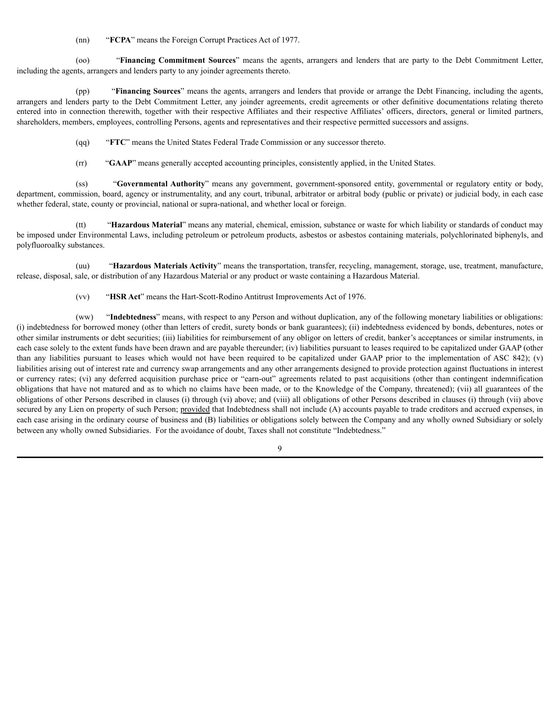(nn) "**FCPA**" means the Foreign Corrupt Practices Act of 1977.

(oo) "**Financing Commitment Sources**" means the agents, arrangers and lenders that are party to the Debt Commitment Letter, including the agents, arrangers and lenders party to any joinder agreements thereto.

(pp) "**Financing Sources**" means the agents, arrangers and lenders that provide or arrange the Debt Financing, including the agents, arrangers and lenders party to the Debt Commitment Letter, any joinder agreements, credit agreements or other definitive documentations relating thereto entered into in connection therewith, together with their respective Affiliates and their respective Affiliates' officers, directors, general or limited partners, shareholders, members, employees, controlling Persons, agents and representatives and their respective permitted successors and assigns.

(qq) "**FTC**" means the United States Federal Trade Commission or any successor thereto.

(rr) "**GAAP**" means generally accepted accounting principles, consistently applied, in the United States.

(ss) "**Governmental Authority**" means any government, government-sponsored entity, governmental or regulatory entity or body, department, commission, board, agency or instrumentality, and any court, tribunal, arbitrator or arbitral body (public or private) or judicial body, in each case whether federal, state, county or provincial, national or supra-national, and whether local or foreign.

(tt) "**Hazardous Material**" means any material, chemical, emission, substance or waste for which liability or standards of conduct may be imposed under Environmental Laws, including petroleum or petroleum products, asbestos or asbestos containing materials, polychlorinated biphenyls, and polyfluoroalky substances.

(uu) "**Hazardous Materials Activity**" means the transportation, transfer, recycling, management, storage, use, treatment, manufacture, release, disposal, sale, or distribution of any Hazardous Material or any product or waste containing a Hazardous Material.

(vv) "**HSR Act**" means the Hart-Scott-Rodino Antitrust Improvements Act of 1976.

(ww) "**Indebtedness**" means, with respect to any Person and without duplication, any of the following monetary liabilities or obligations: (i) indebtedness for borrowed money (other than letters of credit, surety bonds or bank guarantees); (ii) indebtedness evidenced by bonds, debentures, notes or other similar instruments or debt securities; (iii) liabilities for reimbursement of any obligor on letters of credit, banker's acceptances or similar instruments, in each case solely to the extent funds have been drawn and are payable thereunder; (iv) liabilities pursuant to leases required to be capitalized under GAAP (other than any liabilities pursuant to leases which would not have been required to be capitalized under GAAP prior to the implementation of ASC 842); (v) liabilities arising out of interest rate and currency swap arrangements and any other arrangements designed to provide protection against fluctuations in interest or currency rates; (vi) any deferred acquisition purchase price or "earn-out" agreements related to past acquisitions (other than contingent indemnification obligations that have not matured and as to which no claims have been made, or to the Knowledge of the Company, threatened); (vii) all guarantees of the obligations of other Persons described in clauses (i) through (vi) above; and (viii) all obligations of other Persons described in clauses (i) through (vii) above secured by any Lien on property of such Person; provided that Indebtedness shall not include (A) accounts payable to trade creditors and accrued expenses, in each case arising in the ordinary course of business and (B) liabilities or obligations solely between the Company and any wholly owned Subsidiary or solely between any wholly owned Subsidiaries. For the avoidance of doubt, Taxes shall not constitute "Indebtedness."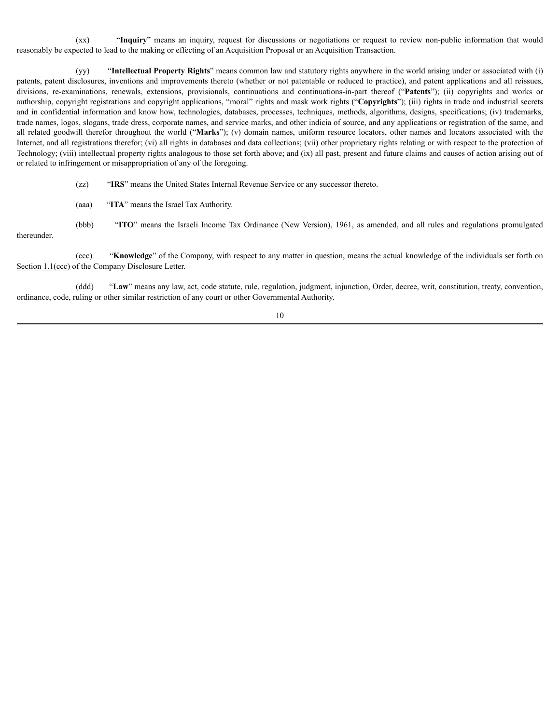(xx) "**Inquiry**" means an inquiry, request for discussions or negotiations or request to review non-public information that would reasonably be expected to lead to the making or effecting of an Acquisition Proposal or an Acquisition Transaction.

(yy) "**Intellectual Property Rights**" means common law and statutory rights anywhere in the world arising under or associated with (i) patents, patent disclosures, inventions and improvements thereto (whether or not patentable or reduced to practice), and patent applications and all reissues, divisions, re-examinations, renewals, extensions, provisionals, continuations and continuations-in-part thereof ("**Patents**"); (ii) copyrights and works or authorship, copyright registrations and copyright applications, "moral" rights and mask work rights ("**Copyrights**"); (iii) rights in trade and industrial secrets and in confidential information and know how, technologies, databases, processes, techniques, methods, algorithms, designs, specifications; (iv) trademarks, trade names, logos, slogans, trade dress, corporate names, and service marks, and other indicia of source, and any applications or registration of the same, and all related goodwill therefor throughout the world ("**Marks**"); (v) domain names, uniform resource locators, other names and locators associated with the Internet, and all registrations therefor; (vi) all rights in databases and data collections; (vii) other proprietary rights relating or with respect to the protection of Technology; (viii) intellectual property rights analogous to those set forth above; and (ix) all past, present and future claims and causes of action arising out of or related to infringement or misappropriation of any of the foregoing.

(zz) "**IRS**" means the United States Internal Revenue Service or any successor thereto.

(aaa) "**ITA**" means the Israel Tax Authority.

(bbb) "**ITO**" means the Israeli Income Tax Ordinance (New Version), 1961, as amended, and all rules and regulations promulgated thereunder.

(ccc) "**Knowledge**" of the Company, with respect to any matter in question, means the actual knowledge of the individuals set forth on Section 1.1(ccc) of the Company Disclosure Letter.

(ddd) "**Law**" means any law, act, code statute, rule, regulation, judgment, injunction, Order, decree, writ, constitution, treaty, convention, ordinance, code, ruling or other similar restriction of any court or other Governmental Authority.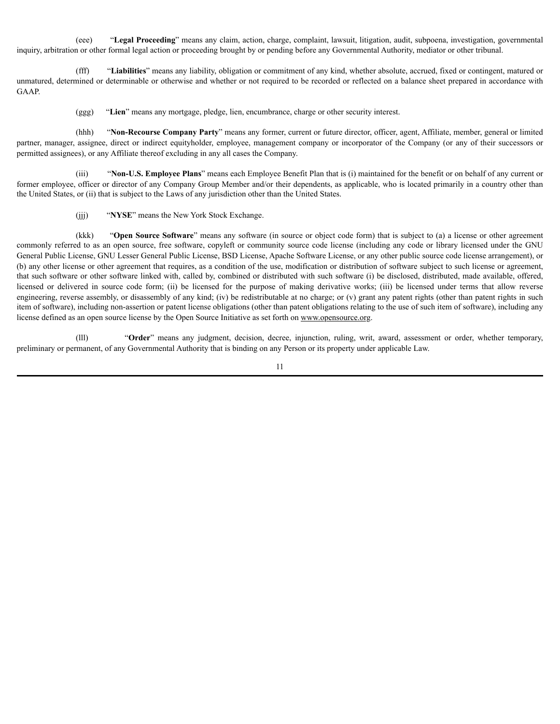(eee) "**Legal Proceeding**" means any claim, action, charge, complaint, lawsuit, litigation, audit, subpoena, investigation, governmental inquiry, arbitration or other formal legal action or proceeding brought by or pending before any Governmental Authority, mediator or other tribunal.

(fff) "**Liabilities**" means any liability, obligation or commitment of any kind, whether absolute, accrued, fixed or contingent, matured or unmatured, determined or determinable or otherwise and whether or not required to be recorded or reflected on a balance sheet prepared in accordance with GAAP.

(ggg) "**Lien**" means any mortgage, pledge, lien, encumbrance, charge or other security interest.

(hhh) "**Non-Recourse Company Party**" means any former, current or future director, officer, agent, Affiliate, member, general or limited partner, manager, assignee, direct or indirect equityholder, employee, management company or incorporator of the Company (or any of their successors or permitted assignees), or any Affiliate thereof excluding in any all cases the Company.

(iii) "**Non-U.S. Employee Plans**" means each Employee Benefit Plan that is (i) maintained for the benefit or on behalf of any current or former employee, officer or director of any Company Group Member and/or their dependents, as applicable, who is located primarily in a country other than the United States, or (ii) that is subject to the Laws of any jurisdiction other than the United States.

(jjj) "**NYSE**" means the New York Stock Exchange.

(kkk) "**Open Source Software**" means any software (in source or object code form) that is subject to (a) a license or other agreement commonly referred to as an open source, free software, copyleft or community source code license (including any code or library licensed under the GNU General Public License, GNU Lesser General Public License, BSD License, Apache Software License, or any other public source code license arrangement), or (b) any other license or other agreement that requires, as a condition of the use, modification or distribution of software subject to such license or agreement, that such software or other software linked with, called by, combined or distributed with such software (i) be disclosed, distributed, made available, offered, licensed or delivered in source code form; (ii) be licensed for the purpose of making derivative works; (iii) be licensed under terms that allow reverse engineering, reverse assembly, or disassembly of any kind; (iv) be redistributable at no charge; or (v) grant any patent rights (other than patent rights in such item of software), including non-assertion or patent license obligations (other than patent obligations relating to the use of such item of software), including any license defined as an open source license by the Open Source Initiative as set forth on www.opensource.org.

(lll) "**Order**" means any judgment, decision, decree, injunction, ruling, writ, award, assessment or order, whether temporary, preliminary or permanent, of any Governmental Authority that is binding on any Person or its property under applicable Law.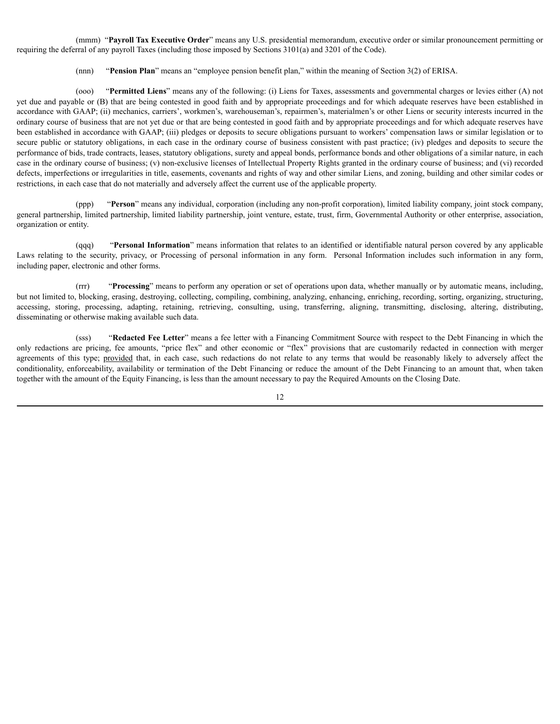(mmm) "**Payroll Tax Executive Order**" means any U.S. presidential memorandum, executive order or similar pronouncement permitting or requiring the deferral of any payroll Taxes (including those imposed by Sections 3101(a) and 3201 of the Code).

(nnn) "**Pension Plan**" means an "employee pension benefit plan," within the meaning of Section 3(2) of ERISA.

(ooo) "**Permitted Liens**" means any of the following: (i) Liens for Taxes, assessments and governmental charges or levies either (A) not yet due and payable or (B) that are being contested in good faith and by appropriate proceedings and for which adequate reserves have been established in accordance with GAAP; (ii) mechanics, carriers', workmen's, warehouseman's, repairmen's, materialmen's or other Liens or security interests incurred in the ordinary course of business that are not yet due or that are being contested in good faith and by appropriate proceedings and for which adequate reserves have been established in accordance with GAAP; (iii) pledges or deposits to secure obligations pursuant to workers' compensation laws or similar legislation or to secure public or statutory obligations, in each case in the ordinary course of business consistent with past practice; (iv) pledges and deposits to secure the performance of bids, trade contracts, leases, statutory obligations, surety and appeal bonds, performance bonds and other obligations of a similar nature, in each case in the ordinary course of business; (v) non-exclusive licenses of Intellectual Property Rights granted in the ordinary course of business; and (vi) recorded defects, imperfections or irregularities in title, easements, covenants and rights of way and other similar Liens, and zoning, building and other similar codes or restrictions, in each case that do not materially and adversely affect the current use of the applicable property.

(ppp) "**Person**" means any individual, corporation (including any non-profit corporation), limited liability company, joint stock company, general partnership, limited partnership, limited liability partnership, joint venture, estate, trust, firm, Governmental Authority or other enterprise, association, organization or entity.

(qqq) "**Personal Information**" means information that relates to an identified or identifiable natural person covered by any applicable Laws relating to the security, privacy, or Processing of personal information in any form. Personal Information includes such information in any form, including paper, electronic and other forms.

(rrr) "**Processing**" means to perform any operation or set of operations upon data, whether manually or by automatic means, including, but not limited to, blocking, erasing, destroying, collecting, compiling, combining, analyzing, enhancing, enriching, recording, sorting, organizing, structuring, accessing, storing, processing, adapting, retaining, retrieving, consulting, using, transferring, aligning, transmitting, disclosing, altering, distributing, disseminating or otherwise making available such data.

(sss) "**Redacted Fee Letter**" means a fee letter with a Financing Commitment Source with respect to the Debt Financing in which the only redactions are pricing, fee amounts, "price flex" and other economic or "flex" provisions that are customarily redacted in connection with merger agreements of this type; provided that, in each case, such redactions do not relate to any terms that would be reasonably likely to adversely affect the conditionality, enforceability, availability or termination of the Debt Financing or reduce the amount of the Debt Financing to an amount that, when taken together with the amount of the Equity Financing, is less than the amount necessary to pay the Required Amounts on the Closing Date.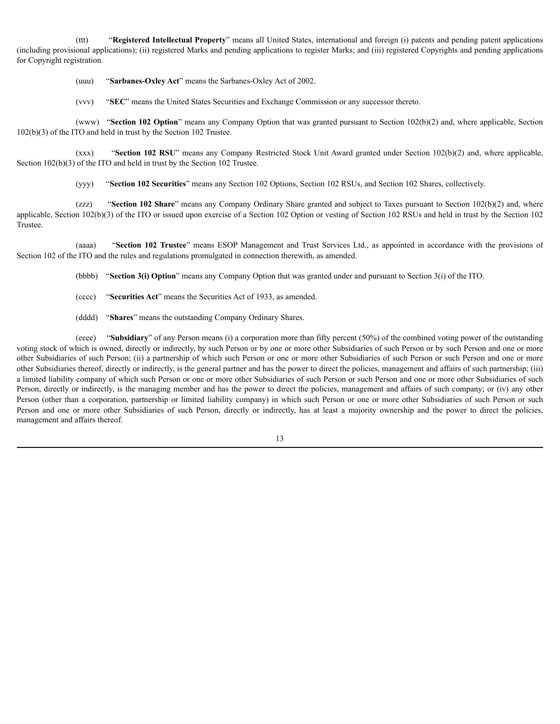(ttt) "**Registered Intellectual Property**" means all United States, international and foreign (i) patents and pending patent applications (including provisional applications); (ii) registered Marks and pending applications to register Marks; and (iii) registered Copyrights and pending applications for Copyright registration.

(uuu) "**Sarbanes-Oxley Act**" means the Sarbanes-Oxley Act of 2002.

(vvv) "**SEC**" means the United States Securities and Exchange Commission or any successor thereto.

(www) "**Section 102 Option**" means any Company Option that was granted pursuant to Section 102(b)(2) and, where applicable, Section 102(b)(3) of the ITO and held in trust by the Section 102 Trustee.

(xxx) "**Section 102 RSU**" means any Company Restricted Stock Unit Award granted under Section 102(b)(2) and, where applicable, Section 102(b)(3) of the ITO and held in trust by the Section 102 Trustee.

(yyy) "**Section 102 Securities**" means any Section 102 Options, Section 102 RSUs, and Section 102 Shares, collectively.

(zzz) "**Section 102 Share**" means any Company Ordinary Share granted and subject to Taxes pursuant to Section 102(b)(2) and, where applicable, Section 102(b)(3) of the ITO or issued upon exercise of a Section 102 Option or vesting of Section 102 RSUs and held in trust by the Section 102 Trustee.

(aaaa) "**Section 102 Trustee**" means ESOP Management and Trust Services Ltd., as appointed in accordance with the provisions of Section 102 of the ITO and the rules and regulations promulgated in connection therewith, as amended.

(bbbb) "**Section 3(i) Option**" means any Company Option that was granted under and pursuant to Section 3(i) of the ITO.

- (cccc) "**Securities Act**" means the Securities Act of 1933, as amended.
- (dddd) "**Shares**" means the outstanding Company Ordinary Shares.

(eeee) "**Subsidiary**" of any Person means (i) a corporation more than fifty percent (50%) of the combined voting power of the outstanding voting stock of which is owned, directly or indirectly, by such Person or by one or more other Subsidiaries of such Person or by such Person and one or more other Subsidiaries of such Person; (ii) a partnership of which such Person or one or more other Subsidiaries of such Person or such Person and one or more other Subsidiaries thereof, directly or indirectly, is the general partner and has the power to direct the policies, management and affairs of such partnership; (iii) a limited liability company of which such Person or one or more other Subsidiaries of such Person or such Person and one or more other Subsidiaries of such Person, directly or indirectly, is the managing member and has the power to direct the policies, management and affairs of such company; or (iv) any other Person (other than a corporation, partnership or limited liability company) in which such Person or one or more other Subsidiaries of such Person or such Person and one or more other Subsidiaries of such Person, directly or indirectly, has at least a majority ownership and the power to direct the policies, management and affairs thereof.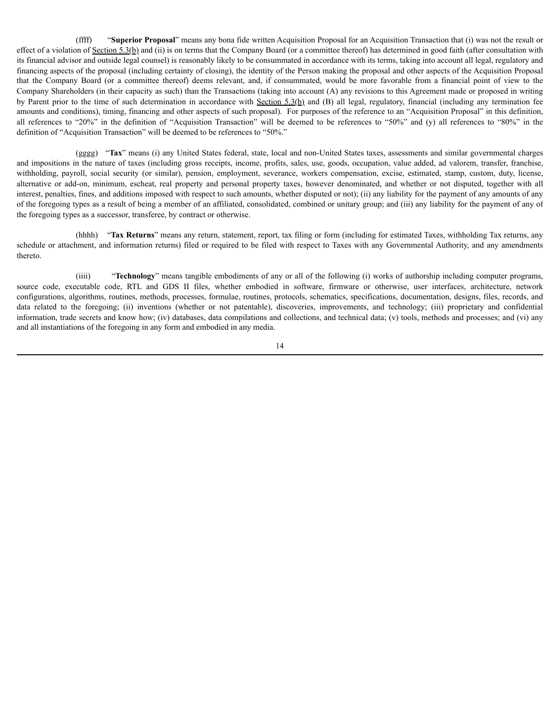(ffff) "**Superior Proposal**" means any bona fide written Acquisition Proposal for an Acquisition Transaction that (i) was not the result or effect of a violation of Section 5.3(b) and (ii) is on terms that the Company Board (or a committee thereof) has determined in good faith (after consultation with its financial advisor and outside legal counsel) is reasonably likely to be consummated in accordance with its terms, taking into account all legal, regulatory and financing aspects of the proposal (including certainty of closing), the identity of the Person making the proposal and other aspects of the Acquisition Proposal that the Company Board (or a committee thereof) deems relevant, and, if consummated, would be more favorable from a financial point of view to the Company Shareholders (in their capacity as such) than the Transactions (taking into account (A) any revisions to this Agreement made or proposed in writing by Parent prior to the time of such determination in accordance with Section  $5.3(b)$  and (B) all legal, regulatory, financial (including any termination fee amounts and conditions), timing, financing and other aspects of such proposal). For purposes of the reference to an "Acquisition Proposal" in this definition, all references to "20%" in the definition of "Acquisition Transaction" will be deemed to be references to "50%" and (y) all references to "80%" in the definition of "Acquisition Transaction" will be deemed to be references to "50%."

(gggg) "**Tax**" means (i) any United States federal, state, local and non-United States taxes, assessments and similar governmental charges and impositions in the nature of taxes (including gross receipts, income, profits, sales, use, goods, occupation, value added, ad valorem, transfer, franchise, withholding, payroll, social security (or similar), pension, employment, severance, workers compensation, excise, estimated, stamp, custom, duty, license, alternative or add-on, minimum, escheat, real property and personal property taxes, however denominated, and whether or not disputed, together with all interest, penalties, fines, and additions imposed with respect to such amounts, whether disputed or not); (ii) any liability for the payment of any amounts of any of the foregoing types as a result of being a member of an affiliated, consolidated, combined or unitary group; and (iii) any liability for the payment of any of the foregoing types as a successor, transferee, by contract or otherwise.

(hhhh) "**Tax Returns**" means any return, statement, report, tax filing or form (including for estimated Taxes, withholding Tax returns, any schedule or attachment, and information returns) filed or required to be filed with respect to Taxes with any Governmental Authority, and any amendments thereto.

(iiii) "**Technology**" means tangible embodiments of any or all of the following (i) works of authorship including computer programs, source code, executable code, RTL and GDS II files, whether embodied in software, firmware or otherwise, user interfaces, architecture, network configurations, algorithms, routines, methods, processes, formulae, routines, protocols, schematics, specifications, documentation, designs, files, records, and data related to the foregoing; (ii) inventions (whether or not patentable), discoveries, improvements, and technology; (iii) proprietary and confidential information, trade secrets and know how; (iv) databases, data compilations and collections, and technical data; (v) tools, methods and processes; and (vi) any and all instantiations of the foregoing in any form and embodied in any media.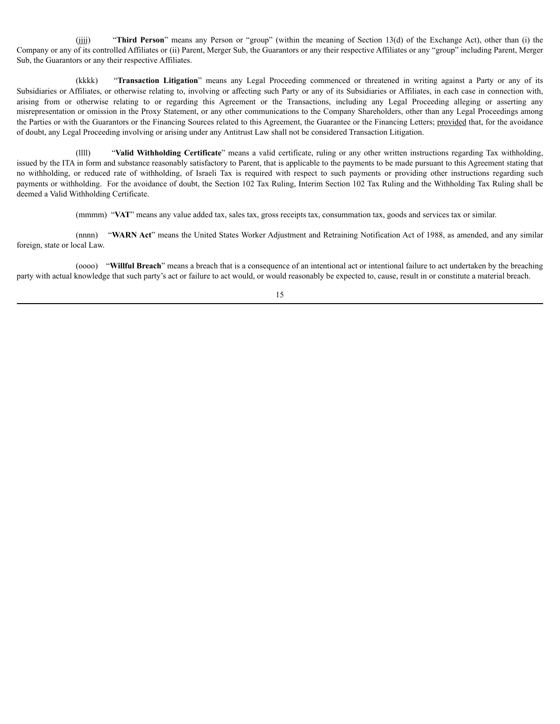(jjjj) "**Third Person**" means any Person or "group" (within the meaning of Section 13(d) of the Exchange Act), other than (i) the Company or any of its controlled Affiliates or (ii) Parent, Merger Sub, the Guarantors or any their respective Affiliates or any "group" including Parent, Merger Sub, the Guarantors or any their respective Affiliates.

(kkkk) "**Transaction Litigation**" means any Legal Proceeding commenced or threatened in writing against a Party or any of its Subsidiaries or Affiliates, or otherwise relating to, involving or affecting such Party or any of its Subsidiaries or Affiliates, in each case in connection with, arising from or otherwise relating to or regarding this Agreement or the Transactions, including any Legal Proceeding alleging or asserting any misrepresentation or omission in the Proxy Statement, or any other communications to the Company Shareholders, other than any Legal Proceedings among the Parties or with the Guarantors or the Financing Sources related to this Agreement, the Guarantee or the Financing Letters; provided that, for the avoidance of doubt, any Legal Proceeding involving or arising under any Antitrust Law shall not be considered Transaction Litigation.

(llll) "**Valid Withholding Certificate**" means a valid certificate, ruling or any other written instructions regarding Tax withholding, issued by the ITA in form and substance reasonably satisfactory to Parent, that is applicable to the payments to be made pursuant to this Agreement stating that no withholding, or reduced rate of withholding, of Israeli Tax is required with respect to such payments or providing other instructions regarding such payments or withholding. For the avoidance of doubt, the Section 102 Tax Ruling, Interim Section 102 Tax Ruling and the Withholding Tax Ruling shall be deemed a Valid Withholding Certificate.

(mmmm) "**VAT**" means any value added tax, sales tax, gross receipts tax, consummation tax, goods and services tax or similar.

(nnnn) "**WARN Act**" means the United States Worker Adjustment and Retraining Notification Act of 1988, as amended, and any similar foreign, state or local Law.

(oooo) "**Willful Breach**" means a breach that is a consequence of an intentional act or intentional failure to act undertaken by the breaching party with actual knowledge that such party's act or failure to act would, or would reasonably be expected to, cause, result in or constitute a material breach.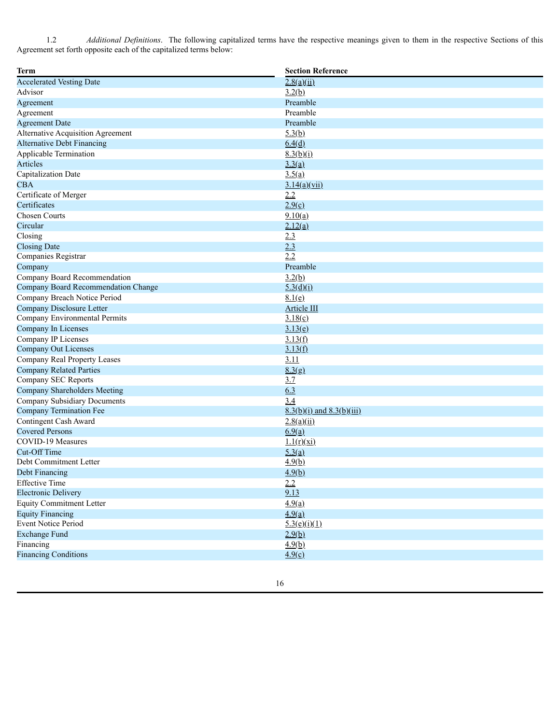1.2 *Additional Definitions*. The following capitalized terms have the respective meanings given to them in the respective Sections of this Agreement set forth opposite each of the capitalized terms below:

| <b>Term</b>                         | <b>Section Reference</b>      |  |
|-------------------------------------|-------------------------------|--|
| <b>Accelerated Vesting Date</b>     | 2.8(a)(ii)                    |  |
| Advisor                             | 3.2(b)                        |  |
| Agreement                           | Preamble                      |  |
| Agreement                           | Preamble                      |  |
| <b>Agreement Date</b>               | Preamble                      |  |
| Alternative Acquisition Agreement   | 5.3(b)                        |  |
| <b>Alternative Debt Financing</b>   | 6.4(d)                        |  |
| Applicable Termination              | 8.3(b)(i)                     |  |
| Articles                            | 3.3(a)                        |  |
| Capitalization Date                 | 3.5(a)                        |  |
| <b>CBA</b>                          | 3.14(a)(vii)                  |  |
| Certificate of Merger               | 2.2                           |  |
| Certificates                        | 2.9(c)                        |  |
| <b>Chosen Courts</b>                | 9.10(a)                       |  |
| Circular                            | 2.12(a)                       |  |
| Closing                             | 2.3                           |  |
| <b>Closing Date</b>                 | 2.3                           |  |
| Companies Registrar                 | 2.2                           |  |
| Company                             | Preamble                      |  |
| Company Board Recommendation        | 3.2(b)                        |  |
| Company Board Recommendation Change | 5.3(d)(i)                     |  |
| Company Breach Notice Period        | 8.1(e)                        |  |
| Company Disclosure Letter           | Article III                   |  |
| Company Environmental Permits       | 3.18(c)                       |  |
| Company In Licenses                 | 3.13(e)                       |  |
| Company IP Licenses                 | 3.13(f)                       |  |
| <b>Company Out Licenses</b>         | 3.13(f)                       |  |
| Company Real Property Leases        | 3.11                          |  |
| <b>Company Related Parties</b>      | 8.3(g)                        |  |
| Company SEC Reports                 | 3.7                           |  |
| Company Shareholders Meeting        | 6.3                           |  |
| Company Subsidiary Documents        | 3.4                           |  |
| Company Termination Fee             | $8.3(b)(i)$ and $8.3(b)(iii)$ |  |
| Contingent Cash Award               | 2.8(a)(ii)                    |  |
| <b>Covered Persons</b>              | 6.9(a)                        |  |
| <b>COVID-19 Measures</b>            | 1.1(r)(xi)                    |  |
| Cut-Off Time                        | 5.3(a)                        |  |
| Debt Commitment Letter              | 4.9(b)                        |  |
| Debt Financing                      | 4.9(b)                        |  |
| <b>Effective Time</b>               | 2.2                           |  |
| <b>Electronic Delivery</b>          | 9.13                          |  |
| <b>Equity Commitment Letter</b>     | 4.9(a)                        |  |
| <b>Equity Financing</b>             | 4.9(a)                        |  |
| <b>Event Notice Period</b>          | 5.3(e)(i)(1)                  |  |
| <b>Exchange Fund</b>                | 2.9(b)                        |  |
| Financing                           | 4.9(b)                        |  |
| <b>Financing Conditions</b>         | 4.9(c)                        |  |
|                                     |                               |  |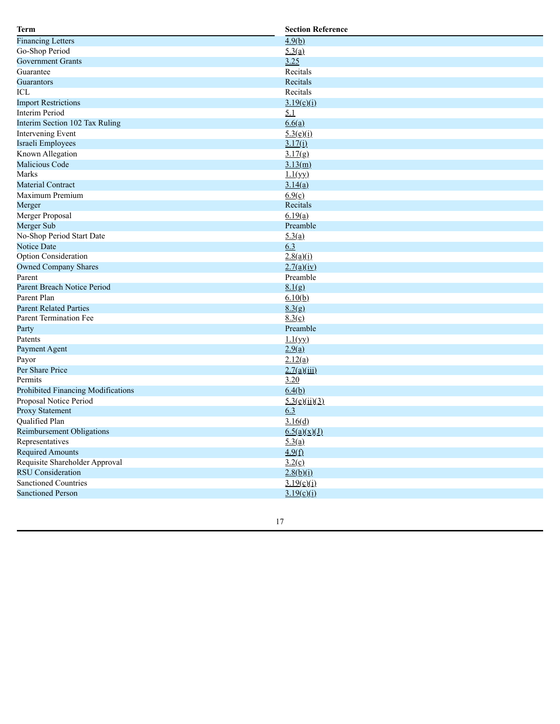| Term                               | <b>Section Reference</b>  |
|------------------------------------|---------------------------|
| <b>Financing Letters</b>           | 4.9(b)                    |
| Go-Shop Period                     | 5.3(a)                    |
| <b>Government Grants</b>           | 3.25                      |
| Guarantee                          | Recitals                  |
| Guarantors                         | Recitals                  |
| ICL                                | Recitals                  |
| <b>Import Restrictions</b>         | 3.19(c)(i)                |
| <b>Interim Period</b>              | 5.1                       |
| Interim Section 102 Tax Ruling     | 6.6(a)                    |
| Intervening Event                  | 5.3(e)(i)                 |
| Israeli Employees                  | 3.17(i)                   |
| Known Allegation                   | 3.17(g)                   |
| Malicious Code                     | 3.13(m)                   |
| Marks                              | 1.1(yy)                   |
| <b>Material Contract</b>           | 3.14(a)                   |
| Maximum Premium                    | 6.9(c)                    |
| Merger                             | Recitals                  |
| Merger Proposal                    | 6.19(a)                   |
| Merger Sub                         | Preamble                  |
| No-Shop Period Start Date          | 5.3(a)                    |
| Notice Date                        | 6.3                       |
| Option Consideration               | 2.8(a)(i)                 |
| <b>Owned Company Shares</b>        | 2.7(a)(iv)                |
| Parent                             | Preamble                  |
| Parent Breach Notice Period        | 8.1(g)                    |
| Parent Plan                        | 6.10(b)                   |
| <b>Parent Related Parties</b>      | 8.3(g)                    |
| <b>Parent Termination Fee</b>      | 8.3(c)                    |
| Party                              | Preamble                  |
| Patents                            | 1.1(yy)                   |
| Payment Agent                      | 2.9(a)                    |
| Payor                              | 2.12(a)                   |
| Per Share Price                    | 2.7(a)(iii)               |
| Permits                            | 3.20                      |
| Prohibited Financing Modifications | 6.4(b)                    |
| Proposal Notice Period             | $\frac{5.3(e)(ii)(3)}{2}$ |
| Proxy Statement                    | 6.3                       |
| Qualified Plan                     | 3.16(d)                   |
| <b>Reimbursement Obligations</b>   | 6.5(a)(x)(J)              |
| Representatives                    | 5.3(a)                    |
| <b>Required Amounts</b>            | 4.9(f)                    |
| Requisite Shareholder Approval     | 3.2(c)                    |
| <b>RSU</b> Consideration           | 2.8(b)(i)                 |
| <b>Sanctioned Countries</b>        | 3.19(c)(i)                |
| <b>Sanctioned Person</b>           | 3.19(c)(i)                |
|                                    |                           |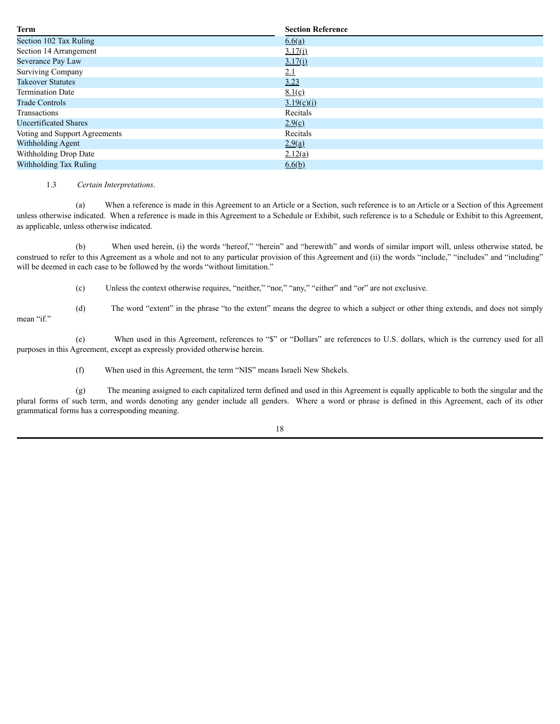| <b>Term</b>                   | <b>Section Reference</b> |  |  |
|-------------------------------|--------------------------|--|--|
| Section 102 Tax Ruling        | 6.6(a)                   |  |  |
| Section 14 Arrangement        | 3.17(i)                  |  |  |
| Severance Pay Law             | 3.17(i)                  |  |  |
| <b>Surviving Company</b>      | <u>2.1</u>               |  |  |
| <b>Takeover Statutes</b>      | 3.23                     |  |  |
| <b>Termination Date</b>       | 8.1(c)                   |  |  |
| <b>Trade Controls</b>         | 3.19(c)(i)               |  |  |
| Transactions                  | Recitals                 |  |  |
| <b>Uncertificated Shares</b>  | 2.9(c)                   |  |  |
| Voting and Support Agreements | Recitals                 |  |  |
| Withholding Agent             | 2.9(a)                   |  |  |
| Withholding Drop Date         | 2.12(a)                  |  |  |
| Withholding Tax Ruling        | 6.6(b)                   |  |  |

### 1.3 *Certain Interpretations*.

(a) When a reference is made in this Agreement to an Article or a Section, such reference is to an Article or a Section of this Agreement unless otherwise indicated. When a reference is made in this Agreement to a Schedule or Exhibit, such reference is to a Schedule or Exhibit to this Agreement, as applicable, unless otherwise indicated.

(b) When used herein, (i) the words "hereof," "herein" and "herewith" and words of similar import will, unless otherwise stated, be construed to refer to this Agreement as a whole and not to any particular provision of this Agreement and (ii) the words "include," "includes" and "including" will be deemed in each case to be followed by the words "without limitation."

(c) Unless the context otherwise requires, "neither," "nor," "any," "either" and "or" are not exclusive.

mean "if."

(d) The word "extent" in the phrase "to the extent" means the degree to which a subject or other thing extends, and does not simply

(e) When used in this Agreement, references to "\$" or "Dollars" are references to U.S. dollars, which is the currency used for all purposes in this Agreement, except as expressly provided otherwise herein.

(f) When used in this Agreement, the term "NIS" means Israeli New Shekels.

(g) The meaning assigned to each capitalized term defined and used in this Agreement is equally applicable to both the singular and the plural forms of such term, and words denoting any gender include all genders. Where a word or phrase is defined in this Agreement, each of its other grammatical forms has a corresponding meaning.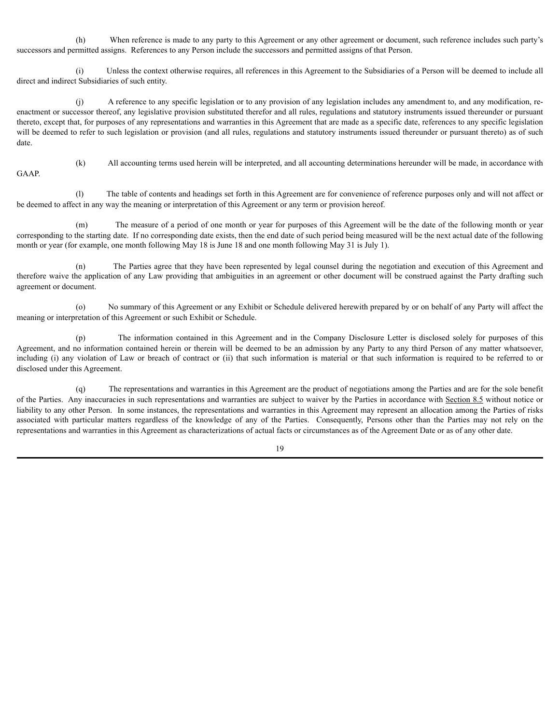(h) When reference is made to any party to this Agreement or any other agreement or document, such reference includes such party's successors and permitted assigns. References to any Person include the successors and permitted assigns of that Person.

(i) Unless the context otherwise requires, all references in this Agreement to the Subsidiaries of a Person will be deemed to include all direct and indirect Subsidiaries of such entity.

(j) A reference to any specific legislation or to any provision of any legislation includes any amendment to, and any modification, reenactment or successor thereof, any legislative provision substituted therefor and all rules, regulations and statutory instruments issued thereunder or pursuant thereto, except that, for purposes of any representations and warranties in this Agreement that are made as a specific date, references to any specific legislation will be deemed to refer to such legislation or provision (and all rules, regulations and statutory instruments issued thereunder or pursuant thereto) as of such date.

GAAP.

(k) All accounting terms used herein will be interpreted, and all accounting determinations hereunder will be made, in accordance with

(l) The table of contents and headings set forth in this Agreement are for convenience of reference purposes only and will not affect or be deemed to affect in any way the meaning or interpretation of this Agreement or any term or provision hereof.

(m) The measure of a period of one month or year for purposes of this Agreement will be the date of the following month or year corresponding to the starting date. If no corresponding date exists, then the end date of such period being measured will be the next actual date of the following month or year (for example, one month following May 18 is June 18 and one month following May 31 is July 1).

(n) The Parties agree that they have been represented by legal counsel during the negotiation and execution of this Agreement and therefore waive the application of any Law providing that ambiguities in an agreement or other document will be construed against the Party drafting such agreement or document.

(o) No summary of this Agreement or any Exhibit or Schedule delivered herewith prepared by or on behalf of any Party will affect the meaning or interpretation of this Agreement or such Exhibit or Schedule.

(p) The information contained in this Agreement and in the Company Disclosure Letter is disclosed solely for purposes of this Agreement, and no information contained herein or therein will be deemed to be an admission by any Party to any third Person of any matter whatsoever, including (i) any violation of Law or breach of contract or (ii) that such information is material or that such information is required to be referred to or disclosed under this Agreement.

(q) The representations and warranties in this Agreement are the product of negotiations among the Parties and are for the sole benefit of the Parties. Any inaccuracies in such representations and warranties are subject to waiver by the Parties in accordance with Section 8.5 without notice or liability to any other Person. In some instances, the representations and warranties in this Agreement may represent an allocation among the Parties of risks associated with particular matters regardless of the knowledge of any of the Parties. Consequently, Persons other than the Parties may not rely on the representations and warranties in this Agreement as characterizations of actual facts or circumstances as of the Agreement Date or as of any other date.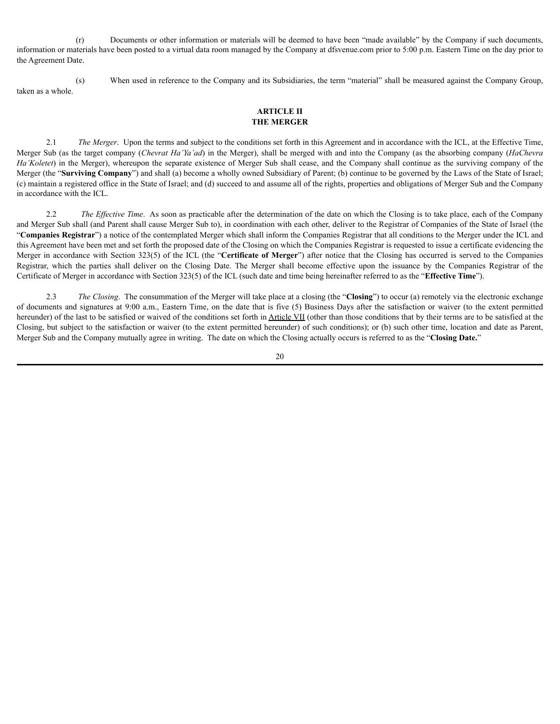(r) Documents or other information or materials will be deemed to have been "made available" by the Company if such documents, information or materials have been posted to a virtual data room managed by the Company at dfsvenue.com prior to 5:00 p.m. Eastern Time on the day prior to the Agreement Date.

(s) When used in reference to the Company and its Subsidiaries, the term "material" shall be measured against the Company Group, taken as a whole.

## <span id="page-31-0"></span>**ARTICLE II THE MERGER**

2.1 *The Merger*. Upon the terms and subject to the conditions set forth in this Agreement and in accordance with the ICL, at the Effective Time, Merger Sub (as the target company (*Chevrat Ha'Ya'ad*) in the Merger), shall be merged with and into the Company (as the absorbing company (*HaChevra Ha'Koletet*) in the Merger), whereupon the separate existence of Merger Sub shall cease, and the Company shall continue as the surviving company of the Merger (the "**Surviving Company**") and shall (a) become a wholly owned Subsidiary of Parent; (b) continue to be governed by the Laws of the State of Israel; (c) maintain a registered office in the State of Israel; and (d) succeed to and assume all of the rights, properties and obligations of Merger Sub and the Company in accordance with the ICL.

2.2 *The Effective Time*. As soon as practicable after the determination of the date on which the Closing is to take place, each of the Company and Merger Sub shall (and Parent shall cause Merger Sub to), in coordination with each other, deliver to the Registrar of Companies of the State of Israel (the "**Companies Registrar**") a notice of the contemplated Merger which shall inform the Companies Registrar that all conditions to the Merger under the ICL and this Agreement have been met and set forth the proposed date of the Closing on which the Companies Registrar is requested to issue a certificate evidencing the Merger in accordance with Section 323(5) of the ICL (the "**Certificate of Merger**") after notice that the Closing has occurred is served to the Companies Registrar, which the parties shall deliver on the Closing Date. The Merger shall become effective upon the issuance by the Companies Registrar of the Certificate of Merger in accordance with Section 323(5) of the ICL (such date and time being hereinafter referred to as the "**Effective Time**").

2.3 *The Closing*. The consummation of the Merger will take place at a closing (the "**Closing**") to occur (a) remotely via the electronic exchange of documents and signatures at 9:00 a.m., Eastern Time, on the date that is five (5) Business Days after the satisfaction or waiver (to the extent permitted hereunder) of the last to be satisfied or waived of the conditions set forth in Article VII (other than those conditions that by their terms are to be satisfied at the Closing, but subject to the satisfaction or waiver (to the extent permitted hereunder) of such conditions); or (b) such other time, location and date as Parent, Merger Sub and the Company mutually agree in writing. The date on which the Closing actually occurs is referred to as the "**Closing Date.**"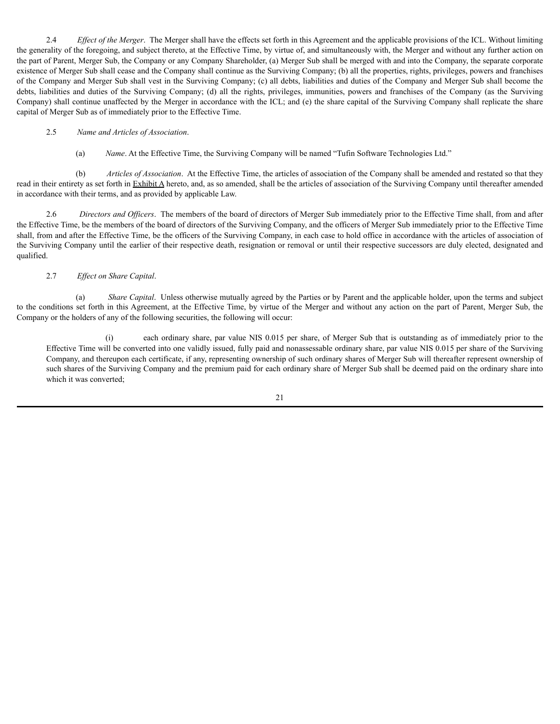2.4 *Ef ect of the Merger*. The Merger shall have the effects set forth in this Agreement and the applicable provisions of the ICL. Without limiting the generality of the foregoing, and subject thereto, at the Effective Time, by virtue of, and simultaneously with, the Merger and without any further action on the part of Parent, Merger Sub, the Company or any Company Shareholder, (a) Merger Sub shall be merged with and into the Company, the separate corporate existence of Merger Sub shall cease and the Company shall continue as the Surviving Company; (b) all the properties, rights, privileges, powers and franchises of the Company and Merger Sub shall vest in the Surviving Company; (c) all debts, liabilities and duties of the Company and Merger Sub shall become the debts, liabilities and duties of the Surviving Company; (d) all the rights, privileges, immunities, powers and franchises of the Company (as the Surviving Company) shall continue unaffected by the Merger in accordance with the ICL; and (e) the share capital of the Surviving Company shall replicate the share capital of Merger Sub as of immediately prior to the Effective Time.

### 2.5 *Name and Articles of Association*.

(a) *Name*. At the Effective Time, the Surviving Company will be named "Tufin Software Technologies Ltd."

(b) *Articles of Association*. At the Effective Time, the articles of association of the Company shall be amended and restated so that they read in their entirety as set forth in Exhibit A hereto, and, as so amended, shall be the articles of association of the Surviving Company until thereafter amended in accordance with their terms, and as provided by applicable Law.

2.6 *Directors and Officers*. The members of the board of directors of Merger Sub immediately prior to the Effective Time shall, from and after the Effective Time, be the members of the board of directors of the Surviving Company, and the officers of Merger Sub immediately prior to the Effective Time shall, from and after the Effective Time, be the officers of the Surviving Company, in each case to hold office in accordance with the articles of association of the Surviving Company until the earlier of their respective death, resignation or removal or until their respective successors are duly elected, designated and qualified.

### 2.7 *Ef ect on Share Capital*.

(a) *Share Capital*. Unless otherwise mutually agreed by the Parties or by Parent and the applicable holder, upon the terms and subject to the conditions set forth in this Agreement, at the Effective Time, by virtue of the Merger and without any action on the part of Parent, Merger Sub, the Company or the holders of any of the following securities, the following will occur:

(i) each ordinary share, par value NIS 0.015 per share, of Merger Sub that is outstanding as of immediately prior to the Effective Time will be converted into one validly issued, fully paid and nonassessable ordinary share, par value NIS 0.015 per share of the Surviving Company, and thereupon each certificate, if any, representing ownership of such ordinary shares of Merger Sub will thereafter represent ownership of such shares of the Surviving Company and the premium paid for each ordinary share of Merger Sub shall be deemed paid on the ordinary share into which it was converted;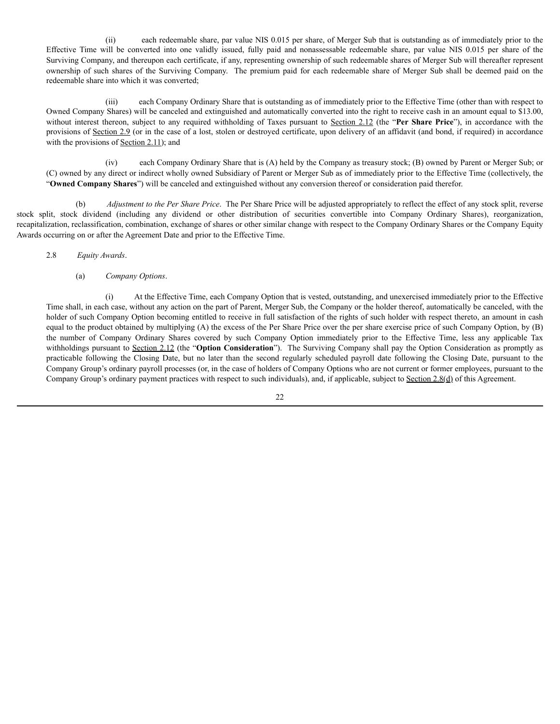(ii) each redeemable share, par value NIS 0.015 per share, of Merger Sub that is outstanding as of immediately prior to the Effective Time will be converted into one validly issued, fully paid and nonassessable redeemable share, par value NIS 0.015 per share of the Surviving Company, and thereupon each certificate, if any, representing ownership of such redeemable shares of Merger Sub will thereafter represent ownership of such shares of the Surviving Company. The premium paid for each redeemable share of Merger Sub shall be deemed paid on the redeemable share into which it was converted;

(iii) each Company Ordinary Share that is outstanding as of immediately prior to the Effective Time (other than with respect to Owned Company Shares) will be canceled and extinguished and automatically converted into the right to receive cash in an amount equal to \$13.00, without interest thereon, subject to any required withholding of Taxes pursuant to Section 2.12 (the "**Per Share Price**"), in accordance with the provisions of Section 2.9 (or in the case of a lost, stolen or destroyed certificate, upon delivery of an affidavit (and bond, if required) in accordance with the provisions of Section 2.11); and

(iv) each Company Ordinary Share that is (A) held by the Company as treasury stock; (B) owned by Parent or Merger Sub; or (C) owned by any direct or indirect wholly owned Subsidiary of Parent or Merger Sub as of immediately prior to the Effective Time (collectively, the "**Owned Company Shares**") will be canceled and extinguished without any conversion thereof or consideration paid therefor.

(b) *Adjustment to the Per Share Price*. The Per Share Price will be adjusted appropriately to reflect the effect of any stock split, reverse stock split, stock dividend (including any dividend or other distribution of securities convertible into Company Ordinary Shares), reorganization, recapitalization, reclassification, combination, exchange of shares or other similar change with respect to the Company Ordinary Shares or the Company Equity Awards occurring on or after the Agreement Date and prior to the Effective Time.

- 2.8 *Equity Awards*.
	- (a) *Company Options*.

(i) At the Effective Time, each Company Option that is vested, outstanding, and unexercised immediately prior to the Effective Time shall, in each case, without any action on the part of Parent, Merger Sub, the Company or the holder thereof, automatically be canceled, with the holder of such Company Option becoming entitled to receive in full satisfaction of the rights of such holder with respect thereto, an amount in cash equal to the product obtained by multiplying (A) the excess of the Per Share Price over the per share exercise price of such Company Option, by (B) the number of Company Ordinary Shares covered by such Company Option immediately prior to the Effective Time, less any applicable Tax withholdings pursuant to Section 2.12 (the "**Option Consideration**"). The Surviving Company shall pay the Option Consideration as promptly as practicable following the Closing Date, but no later than the second regularly scheduled payroll date following the Closing Date, pursuant to the Company Group's ordinary payroll processes (or, in the case of holders of Company Options who are not current or former employees, pursuant to the Company Group's ordinary payment practices with respect to such individuals), and, if applicable, subject to Section 2.8(d) of this Agreement.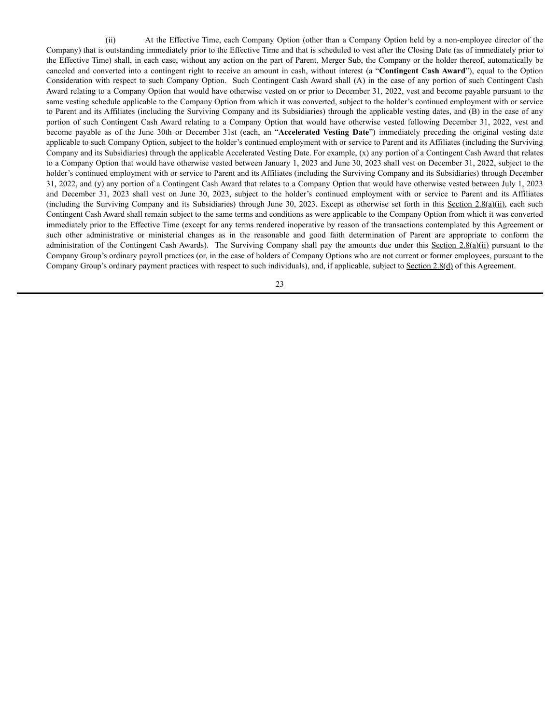(ii) At the Effective Time, each Company Option (other than a Company Option held by a non-employee director of the Company) that is outstanding immediately prior to the Effective Time and that is scheduled to vest after the Closing Date (as of immediately prior to the Effective Time) shall, in each case, without any action on the part of Parent, Merger Sub, the Company or the holder thereof, automatically be canceled and converted into a contingent right to receive an amount in cash, without interest (a "**Contingent Cash Award**"), equal to the Option Consideration with respect to such Company Option. Such Contingent Cash Award shall (A) in the case of any portion of such Contingent Cash Award relating to a Company Option that would have otherwise vested on or prior to December 31, 2022, vest and become payable pursuant to the same vesting schedule applicable to the Company Option from which it was converted, subject to the holder's continued employment with or service to Parent and its Affiliates (including the Surviving Company and its Subsidiaries) through the applicable vesting dates, and (B) in the case of any portion of such Contingent Cash Award relating to a Company Option that would have otherwise vested following December 31, 2022, vest and become payable as of the June 30th or December 31st (each, an "**Accelerated Vesting Date**") immediately preceding the original vesting date applicable to such Company Option, subject to the holder's continued employment with or service to Parent and its Affiliates (including the Surviving Company and its Subsidiaries) through the applicable Accelerated Vesting Date. For example, (x) any portion of a Contingent Cash Award that relates to a Company Option that would have otherwise vested between January 1, 2023 and June 30, 2023 shall vest on December 31, 2022, subject to the holder's continued employment with or service to Parent and its Affiliates (including the Surviving Company and its Subsidiaries) through December 31, 2022, and (y) any portion of a Contingent Cash Award that relates to a Company Option that would have otherwise vested between July 1, 2023 and December 31, 2023 shall vest on June 30, 2023, subject to the holder's continued employment with or service to Parent and its Affiliates (including the Surviving Company and its Subsidiaries) through June 30, 2023. Except as otherwise set forth in this Section  $2.8(a)(ii)$ , each such Contingent Cash Award shall remain subject to the same terms and conditions as were applicable to the Company Option from which it was converted immediately prior to the Effective Time (except for any terms rendered inoperative by reason of the transactions contemplated by this Agreement or such other administrative or ministerial changes as in the reasonable and good faith determination of Parent are appropriate to conform the administration of the Contingent Cash Awards). The Surviving Company shall pay the amounts due under this Section  $2.8(a)(ii)$  pursuant to the Company Group's ordinary payroll practices (or, in the case of holders of Company Options who are not current or former employees, pursuant to the Company Group's ordinary payment practices with respect to such individuals), and, if applicable, subject to Section 2.8(d) of this Agreement.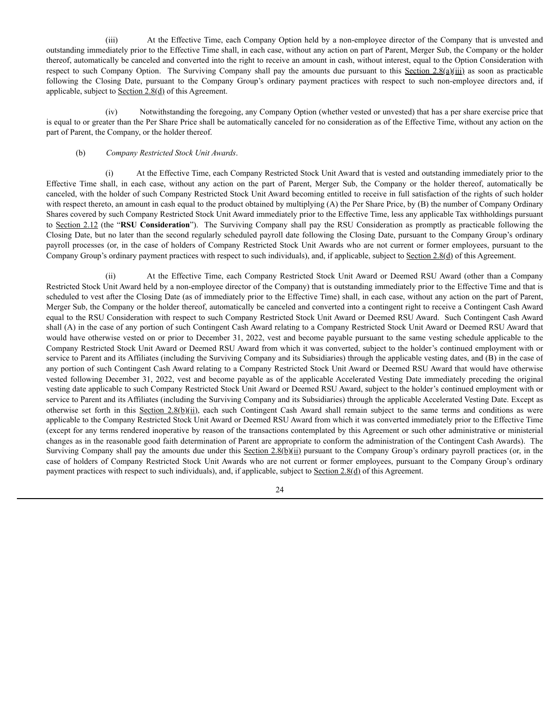(iii) At the Effective Time, each Company Option held by a non-employee director of the Company that is unvested and outstanding immediately prior to the Effective Time shall, in each case, without any action on part of Parent, Merger Sub, the Company or the holder thereof, automatically be canceled and converted into the right to receive an amount in cash, without interest, equal to the Option Consideration with respect to such Company Option. The Surviving Company shall pay the amounts due pursuant to this Section  $2.8(a)(iii)$  as soon as practicable following the Closing Date, pursuant to the Company Group's ordinary payment practices with respect to such non-employee directors and, if applicable, subject to Section 2.8(d) of this Agreement.

(iv) Notwithstanding the foregoing, any Company Option (whether vested or unvested) that has a per share exercise price that is equal to or greater than the Per Share Price shall be automatically canceled for no consideration as of the Effective Time, without any action on the part of Parent, the Company, or the holder thereof.

### (b) *Company Restricted Stock Unit Awards*.

(i) At the Effective Time, each Company Restricted Stock Unit Award that is vested and outstanding immediately prior to the Effective Time shall, in each case, without any action on the part of Parent, Merger Sub, the Company or the holder thereof, automatically be canceled, with the holder of such Company Restricted Stock Unit Award becoming entitled to receive in full satisfaction of the rights of such holder with respect thereto, an amount in cash equal to the product obtained by multiplying (A) the Per Share Price, by (B) the number of Company Ordinary Shares covered by such Company Restricted Stock Unit Award immediately prior to the Effective Time, less any applicable Tax withholdings pursuant to Section 2.12 (the "**RSU Consideration**"). The Surviving Company shall pay the RSU Consideration as promptly as practicable following the Closing Date, but no later than the second regularly scheduled payroll date following the Closing Date, pursuant to the Company Group's ordinary payroll processes (or, in the case of holders of Company Restricted Stock Unit Awards who are not current or former employees, pursuant to the Company Group's ordinary payment practices with respect to such individuals), and, if applicable, subject to Section 2.8(d) of this Agreement.

(ii) At the Effective Time, each Company Restricted Stock Unit Award or Deemed RSU Award (other than a Company Restricted Stock Unit Award held by a non-employee director of the Company) that is outstanding immediately prior to the Effective Time and that is scheduled to vest after the Closing Date (as of immediately prior to the Effective Time) shall, in each case, without any action on the part of Parent, Merger Sub, the Company or the holder thereof, automatically be canceled and converted into a contingent right to receive a Contingent Cash Award equal to the RSU Consideration with respect to such Company Restricted Stock Unit Award or Deemed RSU Award. Such Contingent Cash Award shall (A) in the case of any portion of such Contingent Cash Award relating to a Company Restricted Stock Unit Award or Deemed RSU Award that would have otherwise vested on or prior to December 31, 2022, vest and become payable pursuant to the same vesting schedule applicable to the Company Restricted Stock Unit Award or Deemed RSU Award from which it was converted, subject to the holder's continued employment with or service to Parent and its Affiliates (including the Surviving Company and its Subsidiaries) through the applicable vesting dates, and (B) in the case of any portion of such Contingent Cash Award relating to a Company Restricted Stock Unit Award or Deemed RSU Award that would have otherwise vested following December 31, 2022, vest and become payable as of the applicable Accelerated Vesting Date immediately preceding the original vesting date applicable to such Company Restricted Stock Unit Award or Deemed RSU Award, subject to the holder's continued employment with or service to Parent and its Affiliates (including the Surviving Company and its Subsidiaries) through the applicable Accelerated Vesting Date. Except as otherwise set forth in this Section 2.8(b)(ii), each such Contingent Cash Award shall remain subject to the same terms and conditions as were applicable to the Company Restricted Stock Unit Award or Deemed RSU Award from which it was converted immediately prior to the Effective Time (except for any terms rendered inoperative by reason of the transactions contemplated by this Agreement or such other administrative or ministerial changes as in the reasonable good faith determination of Parent are appropriate to conform the administration of the Contingent Cash Awards). The Surviving Company shall pay the amounts due under this Section  $2.8(b)(ii)$  pursuant to the Company Group's ordinary payroll practices (or, in the case of holders of Company Restricted Stock Unit Awards who are not current or former employees, pursuant to the Company Group's ordinary payment practices with respect to such individuals), and, if applicable, subject to Section  $2.8(d)$  of this Agreement.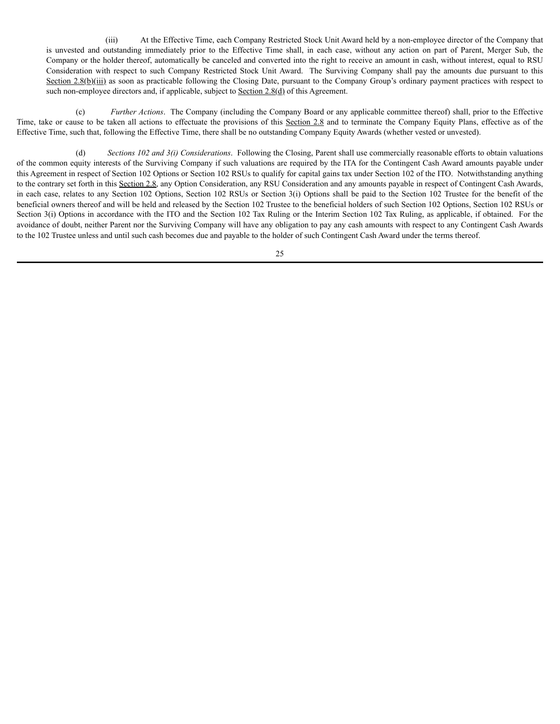(iii) At the Effective Time, each Company Restricted Stock Unit Award held by a non-employee director of the Company that is unvested and outstanding immediately prior to the Effective Time shall, in each case, without any action on part of Parent, Merger Sub, the Company or the holder thereof, automatically be canceled and converted into the right to receive an amount in cash, without interest, equal to RSU Consideration with respect to such Company Restricted Stock Unit Award. The Surviving Company shall pay the amounts due pursuant to this Section 2.8(b)(iii) as soon as practicable following the Closing Date, pursuant to the Company Group's ordinary payment practices with respect to such non-employee directors and, if applicable, subject to Section 2.8(d) of this Agreement.

(c) *Further Actions*. The Company (including the Company Board or any applicable committee thereof) shall, prior to the Effective Time, take or cause to be taken all actions to effectuate the provisions of this Section 2.8 and to terminate the Company Equity Plans, effective as of the Effective Time, such that, following the Effective Time, there shall be no outstanding Company Equity Awards (whether vested or unvested).

(d) *Sections 102 and 3(i) Considerations*. Following the Closing, Parent shall use commercially reasonable efforts to obtain valuations of the common equity interests of the Surviving Company if such valuations are required by the ITA for the Contingent Cash Award amounts payable under this Agreement in respect of Section 102 Options or Section 102 RSUs to qualify for capital gains tax under Section 102 of the ITO. Notwithstanding anything to the contrary set forth in this Section 2.8, any Option Consideration, any RSU Consideration and any amounts payable in respect of Contingent Cash Awards, in each case, relates to any Section 102 Options, Section 102 RSUs or Section 3(i) Options shall be paid to the Section 102 Trustee for the benefit of the beneficial owners thereof and will be held and released by the Section 102 Trustee to the beneficial holders of such Section 102 Options, Section 102 RSUs or Section 3(i) Options in accordance with the ITO and the Section 102 Tax Ruling or the Interim Section 102 Tax Ruling, as applicable, if obtained. For the avoidance of doubt, neither Parent nor the Surviving Company will have any obligation to pay any cash amounts with respect to any Contingent Cash Awards to the 102 Trustee unless and until such cash becomes due and payable to the holder of such Contingent Cash Award under the terms thereof.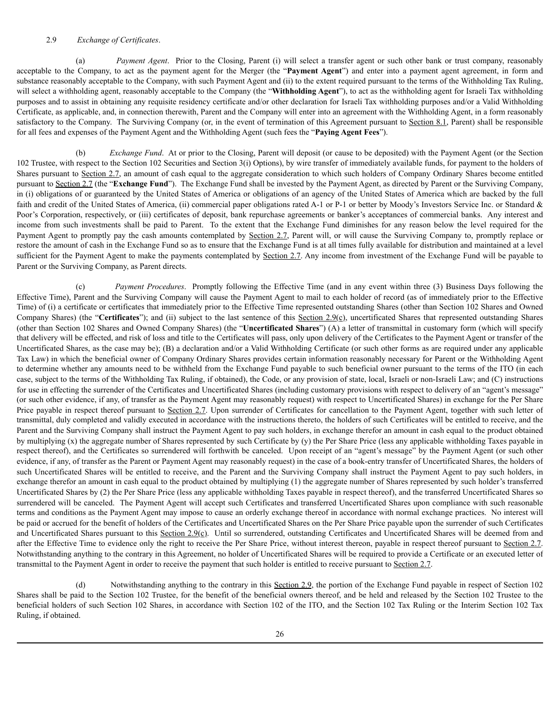### 2.9 *Exchange of Certificates*.

(a) *Payment Agent*. Prior to the Closing, Parent (i) will select a transfer agent or such other bank or trust company, reasonably acceptable to the Company, to act as the payment agent for the Merger (the "**Payment Agent**") and enter into a payment agent agreement, in form and substance reasonably acceptable to the Company, with such Payment Agent and (ii) to the extent required pursuant to the terms of the Withholding Tax Ruling, will select a withholding agent, reasonably acceptable to the Company (the "**Withholding Agent**"), to act as the withholding agent for Israeli Tax withholding purposes and to assist in obtaining any requisite residency certificate and/or other declaration for Israeli Tax withholding purposes and/or a Valid Withholding Certificate, as applicable, and, in connection therewith, Parent and the Company will enter into an agreement with the Withholding Agent, in a form reasonably satisfactory to the Company. The Surviving Company (or, in the event of termination of this Agreement pursuant to Section 8.1, Parent) shall be responsible for all fees and expenses of the Payment Agent and the Withholding Agent (such fees the "**Paying Agent Fees**").

(b) *Exchange Fund*. At or prior to the Closing, Parent will deposit (or cause to be deposited) with the Payment Agent (or the Section 102 Trustee, with respect to the Section 102 Securities and Section 3(i) Options), by wire transfer of immediately available funds, for payment to the holders of Shares pursuant to Section 2.7, an amount of cash equal to the aggregate consideration to which such holders of Company Ordinary Shares become entitled pursuant to Section 2.7 (the "**Exchange Fund**"). The Exchange Fund shall be invested by the Payment Agent, as directed by Parent or the Surviving Company, in (i) obligations of or guaranteed by the United States of America or obligations of an agency of the United States of America which are backed by the full faith and credit of the United States of America, (ii) commercial paper obligations rated A-1 or P-1 or better by Moody's Investors Service Inc. or Standard & Poor's Corporation, respectively, or (iii) certificates of deposit, bank repurchase agreements or banker's acceptances of commercial banks. Any interest and income from such investments shall be paid to Parent. To the extent that the Exchange Fund diminishes for any reason below the level required for the Payment Agent to promptly pay the cash amounts contemplated by Section 2.7, Parent will, or will cause the Surviving Company to, promptly replace or restore the amount of cash in the Exchange Fund so as to ensure that the Exchange Fund is at all times fully available for distribution and maintained at a level sufficient for the Payment Agent to make the payments contemplated by Section 2.7. Any income from investment of the Exchange Fund will be payable to Parent or the Surviving Company, as Parent directs.

*Payment Procedures*. Promptly following the Effective Time (and in any event within three (3) Business Days following the Effective Time), Parent and the Surviving Company will cause the Payment Agent to mail to each holder of record (as of immediately prior to the Effective Time) of (i) a certificate or certificates that immediately prior to the Effective Time represented outstanding Shares (other than Section 102 Shares and Owned Company Shares) (the "**Certificates**"); and (ii) subject to the last sentence of this Section 2.9(c), uncertificated Shares that represented outstanding Shares (other than Section 102 Shares and Owned Company Shares) (the "Uncertificated Shares") (A) a letter of transmittal in customary form (which will specify that delivery will be effected, and risk of loss and title to the Certificates will pass, only upon delivery of the Certificates to the Payment Agent or transfer of the Uncertificated Shares, as the case may be); (B) a declaration and/or a Valid Withholding Certificate (or such other forms as are required under any applicable Tax Law) in which the beneficial owner of Company Ordinary Shares provides certain information reasonably necessary for Parent or the Withholding Agent to determine whether any amounts need to be withheld from the Exchange Fund payable to such beneficial owner pursuant to the terms of the ITO (in each case, subject to the terms of the Withholding Tax Ruling, if obtained), the Code, or any provision of state, local, Israeli or non-Israeli Law; and (C) instructions for use in effecting the surrender of the Certificates and Uncertificated Shares (including customary provisions with respect to delivery of an "agent's message" (or such other evidence, if any, of transfer as the Payment Agent may reasonably request) with respect to Uncertificated Shares) in exchange for the Per Share Price payable in respect thereof pursuant to Section 2.7. Upon surrender of Certificates for cancellation to the Payment Agent, together with such letter of transmittal, duly completed and validly executed in accordance with the instructions thereto, the holders of such Certificates will be entitled to receive, and the Parent and the Surviving Company shall instruct the Payment Agent to pay such holders, in exchange therefor an amount in cash equal to the product obtained by multiplying (x) the aggregate number of Shares represented by such Certificate by (y) the Per Share Price (less any applicable withholding Taxes payable in respect thereof), and the Certificates so surrendered will forthwith be canceled. Upon receipt of an "agent's message" by the Payment Agent (or such other evidence, if any, of transfer as the Parent or Payment Agent may reasonably request) in the case of a book-entry transfer of Uncertificated Shares, the holders of such Uncertificated Shares will be entitled to receive, and the Parent and the Surviving Company shall instruct the Payment Agent to pay such holders, in exchange therefor an amount in cash equal to the product obtained by multiplying (1) the aggregate number of Shares represented by such holder's transferred Uncertificated Shares by (2) the Per Share Price (less any applicable withholding Taxes payable in respect thereof), and the transferred Uncertificated Shares so surrendered will be canceled. The Payment Agent will accept such Certificates and transferred Uncertificated Shares upon compliance with such reasonable terms and conditions as the Payment Agent may impose to cause an orderly exchange thereof in accordance with normal exchange practices. No interest will be paid or accrued for the benefit of holders of the Certificates and Uncertificated Shares on the Per Share Price payable upon the surrender of such Certificates and Uncertificated Shares pursuant to this Section 2.9(c). Until so surrendered, outstanding Certificates and Uncertificated Shares will be deemed from and after the Effective Time to evidence only the right to receive the Per Share Price, without interest thereon, payable in respect thereof pursuant to Section 2.7. Notwithstanding anything to the contrary in this Agreement, no holder of Uncertificated Shares will be required to provide a Certificate or an executed letter of transmittal to the Payment Agent in order to receive the payment that such holder is entitled to receive pursuant to Section 2.7.

(d) Notwithstanding anything to the contrary in this Section 2.9, the portion of the Exchange Fund payable in respect of Section 102 Shares shall be paid to the Section 102 Trustee, for the benefit of the beneficial owners thereof, and be held and released by the Section 102 Trustee to the beneficial holders of such Section 102 Shares, in accordance with Section 102 of the ITO, and the Section 102 Tax Ruling or the Interim Section 102 Tax Ruling, if obtained.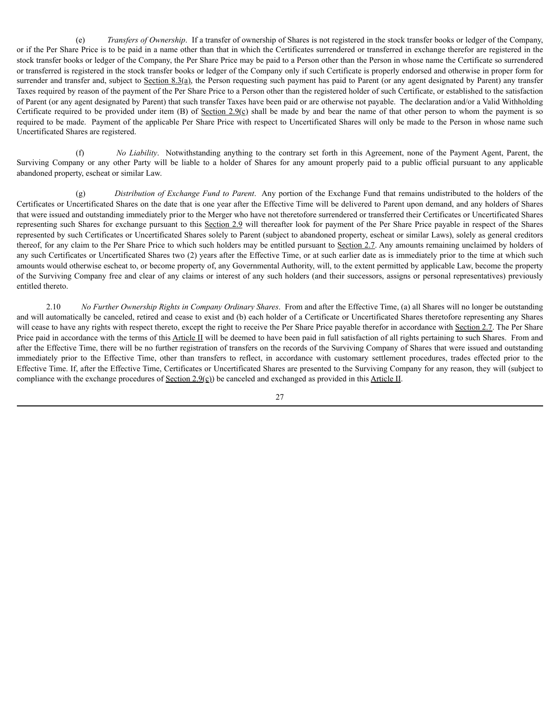(e) *Transfers of Ownership*. If a transfer of ownership of Shares is not registered in the stock transfer books or ledger of the Company, or if the Per Share Price is to be paid in a name other than that in which the Certificates surrendered or transferred in exchange therefor are registered in the stock transfer books or ledger of the Company, the Per Share Price may be paid to a Person other than the Person in whose name the Certificate so surrendered or transferred is registered in the stock transfer books or ledger of the Company only if such Certificate is properly endorsed and otherwise in proper form for surrender and transfer and, subject to Section 8.3(a), the Person requesting such payment has paid to Parent (or any agent designated by Parent) any transfer Taxes required by reason of the payment of the Per Share Price to a Person other than the registered holder of such Certificate, or established to the satisfaction of Parent (or any agent designated by Parent) that such transfer Taxes have been paid or are otherwise not payable. The declaration and/or a Valid Withholding Certificate required to be provided under item (B) of Section 2.9(c) shall be made by and bear the name of that other person to whom the payment is so required to be made. Payment of the applicable Per Share Price with respect to Uncertificated Shares will only be made to the Person in whose name such Uncertificated Shares are registered.

(f) *No Liability*. Notwithstanding anything to the contrary set forth in this Agreement, none of the Payment Agent, Parent, the Surviving Company or any other Party will be liable to a holder of Shares for any amount properly paid to a public official pursuant to any applicable abandoned property, escheat or similar Law.

(g) *Distribution of Exchange Fund to Parent*. Any portion of the Exchange Fund that remains undistributed to the holders of the Certificates or Uncertificated Shares on the date that is one year after the Effective Time will be delivered to Parent upon demand, and any holders of Shares that were issued and outstanding immediately prior to the Merger who have not theretofore surrendered or transferred their Certificates or Uncertificated Shares representing such Shares for exchange pursuant to this Section 2.9 will thereafter look for payment of the Per Share Price payable in respect of the Shares represented by such Certificates or Uncertificated Shares solely to Parent (subject to abandoned property, escheat or similar Laws), solely as general creditors thereof, for any claim to the Per Share Price to which such holders may be entitled pursuant to Section 2.7. Any amounts remaining unclaimed by holders of any such Certificates or Uncertificated Shares two (2) years after the Effective Time, or at such earlier date as is immediately prior to the time at which such amounts would otherwise escheat to, or become property of, any Governmental Authority, will, to the extent permitted by applicable Law, become the property of the Surviving Company free and clear of any claims or interest of any such holders (and their successors, assigns or personal representatives) previously entitled thereto.

2.10 *No Further Ownership Rights in Company Ordinary Shares*. From and after the Effective Time, (a) all Shares will no longer be outstanding and will automatically be canceled, retired and cease to exist and (b) each holder of a Certificate or Uncertificated Shares theretofore representing any Shares will cease to have any rights with respect thereto, except the right to receive the Per Share Price payable therefor in accordance with Section 2.7. The Per Share Price paid in accordance with the terms of this Article II will be deemed to have been paid in full satisfaction of all rights pertaining to such Shares. From and after the Effective Time, there will be no further registration of transfers on the records of the Surviving Company of Shares that were issued and outstanding immediately prior to the Effective Time, other than transfers to reflect, in accordance with customary settlement procedures, trades effected prior to the Effective Time. If, after the Effective Time, Certificates or Uncertificated Shares are presented to the Surviving Company for any reason, they will (subject to compliance with the exchange procedures of Section 2.9(c)) be canceled and exchanged as provided in this Article II.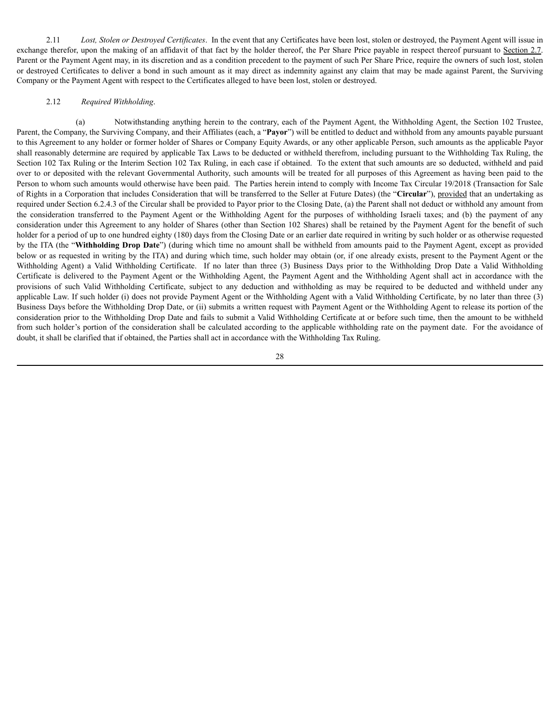2.11 *Lost, Stolen or Destroyed Certificates*. In the event that any Certificates have been lost, stolen or destroyed, the Payment Agent will issue in exchange therefor, upon the making of an affidavit of that fact by the holder thereof, the Per Share Price payable in respect thereof pursuant to Section 2.7. Parent or the Payment Agent may, in its discretion and as a condition precedent to the payment of such Per Share Price, require the owners of such lost, stolen or destroyed Certificates to deliver a bond in such amount as it may direct as indemnity against any claim that may be made against Parent, the Surviving Company or the Payment Agent with respect to the Certificates alleged to have been lost, stolen or destroyed.

### 2.12 *Required Withholding*.

(a) Notwithstanding anything herein to the contrary, each of the Payment Agent, the Withholding Agent, the Section 102 Trustee, Parent, the Company, the Surviving Company, and their Affiliates (each, a "**Payor**") will be entitled to deduct and withhold from any amounts payable pursuant to this Agreement to any holder or former holder of Shares or Company Equity Awards, or any other applicable Person, such amounts as the applicable Payor shall reasonably determine are required by applicable Tax Laws to be deducted or withheld therefrom, including pursuant to the Withholding Tax Ruling, the Section 102 Tax Ruling or the Interim Section 102 Tax Ruling, in each case if obtained. To the extent that such amounts are so deducted, withheld and paid over to or deposited with the relevant Governmental Authority, such amounts will be treated for all purposes of this Agreement as having been paid to the Person to whom such amounts would otherwise have been paid. The Parties herein intend to comply with Income Tax Circular 19/2018 (Transaction for Sale of Rights in a Corporation that includes Consideration that will be transferred to the Seller at Future Dates) (the "**Circular**"), provided that an undertaking as required under Section 6.2.4.3 of the Circular shall be provided to Payor prior to the Closing Date, (a) the Parent shall not deduct or withhold any amount from the consideration transferred to the Payment Agent or the Withholding Agent for the purposes of withholding Israeli taxes; and (b) the payment of any consideration under this Agreement to any holder of Shares (other than Section 102 Shares) shall be retained by the Payment Agent for the benefit of such holder for a period of up to one hundred eighty (180) days from the Closing Date or an earlier date required in writing by such holder or as otherwise requested by the ITA (the "**Withholding Drop Date**") (during which time no amount shall be withheld from amounts paid to the Payment Agent, except as provided below or as requested in writing by the ITA) and during which time, such holder may obtain (or, if one already exists, present to the Payment Agent or the Withholding Agent) a Valid Withholding Certificate. If no later than three (3) Business Days prior to the Withholding Drop Date a Valid Withholding Certificate is delivered to the Payment Agent or the Withholding Agent, the Payment Agent and the Withholding Agent shall act in accordance with the provisions of such Valid Withholding Certificate, subject to any deduction and withholding as may be required to be deducted and withheld under any applicable Law. If such holder (i) does not provide Payment Agent or the Withholding Agent with a Valid Withholding Certificate, by no later than three (3) Business Days before the Withholding Drop Date, or (ii) submits a written request with Payment Agent or the Withholding Agent to release its portion of the consideration prior to the Withholding Drop Date and fails to submit a Valid Withholding Certificate at or before such time, then the amount to be withheld from such holder's portion of the consideration shall be calculated according to the applicable withholding rate on the payment date. For the avoidance of doubt, it shall be clarified that if obtained, the Parties shall act in accordance with the Withholding Tax Ruling.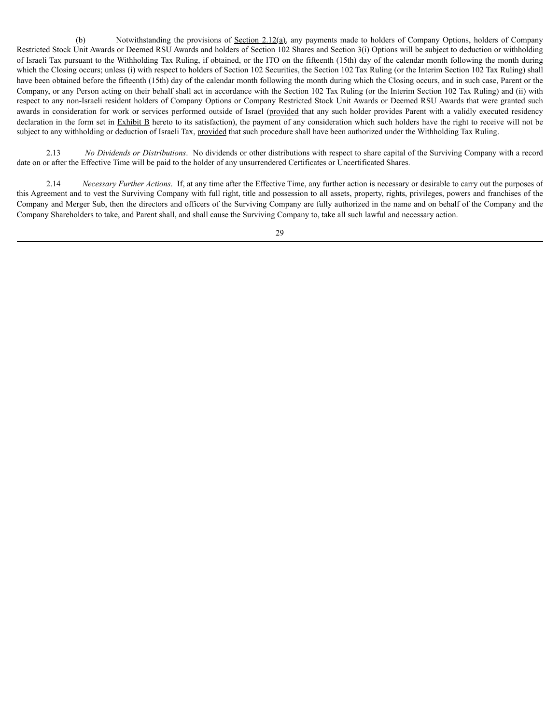(b) Notwithstanding the provisions of Section 2.12(a), any payments made to holders of Company Options, holders of Company Restricted Stock Unit Awards or Deemed RSU Awards and holders of Section 102 Shares and Section 3(i) Options will be subject to deduction or withholding of Israeli Tax pursuant to the Withholding Tax Ruling, if obtained, or the ITO on the fifteenth (15th) day of the calendar month following the month during which the Closing occurs; unless (i) with respect to holders of Section 102 Securities, the Section 102 Tax Ruling (or the Interim Section 102 Tax Ruling) shall have been obtained before the fifteenth (15th) day of the calendar month following the month during which the Closing occurs, and in such case, Parent or the Company, or any Person acting on their behalf shall act in accordance with the Section 102 Tax Ruling (or the Interim Section 102 Tax Ruling) and (ii) with respect to any non-Israeli resident holders of Company Options or Company Restricted Stock Unit Awards or Deemed RSU Awards that were granted such awards in consideration for work or services performed outside of Israel (provided that any such holder provides Parent with a validly executed residency declaration in the form set in Exhibit B hereto to its satisfaction), the payment of any consideration which such holders have the right to receive will not be subject to any withholding or deduction of Israeli Tax, provided that such procedure shall have been authorized under the Withholding Tax Ruling.

2.13 *No Dividends or Distributions*. No dividends or other distributions with respect to share capital of the Surviving Company with a record date on or after the Effective Time will be paid to the holder of any unsurrendered Certificates or Uncertificated Shares.

2.14 *Necessary Further Actions*. If, at any time after the Effective Time, any further action is necessary or desirable to carry out the purposes of this Agreement and to vest the Surviving Company with full right, title and possession to all assets, property, rights, privileges, powers and franchises of the Company and Merger Sub, then the directors and officers of the Surviving Company are fully authorized in the name and on behalf of the Company and the Company Shareholders to take, and Parent shall, and shall cause the Surviving Company to, take all such lawful and necessary action.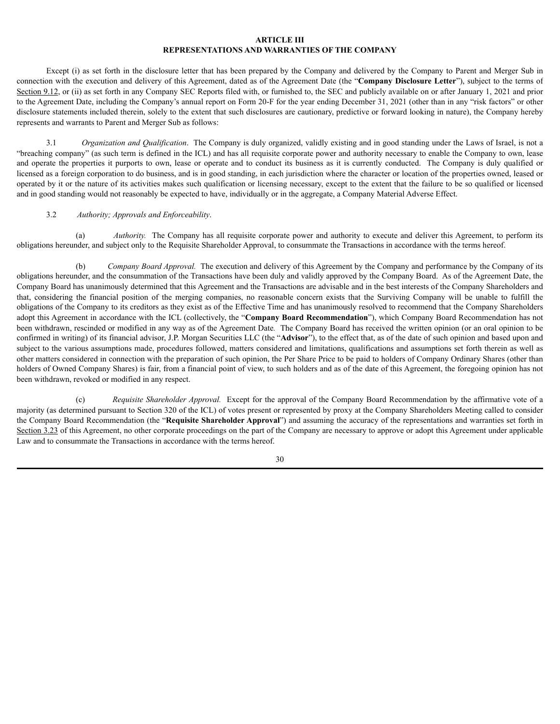# **ARTICLE III REPRESENTATIONS AND WARRANTIES OF THE COMPANY**

Except (i) as set forth in the disclosure letter that has been prepared by the Company and delivered by the Company to Parent and Merger Sub in connection with the execution and delivery of this Agreement, dated as of the Agreement Date (the "**Company Disclosure Letter**"), subject to the terms of Section 9.12, or (ii) as set forth in any Company SEC Reports filed with, or furnished to, the SEC and publicly available on or after January 1, 2021 and prior to the Agreement Date, including the Company's annual report on Form 20-F for the year ending December 31, 2021 (other than in any "risk factors" or other disclosure statements included therein, solely to the extent that such disclosures are cautionary, predictive or forward looking in nature), the Company hereby represents and warrants to Parent and Merger Sub as follows:

3.1 *Organization and Qualification*. The Company is duly organized, validly existing and in good standing under the Laws of Israel, is not a "breaching company" (as such term is defined in the ICL) and has all requisite corporate power and authority necessary to enable the Company to own, lease and operate the properties it purports to own, lease or operate and to conduct its business as it is currently conducted. The Company is duly qualified or licensed as a foreign corporation to do business, and is in good standing, in each jurisdiction where the character or location of the properties owned, leased or operated by it or the nature of its activities makes such qualification or licensing necessary, except to the extent that the failure to be so qualified or licensed and in good standing would not reasonably be expected to have, individually or in the aggregate, a Company Material Adverse Effect.

### 3.2 *Authority; Approvals and Enforceability*.

(a) *Authority.* The Company has all requisite corporate power and authority to execute and deliver this Agreement, to perform its obligations hereunder, and subject only to the Requisite Shareholder Approval, to consummate the Transactions in accordance with the terms hereof.

(b) *Company Board Approval.* The execution and delivery of this Agreement by the Company and performance by the Company of its obligations hereunder, and the consummation of the Transactions have been duly and validly approved by the Company Board. As of the Agreement Date, the Company Board has unanimously determined that this Agreement and the Transactions are advisable and in the best interests of the Company Shareholders and that, considering the financial position of the merging companies, no reasonable concern exists that the Surviving Company will be unable to fulfill the obligations of the Company to its creditors as they exist as of the Effective Time and has unanimously resolved to recommend that the Company Shareholders adopt this Agreement in accordance with the ICL (collectively, the "**Company Board Recommendation**"), which Company Board Recommendation has not been withdrawn, rescinded or modified in any way as of the Agreement Date*.* The Company Board has received the written opinion (or an oral opinion to be confirmed in writing) of its financial advisor, J.P. Morgan Securities LLC (the "**Advisor**"), to the effect that, as of the date of such opinion and based upon and subject to the various assumptions made, procedures followed, matters considered and limitations, qualifications and assumptions set forth therein as well as other matters considered in connection with the preparation of such opinion, the Per Share Price to be paid to holders of Company Ordinary Shares (other than holders of Owned Company Shares) is fair, from a financial point of view, to such holders and as of the date of this Agreement, the foregoing opinion has not been withdrawn, revoked or modified in any respect.

(c) *Requisite Shareholder Approval.* Except for the approval of the Company Board Recommendation by the affirmative vote of a majority (as determined pursuant to Section 320 of the ICL) of votes present or represented by proxy at the Company Shareholders Meeting called to consider the Company Board Recommendation (the "**Requisite Shareholder Approval**") and assuming the accuracy of the representations and warranties set forth in Section 3.23 of this Agreement, no other corporate proceedings on the part of the Company are necessary to approve or adopt this Agreement under applicable Law and to consummate the Transactions in accordance with the terms hereof.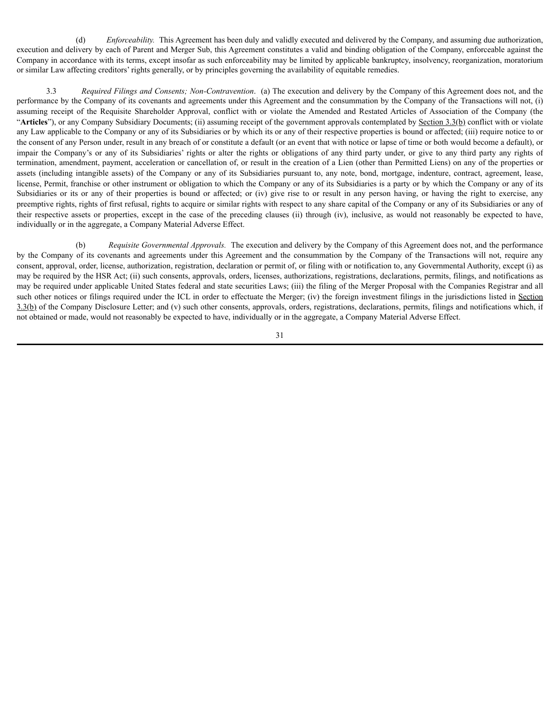(d) *Enforceability.* This Agreement has been duly and validly executed and delivered by the Company, and assuming due authorization, execution and delivery by each of Parent and Merger Sub, this Agreement constitutes a valid and binding obligation of the Company, enforceable against the Company in accordance with its terms, except insofar as such enforceability may be limited by applicable bankruptcy, insolvency, reorganization, moratorium or similar Law affecting creditors' rights generally, or by principles governing the availability of equitable remedies.

3.3 *Required Filings and Consents; Non-Contravention*. (a) The execution and delivery by the Company of this Agreement does not, and the performance by the Company of its covenants and agreements under this Agreement and the consummation by the Company of the Transactions will not, (i) assuming receipt of the Requisite Shareholder Approval, conflict with or violate the Amended and Restated Articles of Association of the Company (the "**Articles**"), or any Company Subsidiary Documents; (ii) assuming receipt of the government approvals contemplated by Section 3.3(b) conflict with or violate any Law applicable to the Company or any of its Subsidiaries or by which its or any of their respective properties is bound or affected; (iii) require notice to or the consent of any Person under, result in any breach of or constitute a default (or an event that with notice or lapse of time or both would become a default), or impair the Company's or any of its Subsidiaries' rights or alter the rights or obligations of any third party under, or give to any third party any rights of termination, amendment, payment, acceleration or cancellation of, or result in the creation of a Lien (other than Permitted Liens) on any of the properties or assets (including intangible assets) of the Company or any of its Subsidiaries pursuant to, any note, bond, mortgage, indenture, contract, agreement, lease, license, Permit, franchise or other instrument or obligation to which the Company or any of its Subsidiaries is a party or by which the Company or any of its Subsidiaries or its or any of their properties is bound or affected; or (iv) give rise to or result in any person having, or having the right to exercise, any preemptive rights, rights of first refusal, rights to acquire or similar rights with respect to any share capital of the Company or any of its Subsidiaries or any of their respective assets or properties, except in the case of the preceding clauses (ii) through (iv), inclusive, as would not reasonably be expected to have, individually or in the aggregate, a Company Material Adverse Effect.

(b) *Requisite Governmental Approvals.* The execution and delivery by the Company of this Agreement does not, and the performance by the Company of its covenants and agreements under this Agreement and the consummation by the Company of the Transactions will not, require any consent, approval, order, license, authorization, registration, declaration or permit of, or filing with or notification to, any Governmental Authority, except (i) as may be required by the HSR Act; (ii) such consents, approvals, orders, licenses, authorizations, registrations, declarations, permits, filings, and notifications as may be required under applicable United States federal and state securities Laws; (iii) the filing of the Merger Proposal with the Companies Registrar and all such other notices or filings required under the ICL in order to effectuate the Merger; (iv) the foreign investment filings in the jurisdictions listed in Section  $3.3(b)$  of the Company Disclosure Letter; and (v) such other consents, approvals, orders, registrations, declarations, permits, filings and notifications which, if not obtained or made, would not reasonably be expected to have, individually or in the aggregate, a Company Material Adverse Effect.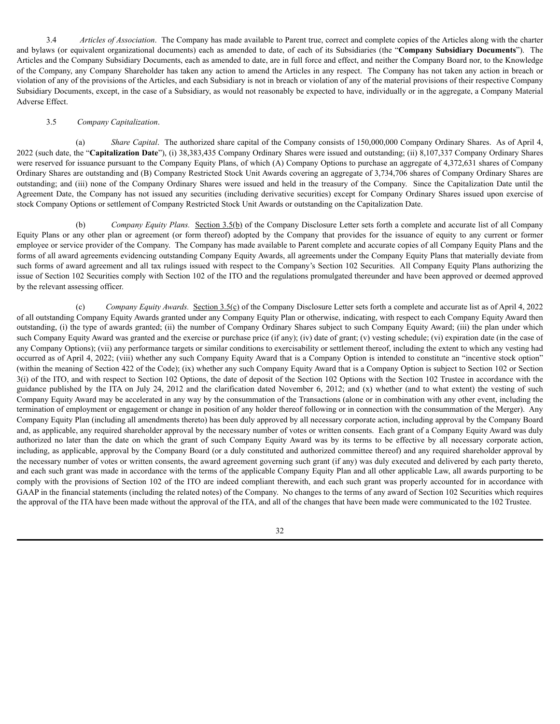3.4 *Articles of Association*. The Company has made available to Parent true, correct and complete copies of the Articles along with the charter and bylaws (or equivalent organizational documents) each as amended to date, of each of its Subsidiaries (the "**Company Subsidiary Documents**"). The Articles and the Company Subsidiary Documents, each as amended to date, are in full force and effect, and neither the Company Board nor, to the Knowledge of the Company, any Company Shareholder has taken any action to amend the Articles in any respect. The Company has not taken any action in breach or violation of any of the provisions of the Articles, and each Subsidiary is not in breach or violation of any of the material provisions of their respective Company Subsidiary Documents, except, in the case of a Subsidiary, as would not reasonably be expected to have, individually or in the aggregate, a Company Material Adverse Effect.

# 3.5 *Company Capitalization*.

(a) *Share Capital*. The authorized share capital of the Company consists of 150,000,000 Company Ordinary Shares. As of April 4, 2022 (such date, the "**Capitalization Date**"), (i) 38,383,435 Company Ordinary Shares were issued and outstanding; (ii) 8,107,337 Company Ordinary Shares were reserved for issuance pursuant to the Company Equity Plans, of which (A) Company Options to purchase an aggregate of 4,372,631 shares of Company Ordinary Shares are outstanding and (B) Company Restricted Stock Unit Awards covering an aggregate of 3,734,706 shares of Company Ordinary Shares are outstanding; and (iii) none of the Company Ordinary Shares were issued and held in the treasury of the Company. Since the Capitalization Date until the Agreement Date, the Company has not issued any securities (including derivative securities) except for Company Ordinary Shares issued upon exercise of stock Company Options or settlement of Company Restricted Stock Unit Awards or outstanding on the Capitalization Date.

(b) *Company Equity Plans.* Section 3.5(b) of the Company Disclosure Letter sets forth a complete and accurate list of all Company Equity Plans or any other plan or agreement (or form thereof) adopted by the Company that provides for the issuance of equity to any current or former employee or service provider of the Company. The Company has made available to Parent complete and accurate copies of all Company Equity Plans and the forms of all award agreements evidencing outstanding Company Equity Awards, all agreements under the Company Equity Plans that materially deviate from such forms of award agreement and all tax rulings issued with respect to the Company's Section 102 Securities. All Company Equity Plans authorizing the issue of Section 102 Securities comply with Section 102 of the ITO and the regulations promulgated thereunder and have been approved or deemed approved by the relevant assessing officer.

(c) *Company Equity Awards.* Section 3.5(c) of the Company Disclosure Letter sets forth a complete and accurate list as of April 4, 2022 of all outstanding Company Equity Awards granted under any Company Equity Plan or otherwise, indicating, with respect to each Company Equity Award then outstanding, (i) the type of awards granted; (ii) the number of Company Ordinary Shares subject to such Company Equity Award; (iii) the plan under which such Company Equity Award was granted and the exercise or purchase price (if any); (iv) date of grant; (v) vesting schedule; (vi) expiration date (in the case of any Company Options); (vii) any performance targets or similar conditions to exercisability or settlement thereof, including the extent to which any vesting had occurred as of April 4, 2022; (viii) whether any such Company Equity Award that is a Company Option is intended to constitute an "incentive stock option" (within the meaning of Section 422 of the Code); (ix) whether any such Company Equity Award that is a Company Option is subject to Section 102 or Section 3(i) of the ITO, and with respect to Section 102 Options, the date of deposit of the Section 102 Options with the Section 102 Trustee in accordance with the guidance published by the ITA on July 24, 2012 and the clarification dated November 6, 2012; and (x) whether (and to what extent) the vesting of such Company Equity Award may be accelerated in any way by the consummation of the Transactions (alone or in combination with any other event, including the termination of employment or engagement or change in position of any holder thereof following or in connection with the consummation of the Merger). Any Company Equity Plan (including all amendments thereto) has been duly approved by all necessary corporate action, including approval by the Company Board and, as applicable, any required shareholder approval by the necessary number of votes or written consents. Each grant of a Company Equity Award was duly authorized no later than the date on which the grant of such Company Equity Award was by its terms to be effective by all necessary corporate action, including, as applicable, approval by the Company Board (or a duly constituted and authorized committee thereof) and any required shareholder approval by the necessary number of votes or written consents, the award agreement governing such grant (if any) was duly executed and delivered by each party thereto, and each such grant was made in accordance with the terms of the applicable Company Equity Plan and all other applicable Law, all awards purporting to be comply with the provisions of Section 102 of the ITO are indeed compliant therewith, and each such grant was properly accounted for in accordance with GAAP in the financial statements (including the related notes) of the Company. No changes to the terms of any award of Section 102 Securities which requires the approval of the ITA have been made without the approval of the ITA, and all of the changes that have been made were communicated to the 102 Trustee.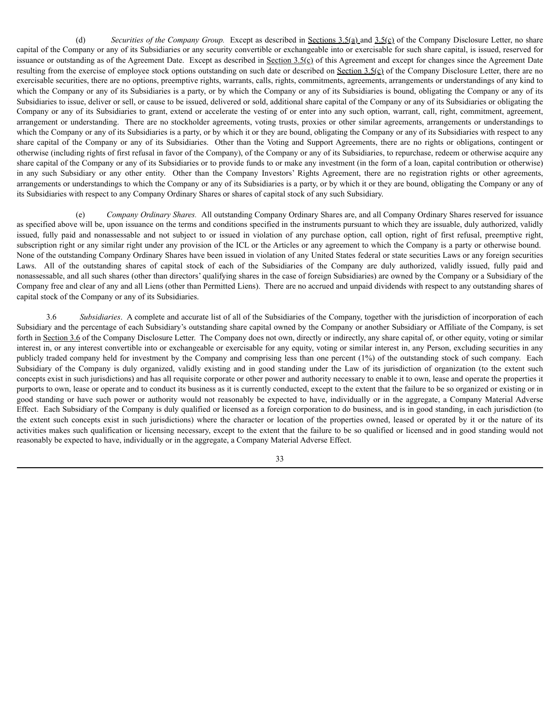(d) *Securities of the Company Group.* Except as described in Sections 3.5(a) and 3.5(c) of the Company Disclosure Letter, no share capital of the Company or any of its Subsidiaries or any security convertible or exchangeable into or exercisable for such share capital, is issued, reserved for issuance or outstanding as of the Agreement Date. Except as described in Section  $3.5(\text{c})$  of this Agreement and except for changes since the Agreement Date resulting from the exercise of employee stock options outstanding on such date or described on  $S_{\text{c}}(c)$  of the Company Disclosure Letter, there are no exercisable securities, there are no options, preemptive rights, warrants, calls, rights, commitments, agreements, arrangements or understandings of any kind to which the Company or any of its Subsidiaries is a party, or by which the Company or any of its Subsidiaries is bound, obligating the Company or any of its Subsidiaries to issue, deliver or sell, or cause to be issued, delivered or sold, additional share capital of the Company or any of its Subsidiaries or obligating the Company or any of its Subsidiaries to grant, extend or accelerate the vesting of or enter into any such option, warrant, call, right, commitment, agreement, arrangement or understanding. There are no stockholder agreements, voting trusts, proxies or other similar agreements, arrangements or understandings to which the Company or any of its Subsidiaries is a party, or by which it or they are bound, obligating the Company or any of its Subsidiaries with respect to any share capital of the Company or any of its Subsidiaries. Other than the Voting and Support Agreements, there are no rights or obligations, contingent or otherwise (including rights of first refusal in favor of the Company), of the Company or any of its Subsidiaries, to repurchase, redeem or otherwise acquire any share capital of the Company or any of its Subsidiaries or to provide funds to or make any investment (in the form of a loan, capital contribution or otherwise) in any such Subsidiary or any other entity. Other than the Company Investors' Rights Agreement, there are no registration rights or other agreements, arrangements or understandings to which the Company or any of its Subsidiaries is a party, or by which it or they are bound, obligating the Company or any of its Subsidiaries with respect to any Company Ordinary Shares or shares of capital stock of any such Subsidiary.

(e) *Company Ordinary Shares.* All outstanding Company Ordinary Shares are, and all Company Ordinary Shares reserved for issuance as specified above will be, upon issuance on the terms and conditions specified in the instruments pursuant to which they are issuable, duly authorized, validly issued, fully paid and nonassessable and not subject to or issued in violation of any purchase option, call option, right of first refusal, preemptive right, subscription right or any similar right under any provision of the ICL or the Articles or any agreement to which the Company is a party or otherwise bound. None of the outstanding Company Ordinary Shares have been issued in violation of any United States federal or state securities Laws or any foreign securities Laws. All of the outstanding shares of capital stock of each of the Subsidiaries of the Company are duly authorized, validly issued, fully paid and nonassessable, and all such shares (other than directors' qualifying shares in the case of foreign Subsidiaries) are owned by the Company or a Subsidiary of the Company free and clear of any and all Liens (other than Permitted Liens). There are no accrued and unpaid dividends with respect to any outstanding shares of capital stock of the Company or any of its Subsidiaries.

3.6 *Subsidiaries*. A complete and accurate list of all of the Subsidiaries of the Company, together with the jurisdiction of incorporation of each Subsidiary and the percentage of each Subsidiary's outstanding share capital owned by the Company or another Subsidiary or Affiliate of the Company, is set forth in Section 3.6 of the Company Disclosure Letter. The Company does not own, directly or indirectly, any share capital of, or other equity, voting or similar interest in, or any interest convertible into or exchangeable or exercisable for any equity, voting or similar interest in, any Person, excluding securities in any publicly traded company held for investment by the Company and comprising less than one percent (1%) of the outstanding stock of such company. Each Subsidiary of the Company is duly organized, validly existing and in good standing under the Law of its jurisdiction of organization (to the extent such concepts exist in such jurisdictions) and has all requisite corporate or other power and authority necessary to enable it to own, lease and operate the properties it purports to own, lease or operate and to conduct its business as it is currently conducted, except to the extent that the failure to be so organized or existing or in good standing or have such power or authority would not reasonably be expected to have, individually or in the aggregate, a Company Material Adverse Effect. Each Subsidiary of the Company is duly qualified or licensed as a foreign corporation to do business, and is in good standing, in each jurisdiction (to the extent such concepts exist in such jurisdictions) where the character or location of the properties owned, leased or operated by it or the nature of its activities makes such qualification or licensing necessary, except to the extent that the failure to be so qualified or licensed and in good standing would not reasonably be expected to have, individually or in the aggregate, a Company Material Adverse Effect.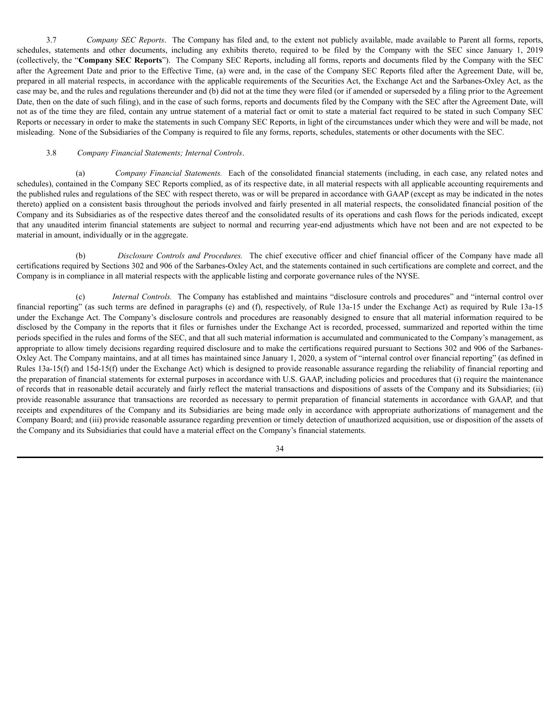3.7 *Company SEC Reports*. The Company has filed and, to the extent not publicly available, made available to Parent all forms, reports, schedules, statements and other documents, including any exhibits thereto, required to be filed by the Company with the SEC since January 1, 2019 (collectively, the "**Company SEC Reports**"). The Company SEC Reports, including all forms, reports and documents filed by the Company with the SEC after the Agreement Date and prior to the Effective Time, (a) were and, in the case of the Company SEC Reports filed after the Agreement Date, will be, prepared in all material respects, in accordance with the applicable requirements of the Securities Act, the Exchange Act and the Sarbanes-Oxley Act, as the case may be, and the rules and regulations thereunder and (b) did not at the time they were filed (or if amended or superseded by a filing prior to the Agreement Date, then on the date of such filing), and in the case of such forms, reports and documents filed by the Company with the SEC after the Agreement Date, will not as of the time they are filed, contain any untrue statement of a material fact or omit to state a material fact required to be stated in such Company SEC Reports or necessary in order to make the statements in such Company SEC Reports, in light of the circumstances under which they were and will be made, not misleading. None of the Subsidiaries of the Company is required to file any forms, reports, schedules, statements or other documents with the SEC.

# 3.8 *Company Financial Statements; Internal Controls*.

(a) *Company Financial Statements.* Each of the consolidated financial statements (including, in each case, any related notes and schedules), contained in the Company SEC Reports complied, as of its respective date, in all material respects with all applicable accounting requirements and the published rules and regulations of the SEC with respect thereto, was or will be prepared in accordance with GAAP (except as may be indicated in the notes thereto) applied on a consistent basis throughout the periods involved and fairly presented in all material respects, the consolidated financial position of the Company and its Subsidiaries as of the respective dates thereof and the consolidated results of its operations and cash flows for the periods indicated, except that any unaudited interim financial statements are subject to normal and recurring year-end adjustments which have not been and are not expected to be material in amount, individually or in the aggregate.

(b) *Disclosure Controls and Procedures.* The chief executive officer and chief financial officer of the Company have made all certifications required by Sections 302 and 906 of the Sarbanes-Oxley Act, and the statements contained in such certifications are complete and correct, and the Company is in compliance in all material respects with the applicable listing and corporate governance rules of the NYSE.

(c) *Internal Controls.* The Company has established and maintains "disclosure controls and procedures" and "internal control over financial reporting" (as such terms are defined in paragraphs (e) and (f), respectively, of Rule 13a-15 under the Exchange Act) as required by Rule 13a-15 under the Exchange Act. The Company's disclosure controls and procedures are reasonably designed to ensure that all material information required to be disclosed by the Company in the reports that it files or furnishes under the Exchange Act is recorded, processed, summarized and reported within the time periods specified in the rules and forms of the SEC, and that all such material information is accumulated and communicated to the Company's management, as appropriate to allow timely decisions regarding required disclosure and to make the certifications required pursuant to Sections 302 and 906 of the Sarbanes-Oxley Act. The Company maintains, and at all times has maintained since January 1, 2020, a system of "internal control over financial reporting" (as defined in Rules 13a-15(f) and 15d-15(f) under the Exchange Act) which is designed to provide reasonable assurance regarding the reliability of financial reporting and the preparation of financial statements for external purposes in accordance with U.S. GAAP, including policies and procedures that (i) require the maintenance of records that in reasonable detail accurately and fairly reflect the material transactions and dispositions of assets of the Company and its Subsidiaries; (ii) provide reasonable assurance that transactions are recorded as necessary to permit preparation of financial statements in accordance with GAAP, and that receipts and expenditures of the Company and its Subsidiaries are being made only in accordance with appropriate authorizations of management and the Company Board; and (iii) provide reasonable assurance regarding prevention or timely detection of unauthorized acquisition, use or disposition of the assets of the Company and its Subsidiaries that could have a material effect on the Company's financial statements.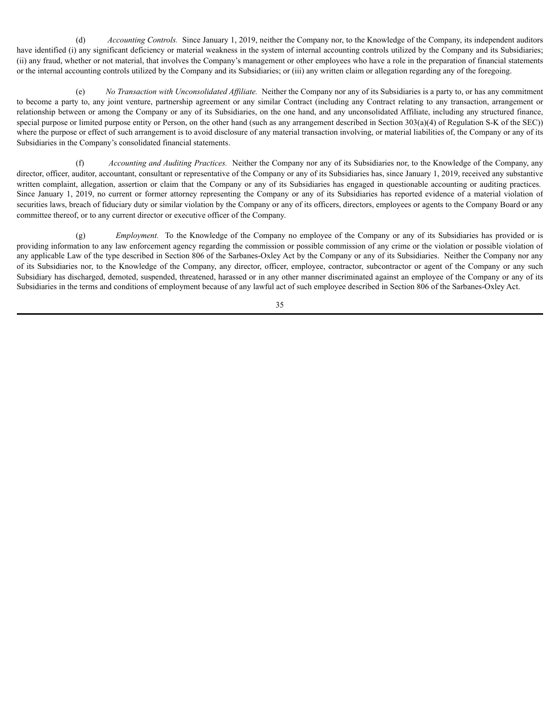(d) *Accounting Controls.* Since January 1, 2019, neither the Company nor, to the Knowledge of the Company, its independent auditors have identified (i) any significant deficiency or material weakness in the system of internal accounting controls utilized by the Company and its Subsidiaries; (ii) any fraud, whether or not material, that involves the Company's management or other employees who have a role in the preparation of financial statements or the internal accounting controls utilized by the Company and its Subsidiaries; or (iii) any written claim or allegation regarding any of the foregoing.

(e) *No Transaction with Unconsolidated Af iliate.* Neither the Company nor any of its Subsidiaries is a party to, or has any commitment to become a party to, any joint venture, partnership agreement or any similar Contract (including any Contract relating to any transaction, arrangement or relationship between or among the Company or any of its Subsidiaries, on the one hand, and any unconsolidated Affiliate, including any structured finance, special purpose or limited purpose entity or Person, on the other hand (such as any arrangement described in Section 303(a)(4) of Regulation S-K of the SEC)) where the purpose or effect of such arrangement is to avoid disclosure of any material transaction involving, or material liabilities of, the Company or any of its Subsidiaries in the Company's consolidated financial statements.

(f) *Accounting and Auditing Practices.* Neither the Company nor any of its Subsidiaries nor, to the Knowledge of the Company, any director, officer, auditor, accountant, consultant or representative of the Company or any of its Subsidiaries has, since January 1, 2019, received any substantive written complaint, allegation, assertion or claim that the Company or any of its Subsidiaries has engaged in questionable accounting or auditing practices. Since January 1, 2019, no current or former attorney representing the Company or any of its Subsidiaries has reported evidence of a material violation of securities laws, breach of fiduciary duty or similar violation by the Company or any of its officers, directors, employees or agents to the Company Board or any committee thereof, or to any current director or executive officer of the Company.

(g) *Employment.* To the Knowledge of the Company no employee of the Company or any of its Subsidiaries has provided or is providing information to any law enforcement agency regarding the commission or possible commission of any crime or the violation or possible violation of any applicable Law of the type described in Section 806 of the Sarbanes-Oxley Act by the Company or any of its Subsidiaries. Neither the Company nor any of its Subsidiaries nor, to the Knowledge of the Company, any director, officer, employee, contractor, subcontractor or agent of the Company or any such Subsidiary has discharged, demoted, suspended, threatened, harassed or in any other manner discriminated against an employee of the Company or any of its Subsidiaries in the terms and conditions of employment because of any lawful act of such employee described in Section 806 of the Sarbanes-Oxley Act.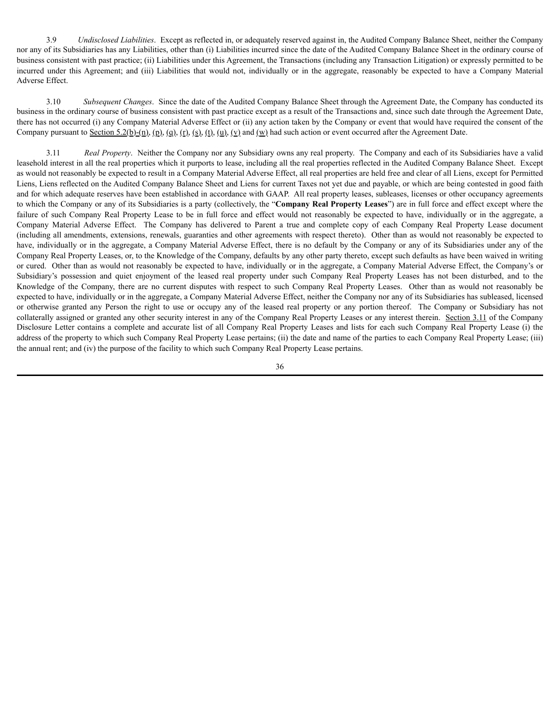3.9 *Undisclosed Liabilities*. Except as reflected in, or adequately reserved against in, the Audited Company Balance Sheet, neither the Company nor any of its Subsidiaries has any Liabilities, other than (i) Liabilities incurred since the date of the Audited Company Balance Sheet in the ordinary course of business consistent with past practice; (ii) Liabilities under this Agreement, the Transactions (including any Transaction Litigation) or expressly permitted to be incurred under this Agreement; and (iii) Liabilities that would not, individually or in the aggregate, reasonably be expected to have a Company Material Adverse Effect.

3.10 *Subsequent Changes*. Since the date of the Audited Company Balance Sheet through the Agreement Date, the Company has conducted its business in the ordinary course of business consistent with past practice except as a result of the Transactions and, since such date through the Agreement Date, there has not occurred (i) any Company Material Adverse Effect or (ii) any action taken by the Company or event that would have required the consent of the Company pursuant to Section 5.2(b)-(n), (n), (g), (r), (s), (t), (u), (y) and (w) had such action or event occurred after the Agreement Date.

3.11 *Real Property*. Neither the Company nor any Subsidiary owns any real property. The Company and each of its Subsidiaries have a valid leasehold interest in all the real properties which it purports to lease, including all the real properties reflected in the Audited Company Balance Sheet. Except as would not reasonably be expected to result in a Company Material Adverse Effect, all real properties are held free and clear of all Liens, except for Permitted Liens, Liens reflected on the Audited Company Balance Sheet and Liens for current Taxes not yet due and payable, or which are being contested in good faith and for which adequate reserves have been established in accordance with GAAP. All real property leases, subleases, licenses or other occupancy agreements to which the Company or any of its Subsidiaries is a party (collectively, the "**Company Real Property Leases**") are in full force and effect except where the failure of such Company Real Property Lease to be in full force and effect would not reasonably be expected to have, individually or in the aggregate, a Company Material Adverse Effect. The Company has delivered to Parent a true and complete copy of each Company Real Property Lease document (including all amendments, extensions, renewals, guaranties and other agreements with respect thereto). Other than as would not reasonably be expected to have, individually or in the aggregate, a Company Material Adverse Effect, there is no default by the Company or any of its Subsidiaries under any of the Company Real Property Leases, or, to the Knowledge of the Company, defaults by any other party thereto, except such defaults as have been waived in writing or cured. Other than as would not reasonably be expected to have, individually or in the aggregate, a Company Material Adverse Effect, the Company's or Subsidiary's possession and quiet enjoyment of the leased real property under such Company Real Property Leases has not been disturbed, and to the Knowledge of the Company, there are no current disputes with respect to such Company Real Property Leases. Other than as would not reasonably be expected to have, individually or in the aggregate, a Company Material Adverse Effect, neither the Company nor any of its Subsidiaries has subleased, licensed or otherwise granted any Person the right to use or occupy any of the leased real property or any portion thereof. The Company or Subsidiary has not collaterally assigned or granted any other security interest in any of the Company Real Property Leases or any interest therein. Section 3.11 of the Company Disclosure Letter contains a complete and accurate list of all Company Real Property Leases and lists for each such Company Real Property Lease (i) the address of the property to which such Company Real Property Lease pertains; (ii) the date and name of the parties to each Company Real Property Lease; (iii) the annual rent; and (iv) the purpose of the facility to which such Company Real Property Lease pertains.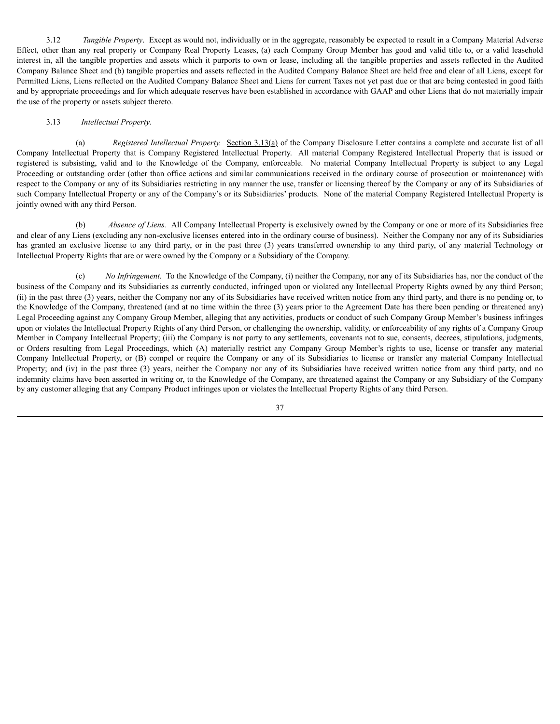3.12 *Tangible Property*. Except as would not, individually or in the aggregate, reasonably be expected to result in a Company Material Adverse Effect, other than any real property or Company Real Property Leases, (a) each Company Group Member has good and valid title to, or a valid leasehold interest in, all the tangible properties and assets which it purports to own or lease, including all the tangible properties and assets reflected in the Audited Company Balance Sheet and (b) tangible properties and assets reflected in the Audited Company Balance Sheet are held free and clear of all Liens, except for Permitted Liens, Liens reflected on the Audited Company Balance Sheet and Liens for current Taxes not yet past due or that are being contested in good faith and by appropriate proceedings and for which adequate reserves have been established in accordance with GAAP and other Liens that do not materially impair the use of the property or assets subject thereto.

# 3.13 *Intellectual Property*.

(a) *Registered Intellectual Property.* Section 3.13(a) of the Company Disclosure Letter contains a complete and accurate list of all Company Intellectual Property that is Company Registered Intellectual Property. All material Company Registered Intellectual Property that is issued or registered is subsisting, valid and to the Knowledge of the Company, enforceable. No material Company Intellectual Property is subject to any Legal Proceeding or outstanding order (other than office actions and similar communications received in the ordinary course of prosecution or maintenance) with respect to the Company or any of its Subsidiaries restricting in any manner the use, transfer or licensing thereof by the Company or any of its Subsidiaries of such Company Intellectual Property or any of the Company's or its Subsidiaries' products. None of the material Company Registered Intellectual Property is jointly owned with any third Person.

(b) *Absence of Liens.* All Company Intellectual Property is exclusively owned by the Company or one or more of its Subsidiaries free and clear of any Liens (excluding any non-exclusive licenses entered into in the ordinary course of business). Neither the Company nor any of its Subsidiaries has granted an exclusive license to any third party, or in the past three (3) years transferred ownership to any third party, of any material Technology or Intellectual Property Rights that are or were owned by the Company or a Subsidiary of the Company.

(c) *No Infringement.* To the Knowledge of the Company, (i) neither the Company, nor any of its Subsidiaries has, nor the conduct of the business of the Company and its Subsidiaries as currently conducted, infringed upon or violated any Intellectual Property Rights owned by any third Person; (ii) in the past three (3) years, neither the Company nor any of its Subsidiaries have received written notice from any third party, and there is no pending or, to the Knowledge of the Company, threatened (and at no time within the three (3) years prior to the Agreement Date has there been pending or threatened any) Legal Proceeding against any Company Group Member, alleging that any activities, products or conduct of such Company Group Member's business infringes upon or violates the Intellectual Property Rights of any third Person, or challenging the ownership, validity, or enforceability of any rights of a Company Group Member in Company Intellectual Property; (iii) the Company is not party to any settlements, covenants not to sue, consents, decrees, stipulations, judgments, or Orders resulting from Legal Proceedings, which (A) materially restrict any Company Group Member's rights to use, license or transfer any material Company Intellectual Property, or (B) compel or require the Company or any of its Subsidiaries to license or transfer any material Company Intellectual Property; and (iv) in the past three (3) years, neither the Company nor any of its Subsidiaries have received written notice from any third party, and no indemnity claims have been asserted in writing or, to the Knowledge of the Company, are threatened against the Company or any Subsidiary of the Company by any customer alleging that any Company Product infringes upon or violates the Intellectual Property Rights of any third Person.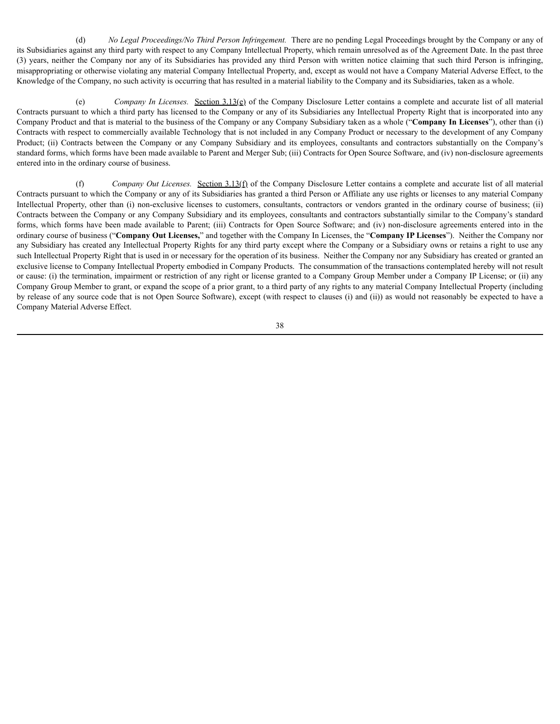(d) *No Legal Proceedings/No Third Person Infringement.* There are no pending Legal Proceedings brought by the Company or any of its Subsidiaries against any third party with respect to any Company Intellectual Property, which remain unresolved as of the Agreement Date. In the past three (3) years, neither the Company nor any of its Subsidiaries has provided any third Person with written notice claiming that such third Person is infringing, misappropriating or otherwise violating any material Company Intellectual Property, and, except as would not have a Company Material Adverse Effect, to the Knowledge of the Company, no such activity is occurring that has resulted in a material liability to the Company and its Subsidiaries, taken as a whole.

(e) *Company In Licenses.* Section 3.13(e) of the Company Disclosure Letter contains a complete and accurate list of all material Contracts pursuant to which a third party has licensed to the Company or any of its Subsidiaries any Intellectual Property Right that is incorporated into any Company Product and that is material to the business of the Company or any Company Subsidiary taken as a whole ("**Company In Licenses**"), other than (i) Contracts with respect to commercially available Technology that is not included in any Company Product or necessary to the development of any Company Product; (ii) Contracts between the Company or any Company Subsidiary and its employees, consultants and contractors substantially on the Company's standard forms, which forms have been made available to Parent and Merger Sub; (iii) Contracts for Open Source Software, and (iv) non-disclosure agreements entered into in the ordinary course of business.

(f) *Company Out Licenses.* Section 3.13(f) of the Company Disclosure Letter contains a complete and accurate list of all material Contracts pursuant to which the Company or any of its Subsidiaries has granted a third Person or Affiliate any use rights or licenses to any material Company Intellectual Property, other than (i) non-exclusive licenses to customers, consultants, contractors or vendors granted in the ordinary course of business; (ii) Contracts between the Company or any Company Subsidiary and its employees, consultants and contractors substantially similar to the Company's standard forms, which forms have been made available to Parent; (iii) Contracts for Open Source Software; and (iv) non-disclosure agreements entered into in the ordinary course of business ("**Company Out Licenses,**" and together with the Company In Licenses, the "**Company IP Licenses**"). Neither the Company nor any Subsidiary has created any Intellectual Property Rights for any third party except where the Company or a Subsidiary owns or retains a right to use any such Intellectual Property Right that is used in or necessary for the operation of its business. Neither the Company nor any Subsidiary has created or granted an exclusive license to Company Intellectual Property embodied in Company Products. The consummation of the transactions contemplated hereby will not result or cause: (i) the termination, impairment or restriction of any right or license granted to a Company Group Member under a Company IP License; or (ii) any Company Group Member to grant, or expand the scope of a prior grant, to a third party of any rights to any material Company Intellectual Property (including by release of any source code that is not Open Source Software), except (with respect to clauses (i) and (ii)) as would not reasonably be expected to have a Company Material Adverse Effect.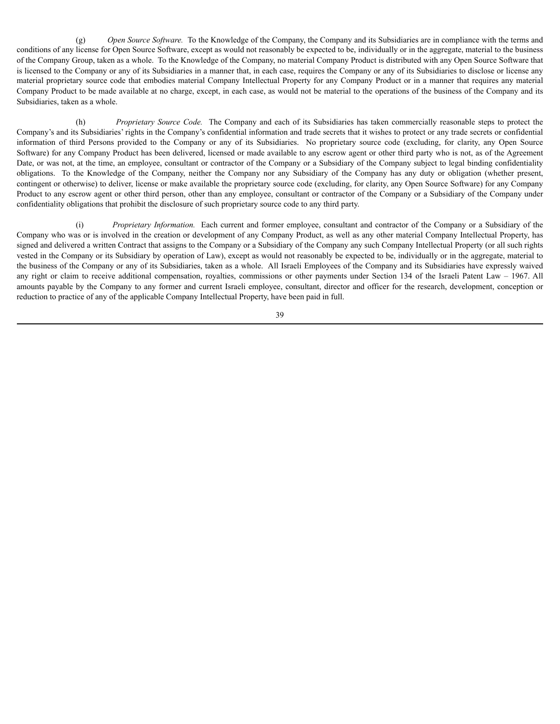(g) *Open Source Software.* To the Knowledge of the Company, the Company and its Subsidiaries are in compliance with the terms and conditions of any license for Open Source Software, except as would not reasonably be expected to be, individually or in the aggregate, material to the business of the Company Group, taken as a whole. To the Knowledge of the Company, no material Company Product is distributed with any Open Source Software that is licensed to the Company or any of its Subsidiaries in a manner that, in each case, requires the Company or any of its Subsidiaries to disclose or license any material proprietary source code that embodies material Company Intellectual Property for any Company Product or in a manner that requires any material Company Product to be made available at no charge, except, in each case, as would not be material to the operations of the business of the Company and its Subsidiaries, taken as a whole.

(h) *Proprietary Source Code.* The Company and each of its Subsidiaries has taken commercially reasonable steps to protect the Company's and its Subsidiaries' rights in the Company's confidential information and trade secrets that it wishes to protect or any trade secrets or confidential information of third Persons provided to the Company or any of its Subsidiaries. No proprietary source code (excluding, for clarity, any Open Source Software) for any Company Product has been delivered, licensed or made available to any escrow agent or other third party who is not, as of the Agreement Date, or was not, at the time, an employee, consultant or contractor of the Company or a Subsidiary of the Company subject to legal binding confidentiality obligations. To the Knowledge of the Company, neither the Company nor any Subsidiary of the Company has any duty or obligation (whether present, contingent or otherwise) to deliver, license or make available the proprietary source code (excluding, for clarity, any Open Source Software) for any Company Product to any escrow agent or other third person, other than any employee, consultant or contractor of the Company or a Subsidiary of the Company under confidentiality obligations that prohibit the disclosure of such proprietary source code to any third party.

(i) *Proprietary Information.* Each current and former employee, consultant and contractor of the Company or a Subsidiary of the Company who was or is involved in the creation or development of any Company Product, as well as any other material Company Intellectual Property, has signed and delivered a written Contract that assigns to the Company or a Subsidiary of the Company any such Company Intellectual Property (or all such rights vested in the Company or its Subsidiary by operation of Law), except as would not reasonably be expected to be, individually or in the aggregate, material to the business of the Company or any of its Subsidiaries, taken as a whole. All Israeli Employees of the Company and its Subsidiaries have expressly waived any right or claim to receive additional compensation, royalties, commissions or other payments under Section 134 of the Israeli Patent Law – 1967. All amounts payable by the Company to any former and current Israeli employee, consultant, director and officer for the research, development, conception or reduction to practice of any of the applicable Company Intellectual Property, have been paid in full.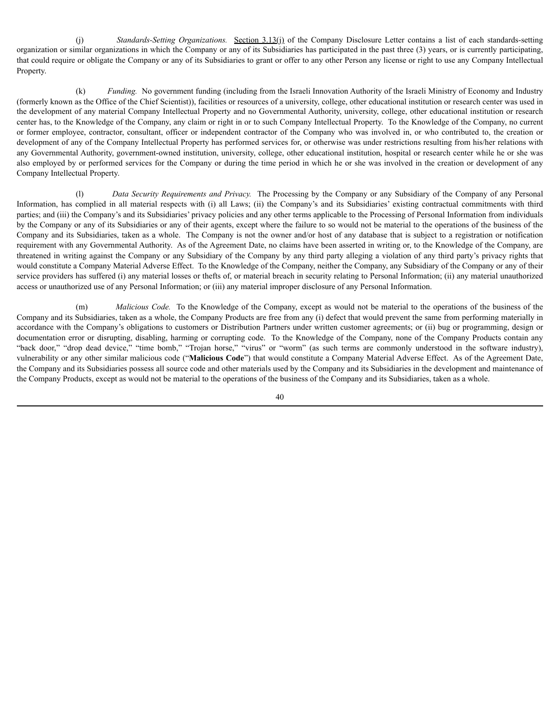(j) *Standards-Setting Organizations.* Section 3.13(j) of the Company Disclosure Letter contains a list of each standards-setting organization or similar organizations in which the Company or any of its Subsidiaries has participated in the past three (3) years, or is currently participating, that could require or obligate the Company or any of its Subsidiaries to grant or offer to any other Person any license or right to use any Company Intellectual Property.

(k) *Funding.* No government funding (including from the Israeli Innovation Authority of the Israeli Ministry of Economy and Industry (formerly known as the Office of the Chief Scientist)), facilities or resources of a university, college, other educational institution or research center was used in the development of any material Company Intellectual Property and no Governmental Authority, university, college, other educational institution or research center has, to the Knowledge of the Company, any claim or right in or to such Company Intellectual Property. To the Knowledge of the Company, no current or former employee, contractor, consultant, officer or independent contractor of the Company who was involved in, or who contributed to, the creation or development of any of the Company Intellectual Property has performed services for, or otherwise was under restrictions resulting from his/her relations with any Governmental Authority, government-owned institution, university, college, other educational institution, hospital or research center while he or she was also employed by or performed services for the Company or during the time period in which he or she was involved in the creation or development of any Company Intellectual Property.

(l) *Data Security Requirements and Privacy.* The Processing by the Company or any Subsidiary of the Company of any Personal Information, has complied in all material respects with (i) all Laws; (ii) the Company's and its Subsidiaries' existing contractual commitments with third parties; and (iii) the Company's and its Subsidiaries' privacy policies and any other terms applicable to the Processing of Personal Information from individuals by the Company or any of its Subsidiaries or any of their agents, except where the failure to so would not be material to the operations of the business of the Company and its Subsidiaries, taken as a whole. The Company is not the owner and/or host of any database that is subject to a registration or notification requirement with any Governmental Authority. As of the Agreement Date, no claims have been asserted in writing or, to the Knowledge of the Company, are threatened in writing against the Company or any Subsidiary of the Company by any third party alleging a violation of any third party's privacy rights that would constitute a Company Material Adverse Effect. To the Knowledge of the Company, neither the Company, any Subsidiary of the Company or any of their service providers has suffered (i) any material losses or thefts of, or material breach in security relating to Personal Information; (ii) any material unauthorized access or unauthorized use of any Personal Information; or (iii) any material improper disclosure of any Personal Information.

(m) *Malicious Code.* To the Knowledge of the Company, except as would not be material to the operations of the business of the Company and its Subsidiaries, taken as a whole, the Company Products are free from any (i) defect that would prevent the same from performing materially in accordance with the Company's obligations to customers or Distribution Partners under written customer agreements; or (ii) bug or programming, design or documentation error or disrupting, disabling, harming or corrupting code. To the Knowledge of the Company, none of the Company Products contain any "back door," "drop dead device," "time bomb," "Trojan horse," "virus" or "worm" (as such terms are commonly understood in the software industry), vulnerability or any other similar malicious code ("**Malicious Code**") that would constitute a Company Material Adverse Effect. As of the Agreement Date, the Company and its Subsidiaries possess all source code and other materials used by the Company and its Subsidiaries in the development and maintenance of the Company Products, except as would not be material to the operations of the business of the Company and its Subsidiaries, taken as a whole.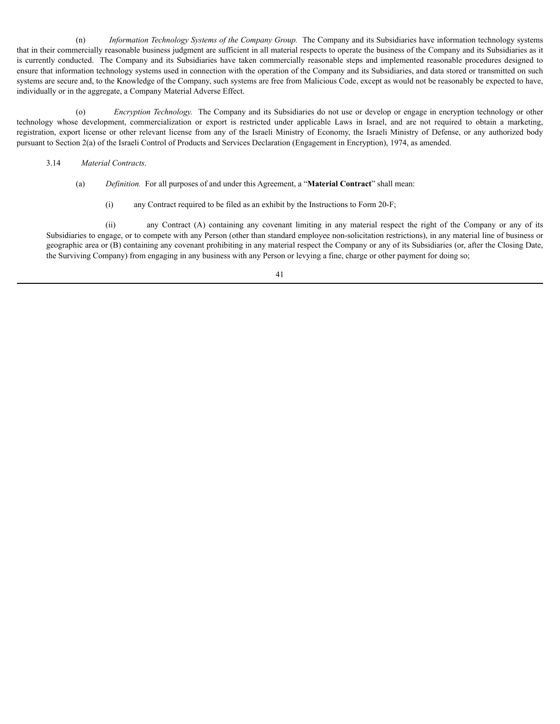(n) *Information Technology Systems of the Company Group.* The Company and its Subsidiaries have information technology systems that in their commercially reasonable business judgment are sufficient in all material respects to operate the business of the Company and its Subsidiaries as it is currently conducted. The Company and its Subsidiaries have taken commercially reasonable steps and implemented reasonable procedures designed to ensure that information technology systems used in connection with the operation of the Company and its Subsidiaries, and data stored or transmitted on such systems are secure and, to the Knowledge of the Company, such systems are free from Malicious Code, except as would not be reasonably be expected to have, individually or in the aggregate, a Company Material Adverse Effect.

(o) *Encryption Technology.* The Company and its Subsidiaries do not use or develop or engage in encryption technology or other technology whose development, commercialization or export is restricted under applicable Laws in Israel, and are not required to obtain a marketing, registration, export license or other relevant license from any of the Israeli Ministry of Economy, the Israeli Ministry of Defense, or any authorized body pursuant to Section 2(a) of the Israeli Control of Products and Services Declaration (Engagement in Encryption), 1974, as amended.

- 3.14 *Material Contracts*.
	- (a) *Definition.* For all purposes of and under this Agreement, a "**Material Contract**" shall mean:
		- (i) any Contract required to be filed as an exhibit by the Instructions to Form 20-F;

(ii) any Contract (A) containing any covenant limiting in any material respect the right of the Company or any of its Subsidiaries to engage, or to compete with any Person (other than standard employee non-solicitation restrictions), in any material line of business or geographic area or (B) containing any covenant prohibiting in any material respect the Company or any of its Subsidiaries (or, after the Closing Date, the Surviving Company) from engaging in any business with any Person or levying a fine, charge or other payment for doing so;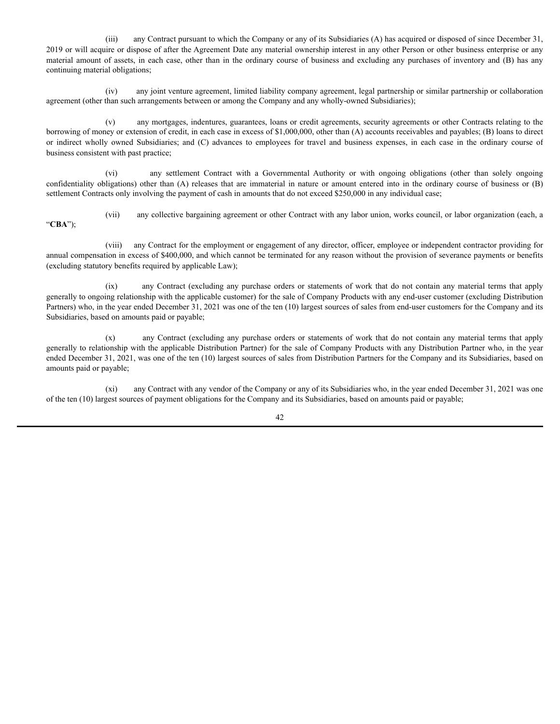(iii) any Contract pursuant to which the Company or any of its Subsidiaries (A) has acquired or disposed of since December 31, 2019 or will acquire or dispose of after the Agreement Date any material ownership interest in any other Person or other business enterprise or any material amount of assets, in each case, other than in the ordinary course of business and excluding any purchases of inventory and (B) has any continuing material obligations;

(iv) any joint venture agreement, limited liability company agreement, legal partnership or similar partnership or collaboration agreement (other than such arrangements between or among the Company and any wholly-owned Subsidiaries);

(v) any mortgages, indentures, guarantees, loans or credit agreements, security agreements or other Contracts relating to the borrowing of money or extension of credit, in each case in excess of \$1,000,000, other than (A) accounts receivables and payables; (B) loans to direct or indirect wholly owned Subsidiaries; and (C) advances to employees for travel and business expenses, in each case in the ordinary course of business consistent with past practice;

(vi) any settlement Contract with a Governmental Authority or with ongoing obligations (other than solely ongoing confidentiality obligations) other than (A) releases that are immaterial in nature or amount entered into in the ordinary course of business or (B) settlement Contracts only involving the payment of cash in amounts that do not exceed \$250,000 in any individual case;

"**CBA**");

(vii) any collective bargaining agreement or other Contract with any labor union, works council, or labor organization (each, a

(viii) any Contract for the employment or engagement of any director, officer, employee or independent contractor providing for annual compensation in excess of \$400,000, and which cannot be terminated for any reason without the provision of severance payments or benefits (excluding statutory benefits required by applicable Law);

(ix) any Contract (excluding any purchase orders or statements of work that do not contain any material terms that apply generally to ongoing relationship with the applicable customer) for the sale of Company Products with any end-user customer (excluding Distribution Partners) who, in the year ended December 31, 2021 was one of the ten (10) largest sources of sales from end-user customers for the Company and its Subsidiaries, based on amounts paid or payable;

(x) any Contract (excluding any purchase orders or statements of work that do not contain any material terms that apply generally to relationship with the applicable Distribution Partner) for the sale of Company Products with any Distribution Partner who, in the year ended December 31, 2021, was one of the ten (10) largest sources of sales from Distribution Partners for the Company and its Subsidiaries, based on amounts paid or payable;

(xi) any Contract with any vendor of the Company or any of its Subsidiaries who, in the year ended December 31, 2021 was one of the ten (10) largest sources of payment obligations for the Company and its Subsidiaries, based on amounts paid or payable;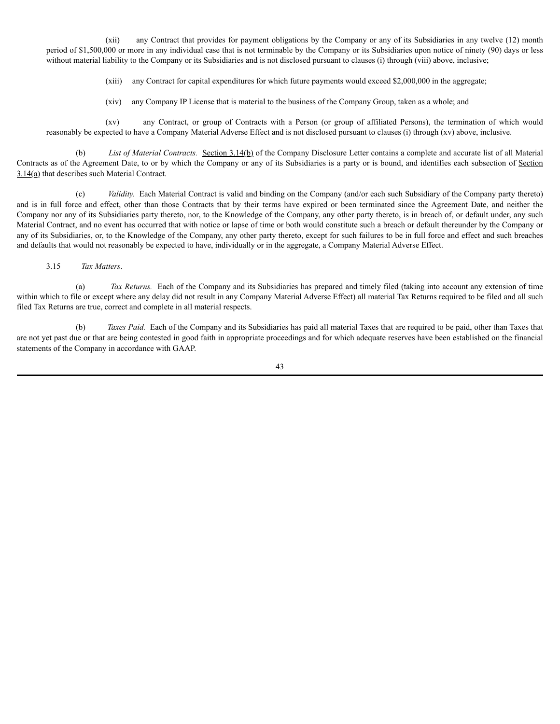(xii) any Contract that provides for payment obligations by the Company or any of its Subsidiaries in any twelve (12) month period of \$1,500,000 or more in any individual case that is not terminable by the Company or its Subsidiaries upon notice of ninety (90) days or less without material liability to the Company or its Subsidiaries and is not disclosed pursuant to clauses (i) through (viii) above, inclusive;

(xiii) any Contract for capital expenditures for which future payments would exceed \$2,000,000 in the aggregate;

(xiv) any Company IP License that is material to the business of the Company Group, taken as a whole; and

(xv) any Contract, or group of Contracts with a Person (or group of affiliated Persons), the termination of which would reasonably be expected to have a Company Material Adverse Effect and is not disclosed pursuant to clauses (i) through (xv) above, inclusive.

(b) *List of Material Contracts.* Section 3.14(b) of the Company Disclosure Letter contains a complete and accurate list of all Material Contracts as of the Agreement Date, to or by which the Company or any of its Subsidiaries is a party or is bound, and identifies each subsection of Section 3.14(a) that describes such Material Contract.

(c) *Validity.* Each Material Contract is valid and binding on the Company (and/or each such Subsidiary of the Company party thereto) and is in full force and effect, other than those Contracts that by their terms have expired or been terminated since the Agreement Date, and neither the Company nor any of its Subsidiaries party thereto, nor, to the Knowledge of the Company, any other party thereto, is in breach of, or default under, any such Material Contract, and no event has occurred that with notice or lapse of time or both would constitute such a breach or default thereunder by the Company or any of its Subsidiaries, or, to the Knowledge of the Company, any other party thereto, except for such failures to be in full force and effect and such breaches and defaults that would not reasonably be expected to have, individually or in the aggregate, a Company Material Adverse Effect.

# 3.15 *Tax Matters*.

(a) *Tax Returns.* Each of the Company and its Subsidiaries has prepared and timely filed (taking into account any extension of time within which to file or except where any delay did not result in any Company Material Adverse Effect) all material Tax Returns required to be filed and all such filed Tax Returns are true, correct and complete in all material respects.

(b) *Taxes Paid.* Each of the Company and its Subsidiaries has paid all material Taxes that are required to be paid, other than Taxes that are not yet past due or that are being contested in good faith in appropriate proceedings and for which adequate reserves have been established on the financial statements of the Company in accordance with GAAP.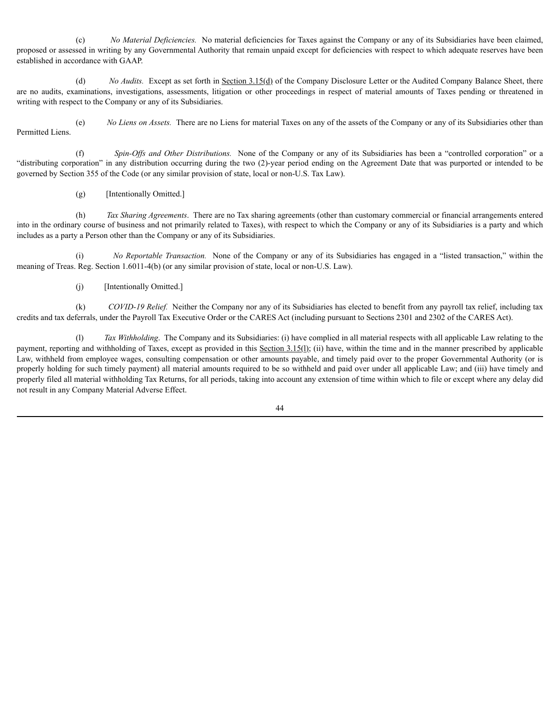(c) *No Material Deficiencies.* No material deficiencies for Taxes against the Company or any of its Subsidiaries have been claimed, proposed or assessed in writing by any Governmental Authority that remain unpaid except for deficiencies with respect to which adequate reserves have been established in accordance with GAAP.

(d) *No Audits.* Except as set forth in Section 3.15(d) of the Company Disclosure Letter or the Audited Company Balance Sheet, there are no audits, examinations, investigations, assessments, litigation or other proceedings in respect of material amounts of Taxes pending or threatened in writing with respect to the Company or any of its Subsidiaries.

(e) *No Liens on Assets.* There are no Liens for material Taxes on any of the assets of the Company or any of its Subsidiaries other than Permitted Liens.

(f) *Spin-Of s and Other Distributions.* None of the Company or any of its Subsidiaries has been a "controlled corporation" or a "distributing corporation" in any distribution occurring during the two (2)-year period ending on the Agreement Date that was purported or intended to be governed by Section 355 of the Code (or any similar provision of state, local or non-U.S. Tax Law).

(g) [Intentionally Omitted.]

(h) *Tax Sharing Agreements*. There are no Tax sharing agreements (other than customary commercial or financial arrangements entered into in the ordinary course of business and not primarily related to Taxes), with respect to which the Company or any of its Subsidiaries is a party and which includes as a party a Person other than the Company or any of its Subsidiaries.

(i) *No Reportable Transaction.* None of the Company or any of its Subsidiaries has engaged in a "listed transaction," within the meaning of Treas. Reg. Section 1.6011-4(b) (or any similar provision of state, local or non-U.S. Law).

(j) [Intentionally Omitted.]

(k) *COVID-19 Relief.* Neither the Company nor any of its Subsidiaries has elected to benefit from any payroll tax relief, including tax credits and tax deferrals, under the Payroll Tax Executive Order or the CARES Act (including pursuant to Sections 2301 and 2302 of the CARES Act).

(l) *Tax Withholding*. The Company and its Subsidiaries: (i) have complied in all material respects with all applicable Law relating to the payment, reporting and withholding of Taxes, except as provided in this Section  $3.15(1)$ ; (ii) have, within the time and in the manner prescribed by applicable Law, withheld from employee wages, consulting compensation or other amounts payable, and timely paid over to the proper Governmental Authority (or is properly holding for such timely payment) all material amounts required to be so withheld and paid over under all applicable Law; and (iii) have timely and properly filed all material withholding Tax Returns, for all periods, taking into account any extension of time within which to file or except where any delay did not result in any Company Material Adverse Effect.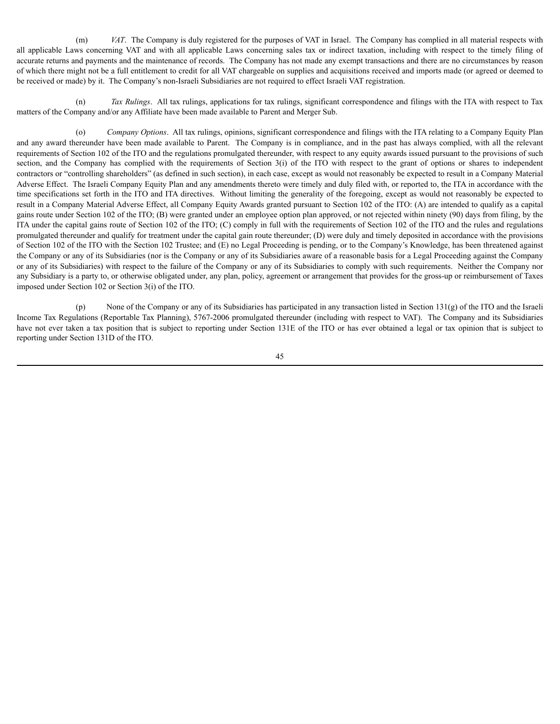(m) *VAT*. The Company is duly registered for the purposes of VAT in Israel. The Company has complied in all material respects with all applicable Laws concerning VAT and with all applicable Laws concerning sales tax or indirect taxation, including with respect to the timely filing of accurate returns and payments and the maintenance of records. The Company has not made any exempt transactions and there are no circumstances by reason of which there might not be a full entitlement to credit for all VAT chargeable on supplies and acquisitions received and imports made (or agreed or deemed to be received or made) by it. The Company's non-Israeli Subsidiaries are not required to effect Israeli VAT registration.

(n) *Tax Rulings*. All tax rulings, applications for tax rulings, significant correspondence and filings with the ITA with respect to Tax matters of the Company and/or any Affiliate have been made available to Parent and Merger Sub.

*Company Options*. All tax rulings, opinions, significant correspondence and filings with the ITA relating to a Company Equity Plan and any award thereunder have been made available to Parent. The Company is in compliance, and in the past has always complied, with all the relevant requirements of Section 102 of the ITO and the regulations promulgated thereunder, with respect to any equity awards issued pursuant to the provisions of such section, and the Company has complied with the requirements of Section 3(i) of the ITO with respect to the grant of options or shares to independent contractors or "controlling shareholders" (as defined in such section), in each case, except as would not reasonably be expected to result in a Company Material Adverse Effect. The Israeli Company Equity Plan and any amendments thereto were timely and duly filed with, or reported to, the ITA in accordance with the time specifications set forth in the ITO and ITA directives. Without limiting the generality of the foregoing, except as would not reasonably be expected to result in a Company Material Adverse Effect, all Company Equity Awards granted pursuant to Section 102 of the ITO: (A) are intended to qualify as a capital gains route under Section 102 of the ITO; (B) were granted under an employee option plan approved, or not rejected within ninety (90) days from filing, by the ITA under the capital gains route of Section 102 of the ITO; (C) comply in full with the requirements of Section 102 of the ITO and the rules and regulations promulgated thereunder and qualify for treatment under the capital gain route thereunder; (D) were duly and timely deposited in accordance with the provisions of Section 102 of the ITO with the Section 102 Trustee; and (E) no Legal Proceeding is pending, or to the Company's Knowledge, has been threatened against the Company or any of its Subsidiaries (nor is the Company or any of its Subsidiaries aware of a reasonable basis for a Legal Proceeding against the Company or any of its Subsidiaries) with respect to the failure of the Company or any of its Subsidiaries to comply with such requirements. Neither the Company nor any Subsidiary is a party to, or otherwise obligated under, any plan, policy, agreement or arrangement that provides for the gross-up or reimbursement of Taxes imposed under Section 102 or Section 3(i) of the ITO.

(p) None of the Company or any of its Subsidiaries has participated in any transaction listed in Section 131(g) of the ITO and the Israeli Income Tax Regulations (Reportable Tax Planning), 5767-2006 promulgated thereunder (including with respect to VAT). The Company and its Subsidiaries have not ever taken a tax position that is subject to reporting under Section 131E of the ITO or has ever obtained a legal or tax opinion that is subject to reporting under Section 131D of the ITO.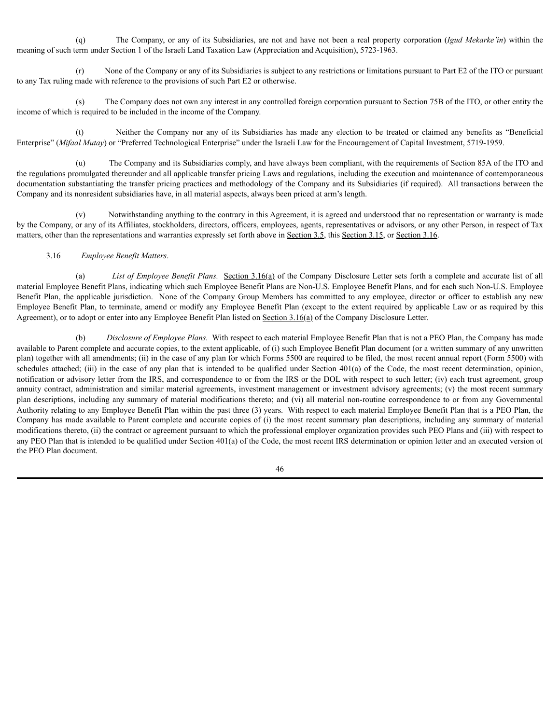(q) The Company, or any of its Subsidiaries, are not and have not been a real property corporation (*Igud Mekarke'in*) within the meaning of such term under Section 1 of the Israeli Land Taxation Law (Appreciation and Acquisition), 5723-1963.

(r) None of the Company or any of its Subsidiaries is subject to any restrictions or limitations pursuant to Part E2 of the ITO or pursuant to any Tax ruling made with reference to the provisions of such Part E2 or otherwise.

(s) The Company does not own any interest in any controlled foreign corporation pursuant to Section 75B of the ITO, or other entity the income of which is required to be included in the income of the Company.

Neither the Company nor any of its Subsidiaries has made any election to be treated or claimed any benefits as "Beneficial Enterprise" (*Mifaal Mutay*) or "Preferred Technological Enterprise" under the Israeli Law for the Encouragement of Capital Investment, 5719-1959.

(u) The Company and its Subsidiaries comply, and have always been compliant, with the requirements of Section 85A of the ITO and the regulations promulgated thereunder and all applicable transfer pricing Laws and regulations, including the execution and maintenance of contemporaneous documentation substantiating the transfer pricing practices and methodology of the Company and its Subsidiaries (if required). All transactions between the Company and its nonresident subsidiaries have, in all material aspects, always been priced at arm's length.

(v) Notwithstanding anything to the contrary in this Agreement, it is agreed and understood that no representation or warranty is made by the Company, or any of its Affiliates, stockholders, directors, officers, employees, agents, representatives or advisors, or any other Person, in respect of Tax matters, other than the representations and warranties expressly set forth above in Section 3.5, this Section 3.15, or Section 3.16.

### 3.16 *Employee Benefit Matters*.

(a) *List of Employee Benefit Plans.* Section 3.16(a) of the Company Disclosure Letter sets forth a complete and accurate list of all material Employee Benefit Plans, indicating which such Employee Benefit Plans are Non-U.S. Employee Benefit Plans, and for each such Non-U.S. Employee Benefit Plan, the applicable jurisdiction. None of the Company Group Members has committed to any employee, director or officer to establish any new Employee Benefit Plan, to terminate, amend or modify any Employee Benefit Plan (except to the extent required by applicable Law or as required by this Agreement), or to adopt or enter into any Employee Benefit Plan listed on Section 3.16(a) of the Company Disclosure Letter.

(b) *Disclosure of Employee Plans.* With respect to each material Employee Benefit Plan that is not a PEO Plan, the Company has made available to Parent complete and accurate copies, to the extent applicable, of (i) such Employee Benefit Plan document (or a written summary of any unwritten plan) together with all amendments; (ii) in the case of any plan for which Forms 5500 are required to be filed, the most recent annual report (Form 5500) with schedules attached; (iii) in the case of any plan that is intended to be qualified under Section 401(a) of the Code, the most recent determination, opinion, notification or advisory letter from the IRS, and correspondence to or from the IRS or the DOL with respect to such letter; (iv) each trust agreement, group annuity contract, administration and similar material agreements, investment management or investment advisory agreements; (v) the most recent summary plan descriptions, including any summary of material modifications thereto; and (vi) all material non-routine correspondence to or from any Governmental Authority relating to any Employee Benefit Plan within the past three (3) years. With respect to each material Employee Benefit Plan that is a PEO Plan, the Company has made available to Parent complete and accurate copies of (i) the most recent summary plan descriptions, including any summary of material modifications thereto, (ii) the contract or agreement pursuant to which the professional employer organization provides such PEO Plans and (iii) with respect to any PEO Plan that is intended to be qualified under Section 401(a) of the Code, the most recent IRS determination or opinion letter and an executed version of the PEO Plan document.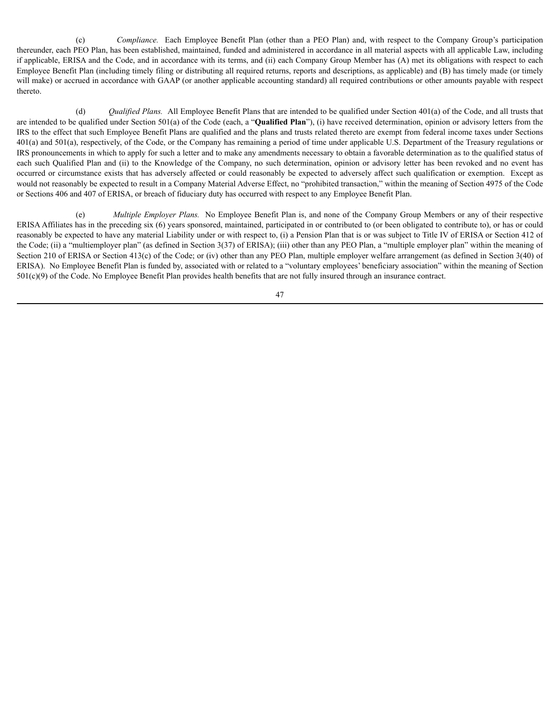(c) *Compliance.* Each Employee Benefit Plan (other than a PEO Plan) and, with respect to the Company Group's participation thereunder, each PEO Plan, has been established, maintained, funded and administered in accordance in all material aspects with all applicable Law, including if applicable, ERISA and the Code, and in accordance with its terms, and (ii) each Company Group Member has (A) met its obligations with respect to each Employee Benefit Plan (including timely filing or distributing all required returns, reports and descriptions, as applicable) and (B) has timely made (or timely will make) or accrued in accordance with GAAP (or another applicable accounting standard) all required contributions or other amounts payable with respect thereto.

(d) *Qualified Plans.* All Employee Benefit Plans that are intended to be qualified under Section 401(a) of the Code, and all trusts that are intended to be qualified under Section 501(a) of the Code (each, a "**Qualified Plan**"), (i) have received determination, opinion or advisory letters from the IRS to the effect that such Employee Benefit Plans are qualified and the plans and trusts related thereto are exempt from federal income taxes under Sections 401(a) and 501(a), respectively, of the Code, or the Company has remaining a period of time under applicable U.S. Department of the Treasury regulations or IRS pronouncements in which to apply for such a letter and to make any amendments necessary to obtain a favorable determination as to the qualified status of each such Qualified Plan and (ii) to the Knowledge of the Company, no such determination, opinion or advisory letter has been revoked and no event has occurred or circumstance exists that has adversely affected or could reasonably be expected to adversely affect such qualification or exemption. Except as would not reasonably be expected to result in a Company Material Adverse Effect, no "prohibited transaction," within the meaning of Section 4975 of the Code or Sections 406 and 407 of ERISA, or breach of fiduciary duty has occurred with respect to any Employee Benefit Plan.

(e) *Multiple Employer Plans.* No Employee Benefit Plan is, and none of the Company Group Members or any of their respective ERISA Affiliates has in the preceding six (6) years sponsored, maintained, participated in or contributed to (or been obligated to contribute to), or has or could reasonably be expected to have any material Liability under or with respect to, (i) a Pension Plan that is or was subject to Title IV of ERISA or Section 412 of the Code; (ii) a "multiemployer plan" (as defined in Section 3(37) of ERISA); (iii) other than any PEO Plan, a "multiple employer plan" within the meaning of Section 210 of ERISA or Section 413(c) of the Code; or (iv) other than any PEO Plan, multiple employer welfare arrangement (as defined in Section 3(40) of ERISA). No Employee Benefit Plan is funded by, associated with or related to a "voluntary employees' beneficiary association" within the meaning of Section 501(c)(9) of the Code. No Employee Benefit Plan provides health benefits that are not fully insured through an insurance contract.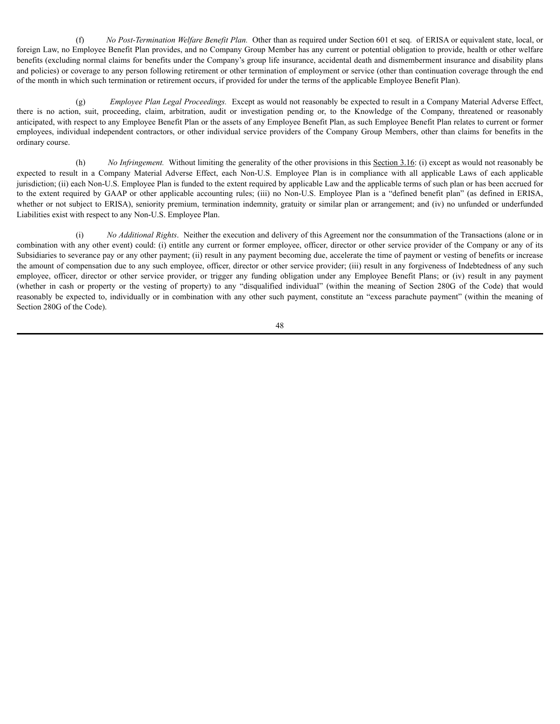(f) *No Post-Termination Welfare Benefit Plan.* Other than as required under Section 601 et seq. of ERISA or equivalent state, local, or foreign Law, no Employee Benefit Plan provides, and no Company Group Member has any current or potential obligation to provide, health or other welfare benefits (excluding normal claims for benefits under the Company's group life insurance, accidental death and dismemberment insurance and disability plans and policies) or coverage to any person following retirement or other termination of employment or service (other than continuation coverage through the end of the month in which such termination or retirement occurs, if provided for under the terms of the applicable Employee Benefit Plan).

(g) *Employee Plan Legal Proceedings.* Except as would not reasonably be expected to result in a Company Material Adverse Effect, there is no action, suit, proceeding, claim, arbitration, audit or investigation pending or, to the Knowledge of the Company, threatened or reasonably anticipated, with respect to any Employee Benefit Plan or the assets of any Employee Benefit Plan, as such Employee Benefit Plan relates to current or former employees, individual independent contractors, or other individual service providers of the Company Group Members, other than claims for benefits in the ordinary course.

(h) *No Infringement.* Without limiting the generality of the other provisions in this Section 3.16: (i) except as would not reasonably be expected to result in a Company Material Adverse Effect, each Non-U.S. Employee Plan is in compliance with all applicable Laws of each applicable jurisdiction; (ii) each Non-U.S. Employee Plan is funded to the extent required by applicable Law and the applicable terms of such plan or has been accrued for to the extent required by GAAP or other applicable accounting rules; (iii) no Non-U.S. Employee Plan is a "defined benefit plan" (as defined in ERISA, whether or not subject to ERISA), seniority premium, termination indemnity, gratuity or similar plan or arrangement; and (iv) no unfunded or underfunded Liabilities exist with respect to any Non-U.S. Employee Plan.

(i) *No Additional Rights*. Neither the execution and delivery of this Agreement nor the consummation of the Transactions (alone or in combination with any other event) could: (i) entitle any current or former employee, officer, director or other service provider of the Company or any of its Subsidiaries to severance pay or any other payment; (ii) result in any payment becoming due, accelerate the time of payment or vesting of benefits or increase the amount of compensation due to any such employee, officer, director or other service provider; (iii) result in any forgiveness of Indebtedness of any such employee, officer, director or other service provider, or trigger any funding obligation under any Employee Benefit Plans; or (iv) result in any payment (whether in cash or property or the vesting of property) to any "disqualified individual" (within the meaning of Section 280G of the Code) that would reasonably be expected to, individually or in combination with any other such payment, constitute an "excess parachute payment" (within the meaning of Section 280G of the Code).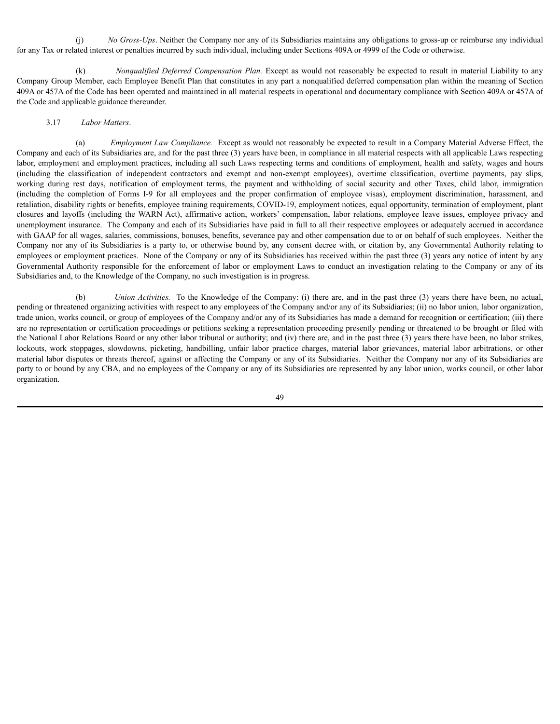(j) *No Gross-Ups*. Neither the Company nor any of its Subsidiaries maintains any obligations to gross-up or reimburse any individual for any Tax or related interest or penalties incurred by such individual, including under Sections 409A or 4999 of the Code or otherwise.

(k) *Nonqualified Deferred Compensation Plan.* Except as would not reasonably be expected to result in material Liability to any Company Group Member, each Employee Benefit Plan that constitutes in any part a nonqualified deferred compensation plan within the meaning of Section 409A or 457A of the Code has been operated and maintained in all material respects in operational and documentary compliance with Section 409A or 457A of the Code and applicable guidance thereunder.

#### 3.17 *Labor Matters*.

(a) *Employment Law Compliance.* Except as would not reasonably be expected to result in a Company Material Adverse Effect, the Company and each of its Subsidiaries are, and for the past three (3) years have been, in compliance in all material respects with all applicable Laws respecting labor, employment and employment practices, including all such Laws respecting terms and conditions of employment, health and safety, wages and hours (including the classification of independent contractors and exempt and non-exempt employees), overtime classification, overtime payments, pay slips, working during rest days, notification of employment terms, the payment and withholding of social security and other Taxes, child labor, immigration (including the completion of Forms I-9 for all employees and the proper confirmation of employee visas), employment discrimination, harassment, and retaliation, disability rights or benefits, employee training requirements, COVID-19, employment notices, equal opportunity, termination of employment, plant closures and layoffs (including the WARN Act), affirmative action, workers' compensation, labor relations, employee leave issues, employee privacy and unemployment insurance. The Company and each of its Subsidiaries have paid in full to all their respective employees or adequately accrued in accordance with GAAP for all wages, salaries, commissions, bonuses, benefits, severance pay and other compensation due to or on behalf of such employees. Neither the Company nor any of its Subsidiaries is a party to, or otherwise bound by, any consent decree with, or citation by, any Governmental Authority relating to employees or employment practices. None of the Company or any of its Subsidiaries has received within the past three (3) years any notice of intent by any Governmental Authority responsible for the enforcement of labor or employment Laws to conduct an investigation relating to the Company or any of its Subsidiaries and, to the Knowledge of the Company, no such investigation is in progress.

(b) *Union Activities.* To the Knowledge of the Company: (i) there are, and in the past three (3) years there have been, no actual, pending or threatened organizing activities with respect to any employees of the Company and/or any of its Subsidiaries; (ii) no labor union, labor organization, trade union, works council, or group of employees of the Company and/or any of its Subsidiaries has made a demand for recognition or certification; (iii) there are no representation or certification proceedings or petitions seeking a representation proceeding presently pending or threatened to be brought or filed with the National Labor Relations Board or any other labor tribunal or authority; and (iv) there are, and in the past three (3) years there have been, no labor strikes, lockouts, work stoppages, slowdowns, picketing, handbilling, unfair labor practice charges, material labor grievances, material labor arbitrations, or other material labor disputes or threats thereof, against or affecting the Company or any of its Subsidiaries. Neither the Company nor any of its Subsidiaries are party to or bound by any CBA, and no employees of the Company or any of its Subsidiaries are represented by any labor union, works council, or other labor organization.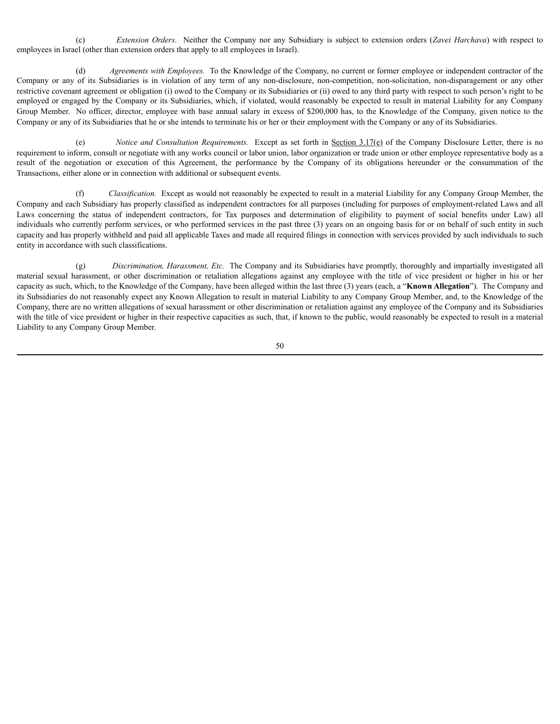(c) *Extension Orders.* Neither the Company nor any Subsidiary is subject to extension orders (*Zavei Harchava*) with respect to employees in Israel (other than extension orders that apply to all employees in Israel).

(d) *Agreements with Employees.* To the Knowledge of the Company, no current or former employee or independent contractor of the Company or any of its Subsidiaries is in violation of any term of any non-disclosure, non-competition, non-solicitation, non-disparagement or any other restrictive covenant agreement or obligation (i) owed to the Company or its Subsidiaries or (ii) owed to any third party with respect to such person's right to be employed or engaged by the Company or its Subsidiaries, which, if violated, would reasonably be expected to result in material Liability for any Company Group Member. No officer, director, employee with base annual salary in excess of \$200,000 has, to the Knowledge of the Company, given notice to the Company or any of its Subsidiaries that he or she intends to terminate his or her or their employment with the Company or any of its Subsidiaries.

(e) *Notice and Consultation Requirements.* Except as set forth in Section 3.17(e) of the Company Disclosure Letter, there is no requirement to inform, consult or negotiate with any works council or labor union, labor organization or trade union or other employee representative body as a result of the negotiation or execution of this Agreement, the performance by the Company of its obligations hereunder or the consummation of the Transactions, either alone or in connection with additional or subsequent events.

(f) *Classification.* Except as would not reasonably be expected to result in a material Liability for any Company Group Member, the Company and each Subsidiary has properly classified as independent contractors for all purposes (including for purposes of employment-related Laws and all Laws concerning the status of independent contractors, for Tax purposes and determination of eligibility to payment of social benefits under Law) all individuals who currently perform services, or who performed services in the past three (3) years on an ongoing basis for or on behalf of such entity in such capacity and has properly withheld and paid all applicable Taxes and made all required filings in connection with services provided by such individuals to such entity in accordance with such classifications.

(g) *Discrimination, Harassment, Etc.* The Company and its Subsidiaries have promptly, thoroughly and impartially investigated all material sexual harassment, or other discrimination or retaliation allegations against any employee with the title of vice president or higher in his or her capacity as such, which, to the Knowledge of the Company, have been alleged within the last three (3) years (each, a "**Known Allegation**"). The Company and its Subsidiaries do not reasonably expect any Known Allegation to result in material Liability to any Company Group Member, and, to the Knowledge of the Company, there are no written allegations of sexual harassment or other discrimination or retaliation against any employee of the Company and its Subsidiaries with the title of vice president or higher in their respective capacities as such, that, if known to the public, would reasonably be expected to result in a material Liability to any Company Group Member.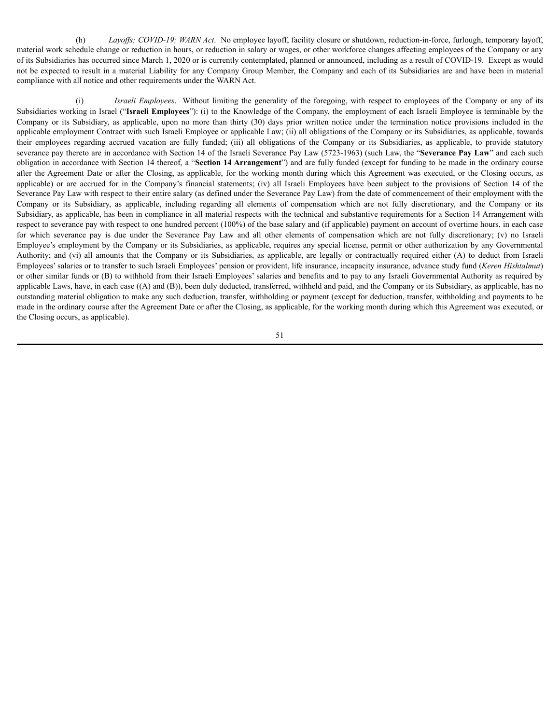(h) *Layoffs; COVID-19; WARN Act*. No employee layoff, facility closure or shutdown, reduction-in-force, furlough, temporary layoff, material work schedule change or reduction in hours, or reduction in salary or wages, or other workforce changes affecting employees of the Company or any of its Subsidiaries has occurred since March 1, 2020 or is currently contemplated, planned or announced, including as a result of COVID-19. Except as would not be expected to result in a material Liability for any Company Group Member, the Company and each of its Subsidiaries are and have been in material compliance with all notice and other requirements under the WARN Act.

(i) *Israeli Employees*. Without limiting the generality of the foregoing, with respect to employees of the Company or any of its Subsidiaries working in Israel ("**Israeli Employees**"): (i) to the Knowledge of the Company, the employment of each Israeli Employee is terminable by the Company or its Subsidiary, as applicable, upon no more than thirty (30) days prior written notice under the termination notice provisions included in the applicable employment Contract with such Israeli Employee or applicable Law; (ii) all obligations of the Company or its Subsidiaries, as applicable, towards their employees regarding accrued vacation are fully funded; (iii) all obligations of the Company or its Subsidiaries, as applicable, to provide statutory severance pay thereto are in accordance with Section 14 of the Israeli Severance Pay Law (5723-1963) (such Law, the "**Severance Pay Law**" and each such obligation in accordance with Section 14 thereof, a "**Section 14 Arrangement**") and are fully funded (except for funding to be made in the ordinary course after the Agreement Date or after the Closing, as applicable, for the working month during which this Agreement was executed, or the Closing occurs, as applicable) or are accrued for in the Company's financial statements; (iv) all Israeli Employees have been subject to the provisions of Section 14 of the Severance Pay Law with respect to their entire salary (as defined under the Severance Pay Law) from the date of commencement of their employment with the Company or its Subsidiary, as applicable, including regarding all elements of compensation which are not fully discretionary, and the Company or its Subsidiary, as applicable, has been in compliance in all material respects with the technical and substantive requirements for a Section 14 Arrangement with respect to severance pay with respect to one hundred percent (100%) of the base salary and (if applicable) payment on account of overtime hours, in each case for which severance pay is due under the Severance Pay Law and all other elements of compensation which are not fully discretionary; (v) no Israeli Employee's employment by the Company or its Subsidiaries, as applicable, requires any special license, permit or other authorization by any Governmental Authority; and (vi) all amounts that the Company or its Subsidiaries, as applicable, are legally or contractually required either (A) to deduct from Israeli Employees' salaries or to transfer to such Israeli Employees' pension or provident, life insurance, incapacity insurance, advance study fund (*Keren Hishtalmut*) or other similar funds or (B) to withhold from their Israeli Employees' salaries and benefits and to pay to any Israeli Governmental Authority as required by applicable Laws, have, in each case ((A) and (B)), been duly deducted, transferred, withheld and paid, and the Company or its Subsidiary, as applicable, has no outstanding material obligation to make any such deduction, transfer, withholding or payment (except for deduction, transfer, withholding and payments to be made in the ordinary course after the Agreement Date or after the Closing, as applicable, for the working month during which this Agreement was executed, or the Closing occurs, as applicable).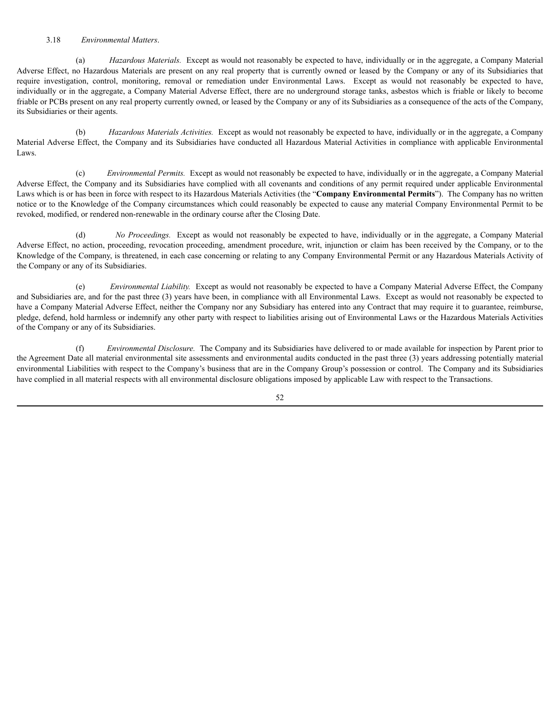### 3.18 *Environmental Matters*.

(a) *Hazardous Materials.* Except as would not reasonably be expected to have, individually or in the aggregate, a Company Material Adverse Effect, no Hazardous Materials are present on any real property that is currently owned or leased by the Company or any of its Subsidiaries that require investigation, control, monitoring, removal or remediation under Environmental Laws. Except as would not reasonably be expected to have, individually or in the aggregate, a Company Material Adverse Effect, there are no underground storage tanks, asbestos which is friable or likely to become friable or PCBs present on any real property currently owned, or leased by the Company or any of its Subsidiaries as a consequence of the acts of the Company, its Subsidiaries or their agents.

(b) *Hazardous Materials Activities.* Except as would not reasonably be expected to have, individually or in the aggregate, a Company Material Adverse Effect, the Company and its Subsidiaries have conducted all Hazardous Material Activities in compliance with applicable Environmental Laws.

(c) *Environmental Permits.* Except as would not reasonably be expected to have, individually or in the aggregate, a Company Material Adverse Effect, the Company and its Subsidiaries have complied with all covenants and conditions of any permit required under applicable Environmental Laws which is or has been in force with respect to its Hazardous Materials Activities (the "**Company Environmental Permits**"). The Company has no written notice or to the Knowledge of the Company circumstances which could reasonably be expected to cause any material Company Environmental Permit to be revoked, modified, or rendered non-renewable in the ordinary course after the Closing Date.

(d) *No Proceedings.* Except as would not reasonably be expected to have, individually or in the aggregate, a Company Material Adverse Effect, no action, proceeding, revocation proceeding, amendment procedure, writ, injunction or claim has been received by the Company, or to the Knowledge of the Company, is threatened, in each case concerning or relating to any Company Environmental Permit or any Hazardous Materials Activity of the Company or any of its Subsidiaries.

(e) *Environmental Liability.* Except as would not reasonably be expected to have a Company Material Adverse Effect, the Company and Subsidiaries are, and for the past three (3) years have been, in compliance with all Environmental Laws. Except as would not reasonably be expected to have a Company Material Adverse Effect, neither the Company nor any Subsidiary has entered into any Contract that may require it to guarantee, reimburse, pledge, defend, hold harmless or indemnify any other party with respect to liabilities arising out of Environmental Laws or the Hazardous Materials Activities of the Company or any of its Subsidiaries.

(f) *Environmental Disclosure.* The Company and its Subsidiaries have delivered to or made available for inspection by Parent prior to the Agreement Date all material environmental site assessments and environmental audits conducted in the past three (3) years addressing potentially material environmental Liabilities with respect to the Company's business that are in the Company Group's possession or control. The Company and its Subsidiaries have complied in all material respects with all environmental disclosure obligations imposed by applicable Law with respect to the Transactions.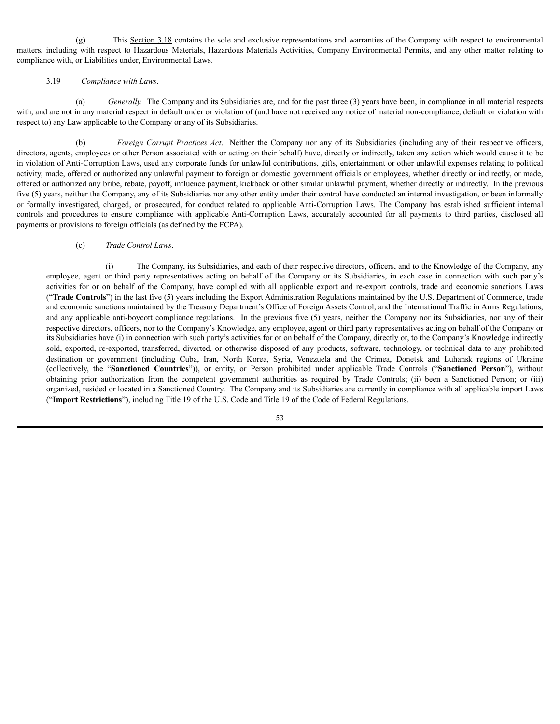(g) This Section 3.18 contains the sole and exclusive representations and warranties of the Company with respect to environmental matters, including with respect to Hazardous Materials, Hazardous Materials Activities, Company Environmental Permits, and any other matter relating to compliance with, or Liabilities under, Environmental Laws.

### 3.19 *Compliance with Laws*.

(a) *Generally.* The Company and its Subsidiaries are, and for the past three (3) years have been, in compliance in all material respects with, and are not in any material respect in default under or violation of (and have not received any notice of material non-compliance, default or violation with respect to) any Law applicable to the Company or any of its Subsidiaries.

(b) *Foreign Corrupt Practices Act*. Neither the Company nor any of its Subsidiaries (including any of their respective officers, directors, agents, employees or other Person associated with or acting on their behalf) have, directly or indirectly, taken any action which would cause it to be in violation of Anti-Corruption Laws, used any corporate funds for unlawful contributions, gifts, entertainment or other unlawful expenses relating to political activity, made, offered or authorized any unlawful payment to foreign or domestic government officials or employees, whether directly or indirectly, or made, offered or authorized any bribe, rebate, payoff, influence payment, kickback or other similar unlawful payment, whether directly or indirectly. In the previous five (5) years, neither the Company, any of its Subsidiaries nor any other entity under their control have conducted an internal investigation, or been informally or formally investigated, charged, or prosecuted, for conduct related to applicable Anti-Corruption Laws. The Company has established sufficient internal controls and procedures to ensure compliance with applicable Anti-Corruption Laws, accurately accounted for all payments to third parties, disclosed all payments or provisions to foreign officials (as defined by the FCPA).

### (c) *Trade Control Laws*.

(i) The Company, its Subsidiaries, and each of their respective directors, officers, and to the Knowledge of the Company, any employee, agent or third party representatives acting on behalf of the Company or its Subsidiaries, in each case in connection with such party's activities for or on behalf of the Company, have complied with all applicable export and re-export controls, trade and economic sanctions Laws ("**Trade Controls**") in the last five (5) years including the Export Administration Regulations maintained by the U.S. Department of Commerce, trade and economic sanctions maintained by the Treasury Department's Office of Foreign Assets Control, and the International Traffic in Arms Regulations, and any applicable anti-boycott compliance regulations. In the previous five (5) years, neither the Company nor its Subsidiaries, nor any of their respective directors, officers, nor to the Company's Knowledge, any employee, agent or third party representatives acting on behalf of the Company or its Subsidiaries have (i) in connection with such party's activities for or on behalf of the Company, directly or, to the Company's Knowledge indirectly sold, exported, re-exported, transferred, diverted, or otherwise disposed of any products, software, technology, or technical data to any prohibited destination or government (including Cuba, Iran, North Korea, Syria, Venezuela and the Crimea, Donetsk and Luhansk regions of Ukraine (collectively, the "**Sanctioned Countries**")), or entity, or Person prohibited under applicable Trade Controls ("**Sanctioned Person**"), without obtaining prior authorization from the competent government authorities as required by Trade Controls; (ii) been a Sanctioned Person; or (iii) organized, resided or located in a Sanctioned Country. The Company and its Subsidiaries are currently in compliance with all applicable import Laws ("**Import Restrictions**"), including Title 19 of the U.S. Code and Title 19 of the Code of Federal Regulations.

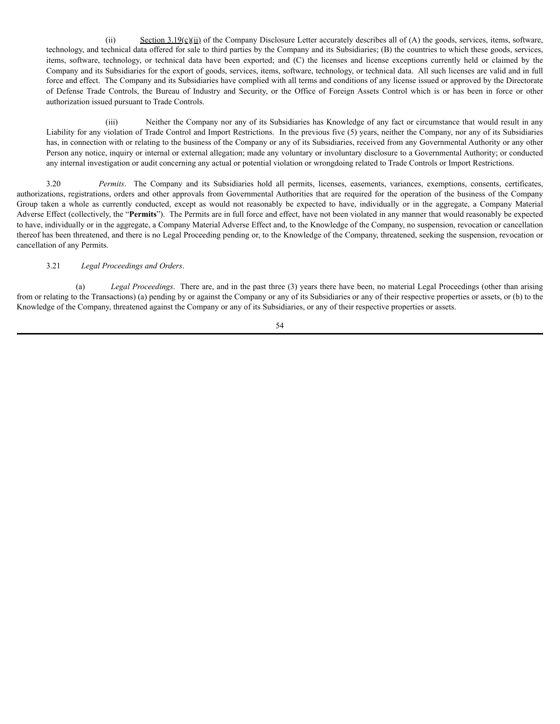(ii) Section  $3.19(c)(ii)$  of the Company Disclosure Letter accurately describes all of (A) the goods, services, items, software, technology, and technical data offered for sale to third parties by the Company and its Subsidiaries; (B) the countries to which these goods, services, items, software, technology, or technical data have been exported; and (C) the licenses and license exceptions currently held or claimed by the Company and its Subsidiaries for the export of goods, services, items, software, technology, or technical data. All such licenses are valid and in full force and effect. The Company and its Subsidiaries have complied with all terms and conditions of any license issued or approved by the Directorate of Defense Trade Controls, the Bureau of Industry and Security, or the Office of Foreign Assets Control which is or has been in force or other authorization issued pursuant to Trade Controls.

(iii) Neither the Company nor any of its Subsidiaries has Knowledge of any fact or circumstance that would result in any Liability for any violation of Trade Control and Import Restrictions. In the previous five (5) years, neither the Company, nor any of its Subsidiaries has, in connection with or relating to the business of the Company or any of its Subsidiaries, received from any Governmental Authority or any other Person any notice, inquiry or internal or external allegation; made any voluntary or involuntary disclosure to a Governmental Authority; or conducted any internal investigation or audit concerning any actual or potential violation or wrongdoing related to Trade Controls or Import Restrictions.

3.20 *Permits*. The Company and its Subsidiaries hold all permits, licenses, easements, variances, exemptions, consents, certificates, authorizations, registrations, orders and other approvals from Governmental Authorities that are required for the operation of the business of the Company Group taken a whole as currently conducted, except as would not reasonably be expected to have, individually or in the aggregate, a Company Material Adverse Effect (collectively, the "**Permits**"). The Permits are in full force and effect, have not been violated in any manner that would reasonably be expected to have, individually or in the aggregate, a Company Material Adverse Effect and, to the Knowledge of the Company, no suspension, revocation or cancellation thereof has been threatened, and there is no Legal Proceeding pending or, to the Knowledge of the Company, threatened, seeking the suspension, revocation or cancellation of any Permits.

# 3.21 *Legal Proceedings and Orders*.

(a) *Legal Proceedings*. There are, and in the past three (3) years there have been, no material Legal Proceedings (other than arising from or relating to the Transactions) (a) pending by or against the Company or any of its Subsidiaries or any of their respective properties or assets, or (b) to the Knowledge of the Company, threatened against the Company or any of its Subsidiaries, or any of their respective properties or assets.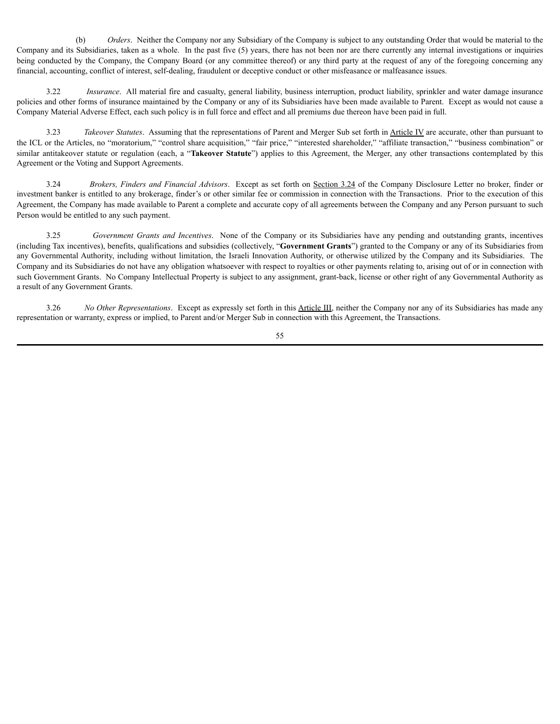(b) *Orders*. Neither the Company nor any Subsidiary of the Company is subject to any outstanding Order that would be material to the Company and its Subsidiaries, taken as a whole. In the past five (5) years, there has not been nor are there currently any internal investigations or inquiries being conducted by the Company, the Company Board (or any committee thereof) or any third party at the request of any of the foregoing concerning any financial, accounting, conflict of interest, self-dealing, fraudulent or deceptive conduct or other misfeasance or malfeasance issues.

3.22 *Insurance*. All material fire and casualty, general liability, business interruption, product liability, sprinkler and water damage insurance policies and other forms of insurance maintained by the Company or any of its Subsidiaries have been made available to Parent. Except as would not cause a Company Material Adverse Effect, each such policy is in full force and effect and all premiums due thereon have been paid in full.

3.23 *Takeover Statutes*. Assuming that the representations of Parent and Merger Sub set forth in Article IV are accurate, other than pursuant to the ICL or the Articles, no "moratorium," "control share acquisition," "fair price," "interested shareholder," "affiliate transaction," "business combination" or similar antitakeover statute or regulation (each, a "**Takeover Statute**") applies to this Agreement, the Merger, any other transactions contemplated by this Agreement or the Voting and Support Agreements.

3.24 *Brokers, Finders and Financial Advisors*. Except as set forth on Section 3.24 of the Company Disclosure Letter no broker, finder or investment banker is entitled to any brokerage, finder's or other similar fee or commission in connection with the Transactions. Prior to the execution of this Agreement, the Company has made available to Parent a complete and accurate copy of all agreements between the Company and any Person pursuant to such Person would be entitled to any such payment.

3.25 *Government Grants and Incentives*. None of the Company or its Subsidiaries have any pending and outstanding grants, incentives (including Tax incentives), benefits, qualifications and subsidies (collectively, "**Government Grants**") granted to the Company or any of its Subsidiaries from any Governmental Authority, including without limitation, the Israeli Innovation Authority, or otherwise utilized by the Company and its Subsidiaries. The Company and its Subsidiaries do not have any obligation whatsoever with respect to royalties or other payments relating to, arising out of or in connection with such Government Grants. No Company Intellectual Property is subject to any assignment, grant-back, license or other right of any Governmental Authority as a result of any Government Grants.

3.26 *No Other Representations*. Except as expressly set forth in this Article III, neither the Company nor any of its Subsidiaries has made any representation or warranty, express or implied, to Parent and/or Merger Sub in connection with this Agreement, the Transactions.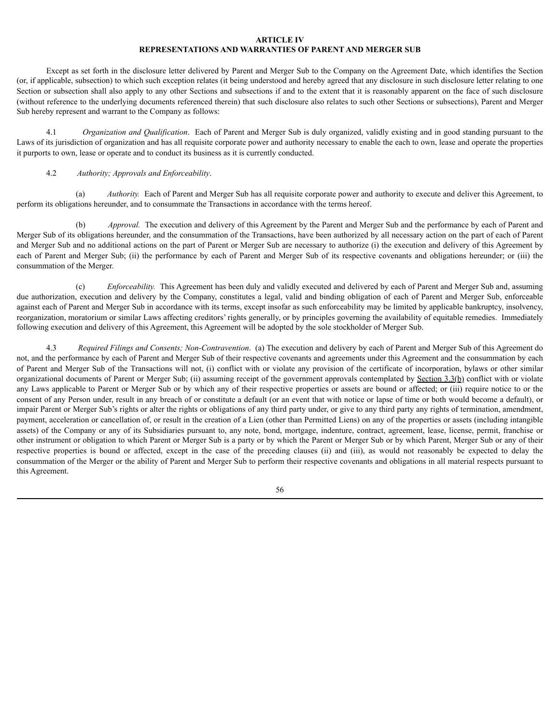# **ARTICLE IV REPRESENTATIONS AND WARRANTIES OF PARENT AND MERGER SUB**

Except as set forth in the disclosure letter delivered by Parent and Merger Sub to the Company on the Agreement Date, which identifies the Section (or, if applicable, subsection) to which such exception relates (it being understood and hereby agreed that any disclosure in such disclosure letter relating to one Section or subsection shall also apply to any other Sections and subsections if and to the extent that it is reasonably apparent on the face of such disclosure (without reference to the underlying documents referenced therein) that such disclosure also relates to such other Sections or subsections), Parent and Merger Sub hereby represent and warrant to the Company as follows:

4.1 *Organization and Qualification*. Each of Parent and Merger Sub is duly organized, validly existing and in good standing pursuant to the Laws of its jurisdiction of organization and has all requisite corporate power and authority necessary to enable the each to own, lease and operate the properties it purports to own, lease or operate and to conduct its business as it is currently conducted.

### 4.2 *Authority; Approvals and Enforceability*.

(a) *Authority.* Each of Parent and Merger Sub has all requisite corporate power and authority to execute and deliver this Agreement, to perform its obligations hereunder, and to consummate the Transactions in accordance with the terms hereof.

Approval. The execution and delivery of this Agreement by the Parent and Merger Sub and the performance by each of Parent and Merger Sub of its obligations hereunder, and the consummation of the Transactions, have been authorized by all necessary action on the part of each of Parent and Merger Sub and no additional actions on the part of Parent or Merger Sub are necessary to authorize (i) the execution and delivery of this Agreement by each of Parent and Merger Sub; (ii) the performance by each of Parent and Merger Sub of its respective covenants and obligations hereunder; or (iii) the consummation of the Merger.

(c) *Enforceability.* This Agreement has been duly and validly executed and delivered by each of Parent and Merger Sub and, assuming due authorization, execution and delivery by the Company, constitutes a legal, valid and binding obligation of each of Parent and Merger Sub, enforceable against each of Parent and Merger Sub in accordance with its terms, except insofar as such enforceability may be limited by applicable bankruptcy, insolvency, reorganization, moratorium or similar Laws affecting creditors' rights generally, or by principles governing the availability of equitable remedies. Immediately following execution and delivery of this Agreement, this Agreement will be adopted by the sole stockholder of Merger Sub.

4.3 *Required Filings and Consents; Non-Contravention*. (a) The execution and delivery by each of Parent and Merger Sub of this Agreement do not, and the performance by each of Parent and Merger Sub of their respective covenants and agreements under this Agreement and the consummation by each of Parent and Merger Sub of the Transactions will not, (i) conflict with or violate any provision of the certificate of incorporation, bylaws or other similar organizational documents of Parent or Merger Sub; (ii) assuming receipt of the government approvals contemplated by Section 3.3(b) conflict with or violate any Laws applicable to Parent or Merger Sub or by which any of their respective properties or assets are bound or affected; or (iii) require notice to or the consent of any Person under, result in any breach of or constitute a default (or an event that with notice or lapse of time or both would become a default), or impair Parent or Merger Sub's rights or alter the rights or obligations of any third party under, or give to any third party any rights of termination, amendment, payment, acceleration or cancellation of, or result in the creation of a Lien (other than Permitted Liens) on any of the properties or assets (including intangible assets) of the Company or any of its Subsidiaries pursuant to, any note, bond, mortgage, indenture, contract, agreement, lease, license, permit, franchise or other instrument or obligation to which Parent or Merger Sub is a party or by which the Parent or Merger Sub or by which Parent, Merger Sub or any of their respective properties is bound or affected, except in the case of the preceding clauses (ii) and (iii), as would not reasonably be expected to delay the consummation of the Merger or the ability of Parent and Merger Sub to perform their respective covenants and obligations in all material respects pursuant to this Agreement.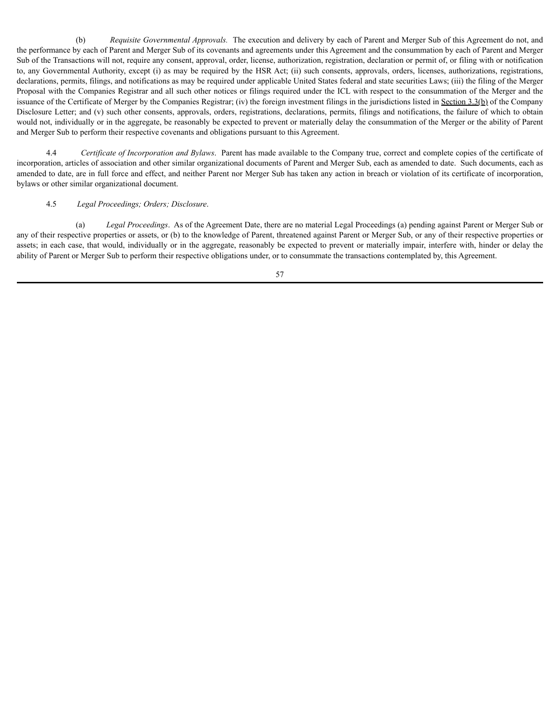(b) *Requisite Governmental Approvals.* The execution and delivery by each of Parent and Merger Sub of this Agreement do not, and the performance by each of Parent and Merger Sub of its covenants and agreements under this Agreement and the consummation by each of Parent and Merger Sub of the Transactions will not, require any consent, approval, order, license, authorization, registration, declaration or permit of, or filing with or notification to, any Governmental Authority, except (i) as may be required by the HSR Act; (ii) such consents, approvals, orders, licenses, authorizations, registrations, declarations, permits, filings, and notifications as may be required under applicable United States federal and state securities Laws; (iii) the filing of the Merger Proposal with the Companies Registrar and all such other notices or filings required under the ICL with respect to the consummation of the Merger and the issuance of the Certificate of Merger by the Companies Registrar; (iv) the foreign investment filings in the jurisdictions listed in Section 3.3(b) of the Company Disclosure Letter; and (v) such other consents, approvals, orders, registrations, declarations, permits, filings and notifications, the failure of which to obtain would not, individually or in the aggregate, be reasonably be expected to prevent or materially delay the consummation of the Merger or the ability of Parent and Merger Sub to perform their respective covenants and obligations pursuant to this Agreement.

4.4 *Certificate of Incorporation and Bylaws*. Parent has made available to the Company true, correct and complete copies of the certificate of incorporation, articles of association and other similar organizational documents of Parent and Merger Sub, each as amended to date. Such documents, each as amended to date, are in full force and effect, and neither Parent nor Merger Sub has taken any action in breach or violation of its certificate of incorporation, bylaws or other similar organizational document.

#### 4.5 *Legal Proceedings; Orders; Disclosure*.

(a) *Legal Proceedings*. As of the Agreement Date, there are no material Legal Proceedings (a) pending against Parent or Merger Sub or any of their respective properties or assets, or (b) to the knowledge of Parent, threatened against Parent or Merger Sub, or any of their respective properties or assets; in each case, that would, individually or in the aggregate, reasonably be expected to prevent or materially impair, interfere with, hinder or delay the ability of Parent or Merger Sub to perform their respective obligations under, or to consummate the transactions contemplated by, this Agreement.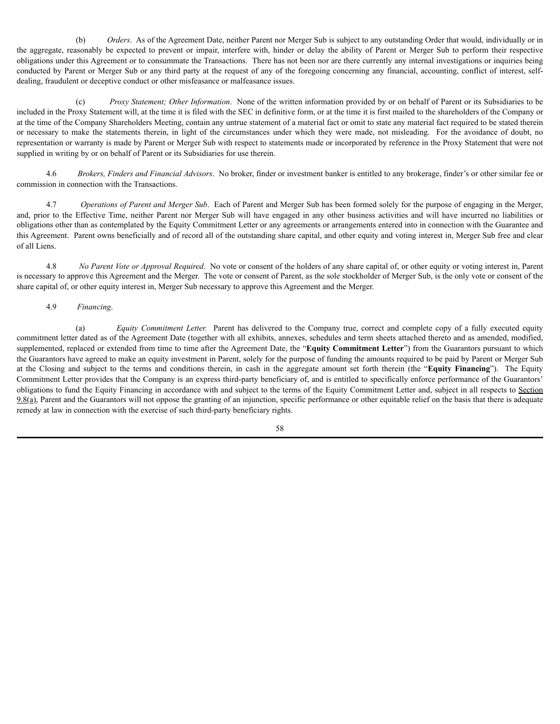(b) *Orders*. As of the Agreement Date, neither Parent nor Merger Sub is subject to any outstanding Order that would, individually or in the aggregate, reasonably be expected to prevent or impair, interfere with, hinder or delay the ability of Parent or Merger Sub to perform their respective obligations under this Agreement or to consummate the Transactions. There has not been nor are there currently any internal investigations or inquiries being conducted by Parent or Merger Sub or any third party at the request of any of the foregoing concerning any financial, accounting, conflict of interest, selfdealing, fraudulent or deceptive conduct or other misfeasance or malfeasance issues.

(c) *Proxy Statement; Other Information*. None of the written information provided by or on behalf of Parent or its Subsidiaries to be included in the Proxy Statement will, at the time it is filed with the SEC in definitive form, or at the time it is first mailed to the shareholders of the Company or at the time of the Company Shareholders Meeting, contain any untrue statement of a material fact or omit to state any material fact required to be stated therein or necessary to make the statements therein, in light of the circumstances under which they were made, not misleading. For the avoidance of doubt, no representation or warranty is made by Parent or Merger Sub with respect to statements made or incorporated by reference in the Proxy Statement that were not supplied in writing by or on behalf of Parent or its Subsidiaries for use therein.

4.6 *Brokers, Finders and Financial Advisors*. No broker, finder or investment banker is entitled to any brokerage, finder's or other similar fee or commission in connection with the Transactions.

4.7 *Operations of Parent and Merger Sub*. Each of Parent and Merger Sub has been formed solely for the purpose of engaging in the Merger, and, prior to the Effective Time, neither Parent nor Merger Sub will have engaged in any other business activities and will have incurred no liabilities or obligations other than as contemplated by the Equity Commitment Letter or any agreements or arrangements entered into in connection with the Guarantee and this Agreement. Parent owns beneficially and of record all of the outstanding share capital, and other equity and voting interest in, Merger Sub free and clear of all Liens.

4.8 *No Parent Vote or Approval Required*. No vote or consent of the holders of any share capital of, or other equity or voting interest in, Parent is necessary to approve this Agreement and the Merger. The vote or consent of Parent, as the sole stockholder of Merger Sub, is the only vote or consent of the share capital of, or other equity interest in, Merger Sub necessary to approve this Agreement and the Merger.

# 4.9 *Financing*.

(a) *Equity Commitment Letter.* Parent has delivered to the Company true, correct and complete copy of a fully executed equity commitment letter dated as of the Agreement Date (together with all exhibits, annexes, schedules and term sheets attached thereto and as amended, modified, supplemented, replaced or extended from time to time after the Agreement Date, the "**Equity Commitment Letter**") from the Guarantors pursuant to which the Guarantors have agreed to make an equity investment in Parent, solely for the purpose of funding the amounts required to be paid by Parent or Merger Sub at the Closing and subject to the terms and conditions therein, in cash in the aggregate amount set forth therein (the "**Equity Financing**"). The Equity Commitment Letter provides that the Company is an express third-party beneficiary of, and is entitled to specifically enforce performance of the Guarantors' obligations to fund the Equity Financing in accordance with and subject to the terms of the Equity Commitment Letter and, subject in all respects to Section  $9.8(a)$ , Parent and the Guarantors will not oppose the granting of an injunction, specific performance or other equitable relief on the basis that there is adequate remedy at law in connection with the exercise of such third-party beneficiary rights.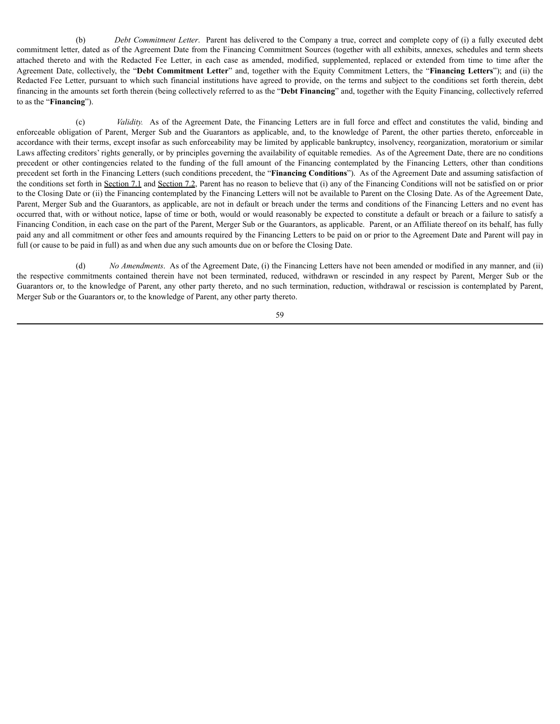(b) *Debt Commitment Letter*. Parent has delivered to the Company a true, correct and complete copy of (i) a fully executed debt commitment letter, dated as of the Agreement Date from the Financing Commitment Sources (together with all exhibits, annexes, schedules and term sheets attached thereto and with the Redacted Fee Letter, in each case as amended, modified, supplemented, replaced or extended from time to time after the Agreement Date, collectively, the "**Debt Commitment Letter**" and, together with the Equity Commitment Letters, the "**Financing Letters**"); and (ii) the Redacted Fee Letter, pursuant to which such financial institutions have agreed to provide, on the terms and subject to the conditions set forth therein, debt financing in the amounts set forth therein (being collectively referred to as the "**Debt Financing**" and, together with the Equity Financing, collectively referred to as the "**Financing**").

(c) *Validity.* As of the Agreement Date, the Financing Letters are in full force and effect and constitutes the valid, binding and enforceable obligation of Parent, Merger Sub and the Guarantors as applicable, and, to the knowledge of Parent, the other parties thereto, enforceable in accordance with their terms, except insofar as such enforceability may be limited by applicable bankruptcy, insolvency, reorganization, moratorium or similar Laws affecting creditors' rights generally, or by principles governing the availability of equitable remedies. As of the Agreement Date, there are no conditions precedent or other contingencies related to the funding of the full amount of the Financing contemplated by the Financing Letters, other than conditions precedent set forth in the Financing Letters (such conditions precedent, the "**Financing Conditions**"). As of the Agreement Date and assuming satisfaction of the conditions set forth in Section 7.1 and Section 7.2, Parent has no reason to believe that (i) any of the Financing Conditions will not be satisfied on or prior to the Closing Date or (ii) the Financing contemplated by the Financing Letters will not be available to Parent on the Closing Date. As of the Agreement Date, Parent, Merger Sub and the Guarantors, as applicable, are not in default or breach under the terms and conditions of the Financing Letters and no event has occurred that, with or without notice, lapse of time or both, would or would reasonably be expected to constitute a default or breach or a failure to satisfy a Financing Condition, in each case on the part of the Parent, Merger Sub or the Guarantors, as applicable. Parent, or an Affiliate thereof on its behalf, has fully paid any and all commitment or other fees and amounts required by the Financing Letters to be paid on or prior to the Agreement Date and Parent will pay in full (or cause to be paid in full) as and when due any such amounts due on or before the Closing Date.

(d) *No Amendments*. As of the Agreement Date, (i) the Financing Letters have not been amended or modified in any manner, and (ii) the respective commitments contained therein have not been terminated, reduced, withdrawn or rescinded in any respect by Parent, Merger Sub or the Guarantors or, to the knowledge of Parent, any other party thereto, and no such termination, reduction, withdrawal or rescission is contemplated by Parent, Merger Sub or the Guarantors or, to the knowledge of Parent, any other party thereto.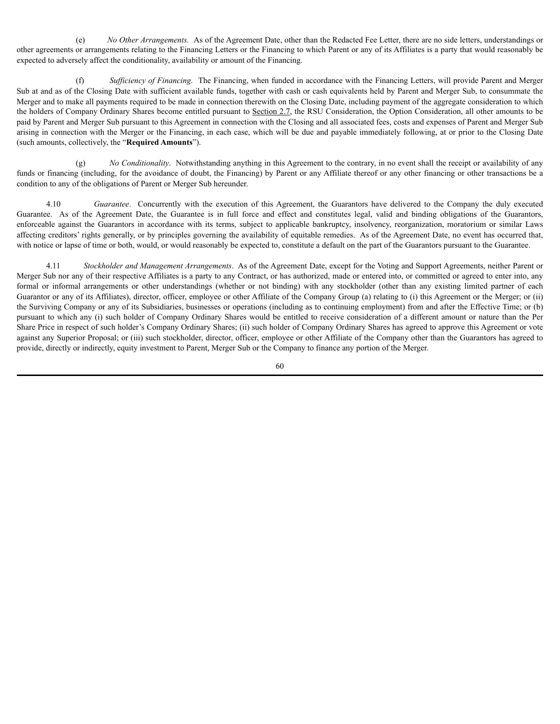(e) *No Other Arrangements.* As of the Agreement Date, other than the Redacted Fee Letter, there are no side letters, understandings or other agreements or arrangements relating to the Financing Letters or the Financing to which Parent or any of its Affiliates is a party that would reasonably be expected to adversely affect the conditionality, availability or amount of the Financing.

(f) *Suf iciency of Financing.* The Financing, when funded in accordance with the Financing Letters, will provide Parent and Merger Sub at and as of the Closing Date with sufficient available funds, together with cash or cash equivalents held by Parent and Merger Sub, to consummate the Merger and to make all payments required to be made in connection therewith on the Closing Date, including payment of the aggregate consideration to which the holders of Company Ordinary Shares become entitled pursuant to Section 2.7, the RSU Consideration, the Option Consideration, all other amounts to be paid by Parent and Merger Sub pursuant to this Agreement in connection with the Closing and all associated fees, costs and expenses of Parent and Merger Sub arising in connection with the Merger or the Financing, in each case, which will be due and payable immediately following, at or prior to the Closing Date (such amounts, collectively, the "**Required Amounts**").

(g) *No Conditionality*. Notwithstanding anything in this Agreement to the contrary, in no event shall the receipt or availability of any funds or financing (including, for the avoidance of doubt, the Financing) by Parent or any Affiliate thereof or any other financing or other transactions be a condition to any of the obligations of Parent or Merger Sub hereunder.

4.10 *Guarantee*. Concurrently with the execution of this Agreement, the Guarantors have delivered to the Company the duly executed Guarantee. As of the Agreement Date, the Guarantee is in full force and effect and constitutes legal, valid and binding obligations of the Guarantors, enforceable against the Guarantors in accordance with its terms, subject to applicable bankruptcy, insolvency, reorganization, moratorium or similar Laws affecting creditors' rights generally, or by principles governing the availability of equitable remedies. As of the Agreement Date, no event has occurred that, with notice or lapse of time or both, would, or would reasonably be expected to, constitute a default on the part of the Guarantors pursuant to the Guarantee.

4.11 *Stockholder and Management Arrangements*. As of the Agreement Date, except for the Voting and Support Agreements, neither Parent or Merger Sub nor any of their respective Affiliates is a party to any Contract, or has authorized, made or entered into, or committed or agreed to enter into, any formal or informal arrangements or other understandings (whether or not binding) with any stockholder (other than any existing limited partner of each Guarantor or any of its Affiliates), director, officer, employee or other Affiliate of the Company Group (a) relating to (i) this Agreement or the Merger; or (ii) the Surviving Company or any of its Subsidiaries, businesses or operations (including as to continuing employment) from and after the Effective Time; or (b) pursuant to which any (i) such holder of Company Ordinary Shares would be entitled to receive consideration of a different amount or nature than the Per Share Price in respect of such holder's Company Ordinary Shares; (ii) such holder of Company Ordinary Shares has agreed to approve this Agreement or vote against any Superior Proposal; or (iii) such stockholder, director, officer, employee or other Affiliate of the Company other than the Guarantors has agreed to provide, directly or indirectly, equity investment to Parent, Merger Sub or the Company to finance any portion of the Merger.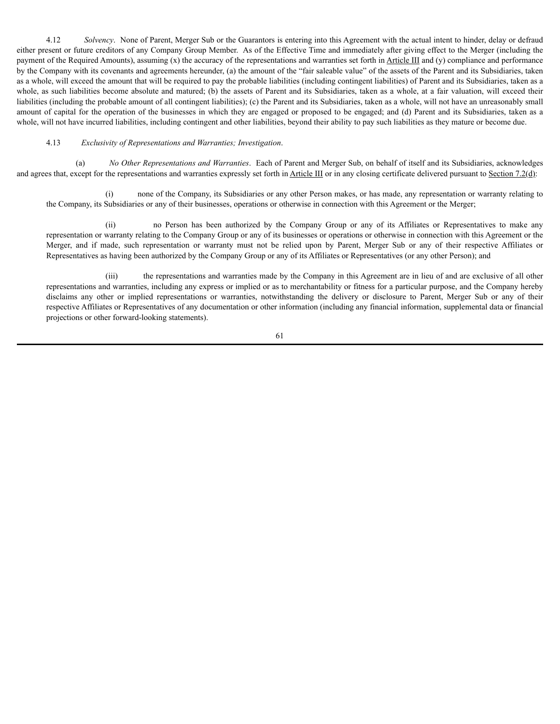4.12 *Solvency*. None of Parent, Merger Sub or the Guarantors is entering into this Agreement with the actual intent to hinder, delay or defraud either present or future creditors of any Company Group Member. As of the Effective Time and immediately after giving effect to the Merger (including the payment of the Required Amounts), assuming  $(x)$  the accuracy of the representations and warranties set forth in Article III and  $(y)$  compliance and performance by the Company with its covenants and agreements hereunder, (a) the amount of the "fair saleable value" of the assets of the Parent and its Subsidiaries, taken as a whole, will exceed the amount that will be required to pay the probable liabilities (including contingent liabilities) of Parent and its Subsidiaries, taken as a whole, as such liabilities become absolute and matured; (b) the assets of Parent and its Subsidiaries, taken as a whole, at a fair valuation, will exceed their liabilities (including the probable amount of all contingent liabilities); (c) the Parent and its Subsidiaries, taken as a whole, will not have an unreasonably small amount of capital for the operation of the businesses in which they are engaged or proposed to be engaged; and (d) Parent and its Subsidiaries, taken as a whole, will not have incurred liabilities, including contingent and other liabilities, beyond their ability to pay such liabilities as they mature or become due.

### 4.13 *Exclusivity of Representations and Warranties; Investigation*.

(a) *No Other Representations and Warranties*. Each of Parent and Merger Sub, on behalf of itself and its Subsidiaries, acknowledges and agrees that, except for the representations and warranties expressly set forth in Article III or in any closing certificate delivered pursuant to Section 7.2(d):

(i) none of the Company, its Subsidiaries or any other Person makes, or has made, any representation or warranty relating to the Company, its Subsidiaries or any of their businesses, operations or otherwise in connection with this Agreement or the Merger;

(ii) no Person has been authorized by the Company Group or any of its Affiliates or Representatives to make any representation or warranty relating to the Company Group or any of its businesses or operations or otherwise in connection with this Agreement or the Merger, and if made, such representation or warranty must not be relied upon by Parent, Merger Sub or any of their respective Affiliates or Representatives as having been authorized by the Company Group or any of its Affiliates or Representatives (or any other Person); and

(iii) the representations and warranties made by the Company in this Agreement are in lieu of and are exclusive of all other representations and warranties, including any express or implied or as to merchantability or fitness for a particular purpose, and the Company hereby disclaims any other or implied representations or warranties, notwithstanding the delivery or disclosure to Parent, Merger Sub or any of their respective Affiliates or Representatives of any documentation or other information (including any financial information, supplemental data or financial projections or other forward-looking statements).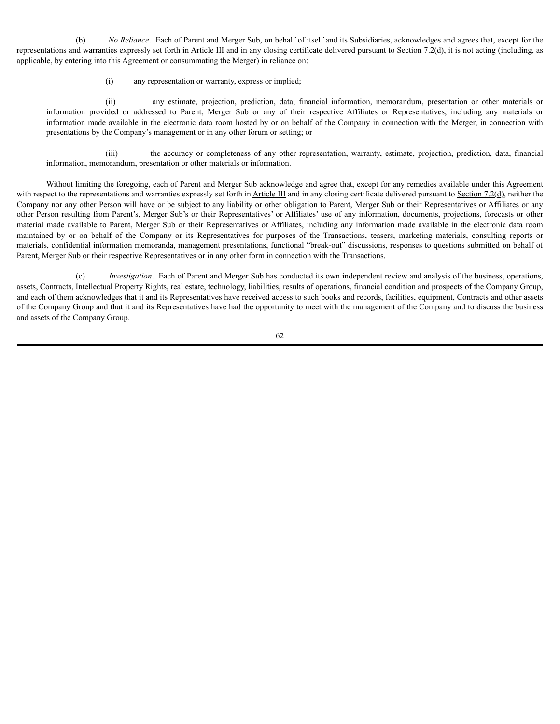(b) *No Reliance*. Each of Parent and Merger Sub, on behalf of itself and its Subsidiaries, acknowledges and agrees that, except for the representations and warranties expressly set forth in Article III and in any closing certificate delivered pursuant to Section 7.2(d), it is not acting (including, as applicable, by entering into this Agreement or consummating the Merger) in reliance on:

(i) any representation or warranty, express or implied;

(ii) any estimate, projection, prediction, data, financial information, memorandum, presentation or other materials or information provided or addressed to Parent, Merger Sub or any of their respective Affiliates or Representatives, including any materials or information made available in the electronic data room hosted by or on behalf of the Company in connection with the Merger, in connection with presentations by the Company's management or in any other forum or setting; or

(iii) the accuracy or completeness of any other representation, warranty, estimate, projection, prediction, data, financial information, memorandum, presentation or other materials or information.

Without limiting the foregoing, each of Parent and Merger Sub acknowledge and agree that, except for any remedies available under this Agreement with respect to the representations and warranties expressly set forth in  $\Delta$ rticle III and in any closing certificate delivered pursuant to  $\Delta$ ection 7.2(d), neither the Company nor any other Person will have or be subject to any liability or other obligation to Parent, Merger Sub or their Representatives or Affiliates or any other Person resulting from Parent's, Merger Sub's or their Representatives' or Affiliates' use of any information, documents, projections, forecasts or other material made available to Parent, Merger Sub or their Representatives or Affiliates, including any information made available in the electronic data room maintained by or on behalf of the Company or its Representatives for purposes of the Transactions, teasers, marketing materials, consulting reports or materials, confidential information memoranda, management presentations, functional "break-out" discussions, responses to questions submitted on behalf of Parent, Merger Sub or their respective Representatives or in any other form in connection with the Transactions.

(c) *Investigation*. Each of Parent and Merger Sub has conducted its own independent review and analysis of the business, operations, assets, Contracts, Intellectual Property Rights, real estate, technology, liabilities, results of operations, financial condition and prospects of the Company Group, and each of them acknowledges that it and its Representatives have received access to such books and records, facilities, equipment, Contracts and other assets of the Company Group and that it and its Representatives have had the opportunity to meet with the management of the Company and to discuss the business and assets of the Company Group.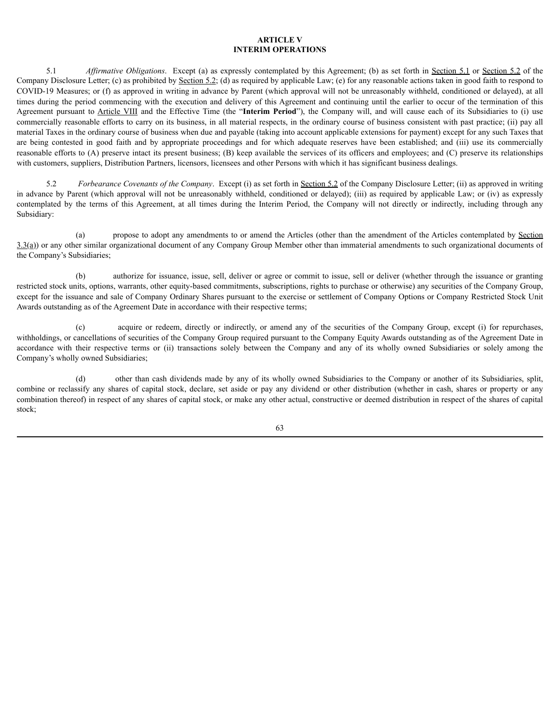# **ARTICLE V INTERIM OPERATIONS**

5.1 *Af irmative Obligations*. Except (a) as expressly contemplated by this Agreement; (b) as set forth in Section 5.1 or Section 5.2 of the Company Disclosure Letter; (c) as prohibited by Section 5.2; (d) as required by applicable Law; (e) for any reasonable actions taken in good faith to respond to COVID-19 Measures; or (f) as approved in writing in advance by Parent (which approval will not be unreasonably withheld, conditioned or delayed), at all times during the period commencing with the execution and delivery of this Agreement and continuing until the earlier to occur of the termination of this Agreement pursuant to Article VIII and the Effective Time (the "**Interim Period**"), the Company will, and will cause each of its Subsidiaries to (i) use commercially reasonable efforts to carry on its business, in all material respects, in the ordinary course of business consistent with past practice; (ii) pay all material Taxes in the ordinary course of business when due and payable (taking into account applicable extensions for payment) except for any such Taxes that are being contested in good faith and by appropriate proceedings and for which adequate reserves have been established; and (iii) use its commercially reasonable efforts to (A) preserve intact its present business; (B) keep available the services of its officers and employees; and (C) preserve its relationships with customers, suppliers, Distribution Partners, licensors, licensees and other Persons with which it has significant business dealings.

5.2 *Forbearance Covenants of the Company*. Except (i) as set forth in Section 5.2 of the Company Disclosure Letter; (ii) as approved in writing in advance by Parent (which approval will not be unreasonably withheld, conditioned or delayed); (iii) as required by applicable Law; or (iv) as expressly contemplated by the terms of this Agreement, at all times during the Interim Period, the Company will not directly or indirectly, including through any Subsidiary:

(a) propose to adopt any amendments to or amend the Articles (other than the amendment of the Articles contemplated by Section  $3.3(a)$ ) or any other similar organizational document of any Company Group Member other than immaterial amendments to such organizational documents of the Company's Subsidiaries;

(b) authorize for issuance, issue, sell, deliver or agree or commit to issue, sell or deliver (whether through the issuance or granting restricted stock units, options, warrants, other equity-based commitments, subscriptions, rights to purchase or otherwise) any securities of the Company Group, except for the issuance and sale of Company Ordinary Shares pursuant to the exercise or settlement of Company Options or Company Restricted Stock Unit Awards outstanding as of the Agreement Date in accordance with their respective terms;

(c) acquire or redeem, directly or indirectly, or amend any of the securities of the Company Group, except (i) for repurchases, withholdings, or cancellations of securities of the Company Group required pursuant to the Company Equity Awards outstanding as of the Agreement Date in accordance with their respective terms or (ii) transactions solely between the Company and any of its wholly owned Subsidiaries or solely among the Company's wholly owned Subsidiaries;

(d) other than cash dividends made by any of its wholly owned Subsidiaries to the Company or another of its Subsidiaries, split, combine or reclassify any shares of capital stock, declare, set aside or pay any dividend or other distribution (whether in cash, shares or property or any combination thereof) in respect of any shares of capital stock, or make any other actual, constructive or deemed distribution in respect of the shares of capital stock;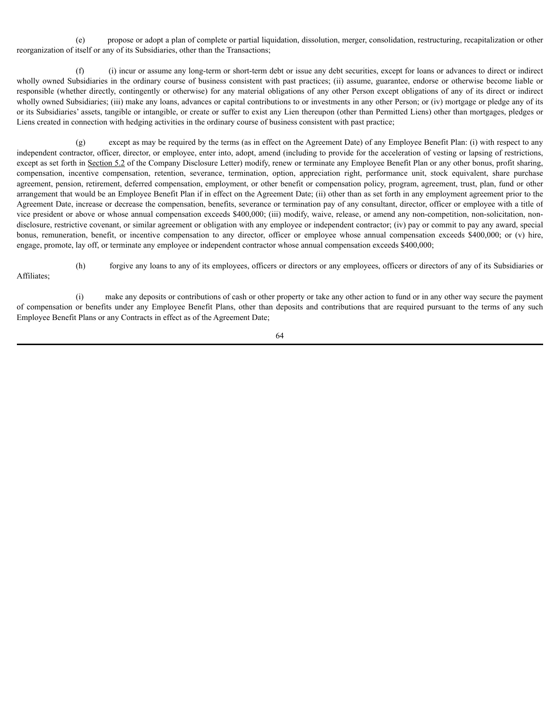(e) propose or adopt a plan of complete or partial liquidation, dissolution, merger, consolidation, restructuring, recapitalization or other reorganization of itself or any of its Subsidiaries, other than the Transactions;

(f) (i) incur or assume any long-term or short-term debt or issue any debt securities, except for loans or advances to direct or indirect wholly owned Subsidiaries in the ordinary course of business consistent with past practices; (ii) assume, guarantee, endorse or otherwise become liable or responsible (whether directly, contingently or otherwise) for any material obligations of any other Person except obligations of any of its direct or indirect wholly owned Subsidiaries; (iii) make any loans, advances or capital contributions to or investments in any other Person; or (iv) mortgage or pledge any of its or its Subsidiaries' assets, tangible or intangible, or create or suffer to exist any Lien thereupon (other than Permitted Liens) other than mortgages, pledges or Liens created in connection with hedging activities in the ordinary course of business consistent with past practice;

(g) except as may be required by the terms (as in effect on the Agreement Date) of any Employee Benefit Plan: (i) with respect to any independent contractor, officer, director, or employee, enter into, adopt, amend (including to provide for the acceleration of vesting or lapsing of restrictions, except as set forth in Section 5.2 of the Company Disclosure Letter) modify, renew or terminate any Employee Benefit Plan or any other bonus, profit sharing, compensation, incentive compensation, retention, severance, termination, option, appreciation right, performance unit, stock equivalent, share purchase agreement, pension, retirement, deferred compensation, employment, or other benefit or compensation policy, program, agreement, trust, plan, fund or other arrangement that would be an Employee Benefit Plan if in effect on the Agreement Date; (ii) other than as set forth in any employment agreement prior to the Agreement Date, increase or decrease the compensation, benefits, severance or termination pay of any consultant, director, officer or employee with a title of vice president or above or whose annual compensation exceeds \$400,000; (iii) modify, waive, release, or amend any non-competition, non-solicitation, nondisclosure, restrictive covenant, or similar agreement or obligation with any employee or independent contractor; (iv) pay or commit to pay any award, special bonus, remuneration, benefit, or incentive compensation to any director, officer or employee whose annual compensation exceeds \$400,000; or (v) hire, engage, promote, lay off, or terminate any employee or independent contractor whose annual compensation exceeds \$400,000;

Affiliates;

(h) forgive any loans to any of its employees, officers or directors or any employees, officers or directors of any of its Subsidiaries or

(i) make any deposits or contributions of cash or other property or take any other action to fund or in any other way secure the payment of compensation or benefits under any Employee Benefit Plans, other than deposits and contributions that are required pursuant to the terms of any such Employee Benefit Plans or any Contracts in effect as of the Agreement Date;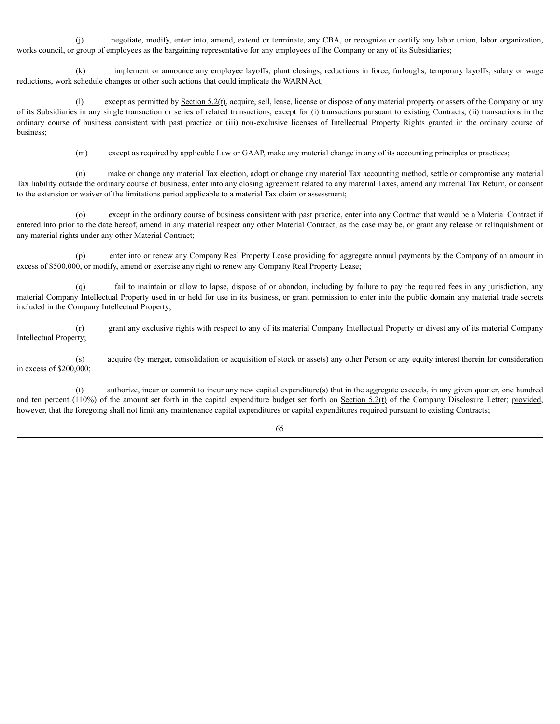(j) negotiate, modify, enter into, amend, extend or terminate, any CBA, or recognize or certify any labor union, labor organization, works council, or group of employees as the bargaining representative for any employees of the Company or any of its Subsidiaries;

(k) implement or announce any employee layoffs, plant closings, reductions in force, furloughs, temporary layoffs, salary or wage reductions, work schedule changes or other such actions that could implicate the WARN Act;

(l) except as permitted by Section 5.2(t), acquire, sell, lease, license or dispose of any material property or assets of the Company or any of its Subsidiaries in any single transaction or series of related transactions, except for (i) transactions pursuant to existing Contracts, (ii) transactions in the ordinary course of business consistent with past practice or (iii) non-exclusive licenses of Intellectual Property Rights granted in the ordinary course of business;

(m) except as required by applicable Law or GAAP, make any material change in any of its accounting principles or practices;

(n) make or change any material Tax election, adopt or change any material Tax accounting method, settle or compromise any material Tax liability outside the ordinary course of business, enter into any closing agreement related to any material Taxes, amend any material Tax Return, or consent to the extension or waiver of the limitations period applicable to a material Tax claim or assessment;

(o) except in the ordinary course of business consistent with past practice, enter into any Contract that would be a Material Contract if entered into prior to the date hereof, amend in any material respect any other Material Contract, as the case may be, or grant any release or relinquishment of any material rights under any other Material Contract;

(p) enter into or renew any Company Real Property Lease providing for aggregate annual payments by the Company of an amount in excess of \$500,000, or modify, amend or exercise any right to renew any Company Real Property Lease;

fail to maintain or allow to lapse, dispose of or abandon, including by failure to pay the required fees in any jurisdiction, any material Company Intellectual Property used in or held for use in its business, or grant permission to enter into the public domain any material trade secrets included in the Company Intellectual Property;

(r) grant any exclusive rights with respect to any of its material Company Intellectual Property or divest any of its material Company Intellectual Property;

(s) acquire (by merger, consolidation or acquisition of stock or assets) any other Person or any equity interest therein for consideration in excess of \$200,000;

(t) authorize, incur or commit to incur any new capital expenditure(s) that in the aggregate exceeds, in any given quarter, one hundred and ten percent (110%) of the amount set forth in the capital expenditure budget set forth on Section  $5.2(f)$  of the Company Disclosure Letter; provided, however, that the foregoing shall not limit any maintenance capital expenditures or capital expenditures required pursuant to existing Contracts;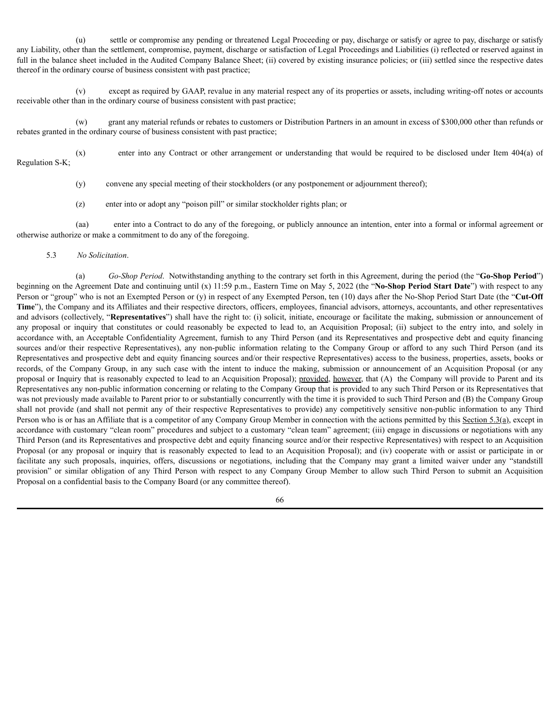(u) settle or compromise any pending or threatened Legal Proceeding or pay, discharge or satisfy or agree to pay, discharge or satisfy any Liability, other than the settlement, compromise, payment, discharge or satisfaction of Legal Proceedings and Liabilities (i) reflected or reserved against in full in the balance sheet included in the Audited Company Balance Sheet; (ii) covered by existing insurance policies; or (iii) settled since the respective dates thereof in the ordinary course of business consistent with past practice;

(v) except as required by GAAP, revalue in any material respect any of its properties or assets, including writing-off notes or accounts receivable other than in the ordinary course of business consistent with past practice;

(w) grant any material refunds or rebates to customers or Distribution Partners in an amount in excess of \$300,000 other than refunds or rebates granted in the ordinary course of business consistent with past practice;

(x) enter into any Contract or other arrangement or understanding that would be required to be disclosed under Item 404(a) of Regulation S-K;

(y) convene any special meeting of their stockholders (or any postponement or adjournment thereof);

(z) enter into or adopt any "poison pill" or similar stockholder rights plan; or

(aa) enter into a Contract to do any of the foregoing, or publicly announce an intention, enter into a formal or informal agreement or otherwise authorize or make a commitment to do any of the foregoing.

### 5.3 *No Solicitation*.

(a) *Go-Shop Period*. Notwithstanding anything to the contrary set forth in this Agreement, during the period (the "**Go-Shop Period**") beginning on the Agreement Date and continuing until (x) 11:59 p.m., Eastern Time on May 5, 2022 (the "**No-Shop Period Start Date**") with respect to any Person or "group" who is not an Exempted Person or (y) in respect of any Exempted Person, ten (10) days after the No-Shop Period Start Date (the "**Cut-Off Time**"), the Company and its Affiliates and their respective directors, officers, employees, financial advisors, attorneys, accountants, and other representatives and advisors (collectively, "**Representatives**") shall have the right to: (i) solicit, initiate, encourage or facilitate the making, submission or announcement of any proposal or inquiry that constitutes or could reasonably be expected to lead to, an Acquisition Proposal; (ii) subject to the entry into, and solely in accordance with, an Acceptable Confidentiality Agreement, furnish to any Third Person (and its Representatives and prospective debt and equity financing sources and/or their respective Representatives), any non-public information relating to the Company Group or afford to any such Third Person (and its Representatives and prospective debt and equity financing sources and/or their respective Representatives) access to the business, properties, assets, books or records, of the Company Group, in any such case with the intent to induce the making, submission or announcement of an Acquisition Proposal (or any proposal or Inquiry that is reasonably expected to lead to an Acquisition Proposal); provided, however, that (A) the Company will provide to Parent and its Representatives any non-public information concerning or relating to the Company Group that is provided to any such Third Person or its Representatives that was not previously made available to Parent prior to or substantially concurrently with the time it is provided to such Third Person and (B) the Company Group shall not provide (and shall not permit any of their respective Representatives to provide) any competitively sensitive non-public information to any Third Person who is or has an Affiliate that is a competitor of any Company Group Member in connection with the actions permitted by this Section 5.3(a), except in accordance with customary "clean room" procedures and subject to a customary "clean team" agreement; (iii) engage in discussions or negotiations with any Third Person (and its Representatives and prospective debt and equity financing source and/or their respective Representatives) with respect to an Acquisition Proposal (or any proposal or inquiry that is reasonably expected to lead to an Acquisition Proposal); and (iv) cooperate with or assist or participate in or facilitate any such proposals, inquiries, offers, discussions or negotiations, including that the Company may grant a limited waiver under any "standstill provision" or similar obligation of any Third Person with respect to any Company Group Member to allow such Third Person to submit an Acquisition Proposal on a confidential basis to the Company Board (or any committee thereof).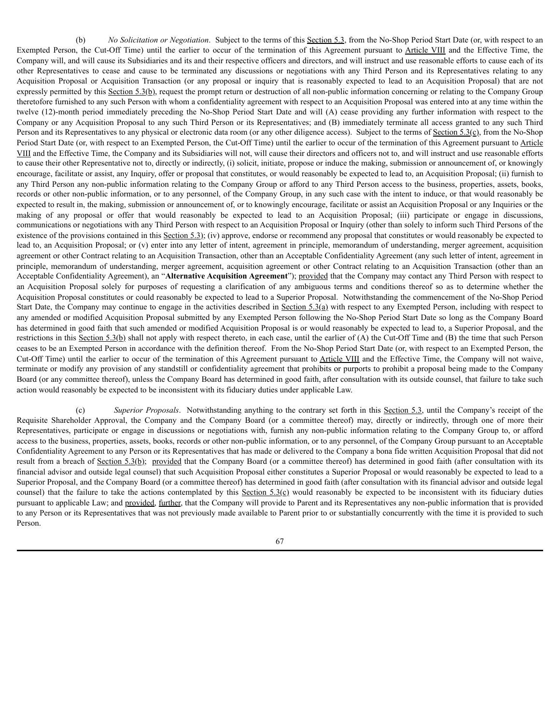(b) *No Solicitation or Negotiation*. Subject to the terms of this Section 5.3, from the No-Shop Period Start Date (or, with respect to an Exempted Person, the Cut-Off Time) until the earlier to occur of the termination of this Agreement pursuant to Article VIII and the Effective Time, the Company will, and will cause its Subsidiaries and its and their respective officers and directors, and will instruct and use reasonable efforts to cause each of its other Representatives to cease and cause to be terminated any discussions or negotiations with any Third Person and its Representatives relating to any Acquisition Proposal or Acquisition Transaction (or any proposal or inquiry that is reasonably expected to lead to an Acquisition Proposal) that are not expressly permitted by this Section 5.3(b), request the prompt return or destruction of all non-public information concerning or relating to the Company Group theretofore furnished to any such Person with whom a confidentiality agreement with respect to an Acquisition Proposal was entered into at any time within the twelve (12)-month period immediately preceding the No-Shop Period Start Date and will (A) cease providing any further information with respect to the Company or any Acquisition Proposal to any such Third Person or its Representatives; and (B) immediately terminate all access granted to any such Third Person and its Representatives to any physical or electronic data room (or any other diligence access). Subject to the terms of Section 5.3(c), from the No-Shop Period Start Date (or, with respect to an Exempted Person, the Cut-Off Time) until the earlier to occur of the termination of this Agreement pursuant to Article VIII and the Effective Time, the Company and its Subsidiaries will not, will cause their directors and officers not to, and will instruct and use reasonable efforts to cause their other Representative not to, directly or indirectly, (i) solicit, initiate, propose or induce the making, submission or announcement of, or knowingly encourage, facilitate or assist, any Inquiry, offer or proposal that constitutes, or would reasonably be expected to lead to, an Acquisition Proposal; (ii) furnish to any Third Person any non-public information relating to the Company Group or afford to any Third Person access to the business, properties, assets, books, records or other non-public information, or to any personnel, of the Company Group, in any such case with the intent to induce, or that would reasonably be expected to result in, the making, submission or announcement of, or to knowingly encourage, facilitate or assist an Acquisition Proposal or any Inquiries or the making of any proposal or offer that would reasonably be expected to lead to an Acquisition Proposal; (iii) participate or engage in discussions, communications or negotiations with any Third Person with respect to an Acquisition Proposal or Inquiry (other than solely to inform such Third Persons of the existence of the provisions contained in this  $S$ ection 5.3); (iv) approve, endorse or recommend any proposal that constitutes or would reasonably be expected to lead to, an Acquisition Proposal; or (v) enter into any letter of intent, agreement in principle, memorandum of understanding, merger agreement, acquisition agreement or other Contract relating to an Acquisition Transaction, other than an Acceptable Confidentiality Agreement (any such letter of intent, agreement in principle, memorandum of understanding, merger agreement, acquisition agreement or other Contract relating to an Acquisition Transaction (other than an Acceptable Confidentiality Agreement), an "**Alternative Acquisition Agreement**"); provided that the Company may contact any Third Person with respect to an Acquisition Proposal solely for purposes of requesting a clarification of any ambiguous terms and conditions thereof so as to determine whether the Acquisition Proposal constitutes or could reasonably be expected to lead to a Superior Proposal. Notwithstanding the commencement of the No-Shop Period Start Date, the Company may continue to engage in the activities described in Section 5.3(a) with respect to any Exempted Person, including with respect to any amended or modified Acquisition Proposal submitted by any Exempted Person following the No-Shop Period Start Date so long as the Company Board has determined in good faith that such amended or modified Acquisition Proposal is or would reasonably be expected to lead to, a Superior Proposal, and the restrictions in this Section 5.3(b) shall not apply with respect thereto, in each case, until the earlier of  $(A)$  the Cut-Off Time and  $(B)$  the time that such Person ceases to be an Exempted Person in accordance with the definition thereof. From the No-Shop Period Start Date (or, with respect to an Exempted Person, the Cut-Off Time) until the earlier to occur of the termination of this Agreement pursuant to Article VIII and the Effective Time, the Company will not waive, terminate or modify any provision of any standstill or confidentiality agreement that prohibits or purports to prohibit a proposal being made to the Company Board (or any committee thereof), unless the Company Board has determined in good faith, after consultation with its outside counsel, that failure to take such action would reasonably be expected to be inconsistent with its fiduciary duties under applicable Law.

(c) *Superior Proposals*. Notwithstanding anything to the contrary set forth in this Section 5.3, until the Company's receipt of the Requisite Shareholder Approval, the Company and the Company Board (or a committee thereof) may, directly or indirectly, through one of more their Representatives, participate or engage in discussions or negotiations with, furnish any non-public information relating to the Company Group to, or afford access to the business, properties, assets, books, records or other non-public information, or to any personnel, of the Company Group pursuant to an Acceptable Confidentiality Agreement to any Person or its Representatives that has made or delivered to the Company a bona fide written Acquisition Proposal that did not result from a breach of Section 5.3(b); provided that the Company Board (or a committee thereof) has determined in good faith (after consultation with its financial advisor and outside legal counsel) that such Acquisition Proposal either constitutes a Superior Proposal or would reasonably be expected to lead to a Superior Proposal, and the Company Board (or a committee thereof) has determined in good faith (after consultation with its financial advisor and outside legal counsel) that the failure to take the actions contemplated by this Section  $5.3(\text{c})$  would reasonably be expected to be inconsistent with its fiduciary duties pursuant to applicable Law; and provided, further, that the Company will provide to Parent and its Representatives any non-public information that is provided to any Person or its Representatives that was not previously made available to Parent prior to or substantially concurrently with the time it is provided to such Person.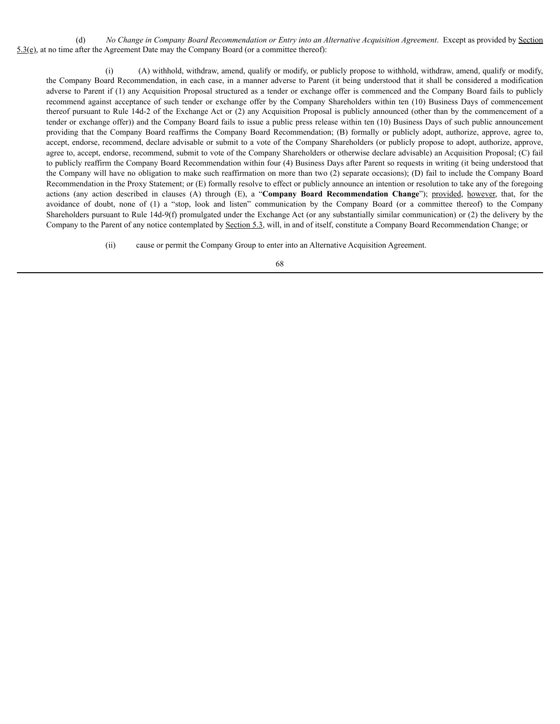(d) *No Change in Company Board Recommendation or Entry into an Alternative Acquisition Agreement*. Except as provided by Section 5.3(e), at no time after the Agreement Date may the Company Board (or a committee thereof):

(i) (A) withhold, withdraw, amend, qualify or modify, or publicly propose to withhold, withdraw, amend, qualify or modify, the Company Board Recommendation, in each case, in a manner adverse to Parent (it being understood that it shall be considered a modification adverse to Parent if (1) any Acquisition Proposal structured as a tender or exchange offer is commenced and the Company Board fails to publicly recommend against acceptance of such tender or exchange offer by the Company Shareholders within ten (10) Business Days of commencement thereof pursuant to Rule 14d-2 of the Exchange Act or (2) any Acquisition Proposal is publicly announced (other than by the commencement of a tender or exchange offer)) and the Company Board fails to issue a public press release within ten (10) Business Days of such public announcement providing that the Company Board reaffirms the Company Board Recommendation; (B) formally or publicly adopt, authorize, approve, agree to, accept, endorse, recommend, declare advisable or submit to a vote of the Company Shareholders (or publicly propose to adopt, authorize, approve, agree to, accept, endorse, recommend, submit to vote of the Company Shareholders or otherwise declare advisable) an Acquisition Proposal; (C) fail to publicly reaffirm the Company Board Recommendation within four (4) Business Days after Parent so requests in writing (it being understood that the Company will have no obligation to make such reaffirmation on more than two (2) separate occasions); (D) fail to include the Company Board Recommendation in the Proxy Statement; or (E) formally resolve to effect or publicly announce an intention or resolution to take any of the foregoing actions (any action described in clauses (A) through (E), a "**Company Board Recommendation Change**"); provided, however, that, for the avoidance of doubt, none of (1) a "stop, look and listen" communication by the Company Board (or a committee thereof) to the Company Shareholders pursuant to Rule 14d-9(f) promulgated under the Exchange Act (or any substantially similar communication) or (2) the delivery by the Company to the Parent of any notice contemplated by Section 5.3, will, in and of itself, constitute a Company Board Recommendation Change; or

(ii) cause or permit the Company Group to enter into an Alternative Acquisition Agreement.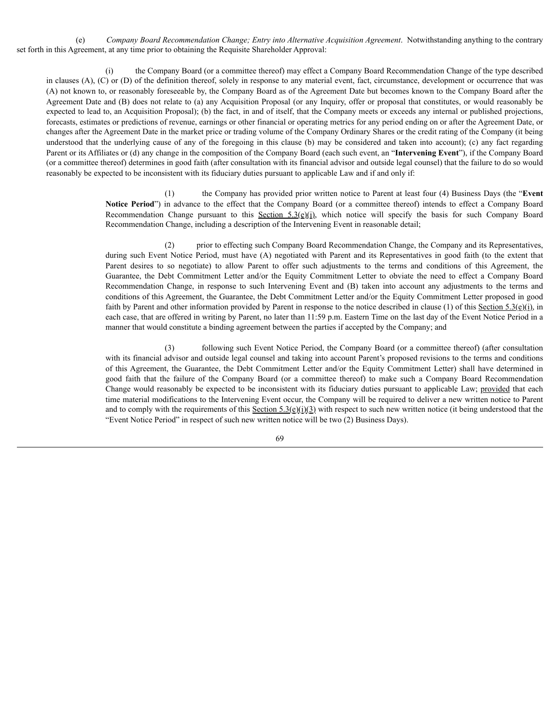(e) *Company Board Recommendation Change; Entry into Alternative Acquisition Agreement*. Notwithstanding anything to the contrary set forth in this Agreement, at any time prior to obtaining the Requisite Shareholder Approval:

(i) the Company Board (or a committee thereof) may effect a Company Board Recommendation Change of the type described in clauses (A), (C) or (D) of the definition thereof, solely in response to any material event, fact, circumstance, development or occurrence that was (A) not known to, or reasonably foreseeable by, the Company Board as of the Agreement Date but becomes known to the Company Board after the Agreement Date and (B) does not relate to (a) any Acquisition Proposal (or any Inquiry, offer or proposal that constitutes, or would reasonably be expected to lead to, an Acquisition Proposal); (b) the fact, in and of itself, that the Company meets or exceeds any internal or published projections, forecasts, estimates or predictions of revenue, earnings or other financial or operating metrics for any period ending on or after the Agreement Date, or changes after the Agreement Date in the market price or trading volume of the Company Ordinary Shares or the credit rating of the Company (it being understood that the underlying cause of any of the foregoing in this clause (b) may be considered and taken into account); (c) any fact regarding Parent or its Affiliates or (d) any change in the composition of the Company Board (each such event, an "**Intervening Event**"), if the Company Board (or a committee thereof) determines in good faith (after consultation with its financial advisor and outside legal counsel) that the failure to do so would reasonably be expected to be inconsistent with its fiduciary duties pursuant to applicable Law and if and only if:

> (1) the Company has provided prior written notice to Parent at least four (4) Business Days (the "**Event Notice Period**") in advance to the effect that the Company Board (or a committee thereof) intends to effect a Company Board Recommendation Change pursuant to this Section 5.3(e)(i), which notice will specify the basis for such Company Board Recommendation Change, including a description of the Intervening Event in reasonable detail;

> prior to effecting such Company Board Recommendation Change, the Company and its Representatives, during such Event Notice Period, must have (A) negotiated with Parent and its Representatives in good faith (to the extent that Parent desires to so negotiate) to allow Parent to offer such adjustments to the terms and conditions of this Agreement, the Guarantee, the Debt Commitment Letter and/or the Equity Commitment Letter to obviate the need to effect a Company Board Recommendation Change, in response to such Intervening Event and (B) taken into account any adjustments to the terms and conditions of this Agreement, the Guarantee, the Debt Commitment Letter and/or the Equity Commitment Letter proposed in good faith by Parent and other information provided by Parent in response to the notice described in clause (1) of this Section 5.3(e)(i), in each case, that are offered in writing by Parent, no later than 11:59 p.m. Eastern Time on the last day of the Event Notice Period in a manner that would constitute a binding agreement between the parties if accepted by the Company; and

> (3) following such Event Notice Period, the Company Board (or a committee thereof) (after consultation with its financial advisor and outside legal counsel and taking into account Parent's proposed revisions to the terms and conditions of this Agreement, the Guarantee, the Debt Commitment Letter and/or the Equity Commitment Letter) shall have determined in good faith that the failure of the Company Board (or a committee thereof) to make such a Company Board Recommendation Change would reasonably be expected to be inconsistent with its fiduciary duties pursuant to applicable Law; provided that each time material modifications to the Intervening Event occur, the Company will be required to deliver a new written notice to Parent and to comply with the requirements of this  $\frac{\text{Section 5.3(e)}(i)}{3}$  with respect to such new written notice (it being understood that the "Event Notice Period" in respect of such new written notice will be two (2) Business Days).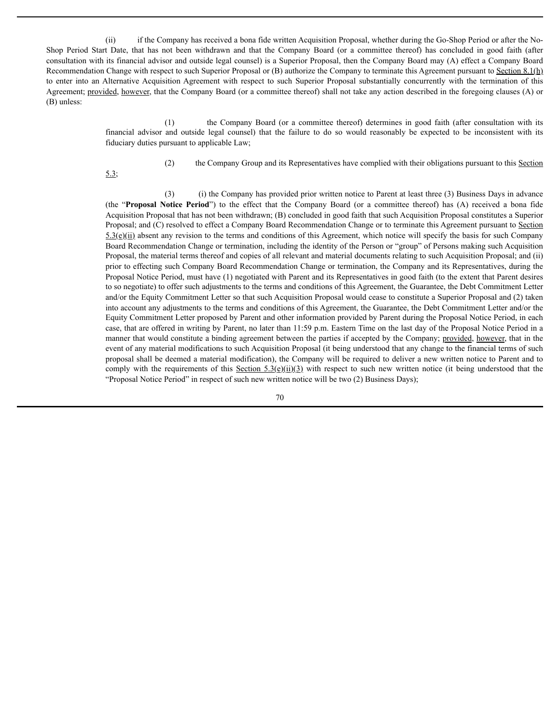(ii) if the Company has received a bona fide written Acquisition Proposal, whether during the Go-Shop Period or after the No-Shop Period Start Date, that has not been withdrawn and that the Company Board (or a committee thereof) has concluded in good faith (after consultation with its financial advisor and outside legal counsel) is a Superior Proposal, then the Company Board may (A) effect a Company Board Recommendation Change with respect to such Superior Proposal or  $(B)$  authorize the Company to terminate this Agreement pursuant to Section 8.1(h) to enter into an Alternative Acquisition Agreement with respect to such Superior Proposal substantially concurrently with the termination of this Agreement; provided, however, that the Company Board (or a committee thereof) shall not take any action described in the foregoing clauses (A) or (B) unless:

> (1) the Company Board (or a committee thereof) determines in good faith (after consultation with its financial advisor and outside legal counsel) that the failure to do so would reasonably be expected to be inconsistent with its fiduciary duties pursuant to applicable Law;

> > (2) the Company Group and its Representatives have complied with their obligations pursuant to this Section

5.3;

(3) (i) the Company has provided prior written notice to Parent at least three (3) Business Days in advance (the "**Proposal Notice Period**") to the effect that the Company Board (or a committee thereof) has (A) received a bona fide Acquisition Proposal that has not been withdrawn; (B) concluded in good faith that such Acquisition Proposal constitutes a Superior Proposal; and (C) resolved to effect a Company Board Recommendation Change or to terminate this Agreement pursuant to Section  $5.3(e)(ii)$  absent any revision to the terms and conditions of this Agreement, which notice will specify the basis for such Company Board Recommendation Change or termination, including the identity of the Person or "group" of Persons making such Acquisition Proposal, the material terms thereof and copies of all relevant and material documents relating to such Acquisition Proposal; and (ii) prior to effecting such Company Board Recommendation Change or termination, the Company and its Representatives, during the Proposal Notice Period, must have (1) negotiated with Parent and its Representatives in good faith (to the extent that Parent desires to so negotiate) to offer such adjustments to the terms and conditions of this Agreement, the Guarantee, the Debt Commitment Letter and/or the Equity Commitment Letter so that such Acquisition Proposal would cease to constitute a Superior Proposal and (2) taken into account any adjustments to the terms and conditions of this Agreement, the Guarantee, the Debt Commitment Letter and/or the Equity Commitment Letter proposed by Parent and other information provided by Parent during the Proposal Notice Period, in each case, that are offered in writing by Parent, no later than 11:59 p.m. Eastern Time on the last day of the Proposal Notice Period in a manner that would constitute a binding agreement between the parties if accepted by the Company; provided, however, that in the event of any material modifications to such Acquisition Proposal (it being understood that any change to the financial terms of such proposal shall be deemed a material modification), the Company will be required to deliver a new written notice to Parent and to comply with the requirements of this Section  $5.3(e)(ii)(3)$  with respect to such new written notice (it being understood that the

70

"Proposal Notice Period" in respect of such new written notice will be two (2) Business Days);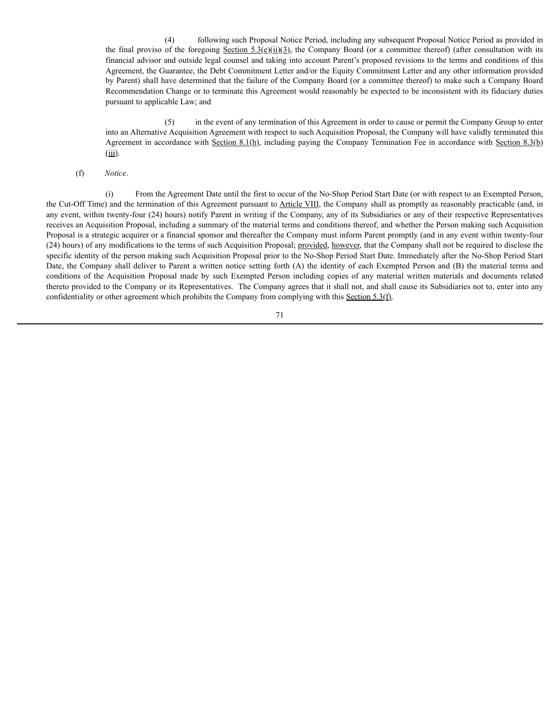(4) following such Proposal Notice Period, including any subsequent Proposal Notice Period as provided in the final proviso of the foregoing Section 5.3(e)(ii)(3), the Company Board (or a committee thereof) (after consultation with its financial advisor and outside legal counsel and taking into account Parent's proposed revisions to the terms and conditions of this Agreement, the Guarantee, the Debt Commitment Letter and/or the Equity Commitment Letter and any other information provided by Parent) shall have determined that the failure of the Company Board (or a committee thereof) to make such a Company Board Recommendation Change or to terminate this Agreement would reasonably be expected to be inconsistent with its fiduciary duties pursuant to applicable Law; and

(5) in the event of any termination of this Agreement in order to cause or permit the Company Group to enter into an Alternative Acquisition Agreement with respect to such Acquisition Proposal, the Company will have validly terminated this Agreement in accordance with Section 8.1(h), including paying the Company Termination Fee in accordance with Section 8.3(b)  $(iii)$ .

#### (f) *Notice*.

(i) From the Agreement Date until the first to occur of the No-Shop Period Start Date (or with respect to an Exempted Person, the Cut-Off Time) and the termination of this Agreement pursuant to Article VIII, the Company shall as promptly as reasonably practicable (and, in any event, within twenty-four (24) hours) notify Parent in writing if the Company, any of its Subsidiaries or any of their respective Representatives receives an Acquisition Proposal, including a summary of the material terms and conditions thereof, and whether the Person making such Acquisition Proposal is a strategic acquirer or a financial sponsor and thereafter the Company must inform Parent promptly (and in any event within twenty-four (24) hours) of any modifications to the terms of such Acquisition Proposal; provided, however, that the Company shall not be required to disclose the specific identity of the person making such Acquisition Proposal prior to the No-Shop Period Start Date. Immediately after the No-Shop Period Start Date, the Company shall deliver to Parent a written notice setting forth (A) the identity of each Exempted Person and (B) the material terms and conditions of the Acquisition Proposal made by such Exempted Person including copies of any material written materials and documents related thereto provided to the Company or its Representatives. The Company agrees that it shall not, and shall cause its Subsidiaries not to, enter into any confidentiality or other agreement which prohibits the Company from complying with this Section 5.3(f).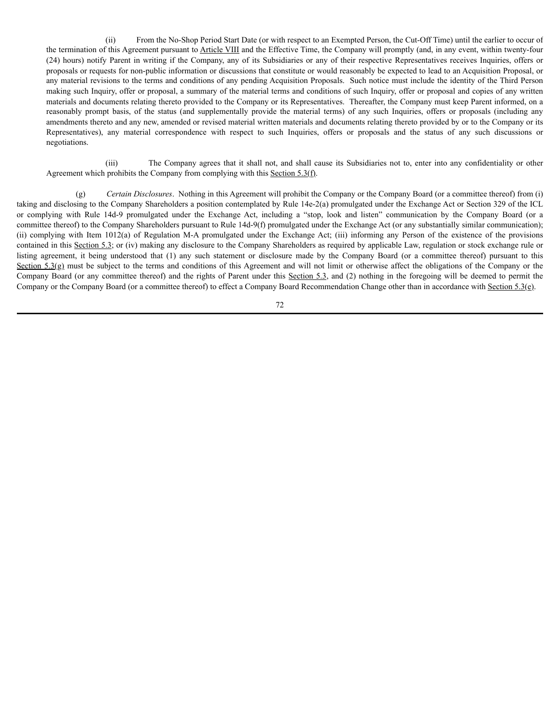(ii) From the No-Shop Period Start Date (or with respect to an Exempted Person, the Cut-Off Time) until the earlier to occur of the termination of this Agreement pursuant to Article VIII and the Effective Time, the Company will promptly (and, in any event, within twenty-four (24) hours) notify Parent in writing if the Company, any of its Subsidiaries or any of their respective Representatives receives Inquiries, offers or proposals or requests for non-public information or discussions that constitute or would reasonably be expected to lead to an Acquisition Proposal, or any material revisions to the terms and conditions of any pending Acquisition Proposals. Such notice must include the identity of the Third Person making such Inquiry, offer or proposal, a summary of the material terms and conditions of such Inquiry, offer or proposal and copies of any written materials and documents relating thereto provided to the Company or its Representatives. Thereafter, the Company must keep Parent informed, on a reasonably prompt basis, of the status (and supplementally provide the material terms) of any such Inquiries, offers or proposals (including any amendments thereto and any new, amended or revised material written materials and documents relating thereto provided by or to the Company or its Representatives), any material correspondence with respect to such Inquiries, offers or proposals and the status of any such discussions or negotiations.

(iii) The Company agrees that it shall not, and shall cause its Subsidiaries not to, enter into any confidentiality or other Agreement which prohibits the Company from complying with this Section 5.3(f).

(g) *Certain Disclosures*. Nothing in this Agreement will prohibit the Company or the Company Board (or a committee thereof) from (i) taking and disclosing to the Company Shareholders a position contemplated by Rule 14e-2(a) promulgated under the Exchange Act or Section 329 of the ICL or complying with Rule 14d-9 promulgated under the Exchange Act, including a "stop, look and listen" communication by the Company Board (or a committee thereof) to the Company Shareholders pursuant to Rule 14d-9(f) promulgated under the Exchange Act (or any substantially similar communication); (ii) complying with Item 1012(a) of Regulation M-A promulgated under the Exchange Act; (iii) informing any Person of the existence of the provisions contained in this Section 5.3; or (iv) making any disclosure to the Company Shareholders as required by applicable Law, regulation or stock exchange rule or listing agreement, it being understood that (1) any such statement or disclosure made by the Company Board (or a committee thereof) pursuant to this Section 5.3(g) must be subject to the terms and conditions of this Agreement and will not limit or otherwise affect the obligations of the Company or the Company Board (or any committee thereof) and the rights of Parent under this Section 5.3, and (2) nothing in the foregoing will be deemed to permit the Company or the Company Board (or a committee thereof) to effect a Company Board Recommendation Change other than in accordance with Section 5.3(e).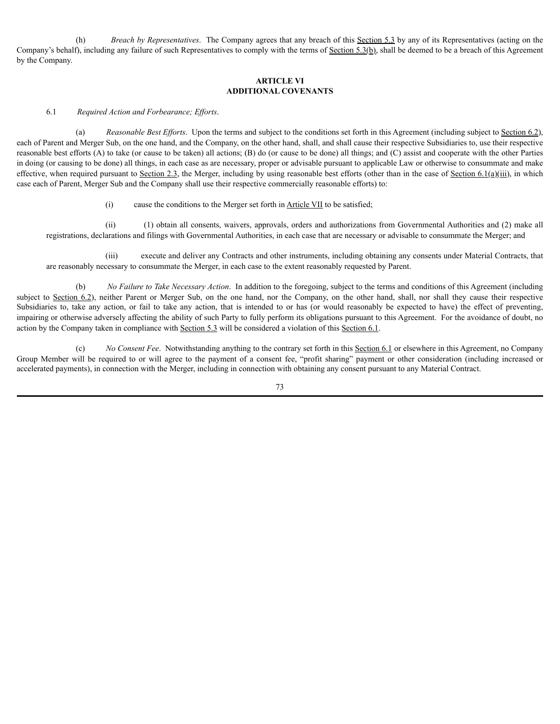(h) *Breach by Representatives*. The Company agrees that any breach of this Section 5.3 by any of its Representatives (acting on the Company's behalf), including any failure of such Representatives to comply with the terms of  $Section 5.3(b)$ , shall be deemed to be a breach of this Agreement by the Company.

## **ARTICLE VI ADDITIONAL COVENANTS**

### 6.1 *Required Action and Forbearance; Ef orts*.

(a) *Reasonable Best Efforts*. Upon the terms and subject to the conditions set forth in this Agreement (including subject to Section 6.2), each of Parent and Merger Sub, on the one hand, and the Company, on the other hand, shall, and shall cause their respective Subsidiaries to, use their respective reasonable best efforts (A) to take (or cause to be taken) all actions; (B) do (or cause to be done) all things; and (C) assist and cooperate with the other Parties in doing (or causing to be done) all things, in each case as are necessary, proper or advisable pursuant to applicable Law or otherwise to consummate and make effective, when required pursuant to Section 2.3, the Merger, including by using reasonable best efforts (other than in the case of Section 6.1(a)(iii), in which case each of Parent, Merger Sub and the Company shall use their respective commercially reasonable efforts) to:

### (i) cause the conditions to the Merger set forth in Article VII to be satisfied;

(ii) (1) obtain all consents, waivers, approvals, orders and authorizations from Governmental Authorities and (2) make all registrations, declarations and filings with Governmental Authorities, in each case that are necessary or advisable to consummate the Merger; and

(iii) execute and deliver any Contracts and other instruments, including obtaining any consents under Material Contracts, that are reasonably necessary to consummate the Merger, in each case to the extent reasonably requested by Parent.

(b) *No Failure to Take Necessary Action*. In addition to the foregoing, subject to the terms and conditions of this Agreement (including subject to Section 6.2), neither Parent or Merger Sub, on the one hand, nor the Company, on the other hand, shall, nor shall they cause their respective Subsidiaries to, take any action, or fail to take any action, that is intended to or has (or would reasonably be expected to have) the effect of preventing, impairing or otherwise adversely affecting the ability of such Party to fully perform its obligations pursuant to this Agreement. For the avoidance of doubt, no action by the Company taken in compliance with Section 5.3 will be considered a violation of this Section 6.1.

(c) *No Consent Fee*. Notwithstanding anything to the contrary set forth in this Section 6.1 or elsewhere in this Agreement, no Company Group Member will be required to or will agree to the payment of a consent fee, "profit sharing" payment or other consideration (including increased or accelerated payments), in connection with the Merger, including in connection with obtaining any consent pursuant to any Material Contract.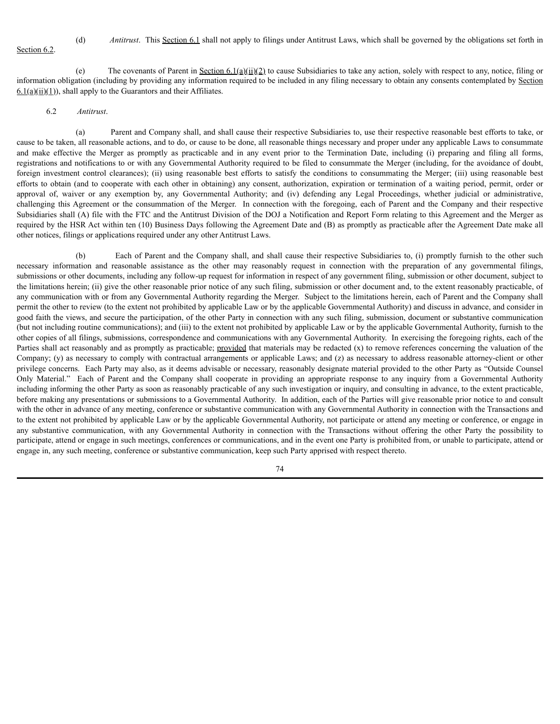Section 6.2.

(d) *Antitrust*. This Section 6.1 shall not apply to filings under Antitrust Laws, which shall be governed by the obligations set forth in

(e) The covenants of Parent in Section 6.1(a)(ii)(2) to cause Subsidiaries to take any action, solely with respect to any, notice, filing or information obligation (including by providing any information required to be included in any filing necessary to obtain any consents contemplated by Section  $\underline{6.1(a)(ii)(1)}$ , shall apply to the Guarantors and their Affiliates.

### 6.2 *Antitrust*.

(a) Parent and Company shall, and shall cause their respective Subsidiaries to, use their respective reasonable best efforts to take, or cause to be taken, all reasonable actions, and to do, or cause to be done, all reasonable things necessary and proper under any applicable Laws to consummate and make effective the Merger as promptly as practicable and in any event prior to the Termination Date, including (i) preparing and filing all forms, registrations and notifications to or with any Governmental Authority required to be filed to consummate the Merger (including, for the avoidance of doubt, foreign investment control clearances); (ii) using reasonable best efforts to satisfy the conditions to consummating the Merger; (iii) using reasonable best efforts to obtain (and to cooperate with each other in obtaining) any consent, authorization, expiration or termination of a waiting period, permit, order or approval of, waiver or any exemption by, any Governmental Authority; and (iv) defending any Legal Proceedings, whether judicial or administrative, challenging this Agreement or the consummation of the Merger. In connection with the foregoing, each of Parent and the Company and their respective Subsidiaries shall (A) file with the FTC and the Antitrust Division of the DOJ a Notification and Report Form relating to this Agreement and the Merger as required by the HSR Act within ten (10) Business Days following the Agreement Date and (B) as promptly as practicable after the Agreement Date make all other notices, filings or applications required under any other Antitrust Laws.

(b) Each of Parent and the Company shall, and shall cause their respective Subsidiaries to, (i) promptly furnish to the other such necessary information and reasonable assistance as the other may reasonably request in connection with the preparation of any governmental filings, submissions or other documents, including any follow-up request for information in respect of any government filing, submission or other document, subject to the limitations herein; (ii) give the other reasonable prior notice of any such filing, submission or other document and, to the extent reasonably practicable, of any communication with or from any Governmental Authority regarding the Merger. Subject to the limitations herein, each of Parent and the Company shall permit the other to review (to the extent not prohibited by applicable Law or by the applicable Governmental Authority) and discuss in advance, and consider in good faith the views, and secure the participation, of the other Party in connection with any such filing, submission, document or substantive communication (but not including routine communications); and (iii) to the extent not prohibited by applicable Law or by the applicable Governmental Authority, furnish to the other copies of all filings, submissions, correspondence and communications with any Governmental Authority. In exercising the foregoing rights, each of the Parties shall act reasonably and as promptly as practicable; provided that materials may be redacted (x) to remove references concerning the valuation of the Company; (y) as necessary to comply with contractual arrangements or applicable Laws; and (z) as necessary to address reasonable attorney-client or other privilege concerns. Each Party may also, as it deems advisable or necessary, reasonably designate material provided to the other Party as "Outside Counsel Only Material." Each of Parent and the Company shall cooperate in providing an appropriate response to any inquiry from a Governmental Authority including informing the other Party as soon as reasonably practicable of any such investigation or inquiry, and consulting in advance, to the extent practicable, before making any presentations or submissions to a Governmental Authority. In addition, each of the Parties will give reasonable prior notice to and consult with the other in advance of any meeting, conference or substantive communication with any Governmental Authority in connection with the Transactions and to the extent not prohibited by applicable Law or by the applicable Governmental Authority, not participate or attend any meeting or conference, or engage in any substantive communication, with any Governmental Authority in connection with the Transactions without offering the other Party the possibility to participate, attend or engage in such meetings, conferences or communications, and in the event one Party is prohibited from, or unable to participate, attend or engage in, any such meeting, conference or substantive communication, keep such Party apprised with respect thereto.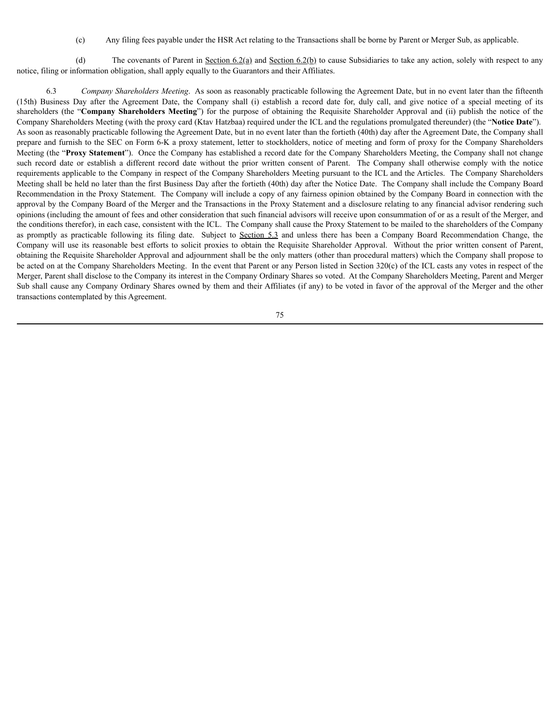(c) Any filing fees payable under the HSR Act relating to the Transactions shall be borne by Parent or Merger Sub, as applicable.

(d) The covenants of Parent in Section  $6.2(a)$  and Section  $6.2(b)$  to cause Subsidiaries to take any action, solely with respect to any notice, filing or information obligation, shall apply equally to the Guarantors and their Affiliates.

6.3 *Company Shareholders Meeting*. As soon as reasonably practicable following the Agreement Date, but in no event later than the fifteenth (15th) Business Day after the Agreement Date, the Company shall (i) establish a record date for, duly call, and give notice of a special meeting of its shareholders (the "**Company Shareholders Meeting**") for the purpose of obtaining the Requisite Shareholder Approval and (ii) publish the notice of the Company Shareholders Meeting (with the proxy card (Ktav Hatzbaa) required under the ICL and the regulations promulgated thereunder) (the "**Notice Date**"). As soon as reasonably practicable following the Agreement Date, but in no event later than the fortieth (40th) day after the Agreement Date, the Company shall prepare and furnish to the SEC on Form 6-K a proxy statement, letter to stockholders, notice of meeting and form of proxy for the Company Shareholders Meeting (the "**Proxy Statement**"). Once the Company has established a record date for the Company Shareholders Meeting, the Company shall not change such record date or establish a different record date without the prior written consent of Parent. The Company shall otherwise comply with the notice requirements applicable to the Company in respect of the Company Shareholders Meeting pursuant to the ICL and the Articles. The Company Shareholders Meeting shall be held no later than the first Business Day after the fortieth (40th) day after the Notice Date. The Company shall include the Company Board Recommendation in the Proxy Statement. The Company will include a copy of any fairness opinion obtained by the Company Board in connection with the approval by the Company Board of the Merger and the Transactions in the Proxy Statement and a disclosure relating to any financial advisor rendering such opinions (including the amount of fees and other consideration that such financial advisors will receive upon consummation of or as a result of the Merger, and the conditions therefor), in each case, consistent with the ICL. The Company shall cause the Proxy Statement to be mailed to the shareholders of the Company as promptly as practicable following its filing date. Subject to Section 5.3 and unless there has been a Company Board Recommendation Change, the Company will use its reasonable best efforts to solicit proxies to obtain the Requisite Shareholder Approval. Without the prior written consent of Parent, obtaining the Requisite Shareholder Approval and adjournment shall be the only matters (other than procedural matters) which the Company shall propose to be acted on at the Company Shareholders Meeting. In the event that Parent or any Person listed in Section 320(c) of the ICL casts any votes in respect of the Merger, Parent shall disclose to the Company its interest in the Company Ordinary Shares so voted. At the Company Shareholders Meeting, Parent and Merger Sub shall cause any Company Ordinary Shares owned by them and their Affiliates (if any) to be voted in favor of the approval of the Merger and the other transactions contemplated by this Agreement.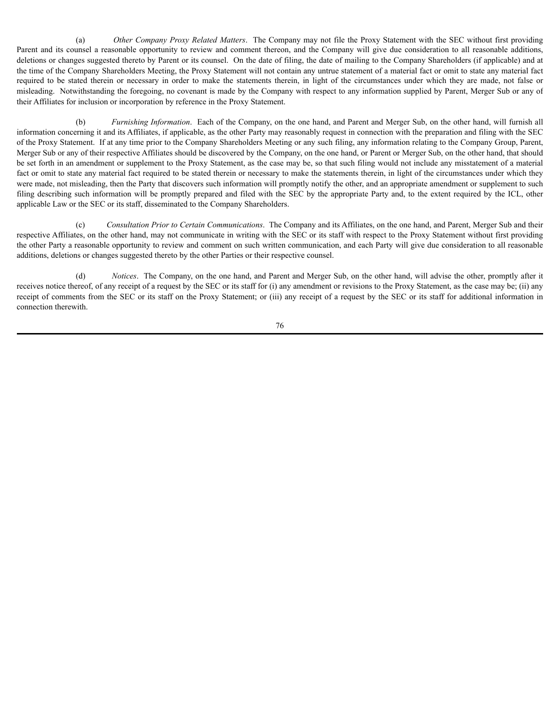(a) *Other Company Proxy Related Matters*. The Company may not file the Proxy Statement with the SEC without first providing Parent and its counsel a reasonable opportunity to review and comment thereon, and the Company will give due consideration to all reasonable additions, deletions or changes suggested thereto by Parent or its counsel. On the date of filing, the date of mailing to the Company Shareholders (if applicable) and at the time of the Company Shareholders Meeting, the Proxy Statement will not contain any untrue statement of a material fact or omit to state any material fact required to be stated therein or necessary in order to make the statements therein, in light of the circumstances under which they are made, not false or misleading. Notwithstanding the foregoing, no covenant is made by the Company with respect to any information supplied by Parent, Merger Sub or any of their Affiliates for inclusion or incorporation by reference in the Proxy Statement.

(b) *Furnishing Information*. Each of the Company, on the one hand, and Parent and Merger Sub, on the other hand, will furnish all information concerning it and its Affiliates, if applicable, as the other Party may reasonably request in connection with the preparation and filing with the SEC of the Proxy Statement. If at any time prior to the Company Shareholders Meeting or any such filing, any information relating to the Company Group, Parent, Merger Sub or any of their respective Affiliates should be discovered by the Company, on the one hand, or Parent or Merger Sub, on the other hand, that should be set forth in an amendment or supplement to the Proxy Statement, as the case may be, so that such filing would not include any misstatement of a material fact or omit to state any material fact required to be stated therein or necessary to make the statements therein, in light of the circumstances under which they were made, not misleading, then the Party that discovers such information will promptly notify the other, and an appropriate amendment or supplement to such filing describing such information will be promptly prepared and filed with the SEC by the appropriate Party and, to the extent required by the ICL, other applicable Law or the SEC or its staff, disseminated to the Company Shareholders.

(c) *Consultation Prior to Certain Communications*. The Company and its Affiliates, on the one hand, and Parent, Merger Sub and their respective Affiliates, on the other hand, may not communicate in writing with the SEC or its staff with respect to the Proxy Statement without first providing the other Party a reasonable opportunity to review and comment on such written communication, and each Party will give due consideration to all reasonable additions, deletions or changes suggested thereto by the other Parties or their respective counsel.

(d) *Notices*. The Company, on the one hand, and Parent and Merger Sub, on the other hand, will advise the other, promptly after it receives notice thereof, of any receipt of a request by the SEC or its staff for (i) any amendment or revisions to the Proxy Statement, as the case may be; (ii) any receipt of comments from the SEC or its staff on the Proxy Statement; or (iii) any receipt of a request by the SEC or its staff for additional information in connection therewith.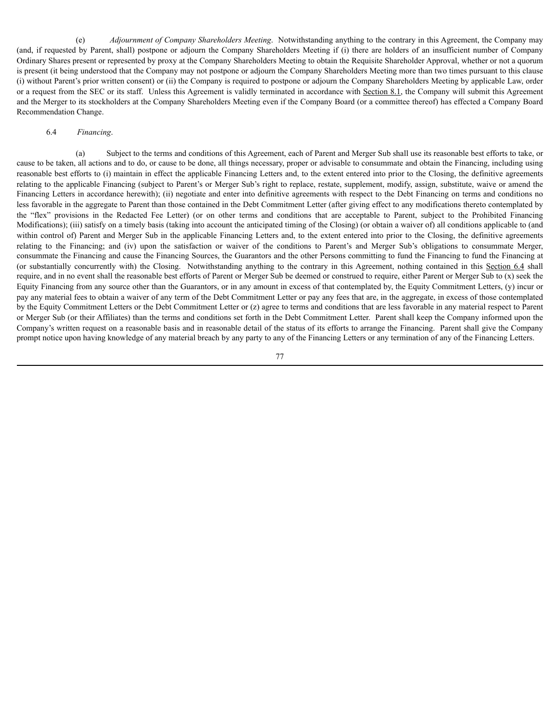(e) *Adjournment of Company Shareholders Meeting*. Notwithstanding anything to the contrary in this Agreement, the Company may (and, if requested by Parent, shall) postpone or adjourn the Company Shareholders Meeting if (i) there are holders of an insufficient number of Company Ordinary Shares present or represented by proxy at the Company Shareholders Meeting to obtain the Requisite Shareholder Approval, whether or not a quorum is present (it being understood that the Company may not postpone or adjourn the Company Shareholders Meeting more than two times pursuant to this clause (i) without Parent's prior written consent) or (ii) the Company is required to postpone or adjourn the Company Shareholders Meeting by applicable Law, order or a request from the SEC or its staff. Unless this Agreement is validly terminated in accordance with Section 8.1, the Company will submit this Agreement and the Merger to its stockholders at the Company Shareholders Meeting even if the Company Board (or a committee thereof) has effected a Company Board Recommendation Change.

#### 6.4 *Financing*.

(a) Subject to the terms and conditions of this Agreement, each of Parent and Merger Sub shall use its reasonable best efforts to take, or cause to be taken, all actions and to do, or cause to be done, all things necessary, proper or advisable to consummate and obtain the Financing, including using reasonable best efforts to (i) maintain in effect the applicable Financing Letters and, to the extent entered into prior to the Closing, the definitive agreements relating to the applicable Financing (subject to Parent's or Merger Sub's right to replace, restate, supplement, modify, assign, substitute, waive or amend the Financing Letters in accordance herewith); (ii) negotiate and enter into definitive agreements with respect to the Debt Financing on terms and conditions no less favorable in the aggregate to Parent than those contained in the Debt Commitment Letter (after giving effect to any modifications thereto contemplated by the "flex" provisions in the Redacted Fee Letter) (or on other terms and conditions that are acceptable to Parent, subject to the Prohibited Financing Modifications); (iii) satisfy on a timely basis (taking into account the anticipated timing of the Closing) (or obtain a waiver of) all conditions applicable to (and within control of) Parent and Merger Sub in the applicable Financing Letters and, to the extent entered into prior to the Closing, the definitive agreements relating to the Financing; and (iv) upon the satisfaction or waiver of the conditions to Parent's and Merger Sub's obligations to consummate Merger, consummate the Financing and cause the Financing Sources, the Guarantors and the other Persons committing to fund the Financing to fund the Financing at (or substantially concurrently with) the Closing. Notwithstanding anything to the contrary in this Agreement, nothing contained in this Section 6.4 shall require, and in no event shall the reasonable best efforts of Parent or Merger Sub be deemed or construed to require, either Parent or Merger Sub to (x) seek the Equity Financing from any source other than the Guarantors, or in any amount in excess of that contemplated by, the Equity Commitment Letters, (y) incur or pay any material fees to obtain a waiver of any term of the Debt Commitment Letter or pay any fees that are, in the aggregate, in excess of those contemplated by the Equity Commitment Letters or the Debt Commitment Letter or (z) agree to terms and conditions that are less favorable in any material respect to Parent or Merger Sub (or their Affiliates) than the terms and conditions set forth in the Debt Commitment Letter. Parent shall keep the Company informed upon the Company's written request on a reasonable basis and in reasonable detail of the status of its efforts to arrange the Financing. Parent shall give the Company prompt notice upon having knowledge of any material breach by any party to any of the Financing Letters or any termination of any of the Financing Letters.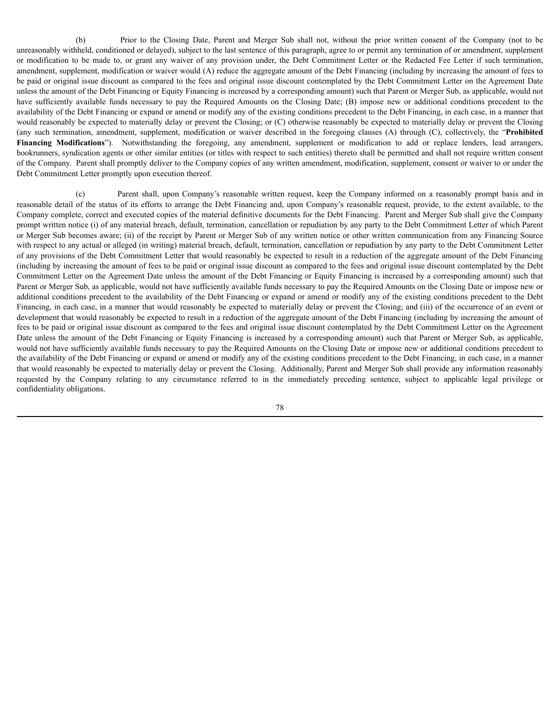(b) Prior to the Closing Date, Parent and Merger Sub shall not, without the prior written consent of the Company (not to be unreasonably withheld, conditioned or delayed), subject to the last sentence of this paragraph, agree to or permit any termination of or amendment, supplement or modification to be made to, or grant any waiver of any provision under, the Debt Commitment Letter or the Redacted Fee Letter if such termination, amendment, supplement, modification or waiver would (A) reduce the aggregate amount of the Debt Financing (including by increasing the amount of fees to be paid or original issue discount as compared to the fees and original issue discount contemplated by the Debt Commitment Letter on the Agreement Date unless the amount of the Debt Financing or Equity Financing is increased by a corresponding amount) such that Parent or Merger Sub, as applicable, would not have sufficiently available funds necessary to pay the Required Amounts on the Closing Date; (B) impose new or additional conditions precedent to the availability of the Debt Financing or expand or amend or modify any of the existing conditions precedent to the Debt Financing, in each case, in a manner that would reasonably be expected to materially delay or prevent the Closing; or (C) otherwise reasonably be expected to materially delay or prevent the Closing (any such termination, amendment, supplement, modification or waiver described in the foregoing clauses (A) through (C), collectively, the "**Prohibited Financing Modifications**"). Notwithstanding the foregoing, any amendment, supplement or modification to add or replace lenders, lead arrangers, bookrunners, syndication agents or other similar entities (or titles with respect to such entities) thereto shall be permitted and shall not require written consent of the Company. Parent shall promptly deliver to the Company copies of any written amendment, modification, supplement, consent or waiver to or under the Debt Commitment Letter promptly upon execution thereof.

(c) Parent shall, upon Company's reasonable written request, keep the Company informed on a reasonably prompt basis and in reasonable detail of the status of its efforts to arrange the Debt Financing and, upon Company's reasonable request, provide, to the extent available, to the Company complete, correct and executed copies of the material definitive documents for the Debt Financing. Parent and Merger Sub shall give the Company prompt written notice (i) of any material breach, default, termination, cancellation or repudiation by any party to the Debt Commitment Letter of which Parent or Merger Sub becomes aware; (ii) of the receipt by Parent or Merger Sub of any written notice or other written communication from any Financing Source with respect to any actual or alleged (in writing) material breach, default, termination, cancellation or repudiation by any party to the Debt Commitment Letter of any provisions of the Debt Commitment Letter that would reasonably be expected to result in a reduction of the aggregate amount of the Debt Financing (including by increasing the amount of fees to be paid or original issue discount as compared to the fees and original issue discount contemplated by the Debt Commitment Letter on the Agreement Date unless the amount of the Debt Financing or Equity Financing is increased by a corresponding amount) such that Parent or Merger Sub, as applicable, would not have sufficiently available funds necessary to pay the Required Amounts on the Closing Date or impose new or additional conditions precedent to the availability of the Debt Financing or expand or amend or modify any of the existing conditions precedent to the Debt Financing, in each case, in a manner that would reasonably be expected to materially delay or prevent the Closing; and (iii) of the occurrence of an event or development that would reasonably be expected to result in a reduction of the aggregate amount of the Debt Financing (including by increasing the amount of fees to be paid or original issue discount as compared to the fees and original issue discount contemplated by the Debt Commitment Letter on the Agreement Date unless the amount of the Debt Financing or Equity Financing is increased by a corresponding amount) such that Parent or Merger Sub, as applicable, would not have sufficiently available funds necessary to pay the Required Amounts on the Closing Date or impose new or additional conditions precedent to the availability of the Debt Financing or expand or amend or modify any of the existing conditions precedent to the Debt Financing, in each case, in a manner that would reasonably be expected to materially delay or prevent the Closing. Additionally, Parent and Merger Sub shall provide any information reasonably requested by the Company relating to any circumstance referred to in the immediately preceding sentence, subject to applicable legal privilege or confidentiality obligations.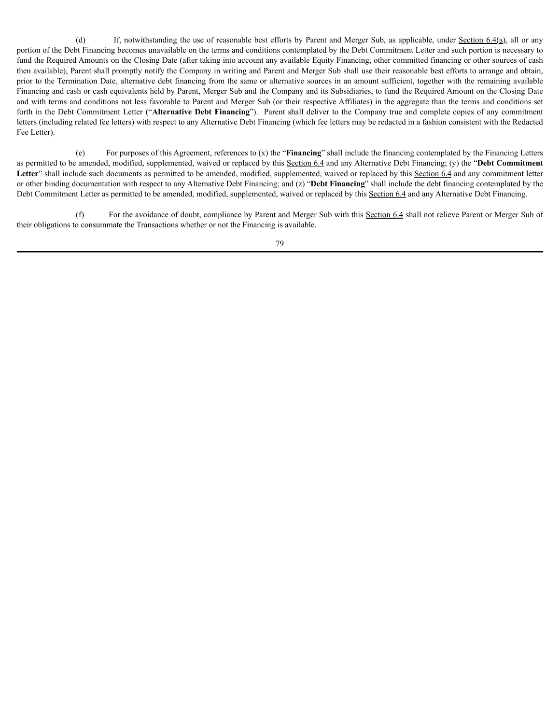(d) If, notwithstanding the use of reasonable best efforts by Parent and Merger Sub, as applicable, under Section  $6.4(a)$ , all or any portion of the Debt Financing becomes unavailable on the terms and conditions contemplated by the Debt Commitment Letter and such portion is necessary to fund the Required Amounts on the Closing Date (after taking into account any available Equity Financing, other committed financing or other sources of cash then available), Parent shall promptly notify the Company in writing and Parent and Merger Sub shall use their reasonable best efforts to arrange and obtain, prior to the Termination Date, alternative debt financing from the same or alternative sources in an amount sufficient, together with the remaining available Financing and cash or cash equivalents held by Parent, Merger Sub and the Company and its Subsidiaries, to fund the Required Amount on the Closing Date and with terms and conditions not less favorable to Parent and Merger Sub (or their respective Affiliates) in the aggregate than the terms and conditions set forth in the Debt Commitment Letter ("**Alternative Debt Financing**"). Parent shall deliver to the Company true and complete copies of any commitment letters (including related fee letters) with respect to any Alternative Debt Financing (which fee letters may be redacted in a fashion consistent with the Redacted Fee Letter).

(e) For purposes of this Agreement, references to (x) the "**Financing**" shall include the financing contemplated by the Financing Letters as permitted to be amended, modified, supplemented, waived or replaced by this Section 6.4 and any Alternative Debt Financing; (y) the "**Debt Commitment** Letter" shall include such documents as permitted to be amended, modified, supplemented, waived or replaced by this Section 6.4 and any commitment letter or other binding documentation with respect to any Alternative Debt Financing; and (z) "**Debt Financing**" shall include the debt financing contemplated by the Debt Commitment Letter as permitted to be amended, modified, supplemented, waived or replaced by this Section 6.4 and any Alternative Debt Financing.

(f) For the avoidance of doubt, compliance by Parent and Merger Sub with this Section 6.4 shall not relieve Parent or Merger Sub of their obligations to consummate the Transactions whether or not the Financing is available.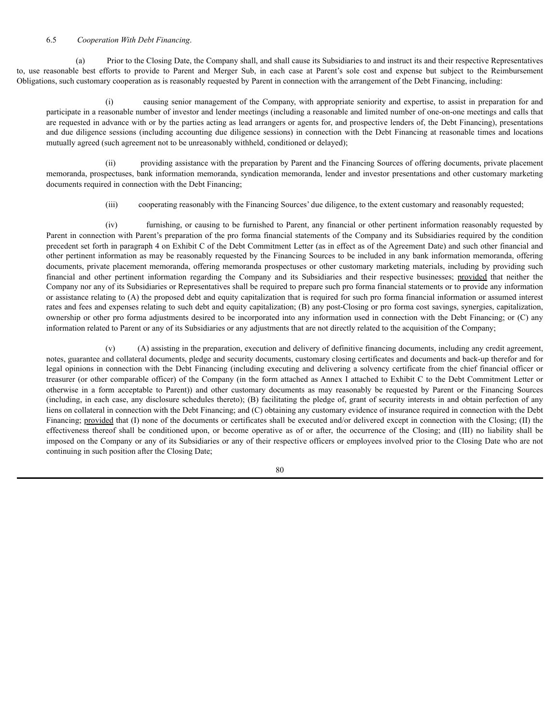### 6.5 *Cooperation With Debt Financing*.

(a) Prior to the Closing Date, the Company shall, and shall cause its Subsidiaries to and instruct its and their respective Representatives to, use reasonable best efforts to provide to Parent and Merger Sub, in each case at Parent's sole cost and expense but subject to the Reimbursement Obligations, such customary cooperation as is reasonably requested by Parent in connection with the arrangement of the Debt Financing, including:

(i) causing senior management of the Company, with appropriate seniority and expertise, to assist in preparation for and participate in a reasonable number of investor and lender meetings (including a reasonable and limited number of one-on-one meetings and calls that are requested in advance with or by the parties acting as lead arrangers or agents for, and prospective lenders of, the Debt Financing), presentations and due diligence sessions (including accounting due diligence sessions) in connection with the Debt Financing at reasonable times and locations mutually agreed (such agreement not to be unreasonably withheld, conditioned or delayed);

(ii) providing assistance with the preparation by Parent and the Financing Sources of offering documents, private placement memoranda, prospectuses, bank information memoranda, syndication memoranda, lender and investor presentations and other customary marketing documents required in connection with the Debt Financing;

(iii) cooperating reasonably with the Financing Sources' due diligence, to the extent customary and reasonably requested;

(iv) furnishing, or causing to be furnished to Parent, any financial or other pertinent information reasonably requested by Parent in connection with Parent's preparation of the pro forma financial statements of the Company and its Subsidiaries required by the condition precedent set forth in paragraph 4 on Exhibit C of the Debt Commitment Letter (as in effect as of the Agreement Date) and such other financial and other pertinent information as may be reasonably requested by the Financing Sources to be included in any bank information memoranda, offering documents, private placement memoranda, offering memoranda prospectuses or other customary marketing materials, including by providing such financial and other pertinent information regarding the Company and its Subsidiaries and their respective businesses; provided that neither the Company nor any of its Subsidiaries or Representatives shall be required to prepare such pro forma financial statements or to provide any information or assistance relating to (A) the proposed debt and equity capitalization that is required for such pro forma financial information or assumed interest rates and fees and expenses relating to such debt and equity capitalization; (B) any post-Closing or pro forma cost savings, synergies, capitalization, ownership or other pro forma adjustments desired to be incorporated into any information used in connection with the Debt Financing; or (C) any information related to Parent or any of its Subsidiaries or any adjustments that are not directly related to the acquisition of the Company;

(v) (A) assisting in the preparation, execution and delivery of definitive financing documents, including any credit agreement, notes, guarantee and collateral documents, pledge and security documents, customary closing certificates and documents and back-up therefor and for legal opinions in connection with the Debt Financing (including executing and delivering a solvency certificate from the chief financial officer or treasurer (or other comparable officer) of the Company (in the form attached as Annex I attached to Exhibit C to the Debt Commitment Letter or otherwise in a form acceptable to Parent)) and other customary documents as may reasonably be requested by Parent or the Financing Sources (including, in each case, any disclosure schedules thereto); (B) facilitating the pledge of, grant of security interests in and obtain perfection of any liens on collateral in connection with the Debt Financing; and (C) obtaining any customary evidence of insurance required in connection with the Debt Financing; provided that (I) none of the documents or certificates shall be executed and/or delivered except in connection with the Closing; (II) the effectiveness thereof shall be conditioned upon, or become operative as of or after, the occurrence of the Closing; and (III) no liability shall be imposed on the Company or any of its Subsidiaries or any of their respective officers or employees involved prior to the Closing Date who are not continuing in such position after the Closing Date;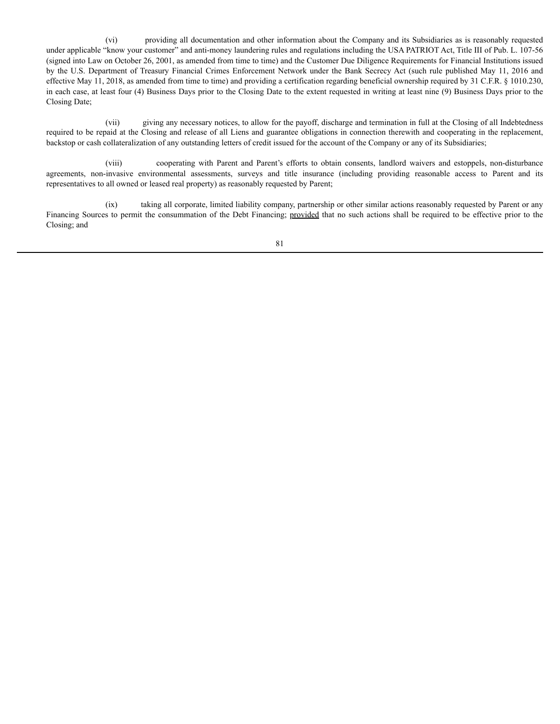(vi) providing all documentation and other information about the Company and its Subsidiaries as is reasonably requested under applicable "know your customer" and anti-money laundering rules and regulations including the USA PATRIOT Act, Title III of Pub. L. 107-56 (signed into Law on October 26, 2001, as amended from time to time) and the Customer Due Diligence Requirements for Financial Institutions issued by the U.S. Department of Treasury Financial Crimes Enforcement Network under the Bank Secrecy Act (such rule published May 11, 2016 and effective May 11, 2018, as amended from time to time) and providing a certification regarding beneficial ownership required by 31 C.F.R. § 1010.230, in each case, at least four (4) Business Days prior to the Closing Date to the extent requested in writing at least nine (9) Business Days prior to the Closing Date;

(vii) giving any necessary notices, to allow for the payoff, discharge and termination in full at the Closing of all Indebtedness required to be repaid at the Closing and release of all Liens and guarantee obligations in connection therewith and cooperating in the replacement, backstop or cash collateralization of any outstanding letters of credit issued for the account of the Company or any of its Subsidiaries;

(viii) cooperating with Parent and Parent's efforts to obtain consents, landlord waivers and estoppels, non-disturbance agreements, non-invasive environmental assessments, surveys and title insurance (including providing reasonable access to Parent and its representatives to all owned or leased real property) as reasonably requested by Parent;

(ix) taking all corporate, limited liability company, partnership or other similar actions reasonably requested by Parent or any Financing Sources to permit the consummation of the Debt Financing; provided that no such actions shall be required to be effective prior to the Closing; and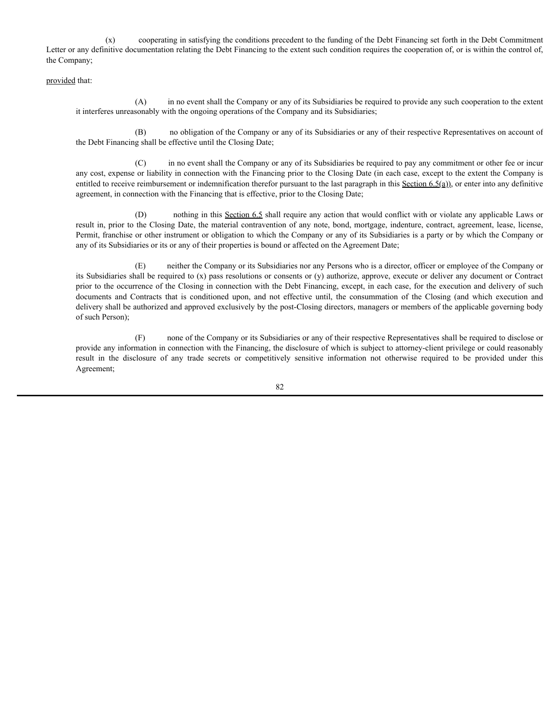(x) cooperating in satisfying the conditions precedent to the funding of the Debt Financing set forth in the Debt Commitment Letter or any definitive documentation relating the Debt Financing to the extent such condition requires the cooperation of, or is within the control of, the Company;

provided that:

(A) in no event shall the Company or any of its Subsidiaries be required to provide any such cooperation to the extent it interferes unreasonably with the ongoing operations of the Company and its Subsidiaries;

(B) no obligation of the Company or any of its Subsidiaries or any of their respective Representatives on account of the Debt Financing shall be effective until the Closing Date;

(C) in no event shall the Company or any of its Subsidiaries be required to pay any commitment or other fee or incur any cost, expense or liability in connection with the Financing prior to the Closing Date (in each case, except to the extent the Company is entitled to receive reimbursement or indemnification therefor pursuant to the last paragraph in this Section  $6.5(a)$ ), or enter into any definitive agreement, in connection with the Financing that is effective, prior to the Closing Date;

(D) nothing in this Section 6.5 shall require any action that would conflict with or violate any applicable Laws or result in, prior to the Closing Date, the material contravention of any note, bond, mortgage, indenture, contract, agreement, lease, license, Permit, franchise or other instrument or obligation to which the Company or any of its Subsidiaries is a party or by which the Company or any of its Subsidiaries or its or any of their properties is bound or affected on the Agreement Date;

(E) neither the Company or its Subsidiaries nor any Persons who is a director, officer or employee of the Company or its Subsidiaries shall be required to (x) pass resolutions or consents or (y) authorize, approve, execute or deliver any document or Contract prior to the occurrence of the Closing in connection with the Debt Financing, except, in each case, for the execution and delivery of such documents and Contracts that is conditioned upon, and not effective until, the consummation of the Closing (and which execution and delivery shall be authorized and approved exclusively by the post-Closing directors, managers or members of the applicable governing body of such Person);

(F) none of the Company or its Subsidiaries or any of their respective Representatives shall be required to disclose or provide any information in connection with the Financing, the disclosure of which is subject to attorney-client privilege or could reasonably result in the disclosure of any trade secrets or competitively sensitive information not otherwise required to be provided under this Agreement;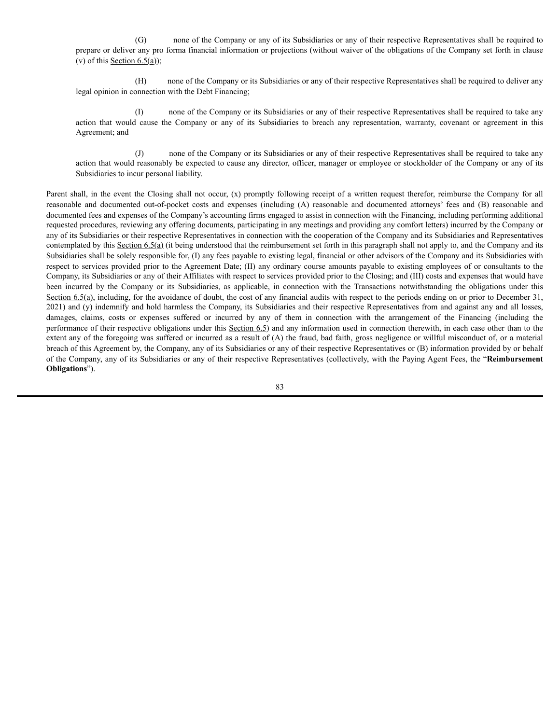(G) none of the Company or any of its Subsidiaries or any of their respective Representatives shall be required to prepare or deliver any pro forma financial information or projections (without waiver of the obligations of the Company set forth in clause (v) of this Section  $6.5(a)$ );

(H) none of the Company or its Subsidiaries or any of their respective Representatives shall be required to deliver any legal opinion in connection with the Debt Financing;

(I) none of the Company or its Subsidiaries or any of their respective Representatives shall be required to take any action that would cause the Company or any of its Subsidiaries to breach any representation, warranty, covenant or agreement in this Agreement; and

(J) none of the Company or its Subsidiaries or any of their respective Representatives shall be required to take any action that would reasonably be expected to cause any director, officer, manager or employee or stockholder of the Company or any of its Subsidiaries to incur personal liability.

Parent shall, in the event the Closing shall not occur, (x) promptly following receipt of a written request therefor, reimburse the Company for all reasonable and documented out-of-pocket costs and expenses (including (A) reasonable and documented attorneys' fees and (B) reasonable and documented fees and expenses of the Company's accounting firms engaged to assist in connection with the Financing, including performing additional requested procedures, reviewing any offering documents, participating in any meetings and providing any comfort letters) incurred by the Company or any of its Subsidiaries or their respective Representatives in connection with the cooperation of the Company and its Subsidiaries and Representatives contemplated by this Section 6.5(a) (it being understood that the reimbursement set forth in this paragraph shall not apply to, and the Company and its Subsidiaries shall be solely responsible for, (I) any fees payable to existing legal, financial or other advisors of the Company and its Subsidiaries with respect to services provided prior to the Agreement Date; (II) any ordinary course amounts payable to existing employees of or consultants to the Company, its Subsidiaries or any of their Affiliates with respect to services provided prior to the Closing; and (III) costs and expenses that would have been incurred by the Company or its Subsidiaries, as applicable, in connection with the Transactions notwithstanding the obligations under this Section 6.5(a), including, for the avoidance of doubt, the cost of any financial audits with respect to the periods ending on or prior to December 31, 2021) and (y) indemnify and hold harmless the Company, its Subsidiaries and their respective Representatives from and against any and all losses, damages, claims, costs or expenses suffered or incurred by any of them in connection with the arrangement of the Financing (including the performance of their respective obligations under this Section 6.5) and any information used in connection therewith, in each case other than to the extent any of the foregoing was suffered or incurred as a result of (A) the fraud, bad faith, gross negligence or willful misconduct of, or a material breach of this Agreement by, the Company, any of its Subsidiaries or any of their respective Representatives or (B) information provided by or behalf of the Company, any of its Subsidiaries or any of their respective Representatives (collectively, with the Paying Agent Fees, the "**Reimbursement Obligations**").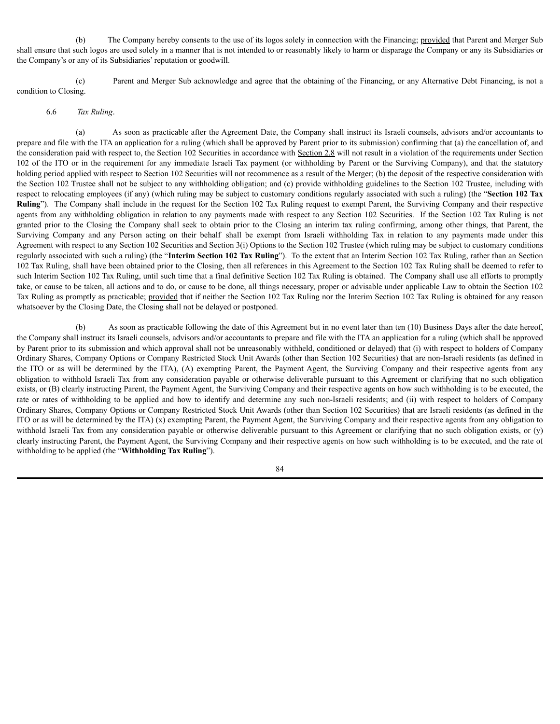(b) The Company hereby consents to the use of its logos solely in connection with the Financing; provided that Parent and Merger Sub shall ensure that such logos are used solely in a manner that is not intended to or reasonably likely to harm or disparage the Company or any its Subsidiaries or the Company's or any of its Subsidiaries' reputation or goodwill.

(c) Parent and Merger Sub acknowledge and agree that the obtaining of the Financing, or any Alternative Debt Financing, is not a condition to Closing.

### 6.6 *Tax Ruling*.

(a) As soon as practicable after the Agreement Date, the Company shall instruct its Israeli counsels, advisors and/or accountants to prepare and file with the ITA an application for a ruling (which shall be approved by Parent prior to its submission) confirming that (a) the cancellation of, and the consideration paid with respect to, the Section 102 Securities in accordance with Section 2.8 will not result in a violation of the requirements under Section 102 of the ITO or in the requirement for any immediate Israeli Tax payment (or withholding by Parent or the Surviving Company), and that the statutory holding period applied with respect to Section 102 Securities will not recommence as a result of the Merger; (b) the deposit of the respective consideration with the Section 102 Trustee shall not be subject to any withholding obligation; and (c) provide withholding guidelines to the Section 102 Trustee, including with respect to relocating employees (if any) (which ruling may be subject to customary conditions regularly associated with such a ruling) (the "**Section 102 Tax Ruling**"). The Company shall include in the request for the Section 102 Tax Ruling request to exempt Parent, the Surviving Company and their respective agents from any withholding obligation in relation to any payments made with respect to any Section 102 Securities. If the Section 102 Tax Ruling is not granted prior to the Closing the Company shall seek to obtain prior to the Closing an interim tax ruling confirming, among other things, that Parent, the Surviving Company and any Person acting on their behalf shall be exempt from Israeli withholding Tax in relation to any payments made under this Agreement with respect to any Section 102 Securities and Section 3(i) Options to the Section 102 Trustee (which ruling may be subject to customary conditions regularly associated with such a ruling) (the "**Interim Section 102 Tax Ruling**"). To the extent that an Interim Section 102 Tax Ruling, rather than an Section 102 Tax Ruling, shall have been obtained prior to the Closing, then all references in this Agreement to the Section 102 Tax Ruling shall be deemed to refer to such Interim Section 102 Tax Ruling, until such time that a final definitive Section 102 Tax Ruling is obtained. The Company shall use all efforts to promptly take, or cause to be taken, all actions and to do, or cause to be done, all things necessary, proper or advisable under applicable Law to obtain the Section 102 Tax Ruling as promptly as practicable; provided that if neither the Section 102 Tax Ruling nor the Interim Section 102 Tax Ruling is obtained for any reason whatsoever by the Closing Date, the Closing shall not be delayed or postponed.

(b) As soon as practicable following the date of this Agreement but in no event later than ten (10) Business Days after the date hereof, the Company shall instruct its Israeli counsels, advisors and/or accountants to prepare and file with the ITA an application for a ruling (which shall be approved by Parent prior to its submission and which approval shall not be unreasonably withheld, conditioned or delayed) that (i) with respect to holders of Company Ordinary Shares, Company Options or Company Restricted Stock Unit Awards (other than Section 102 Securities) that are non-Israeli residents (as defined in the ITO or as will be determined by the ITA), (A) exempting Parent, the Payment Agent, the Surviving Company and their respective agents from any obligation to withhold Israeli Tax from any consideration payable or otherwise deliverable pursuant to this Agreement or clarifying that no such obligation exists, or (B) clearly instructing Parent, the Payment Agent, the Surviving Company and their respective agents on how such withholding is to be executed, the rate or rates of withholding to be applied and how to identify and determine any such non-Israeli residents; and (ii) with respect to holders of Company Ordinary Shares, Company Options or Company Restricted Stock Unit Awards (other than Section 102 Securities) that are Israeli residents (as defined in the ITO or as will be determined by the ITA) (x) exempting Parent, the Payment Agent, the Surviving Company and their respective agents from any obligation to withhold Israeli Tax from any consideration payable or otherwise deliverable pursuant to this Agreement or clarifying that no such obligation exists, or (y) clearly instructing Parent, the Payment Agent, the Surviving Company and their respective agents on how such withholding is to be executed, and the rate of withholding to be applied (the "**Withholding Tax Ruling**").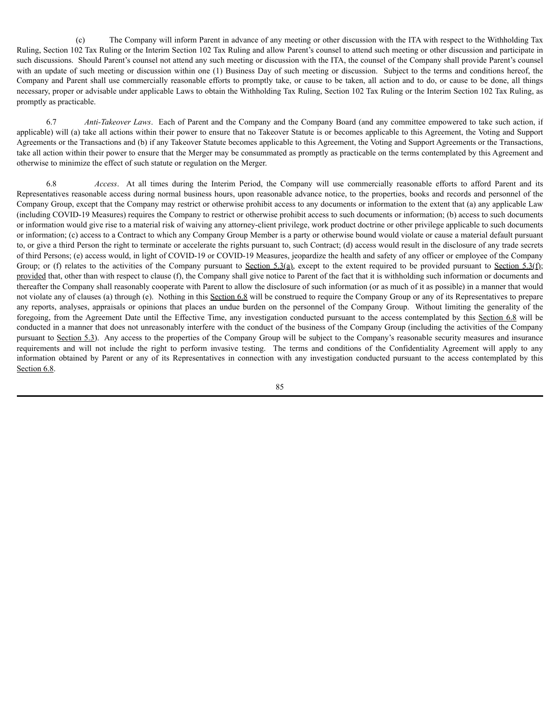(c) The Company will inform Parent in advance of any meeting or other discussion with the ITA with respect to the Withholding Tax Ruling, Section 102 Tax Ruling or the Interim Section 102 Tax Ruling and allow Parent's counsel to attend such meeting or other discussion and participate in such discussions. Should Parent's counsel not attend any such meeting or discussion with the ITA, the counsel of the Company shall provide Parent's counsel with an update of such meeting or discussion within one (1) Business Day of such meeting or discussion. Subject to the terms and conditions hereof, the Company and Parent shall use commercially reasonable efforts to promptly take, or cause to be taken, all action and to do, or cause to be done, all things necessary, proper or advisable under applicable Laws to obtain the Withholding Tax Ruling, Section 102 Tax Ruling or the Interim Section 102 Tax Ruling, as promptly as practicable.

6.7 *Anti-Takeover Laws*. Each of Parent and the Company and the Company Board (and any committee empowered to take such action, if applicable) will (a) take all actions within their power to ensure that no Takeover Statute is or becomes applicable to this Agreement, the Voting and Support Agreements or the Transactions and (b) if any Takeover Statute becomes applicable to this Agreement, the Voting and Support Agreements or the Transactions, take all action within their power to ensure that the Merger may be consummated as promptly as practicable on the terms contemplated by this Agreement and otherwise to minimize the effect of such statute or regulation on the Merger.

6.8 *Access*. At all times during the Interim Period, the Company will use commercially reasonable efforts to afford Parent and its Representatives reasonable access during normal business hours, upon reasonable advance notice, to the properties, books and records and personnel of the Company Group, except that the Company may restrict or otherwise prohibit access to any documents or information to the extent that (a) any applicable Law (including COVID-19 Measures) requires the Company to restrict or otherwise prohibit access to such documents or information; (b) access to such documents or information would give rise to a material risk of waiving any attorney-client privilege, work product doctrine or other privilege applicable to such documents or information; (c) access to a Contract to which any Company Group Member is a party or otherwise bound would violate or cause a material default pursuant to, or give a third Person the right to terminate or accelerate the rights pursuant to, such Contract; (d) access would result in the disclosure of any trade secrets of third Persons; (e) access would, in light of COVID-19 or COVID-19 Measures, jeopardize the health and safety of any officer or employee of the Company Group; or (f) relates to the activities of the Company pursuant to Section 5.3(a), except to the extent required to be provided pursuant to Section 5.3(f); provided that, other than with respect to clause (f), the Company shall give notice to Parent of the fact that it is withholding such information or documents and thereafter the Company shall reasonably cooperate with Parent to allow the disclosure of such information (or as much of it as possible) in a manner that would not violate any of clauses (a) through (e). Nothing in this Section 6.8 will be construed to require the Company Group or any of its Representatives to prepare any reports, analyses, appraisals or opinions that places an undue burden on the personnel of the Company Group. Without limiting the generality of the foregoing, from the Agreement Date until the Effective Time, any investigation conducted pursuant to the access contemplated by this Section 6.8 will be conducted in a manner that does not unreasonably interfere with the conduct of the business of the Company Group (including the activities of the Company pursuant to Section 5.3). Any access to the properties of the Company Group will be subject to the Company's reasonable security measures and insurance requirements and will not include the right to perform invasive testing. The terms and conditions of the Confidentiality Agreement will apply to any information obtained by Parent or any of its Representatives in connection with any investigation conducted pursuant to the access contemplated by this Section 6.8.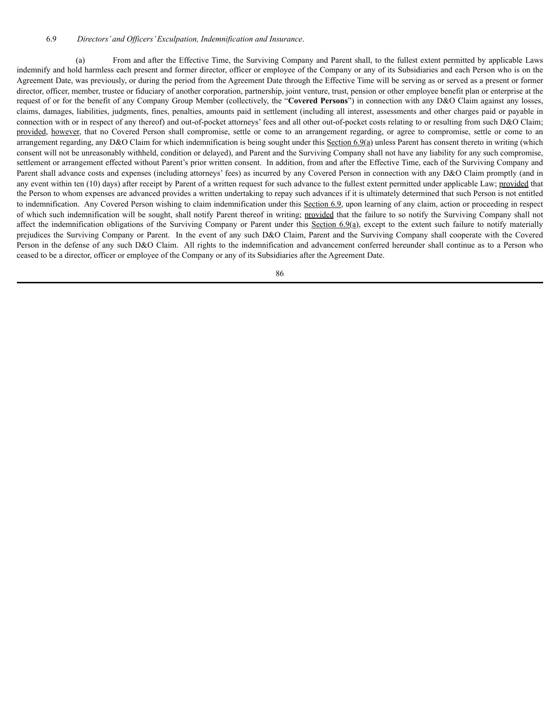(a) From and after the Effective Time, the Surviving Company and Parent shall, to the fullest extent permitted by applicable Laws indemnify and hold harmless each present and former director, officer or employee of the Company or any of its Subsidiaries and each Person who is on the Agreement Date, was previously, or during the period from the Agreement Date through the Effective Time will be serving as or served as a present or former director, officer, member, trustee or fiduciary of another corporation, partnership, joint venture, trust, pension or other employee benefit plan or enterprise at the request of or for the benefit of any Company Group Member (collectively, the "**Covered Persons**") in connection with any D&O Claim against any losses, claims, damages, liabilities, judgments, fines, penalties, amounts paid in settlement (including all interest, assessments and other charges paid or payable in connection with or in respect of any thereof) and out-of-pocket attorneys' fees and all other out-of-pocket costs relating to or resulting from such D&O Claim; provided, however, that no Covered Person shall compromise, settle or come to an arrangement regarding, or agree to compromise, settle or come to an arrangement regarding, any D&O Claim for which indemnification is being sought under this Section 6.9(a) unless Parent has consent thereto in writing (which consent will not be unreasonably withheld, condition or delayed), and Parent and the Surviving Company shall not have any liability for any such compromise, settlement or arrangement effected without Parent's prior written consent. In addition, from and after the Effective Time, each of the Surviving Company and Parent shall advance costs and expenses (including attorneys' fees) as incurred by any Covered Person in connection with any D&O Claim promptly (and in any event within ten (10) days) after receipt by Parent of a written request for such advance to the fullest extent permitted under applicable Law; provided that the Person to whom expenses are advanced provides a written undertaking to repay such advances if it is ultimately determined that such Person is not entitled to indemnification. Any Covered Person wishing to claim indemnification under this Section 6.9, upon learning of any claim, action or proceeding in respect of which such indemnification will be sought, shall notify Parent thereof in writing; provided that the failure to so notify the Surviving Company shall not affect the indemnification obligations of the Surviving Company or Parent under this Section 6.9(a), except to the extent such failure to notify materially prejudices the Surviving Company or Parent. In the event of any such D&O Claim, Parent and the Surviving Company shall cooperate with the Covered Person in the defense of any such D&O Claim. All rights to the indemnification and advancement conferred hereunder shall continue as to a Person who ceased to be a director, officer or employee of the Company or any of its Subsidiaries after the Agreement Date.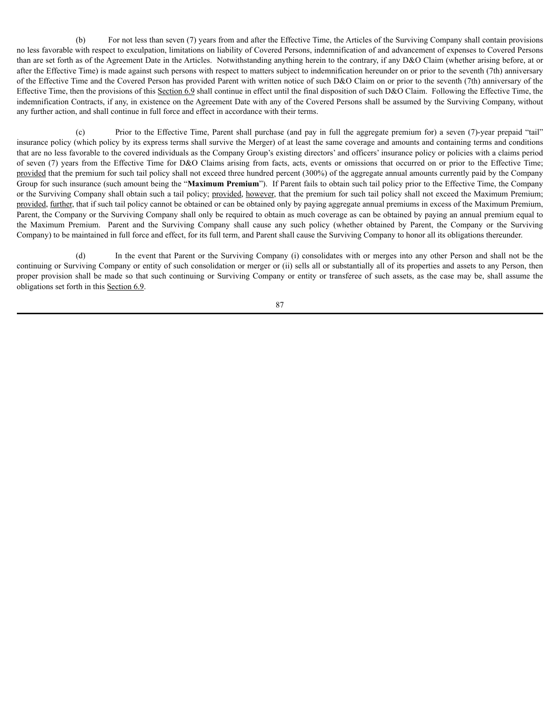(b) For not less than seven (7) years from and after the Effective Time, the Articles of the Surviving Company shall contain provisions no less favorable with respect to exculpation, limitations on liability of Covered Persons, indemnification of and advancement of expenses to Covered Persons than are set forth as of the Agreement Date in the Articles. Notwithstanding anything herein to the contrary, if any D&O Claim (whether arising before, at or after the Effective Time) is made against such persons with respect to matters subject to indemnification hereunder on or prior to the seventh (7th) anniversary of the Effective Time and the Covered Person has provided Parent with written notice of such D&O Claim on or prior to the seventh (7th) anniversary of the Effective Time, then the provisions of this Section 6.9 shall continue in effect until the final disposition of such D&O Claim. Following the Effective Time, the indemnification Contracts, if any, in existence on the Agreement Date with any of the Covered Persons shall be assumed by the Surviving Company, without any further action, and shall continue in full force and effect in accordance with their terms.

(c) Prior to the Effective Time, Parent shall purchase (and pay in full the aggregate premium for) a seven (7)-year prepaid "tail" insurance policy (which policy by its express terms shall survive the Merger) of at least the same coverage and amounts and containing terms and conditions that are no less favorable to the covered individuals as the Company Group's existing directors' and officers' insurance policy or policies with a claims period of seven (7) years from the Effective Time for D&O Claims arising from facts, acts, events or omissions that occurred on or prior to the Effective Time; provided that the premium for such tail policy shall not exceed three hundred percent (300%) of the aggregate annual amounts currently paid by the Company Group for such insurance (such amount being the "**Maximum Premium**"). If Parent fails to obtain such tail policy prior to the Effective Time, the Company or the Surviving Company shall obtain such a tail policy; provided, however, that the premium for such tail policy shall not exceed the Maximum Premium; provided, further, that if such tail policy cannot be obtained or can be obtained only by paying aggregate annual premiums in excess of the Maximum Premium, Parent, the Company or the Surviving Company shall only be required to obtain as much coverage as can be obtained by paying an annual premium equal to the Maximum Premium. Parent and the Surviving Company shall cause any such policy (whether obtained by Parent, the Company or the Surviving Company) to be maintained in full force and effect, for its full term, and Parent shall cause the Surviving Company to honor all its obligations thereunder.

(d) In the event that Parent or the Surviving Company (i) consolidates with or merges into any other Person and shall not be the continuing or Surviving Company or entity of such consolidation or merger or (ii) sells all or substantially all of its properties and assets to any Person, then proper provision shall be made so that such continuing or Surviving Company or entity or transferee of such assets, as the case may be, shall assume the obligations set forth in this Section 6.9.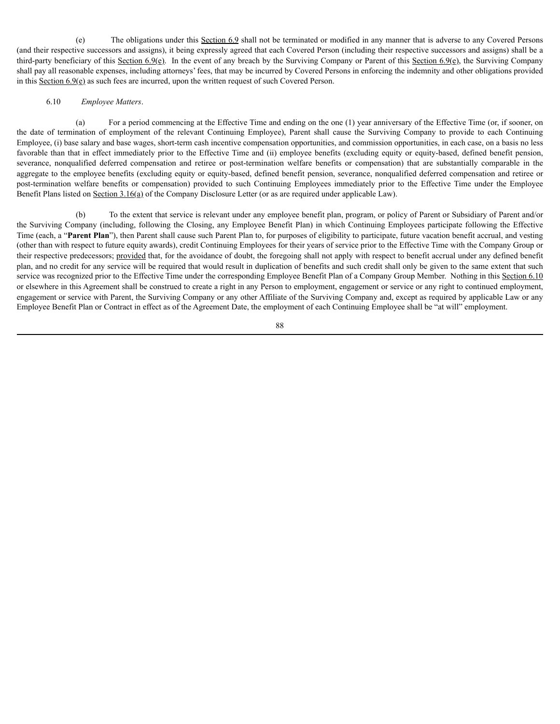(e) The obligations under this Section 6.9 shall not be terminated or modified in any manner that is adverse to any Covered Persons (and their respective successors and assigns), it being expressly agreed that each Covered Person (including their respective successors and assigns) shall be a third-party beneficiary of this Section  $6.9(e)$ . In the event of any breach by the Surviving Company or Parent of this Section  $6.9(e)$ , the Surviving Company shall pay all reasonable expenses, including attorneys' fees, that may be incurred by Covered Persons in enforcing the indemnity and other obligations provided in this Section  $6.9(e)$  as such fees are incurred, upon the written request of such Covered Person.

### 6.10 *Employee Matters*.

(a) For a period commencing at the Effective Time and ending on the one (1) year anniversary of the Effective Time (or, if sooner, on the date of termination of employment of the relevant Continuing Employee), Parent shall cause the Surviving Company to provide to each Continuing Employee, (i) base salary and base wages, short-term cash incentive compensation opportunities, and commission opportunities, in each case, on a basis no less favorable than that in effect immediately prior to the Effective Time and (ii) employee benefits (excluding equity or equity-based, defined benefit pension, severance, nonqualified deferred compensation and retiree or post-termination welfare benefits or compensation) that are substantially comparable in the aggregate to the employee benefits (excluding equity or equity-based, defined benefit pension, severance, nonqualified deferred compensation and retiree or post-termination welfare benefits or compensation) provided to such Continuing Employees immediately prior to the Effective Time under the Employee Benefit Plans listed on Section 3.16(a) of the Company Disclosure Letter (or as are required under applicable Law).

(b) To the extent that service is relevant under any employee benefit plan, program, or policy of Parent or Subsidiary of Parent and/or the Surviving Company (including, following the Closing, any Employee Benefit Plan) in which Continuing Employees participate following the Effective Time (each, a "**Parent Plan**"), then Parent shall cause such Parent Plan to, for purposes of eligibility to participate, future vacation benefit accrual, and vesting (other than with respect to future equity awards), credit Continuing Employees for their years of service prior to the Effective Time with the Company Group or their respective predecessors; provided that, for the avoidance of doubt, the foregoing shall not apply with respect to benefit accrual under any defined benefit plan, and no credit for any service will be required that would result in duplication of benefits and such credit shall only be given to the same extent that such service was recognized prior to the Effective Time under the corresponding Employee Benefit Plan of a Company Group Member. Nothing in this Section 6.10 or elsewhere in this Agreement shall be construed to create a right in any Person to employment, engagement or service or any right to continued employment, engagement or service with Parent, the Surviving Company or any other Affiliate of the Surviving Company and, except as required by applicable Law or any Employee Benefit Plan or Contract in effect as of the Agreement Date, the employment of each Continuing Employee shall be "at will" employment.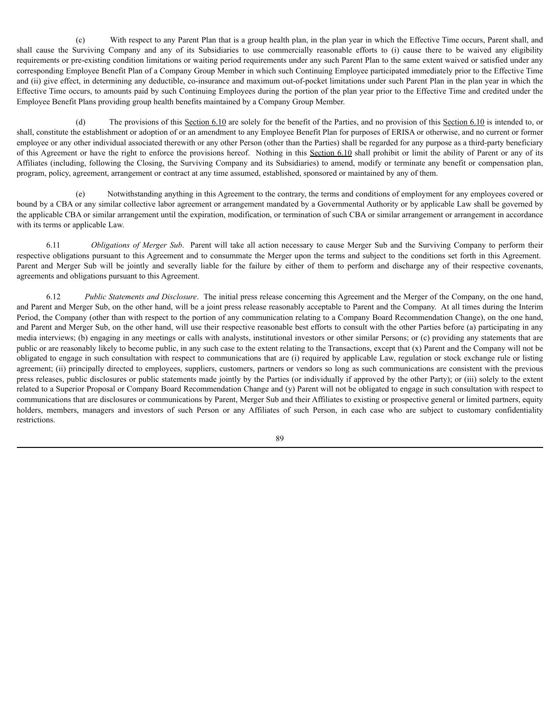(c) With respect to any Parent Plan that is a group health plan, in the plan year in which the Effective Time occurs, Parent shall, and shall cause the Surviving Company and any of its Subsidiaries to use commercially reasonable efforts to (i) cause there to be waived any eligibility requirements or pre-existing condition limitations or waiting period requirements under any such Parent Plan to the same extent waived or satisfied under any corresponding Employee Benefit Plan of a Company Group Member in which such Continuing Employee participated immediately prior to the Effective Time and (ii) give effect, in determining any deductible, co-insurance and maximum out-of-pocket limitations under such Parent Plan in the plan year in which the Effective Time occurs, to amounts paid by such Continuing Employees during the portion of the plan year prior to the Effective Time and credited under the Employee Benefit Plans providing group health benefits maintained by a Company Group Member.

(d) The provisions of this Section 6.10 are solely for the benefit of the Parties, and no provision of this Section 6.10 is intended to, or shall, constitute the establishment or adoption of or an amendment to any Employee Benefit Plan for purposes of ERISA or otherwise, and no current or former employee or any other individual associated therewith or any other Person (other than the Parties) shall be regarded for any purpose as a third-party beneficiary of this Agreement or have the right to enforce the provisions hereof. Nothing in this Section 6.10 shall prohibit or limit the ability of Parent or any of its Affiliates (including, following the Closing, the Surviving Company and its Subsidiaries) to amend, modify or terminate any benefit or compensation plan, program, policy, agreement, arrangement or contract at any time assumed, established, sponsored or maintained by any of them.

(e) Notwithstanding anything in this Agreement to the contrary, the terms and conditions of employment for any employees covered or bound by a CBA or any similar collective labor agreement or arrangement mandated by a Governmental Authority or by applicable Law shall be governed by the applicable CBA or similar arrangement until the expiration, modification, or termination of such CBA or similar arrangement or arrangement in accordance with its terms or applicable Law.

6.11 *Obligations of Merger Sub*. Parent will take all action necessary to cause Merger Sub and the Surviving Company to perform their respective obligations pursuant to this Agreement and to consummate the Merger upon the terms and subject to the conditions set forth in this Agreement. Parent and Merger Sub will be jointly and severally liable for the failure by either of them to perform and discharge any of their respective covenants, agreements and obligations pursuant to this Agreement.

6.12 *Public Statements and Disclosure*. The initial press release concerning this Agreement and the Merger of the Company, on the one hand, and Parent and Merger Sub, on the other hand, will be a joint press release reasonably acceptable to Parent and the Company. At all times during the Interim Period, the Company (other than with respect to the portion of any communication relating to a Company Board Recommendation Change), on the one hand, and Parent and Merger Sub, on the other hand, will use their respective reasonable best efforts to consult with the other Parties before (a) participating in any media interviews; (b) engaging in any meetings or calls with analysts, institutional investors or other similar Persons; or (c) providing any statements that are public or are reasonably likely to become public, in any such case to the extent relating to the Transactions, except that (x) Parent and the Company will not be obligated to engage in such consultation with respect to communications that are (i) required by applicable Law, regulation or stock exchange rule or listing agreement; (ii) principally directed to employees, suppliers, customers, partners or vendors so long as such communications are consistent with the previous press releases, public disclosures or public statements made jointly by the Parties (or individually if approved by the other Party); or (iii) solely to the extent related to a Superior Proposal or Company Board Recommendation Change and (y) Parent will not be obligated to engage in such consultation with respect to communications that are disclosures or communications by Parent, Merger Sub and their Affiliates to existing or prospective general or limited partners, equity holders, members, managers and investors of such Person or any Affiliates of such Person, in each case who are subject to customary confidentiality restrictions.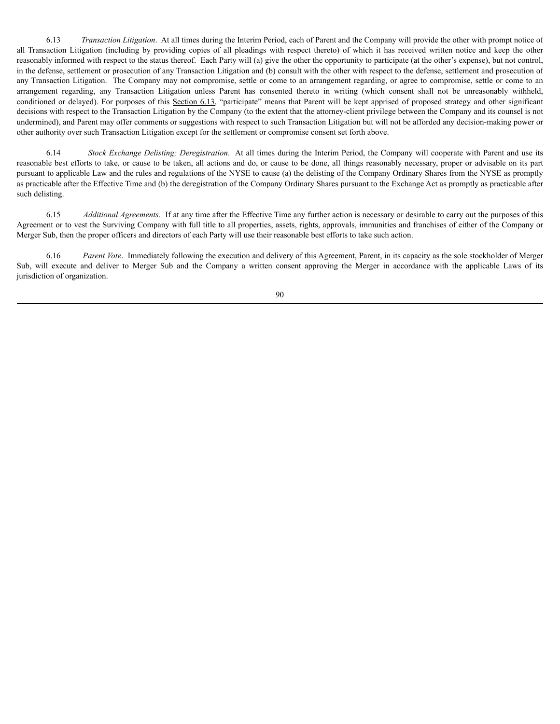6.13 *Transaction Litigation*. At all times during the Interim Period, each of Parent and the Company will provide the other with prompt notice of all Transaction Litigation (including by providing copies of all pleadings with respect thereto) of which it has received written notice and keep the other reasonably informed with respect to the status thereof. Each Party will (a) give the other the opportunity to participate (at the other's expense), but not control, in the defense, settlement or prosecution of any Transaction Litigation and (b) consult with the other with respect to the defense, settlement and prosecution of any Transaction Litigation. The Company may not compromise, settle or come to an arrangement regarding, or agree to compromise, settle or come to an arrangement regarding, any Transaction Litigation unless Parent has consented thereto in writing (which consent shall not be unreasonably withheld, conditioned or delayed). For purposes of this Section 6.13, "participate" means that Parent will be kept apprised of proposed strategy and other significant decisions with respect to the Transaction Litigation by the Company (to the extent that the attorney-client privilege between the Company and its counsel is not undermined), and Parent may offer comments or suggestions with respect to such Transaction Litigation but will not be afforded any decision-making power or other authority over such Transaction Litigation except for the settlement or compromise consent set forth above.

6.14 *Stock Exchange Delisting; Deregistration*. At all times during the Interim Period, the Company will cooperate with Parent and use its reasonable best efforts to take, or cause to be taken, all actions and do, or cause to be done, all things reasonably necessary, proper or advisable on its part pursuant to applicable Law and the rules and regulations of the NYSE to cause (a) the delisting of the Company Ordinary Shares from the NYSE as promptly as practicable after the Effective Time and (b) the deregistration of the Company Ordinary Shares pursuant to the Exchange Act as promptly as practicable after such delisting.

6.15 *Additional Agreements*. If at any time after the Effective Time any further action is necessary or desirable to carry out the purposes of this Agreement or to vest the Surviving Company with full title to all properties, assets, rights, approvals, immunities and franchises of either of the Company or Merger Sub, then the proper officers and directors of each Party will use their reasonable best efforts to take such action.

6.16 *Parent Vote*. Immediately following the execution and delivery of this Agreement, Parent, in its capacity as the sole stockholder of Merger Sub, will execute and deliver to Merger Sub and the Company a written consent approving the Merger in accordance with the applicable Laws of its jurisdiction of organization.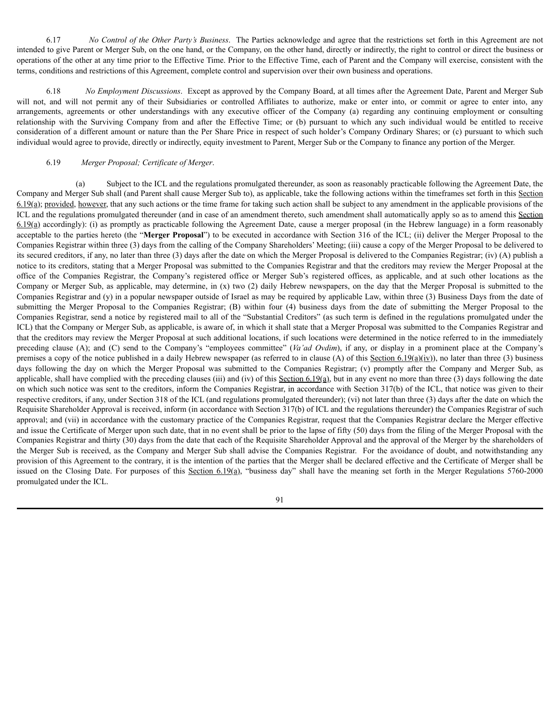6.17 *No Control of the Other Party's Business*. The Parties acknowledge and agree that the restrictions set forth in this Agreement are not intended to give Parent or Merger Sub, on the one hand, or the Company, on the other hand, directly or indirectly, the right to control or direct the business or operations of the other at any time prior to the Effective Time. Prior to the Effective Time, each of Parent and the Company will exercise, consistent with the terms, conditions and restrictions of this Agreement, complete control and supervision over their own business and operations.

6.18 *No Employment Discussions*. Except as approved by the Company Board, at all times after the Agreement Date, Parent and Merger Sub will not, and will not permit any of their Subsidiaries or controlled Affiliates to authorize, make or enter into, or commit or agree to enter into, any arrangements, agreements or other understandings with any executive officer of the Company (a) regarding any continuing employment or consulting relationship with the Surviving Company from and after the Effective Time; or (b) pursuant to which any such individual would be entitled to receive consideration of a different amount or nature than the Per Share Price in respect of such holder's Company Ordinary Shares; or (c) pursuant to which such individual would agree to provide, directly or indirectly, equity investment to Parent, Merger Sub or the Company to finance any portion of the Merger.

### 6.19 *Merger Proposal; Certificate of Merger*.

(a) Subject to the ICL and the regulations promulgated thereunder, as soon as reasonably practicable following the Agreement Date, the Company and Merger Sub shall (and Parent shall cause Merger Sub to), as applicable, take the following actions within the timeframes set forth in this Section  $6.19(a)$ ; provided, however, that any such actions or the time frame for taking such action shall be subject to any amendment in the applicable provisions of the ICL and the regulations promulgated thereunder (and in case of an amendment thereto, such amendment shall automatically apply so as to amend this Section 6.19(a) accordingly): (i) as promptly as practicable following the Agreement Date, cause a merger proposal (in the Hebrew language) in a form reasonably acceptable to the parties hereto (the "**Merger Proposal**") to be executed in accordance with Section 316 of the ICL; (ii) deliver the Merger Proposal to the Companies Registrar within three (3) days from the calling of the Company Shareholders' Meeting; (iii) cause a copy of the Merger Proposal to be delivered to its secured creditors, if any, no later than three (3) days after the date on which the Merger Proposal is delivered to the Companies Registrar; (iv) (A) publish a notice to its creditors, stating that a Merger Proposal was submitted to the Companies Registrar and that the creditors may review the Merger Proposal at the office of the Companies Registrar, the Company's registered office or Merger Sub's registered offices, as applicable, and at such other locations as the Company or Merger Sub, as applicable, may determine, in (x) two (2) daily Hebrew newspapers, on the day that the Merger Proposal is submitted to the Companies Registrar and (y) in a popular newspaper outside of Israel as may be required by applicable Law, within three (3) Business Days from the date of submitting the Merger Proposal to the Companies Registrar; (B) within four (4) business days from the date of submitting the Merger Proposal to the Companies Registrar, send a notice by registered mail to all of the "Substantial Creditors" (as such term is defined in the regulations promulgated under the ICL) that the Company or Merger Sub, as applicable, is aware of, in which it shall state that a Merger Proposal was submitted to the Companies Registrar and that the creditors may review the Merger Proposal at such additional locations, if such locations were determined in the notice referred to in the immediately preceding clause (A); and (C) send to the Company's "employees committee" (*Va'ad Ovdim*), if any, or display in a prominent place at the Company's premises a copy of the notice published in a daily Hebrew newspaper (as referred to in clause (A) of this Section 6.19(a)(iv)), no later than three (3) business days following the day on which the Merger Proposal was submitted to the Companies Registrar; (v) promptly after the Company and Merger Sub, as applicable, shall have complied with the preceding clauses (iii) and (iv) of this Section 6.19(a), but in any event no more than three (3) days following the date on which such notice was sent to the creditors, inform the Companies Registrar, in accordance with Section 317(b) of the ICL, that notice was given to their respective creditors, if any, under Section 318 of the ICL (and regulations promulgated thereunder); (vi) not later than three (3) days after the date on which the Requisite Shareholder Approval is received, inform (in accordance with Section 317(b) of ICL and the regulations thereunder) the Companies Registrar of such approval; and (vii) in accordance with the customary practice of the Companies Registrar, request that the Companies Registrar declare the Merger effective and issue the Certificate of Merger upon such date, that in no event shall be prior to the lapse of fifty (50) days from the filing of the Merger Proposal with the Companies Registrar and thirty (30) days from the date that each of the Requisite Shareholder Approval and the approval of the Merger by the shareholders of the Merger Sub is received, as the Company and Merger Sub shall advise the Companies Registrar. For the avoidance of doubt, and notwithstanding any provision of this Agreement to the contrary, it is the intention of the parties that the Merger shall be declared effective and the Certificate of Merger shall be issued on the Closing Date. For purposes of this Section 6.19(a), "business day" shall have the meaning set forth in the Merger Regulations 5760-2000 promulgated under the ICL.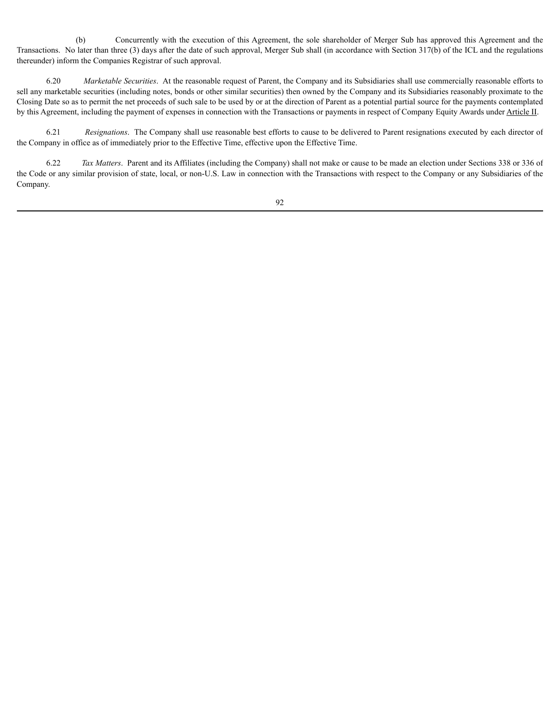(b) Concurrently with the execution of this Agreement, the sole shareholder of Merger Sub has approved this Agreement and the Transactions. No later than three (3) days after the date of such approval, Merger Sub shall (in accordance with Section 317(b) of the ICL and the regulations thereunder) inform the Companies Registrar of such approval.

6.20 *Marketable Securities*. At the reasonable request of Parent, the Company and its Subsidiaries shall use commercially reasonable efforts to sell any marketable securities (including notes, bonds or other similar securities) then owned by the Company and its Subsidiaries reasonably proximate to the Closing Date so as to permit the net proceeds of such sale to be used by or at the direction of Parent as a potential partial source for the payments contemplated by this Agreement, including the payment of expenses in connection with the Transactions or payments in respect of Company Equity Awards under Article II.

6.21 *Resignations*. The Company shall use reasonable best efforts to cause to be delivered to Parent resignations executed by each director of the Company in office as of immediately prior to the Effective Time, effective upon the Effective Time.

6.22 *Tax Matters*. Parent and its Affiliates (including the Company) shall not make or cause to be made an election under Sections 338 or 336 of the Code or any similar provision of state, local, or non-U.S. Law in connection with the Transactions with respect to the Company or any Subsidiaries of the Company.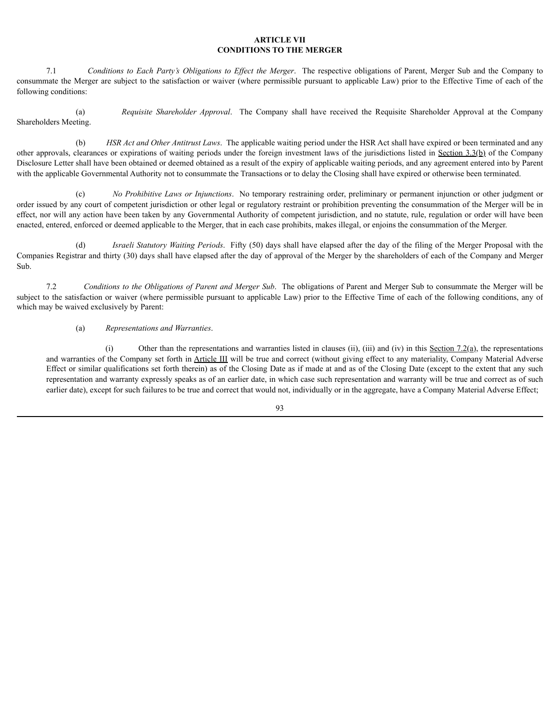### **ARTICLE VII CONDITIONS TO THE MERGER**

7.1 *Conditions to Each Party's Obligations to Ef ect the Merger*. The respective obligations of Parent, Merger Sub and the Company to consummate the Merger are subject to the satisfaction or waiver (where permissible pursuant to applicable Law) prior to the Effective Time of each of the following conditions:

(a) *Requisite Shareholder Approval*. The Company shall have received the Requisite Shareholder Approval at the Company Shareholders Meeting.

(b) *HSR Act and Other Antitrust Laws*. The applicable waiting period under the HSR Act shall have expired or been terminated and any other approvals, clearances or expirations of waiting periods under the foreign investment laws of the jurisdictions listed in Section 3.3(b) of the Company Disclosure Letter shall have been obtained or deemed obtained as a result of the expiry of applicable waiting periods, and any agreement entered into by Parent with the applicable Governmental Authority not to consummate the Transactions or to delay the Closing shall have expired or otherwise been terminated.

(c) *No Prohibitive Laws or Injunctions*. No temporary restraining order, preliminary or permanent injunction or other judgment or order issued by any court of competent jurisdiction or other legal or regulatory restraint or prohibition preventing the consummation of the Merger will be in effect, nor will any action have been taken by any Governmental Authority of competent jurisdiction, and no statute, rule, regulation or order will have been enacted, entered, enforced or deemed applicable to the Merger, that in each case prohibits, makes illegal, or enjoins the consummation of the Merger.

(d) *Israeli Statutory Waiting Periods*. Fifty (50) days shall have elapsed after the day of the filing of the Merger Proposal with the Companies Registrar and thirty (30) days shall have elapsed after the day of approval of the Merger by the shareholders of each of the Company and Merger Sub.

7.2 *Conditions to the Obligations of Parent and Merger Sub*. The obligations of Parent and Merger Sub to consummate the Merger will be subject to the satisfaction or waiver (where permissible pursuant to applicable Law) prior to the Effective Time of each of the following conditions, any of which may be waived exclusively by Parent:

## (a) *Representations and Warranties*.

(i) Other than the representations and warranties listed in clauses (ii), (iii) and (iv) in this Section 7.2(a), the representations and warranties of the Company set forth in Article III will be true and correct (without giving effect to any materiality, Company Material Adverse Effect or similar qualifications set forth therein) as of the Closing Date as if made at and as of the Closing Date (except to the extent that any such representation and warranty expressly speaks as of an earlier date, in which case such representation and warranty will be true and correct as of such earlier date), except for such failures to be true and correct that would not, individually or in the aggregate, have a Company Material Adverse Effect;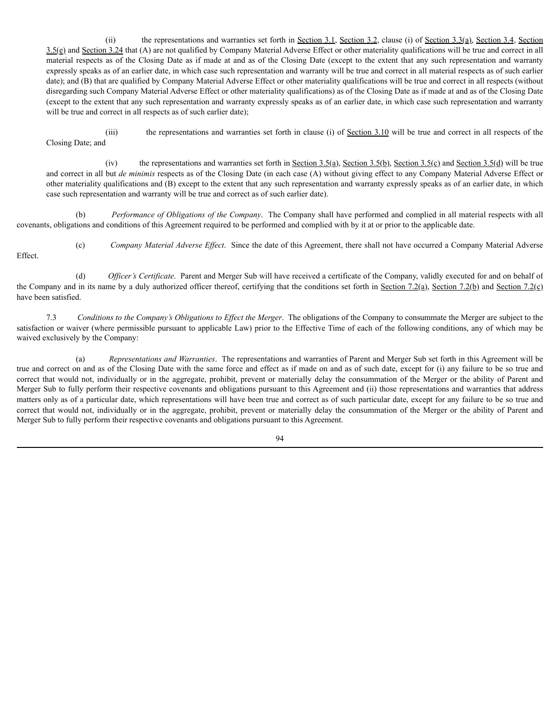(ii) the representations and warranties set forth in <u>Section 3.1, Section 3.2</u>, clause (i) of <u>Section 3.3(a), Section 3.4, Section</u>  $3.5(e)$  and Section 3.24 that (A) are not qualified by Company Material Adverse Effect or other materiality qualifications will be true and correct in all material respects as of the Closing Date as if made at and as of the Closing Date (except to the extent that any such representation and warranty expressly speaks as of an earlier date, in which case such representation and warranty will be true and correct in all material respects as of such earlier date); and (B) that are qualified by Company Material Adverse Effect or other materiality qualifications will be true and correct in all respects (without disregarding such Company Material Adverse Effect or other materiality qualifications) as of the Closing Date as if made at and as of the Closing Date (except to the extent that any such representation and warranty expressly speaks as of an earlier date, in which case such representation and warranty will be true and correct in all respects as of such earlier date);

(iii) the representations and warranties set forth in clause (i) of Section 3.10 will be true and correct in all respects of the Closing Date; and

(iv) the representations and warranties set forth in <u>Section 3.5(a), Section 3.5(b), Section 3.5(c)</u> and Section 3.5(d) will be true and correct in all but *de minimis* respects as of the Closing Date (in each case (A) without giving effect to any Company Material Adverse Effect or other materiality qualifications and (B) except to the extent that any such representation and warranty expressly speaks as of an earlier date, in which case such representation and warranty will be true and correct as of such earlier date).

(b) *Performance of Obligations of the Company*. The Company shall have performed and complied in all material respects with all covenants, obligations and conditions of this Agreement required to be performed and complied with by it at or prior to the applicable date.

Effect.

(c) *Company Material Adverse Effect*. Since the date of this Agreement, there shall not have occurred a Company Material Adverse

(d) *Of icer's Certificate*. Parent and Merger Sub will have received a certificate of the Company, validly executed for and on behalf of the Company and in its name by a duly authorized officer thereof, certifying that the conditions set forth in Section 7.2(a), Section 7.2(b) and Section 7.2(c) have been satisfied.

7.3 *Conditions to the Company's Obligations to Ef ect the Merger*. The obligations of the Company to consummate the Merger are subject to the satisfaction or waiver (where permissible pursuant to applicable Law) prior to the Effective Time of each of the following conditions, any of which may be waived exclusively by the Company:

(a) *Representations and Warranties*. The representations and warranties of Parent and Merger Sub set forth in this Agreement will be true and correct on and as of the Closing Date with the same force and effect as if made on and as of such date, except for (i) any failure to be so true and correct that would not, individually or in the aggregate, prohibit, prevent or materially delay the consummation of the Merger or the ability of Parent and Merger Sub to fully perform their respective covenants and obligations pursuant to this Agreement and (ii) those representations and warranties that address matters only as of a particular date, which representations will have been true and correct as of such particular date, except for any failure to be so true and correct that would not, individually or in the aggregate, prohibit, prevent or materially delay the consummation of the Merger or the ability of Parent and Merger Sub to fully perform their respective covenants and obligations pursuant to this Agreement.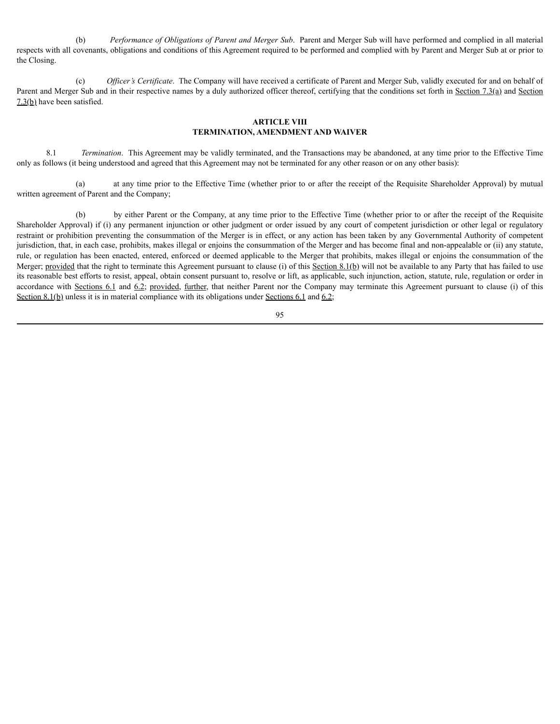(b) *Performance of Obligations of Parent and Merger Sub*. Parent and Merger Sub will have performed and complied in all material respects with all covenants, obligations and conditions of this Agreement required to be performed and complied with by Parent and Merger Sub at or prior to the Closing.

(c) *Of icer's Certificate*. The Company will have received a certificate of Parent and Merger Sub, validly executed for and on behalf of Parent and Merger Sub and in their respective names by a duly authorized officer thereof, certifying that the conditions set forth in Section 7.3(a) and Section 7.3(b) have been satisfied.

## **ARTICLE VIII TERMINATION, AMENDMENT AND WAIVER**

8.1 *Termination*. This Agreement may be validly terminated, and the Transactions may be abandoned, at any time prior to the Effective Time only as follows (it being understood and agreed that this Agreement may not be terminated for any other reason or on any other basis):

(a) at any time prior to the Effective Time (whether prior to or after the receipt of the Requisite Shareholder Approval) by mutual written agreement of Parent and the Company;

(b) by either Parent or the Company, at any time prior to the Effective Time (whether prior to or after the receipt of the Requisite Shareholder Approval) if (i) any permanent injunction or other judgment or order issued by any court of competent jurisdiction or other legal or regulatory restraint or prohibition preventing the consummation of the Merger is in effect, or any action has been taken by any Governmental Authority of competent jurisdiction, that, in each case, prohibits, makes illegal or enjoins the consummation of the Merger and has become final and non-appealable or (ii) any statute, rule, or regulation has been enacted, entered, enforced or deemed applicable to the Merger that prohibits, makes illegal or enjoins the consummation of the Merger; provided that the right to terminate this Agreement pursuant to clause (i) of this Section 8.1(b) will not be available to any Party that has failed to use its reasonable best efforts to resist, appeal, obtain consent pursuant to, resolve or lift, as applicable, such injunction, action, statute, rule, regulation or order in accordance with Sections 6.1 and 6.2; provided, further, that neither Parent nor the Company may terminate this Agreement pursuant to clause (i) of this Section 8.1(b) unless it is in material compliance with its obligations under Sections 6.1 and 6.2;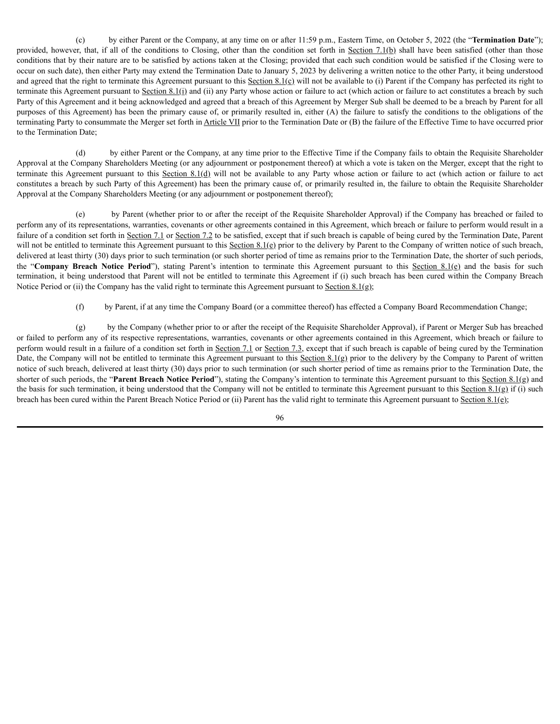(c) by either Parent or the Company, at any time on or after 11:59 p.m., Eastern Time, on October 5, 2022 (the "**Termination Date**"); provided, however, that, if all of the conditions to Closing, other than the condition set forth in Section 7.1(b) shall have been satisfied (other than those conditions that by their nature are to be satisfied by actions taken at the Closing; provided that each such condition would be satisfied if the Closing were to occur on such date), then either Party may extend the Termination Date to January 5, 2023 by delivering a written notice to the other Party, it being understood and agreed that the right to terminate this Agreement pursuant to this Section  $8.1(c)$  will not be available to (i) Parent if the Company has perfected its right to terminate this Agreement pursuant to Section 8.1(i) and (ii) any Party whose action or failure to act (which action or failure to act constitutes a breach by such Party of this Agreement and it being acknowledged and agreed that a breach of this Agreement by Merger Sub shall be deemed to be a breach by Parent for all purposes of this Agreement) has been the primary cause of, or primarily resulted in, either (A) the failure to satisfy the conditions to the obligations of the terminating Party to consummate the Merger set forth in Article VII prior to the Termination Date or (B) the failure of the Effective Time to have occurred prior to the Termination Date;

(d) by either Parent or the Company, at any time prior to the Effective Time if the Company fails to obtain the Requisite Shareholder Approval at the Company Shareholders Meeting (or any adjournment or postponement thereof) at which a vote is taken on the Merger, except that the right to terminate this Agreement pursuant to this Section 8.1(d) will not be available to any Party whose action or failure to act (which action or failure to act constitutes a breach by such Party of this Agreement) has been the primary cause of, or primarily resulted in, the failure to obtain the Requisite Shareholder Approval at the Company Shareholders Meeting (or any adjournment or postponement thereof);

(e) by Parent (whether prior to or after the receipt of the Requisite Shareholder Approval) if the Company has breached or failed to perform any of its representations, warranties, covenants or other agreements contained in this Agreement, which breach or failure to perform would result in a failure of a condition set forth in Section 7.1 or Section 7.2 to be satisfied, except that if such breach is capable of being cured by the Termination Date, Parent will not be entitled to terminate this Agreement pursuant to this Section  $8.1(e)$  prior to the delivery by Parent to the Company of written notice of such breach, delivered at least thirty (30) days prior to such termination (or such shorter period of time as remains prior to the Termination Date, the shorter of such periods, the "**Company Breach Notice Period**"), stating Parent's intention to terminate this Agreement pursuant to this Section 8.1(e) and the basis for such termination, it being understood that Parent will not be entitled to terminate this Agreement if (i) such breach has been cured within the Company Breach Notice Period or (ii) the Company has the valid right to terminate this Agreement pursuant to Section  $8.1(g)$ ;

(f) by Parent, if at any time the Company Board (or a committee thereof) has effected a Company Board Recommendation Change;

(g) by the Company (whether prior to or after the receipt of the Requisite Shareholder Approval), if Parent or Merger Sub has breached or failed to perform any of its respective representations, warranties, covenants or other agreements contained in this Agreement, which breach or failure to perform would result in a failure of a condition set forth in Section 7.1 or Section 7.3, except that if such breach is capable of being cured by the Termination Date, the Company will not be entitled to terminate this Agreement pursuant to this Section 8.1(g) prior to the delivery by the Company to Parent of written notice of such breach, delivered at least thirty (30) days prior to such termination (or such shorter period of time as remains prior to the Termination Date, the shorter of such periods, the "**Parent Breach Notice Period**"), stating the Company's intention to terminate this Agreement pursuant to this Section 8.1(g) and the basis for such termination, it being understood that the Company will not be entitled to terminate this Agreement pursuant to this Section 8.1(g) if (i) such breach has been cured within the Parent Breach Notice Period or (ii) Parent has the valid right to terminate this Agreement pursuant to Section 8.1(e);

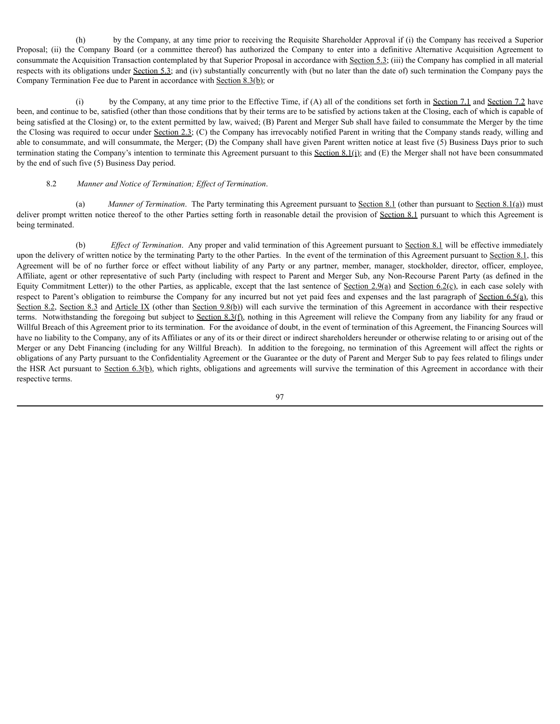(h) by the Company, at any time prior to receiving the Requisite Shareholder Approval if (i) the Company has received a Superior Proposal; (ii) the Company Board (or a committee thereof) has authorized the Company to enter into a definitive Alternative Acquisition Agreement to consummate the Acquisition Transaction contemplated by that Superior Proposal in accordance with Section 5.3; (iii) the Company has complied in all material respects with its obligations under Section 5.3; and (iv) substantially concurrently with (but no later than the date of) such termination the Company pays the Company Termination Fee due to Parent in accordance with Section  $8.3(b)$ ; or

(i) by the Company, at any time prior to the Effective Time, if (A) all of the conditions set forth in Section 7.1 and Section 7.2 have been, and continue to be, satisfied (other than those conditions that by their terms are to be satisfied by actions taken at the Closing, each of which is capable of being satisfied at the Closing) or, to the extent permitted by law, waived; (B) Parent and Merger Sub shall have failed to consummate the Merger by the time the Closing was required to occur under Section 2.3; (C) the Company has irrevocably notified Parent in writing that the Company stands ready, willing and able to consummate, and will consummate, the Merger; (D) the Company shall have given Parent written notice at least five (5) Business Days prior to such termination stating the Company's intention to terminate this Agreement pursuant to this Section 8.1(i); and  $(E)$  the Merger shall not have been consummated by the end of such five (5) Business Day period.

### 8.2 *Manner and Notice of Termination; Ef ect of Termination*.

(a) *Manner of Termination*. The Party terminating this Agreement pursuant to <u>Section 8.1</u> (other than pursuant to Section 8.1(a)) must deliver prompt written notice thereof to the other Parties setting forth in reasonable detail the provision of Section 8.1 pursuant to which this Agreement is being terminated.

(b) *Ef ect of Termination*. Any proper and valid termination of this Agreement pursuant to Section 8.1 will be effective immediately upon the delivery of written notice by the terminating Party to the other Parties. In the event of the termination of this Agreement pursuant to Section 8.1, this Agreement will be of no further force or effect without liability of any Party or any partner, member, manager, stockholder, director, officer, employee, Affiliate, agent or other representative of such Party (including with respect to Parent and Merger Sub, any Non-Recourse Parent Party (as defined in the Equity Commitment Letter)) to the other Parties, as applicable, except that the last sentence of Section 2.9(a) and Section 6.2(c), in each case solely with respect to Parent's obligation to reimburse the Company for any incurred but not yet paid fees and expenses and the last paragraph of Section 6.5(a), this Section 8.2, Section 8.3 and Article IX (other than Section 9.8(b)) will each survive the termination of this Agreement in accordance with their respective terms. Notwithstanding the foregoing but subject to Section 8.3(f), nothing in this Agreement will relieve the Company from any liability for any fraud or Willful Breach of this Agreement prior to its termination. For the avoidance of doubt, in the event of termination of this Agreement, the Financing Sources will have no liability to the Company, any of its Affiliates or any of its or their direct or indirect shareholders hereunder or otherwise relating to or arising out of the Merger or any Debt Financing (including for any Willful Breach). In addition to the foregoing, no termination of this Agreement will affect the rights or obligations of any Party pursuant to the Confidentiality Agreement or the Guarantee or the duty of Parent and Merger Sub to pay fees related to filings under the HSR Act pursuant to Section  $6.3(b)$ , which rights, obligations and agreements will survive the termination of this Agreement in accordance with their respective terms.

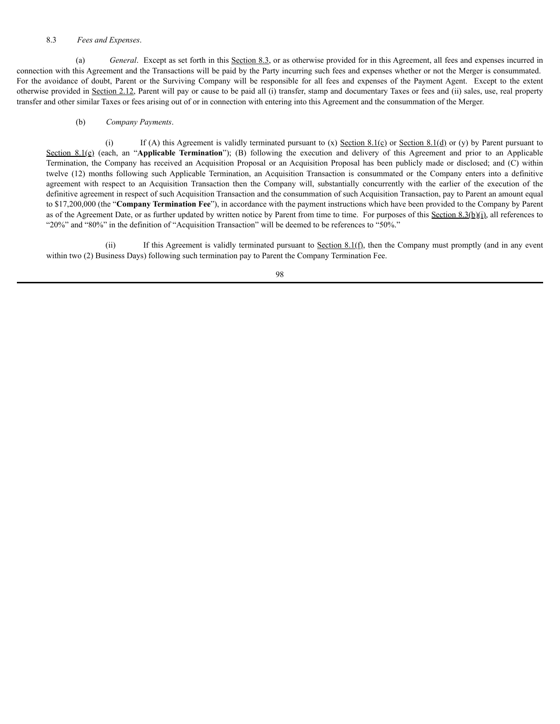### 8.3 *Fees and Expenses*.

(a) *General*. Except as set forth in this Section 8.3, or as otherwise provided for in this Agreement, all fees and expenses incurred in connection with this Agreement and the Transactions will be paid by the Party incurring such fees and expenses whether or not the Merger is consummated. For the avoidance of doubt, Parent or the Surviving Company will be responsible for all fees and expenses of the Payment Agent. Except to the extent otherwise provided in Section 2.12, Parent will pay or cause to be paid all (i) transfer, stamp and documentary Taxes or fees and (ii) sales, use, real property transfer and other similar Taxes or fees arising out of or in connection with entering into this Agreement and the consummation of the Merger.

### (b) *Company Payments*.

(i) If (A) this Agreement is validly terminated pursuant to (x) Section 8.1(c) or Section 8.1(d) or (y) by Parent pursuant to Section 8.1(e) (each, an "**Applicable Termination**"); (B) following the execution and delivery of this Agreement and prior to an Applicable Termination, the Company has received an Acquisition Proposal or an Acquisition Proposal has been publicly made or disclosed; and (C) within twelve (12) months following such Applicable Termination, an Acquisition Transaction is consummated or the Company enters into a definitive agreement with respect to an Acquisition Transaction then the Company will, substantially concurrently with the earlier of the execution of the definitive agreement in respect of such Acquisition Transaction and the consummation of such Acquisition Transaction, pay to Parent an amount equal to \$17,200,000 (the "**Company Termination Fee**"), in accordance with the payment instructions which have been provided to the Company by Parent as of the Agreement Date, or as further updated by written notice by Parent from time to time. For purposes of this Section 8.3(b)(i), all references to "20%" and "80%" in the definition of "Acquisition Transaction" will be deemed to be references to "50%."

(ii) If this Agreement is validly terminated pursuant to Section  $8.1(f)$ , then the Company must promptly (and in any event within two (2) Business Days) following such termination pay to Parent the Company Termination Fee.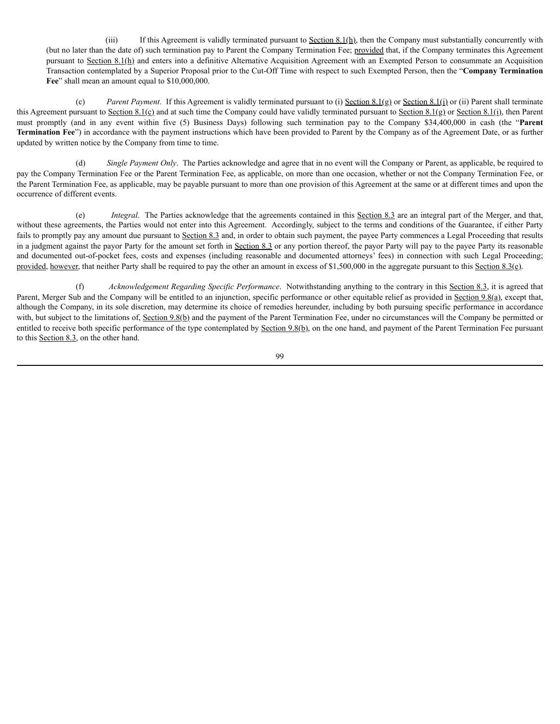(iii) If this Agreement is validly terminated pursuant to  $Section 8.1(h)$ , then the Company must substantially concurrently with (but no later than the date of) such termination pay to Parent the Company Termination Fee; provided that, if the Company terminates this Agreement pursuant to Section 8.1(h) and enters into a definitive Alternative Acquisition Agreement with an Exempted Person to consummate an Acquisition Transaction contemplated by a Superior Proposal prior to the Cut-Off Time with respect to such Exempted Person, then the "**Company Termination** Fee" shall mean an amount equal to \$10,000,000.

(c) *Parent Payment*. If this Agreement is validly terminated pursuant to (i) Section 8.1(g) or Section 8.1(i) or (ii) Parent shall terminate this Agreement pursuant to Section 8.1(c) and at such time the Company could have validly terminated pursuant to Section 8.1(g) or Section 8.1(i), then Parent must promptly (and in any event within five (5) Business Days) following such termination pay to the Company \$34,400,000 in cash (the "**Parent Termination Fee**") in accordance with the payment instructions which have been provided to Parent by the Company as of the Agreement Date, or as further updated by written notice by the Company from time to time.

(d) *Single Payment Only*. The Parties acknowledge and agree that in no event will the Company or Parent, as applicable, be required to pay the Company Termination Fee or the Parent Termination Fee, as applicable, on more than one occasion, whether or not the Company Termination Fee, or the Parent Termination Fee, as applicable, may be payable pursuant to more than one provision of this Agreement at the same or at different times and upon the occurrence of different events.

(e) *Integral*. The Parties acknowledge that the agreements contained in this Section 8.3 are an integral part of the Merger, and that, without these agreements, the Parties would not enter into this Agreement. Accordingly, subject to the terms and conditions of the Guarantee, if either Party fails to promptly pay any amount due pursuant to Section 8.3 and, in order to obtain such payment, the payee Party commences a Legal Proceeding that results in a judgment against the payor Party for the amount set forth in Section 8.3 or any portion thereof, the payor Party will pay to the payee Party its reasonable and documented out-of-pocket fees, costs and expenses (including reasonable and documented attorneys' fees) in connection with such Legal Proceeding; provided, however, that neither Party shall be required to pay the other an amount in excess of \$1,500,000 in the aggregate pursuant to this Section 8.3(e).

(f) *Acknowledgement Regarding Specific Performance*. Notwithstanding anything to the contrary in this Section 8.3, it is agreed that Parent, Merger Sub and the Company will be entitled to an injunction, specific performance or other equitable relief as provided in Section 9.8(a), except that, although the Company, in its sole discretion, may determine its choice of remedies hereunder, including by both pursuing specific performance in accordance with, but subject to the limitations of, Section 9.8(b) and the payment of the Parent Termination Fee, under no circumstances will the Company be permitted or entitled to receive both specific performance of the type contemplated by Section 9.8(b), on the one hand, and payment of the Parent Termination Fee pursuant to this Section 8.3, on the other hand.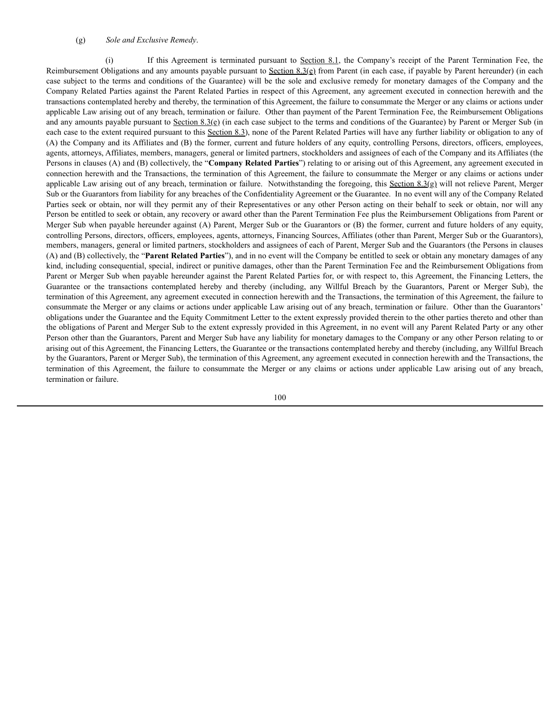#### (g) *Sole and Exclusive Remedy*.

(i) If this Agreement is terminated pursuant to Section 8.1, the Company's receipt of the Parent Termination Fee, the Reimbursement Obligations and any amounts payable pursuant to Section  $8.3(e)$  from Parent (in each case, if payable by Parent hereunder) (in each case subject to the terms and conditions of the Guarantee) will be the sole and exclusive remedy for monetary damages of the Company and the Company Related Parties against the Parent Related Parties in respect of this Agreement, any agreement executed in connection herewith and the transactions contemplated hereby and thereby, the termination of this Agreement, the failure to consummate the Merger or any claims or actions under applicable Law arising out of any breach, termination or failure. Other than payment of the Parent Termination Fee, the Reimbursement Obligations and any amounts payable pursuant to Section  $8.3(e)$  (in each case subject to the terms and conditions of the Guarantee) by Parent or Merger Sub (in each case to the extent required pursuant to this Section 8.3), none of the Parent Related Parties will have any further liability or obligation to any of (A) the Company and its Affiliates and (B) the former, current and future holders of any equity, controlling Persons, directors, officers, employees, agents, attorneys, Affiliates, members, managers, general or limited partners, stockholders and assignees of each of the Company and its Affiliates (the Persons in clauses (A) and (B) collectively, the "**Company Related Parties**") relating to or arising out of this Agreement, any agreement executed in connection herewith and the Transactions, the termination of this Agreement, the failure to consummate the Merger or any claims or actions under applicable Law arising out of any breach, termination or failure. Notwithstanding the foregoing, this Section  $8.3(q)$  will not relieve Parent, Merger Sub or the Guarantors from liability for any breaches of the Confidentiality Agreement or the Guarantee. In no event will any of the Company Related Parties seek or obtain, nor will they permit any of their Representatives or any other Person acting on their behalf to seek or obtain, nor will any Person be entitled to seek or obtain, any recovery or award other than the Parent Termination Fee plus the Reimbursement Obligations from Parent or Merger Sub when payable hereunder against (A) Parent, Merger Sub or the Guarantors or (B) the former, current and future holders of any equity, controlling Persons, directors, officers, employees, agents, attorneys, Financing Sources, Affiliates (other than Parent, Merger Sub or the Guarantors), members, managers, general or limited partners, stockholders and assignees of each of Parent, Merger Sub and the Guarantors (the Persons in clauses (A) and (B) collectively, the "**Parent Related Parties**"), and in no event will the Company be entitled to seek or obtain any monetary damages of any kind, including consequential, special, indirect or punitive damages, other than the Parent Termination Fee and the Reimbursement Obligations from Parent or Merger Sub when payable hereunder against the Parent Related Parties for, or with respect to, this Agreement, the Financing Letters, the Guarantee or the transactions contemplated hereby and thereby (including, any Willful Breach by the Guarantors, Parent or Merger Sub), the termination of this Agreement, any agreement executed in connection herewith and the Transactions, the termination of this Agreement, the failure to consummate the Merger or any claims or actions under applicable Law arising out of any breach, termination or failure. Other than the Guarantors' obligations under the Guarantee and the Equity Commitment Letter to the extent expressly provided therein to the other parties thereto and other than the obligations of Parent and Merger Sub to the extent expressly provided in this Agreement, in no event will any Parent Related Party or any other Person other than the Guarantors, Parent and Merger Sub have any liability for monetary damages to the Company or any other Person relating to or arising out of this Agreement, the Financing Letters, the Guarantee or the transactions contemplated hereby and thereby (including, any Willful Breach by the Guarantors, Parent or Merger Sub), the termination of this Agreement, any agreement executed in connection herewith and the Transactions, the termination of this Agreement, the failure to consummate the Merger or any claims or actions under applicable Law arising out of any breach, termination or failure.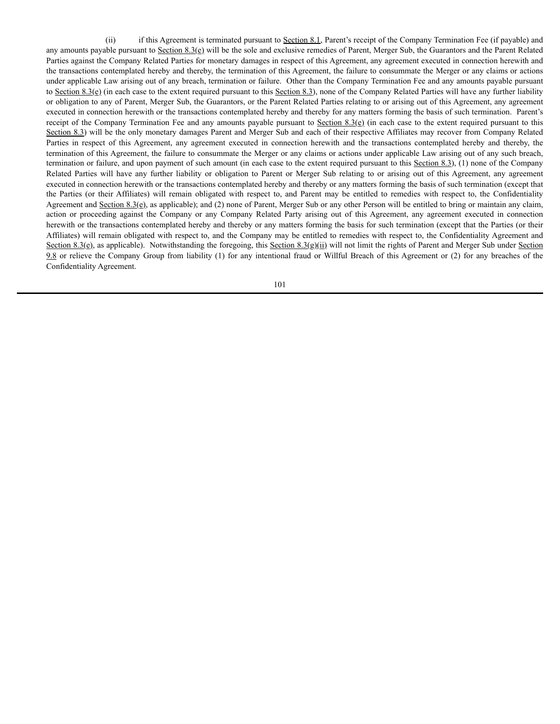(ii) if this Agreement is terminated pursuant to Section 8.1, Parent's receipt of the Company Termination Fee (if payable) and any amounts payable pursuant to Section  $8.3(e)$  will be the sole and exclusive remedies of Parent, Merger Sub, the Guarantors and the Parent Related Parties against the Company Related Parties for monetary damages in respect of this Agreement, any agreement executed in connection herewith and the transactions contemplated hereby and thereby, the termination of this Agreement, the failure to consummate the Merger or any claims or actions under applicable Law arising out of any breach, termination or failure. Other than the Company Termination Fee and any amounts payable pursuant to Section  $8.3(e)$  (in each case to the extent required pursuant to this Section 8.3), none of the Company Related Parties will have any further liability or obligation to any of Parent, Merger Sub, the Guarantors, or the Parent Related Parties relating to or arising out of this Agreement, any agreement executed in connection herewith or the transactions contemplated hereby and thereby for any matters forming the basis of such termination. Parent's receipt of the Company Termination Fee and any amounts payable pursuant to Section  $8.3(e)$  (in each case to the extent required pursuant to this Section 8.3) will be the only monetary damages Parent and Merger Sub and each of their respective Affiliates may recover from Company Related Parties in respect of this Agreement, any agreement executed in connection herewith and the transactions contemplated hereby and thereby, the termination of this Agreement, the failure to consummate the Merger or any claims or actions under applicable Law arising out of any such breach, termination or failure, and upon payment of such amount (in each case to the extent required pursuant to this Section 8.3), (1) none of the Company Related Parties will have any further liability or obligation to Parent or Merger Sub relating to or arising out of this Agreement, any agreement executed in connection herewith or the transactions contemplated hereby and thereby or any matters forming the basis of such termination (except that the Parties (or their Affiliates) will remain obligated with respect to, and Parent may be entitled to remedies with respect to, the Confidentiality Agreement and Section 8.3(e), as applicable); and (2) none of Parent, Merger Sub or any other Person will be entitled to bring or maintain any claim, action or proceeding against the Company or any Company Related Party arising out of this Agreement, any agreement executed in connection herewith or the transactions contemplated hereby and thereby or any matters forming the basis for such termination (except that the Parties (or their Affiliates) will remain obligated with respect to, and the Company may be entitled to remedies with respect to, the Confidentiality Agreement and Section 8.3(g), as applicable). Notwithstanding the foregoing, this Section 8.3(g)(ii) will not limit the rights of Parent and Merger Sub under Section 9.8 or relieve the Company Group from liability (1) for any intentional fraud or Willful Breach of this Agreement or (2) for any breaches of the Confidentiality Agreement.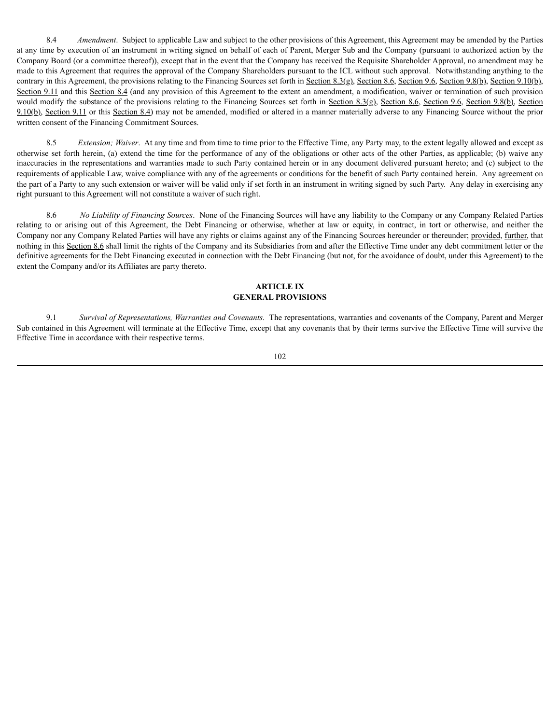8.4 *Amendment*. Subject to applicable Law and subject to the other provisions of this Agreement, this Agreement may be amended by the Parties at any time by execution of an instrument in writing signed on behalf of each of Parent, Merger Sub and the Company (pursuant to authorized action by the Company Board (or a committee thereof)), except that in the event that the Company has received the Requisite Shareholder Approval, no amendment may be made to this Agreement that requires the approval of the Company Shareholders pursuant to the ICL without such approval. Notwithstanding anything to the contrary in this Agreement, the provisions relating to the Financing Sources set forth in Section 8.3(g), Section 8.6, Section 9.6, Section 9.8(b), Section 9.10(b), Section 9.11 and this Section 8.4 (and any provision of this Agreement to the extent an amendment, a modification, waiver or termination of such provision would modify the substance of the provisions relating to the Financing Sources set forth in Section 8.3(g), Section 8.6, Section 9.6, Section 9.8(b), Section 9.10(b), Section 9.11 or this Section 8.4) may not be amended, modified or altered in a manner materially adverse to any Financing Source without the prior written consent of the Financing Commitment Sources.

8.5 *Extension; Waiver*. At any time and from time to time prior to the Effective Time, any Party may, to the extent legally allowed and except as otherwise set forth herein, (a) extend the time for the performance of any of the obligations or other acts of the other Parties, as applicable; (b) waive any inaccuracies in the representations and warranties made to such Party contained herein or in any document delivered pursuant hereto; and (c) subject to the requirements of applicable Law, waive compliance with any of the agreements or conditions for the benefit of such Party contained herein. Any agreement on the part of a Party to any such extension or waiver will be valid only if set forth in an instrument in writing signed by such Party. Any delay in exercising any right pursuant to this Agreement will not constitute a waiver of such right.

8.6 *No Liability of Financing Sources*. None of the Financing Sources will have any liability to the Company or any Company Related Parties relating to or arising out of this Agreement, the Debt Financing or otherwise, whether at law or equity, in contract, in tort or otherwise, and neither the Company nor any Company Related Parties will have any rights or claims against any of the Financing Sources hereunder or thereunder; provided, further, that nothing in this Section 8.6 shall limit the rights of the Company and its Subsidiaries from and after the Effective Time under any debt commitment letter or the definitive agreements for the Debt Financing executed in connection with the Debt Financing (but not, for the avoidance of doubt, under this Agreement) to the extent the Company and/or its Affiliates are party thereto.

## **ARTICLE IX GENERAL PROVISIONS**

9.1 *Survival of Representations, Warranties and Covenants*. The representations, warranties and covenants of the Company, Parent and Merger Sub contained in this Agreement will terminate at the Effective Time, except that any covenants that by their terms survive the Effective Time will survive the Effective Time in accordance with their respective terms.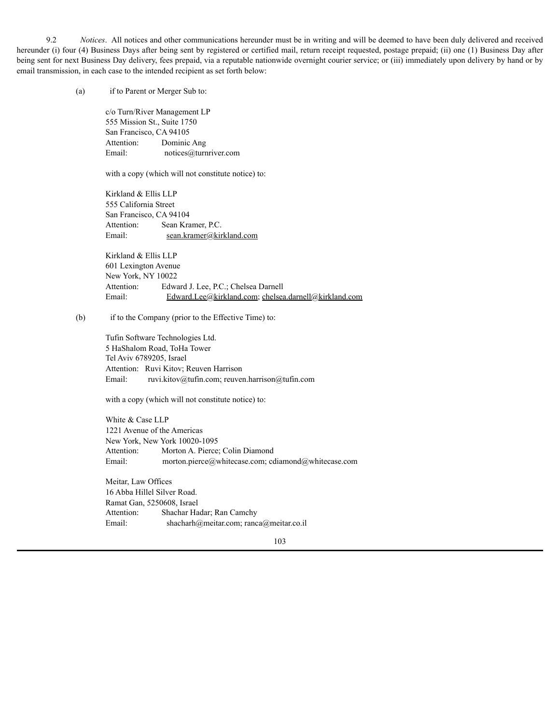9.2 *Notices*. All notices and other communications hereunder must be in writing and will be deemed to have been duly delivered and received hereunder (i) four (4) Business Days after being sent by registered or certified mail, return receipt requested, postage prepaid; (ii) one (1) Business Day after being sent for next Business Day delivery, fees prepaid, via a reputable nationwide overnight courier service; or (iii) immediately upon delivery by hand or by email transmission, in each case to the intended recipient as set forth below:

(a) if to Parent or Merger Sub to:

c/o Turn/River Management LP 555 Mission St., Suite 1750 San Francisco, CA 94105 Attention: Dominic Ang Email: notices@turnriver.com

with a copy (which will not constitute notice) to:

Kirkland & Ellis LLP 555 California Street San Francisco, CA 94104 Attention: Sean Kramer, P.C. Email: sean.kramer@kirkland.com

Kirkland & Ellis LLP 601 Lexington Avenue New York, NY 10022 Attention: Edward J. Lee, P.C.; Chelsea Darnell Email: Edward.Lee@kirkland.com; chelsea.darnell@kirkland.com

(b) if to the Company (prior to the Effective Time) to:

Tufin Software Technologies Ltd. 5 HaShalom Road, ToHa Tower Tel Aviv 6789205, Israel Attention: Ruvi Kitov; Reuven Harrison Email: ruvi.kitov@tufin.com; reuven.harrison@tufin.com

with a copy (which will not constitute notice) to:

White & Case LLP 1221 Avenue of the Americas New York, New York 10020-1095 Attention: Morton A. Pierce; Colin Diamond Email: morton.pierce@whitecase.com; cdiamond@whitecase.com

Meitar, Law Offices 16 Abba Hillel Silver Road. Ramat Gan, 5250608, Israel Attention: Shachar Hadar; Ran Camchy Email: shacharh@meitar.com; ranca@meitar.co.il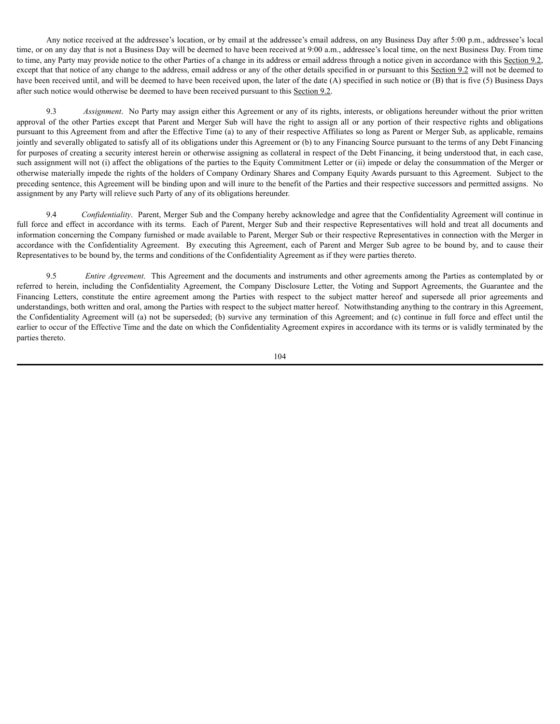Any notice received at the addressee's location, or by email at the addressee's email address, on any Business Day after 5:00 p.m., addressee's local time, or on any day that is not a Business Day will be deemed to have been received at 9:00 a.m., addressee's local time, on the next Business Day. From time to time, any Party may provide notice to the other Parties of a change in its address or email address through a notice given in accordance with this Section 9.2, except that that notice of any change to the address, email address or any of the other details specified in or pursuant to this Section 9.2 will not be deemed to have been received until, and will be deemed to have been received upon, the later of the date (A) specified in such notice or (B) that is five (5) Business Days after such notice would otherwise be deemed to have been received pursuant to this Section 9.2.

9.3 *Assignment*. No Party may assign either this Agreement or any of its rights, interests, or obligations hereunder without the prior written approval of the other Parties except that Parent and Merger Sub will have the right to assign all or any portion of their respective rights and obligations pursuant to this Agreement from and after the Effective Time (a) to any of their respective Affiliates so long as Parent or Merger Sub, as applicable, remains jointly and severally obligated to satisfy all of its obligations under this Agreement or (b) to any Financing Source pursuant to the terms of any Debt Financing for purposes of creating a security interest herein or otherwise assigning as collateral in respect of the Debt Financing, it being understood that, in each case, such assignment will not (i) affect the obligations of the parties to the Equity Commitment Letter or (ii) impede or delay the consummation of the Merger or otherwise materially impede the rights of the holders of Company Ordinary Shares and Company Equity Awards pursuant to this Agreement. Subject to the preceding sentence, this Agreement will be binding upon and will inure to the benefit of the Parties and their respective successors and permitted assigns. No assignment by any Party will relieve such Party of any of its obligations hereunder.

9.4 *Confidentiality*. Parent, Merger Sub and the Company hereby acknowledge and agree that the Confidentiality Agreement will continue in full force and effect in accordance with its terms. Each of Parent, Merger Sub and their respective Representatives will hold and treat all documents and information concerning the Company furnished or made available to Parent, Merger Sub or their respective Representatives in connection with the Merger in accordance with the Confidentiality Agreement. By executing this Agreement, each of Parent and Merger Sub agree to be bound by, and to cause their Representatives to be bound by, the terms and conditions of the Confidentiality Agreement as if they were parties thereto.

9.5 *Entire Agreement*. This Agreement and the documents and instruments and other agreements among the Parties as contemplated by or referred to herein, including the Confidentiality Agreement, the Company Disclosure Letter, the Voting and Support Agreements, the Guarantee and the Financing Letters, constitute the entire agreement among the Parties with respect to the subject matter hereof and supersede all prior agreements and understandings, both written and oral, among the Parties with respect to the subject matter hereof. Notwithstanding anything to the contrary in this Agreement, the Confidentiality Agreement will (a) not be superseded; (b) survive any termination of this Agreement; and (c) continue in full force and effect until the earlier to occur of the Effective Time and the date on which the Confidentiality Agreement expires in accordance with its terms or is validly terminated by the parties thereto.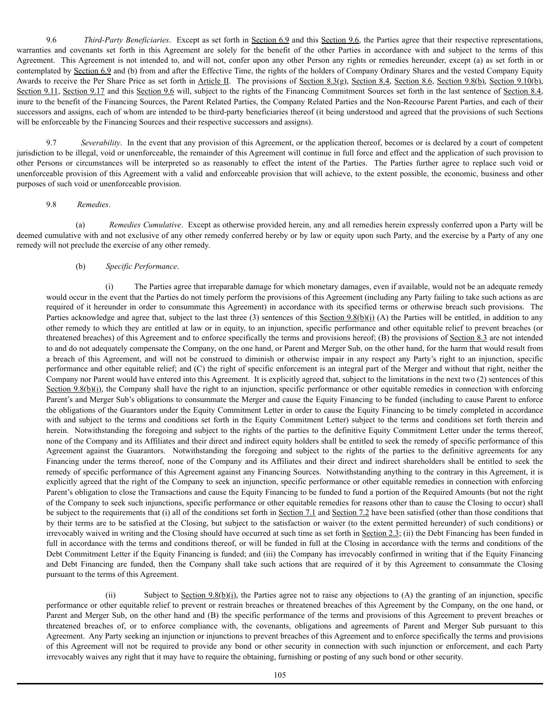9.6 *Third-Party Beneficiaries*. Except as set forth in Section 6.9 and this Section 9.6, the Parties agree that their respective representations, warranties and covenants set forth in this Agreement are solely for the benefit of the other Parties in accordance with and subject to the terms of this Agreement. This Agreement is not intended to, and will not, confer upon any other Person any rights or remedies hereunder, except (a) as set forth in or contemplated by Section 6.9 and (b) from and after the Effective Time, the rights of the holders of Company Ordinary Shares and the vested Company Equity Awards to receive the Per Share Price as set forth in Article II. The provisions of Section 8.3(g), Section 8.4, Section 8.6, Section 9.8(b), Section 9.10(b), Section 9.11, Section 9.17 and this Section 9.6 will, subject to the rights of the Financing Commitment Sources set forth in the last sentence of Section 8.4, inure to the benefit of the Financing Sources, the Parent Related Parties, the Company Related Parties and the Non-Recourse Parent Parties, and each of their successors and assigns, each of whom are intended to be third-party beneficiaries thereof (it being understood and agreed that the provisions of such Sections will be enforceable by the Financing Sources and their respective successors and assigns).

9.7 *Severability*. In the event that any provision of this Agreement, or the application thereof, becomes or is declared by a court of competent jurisdiction to be illegal, void or unenforceable, the remainder of this Agreement will continue in full force and effect and the application of such provision to other Persons or circumstances will be interpreted so as reasonably to effect the intent of the Parties. The Parties further agree to replace such void or unenforceable provision of this Agreement with a valid and enforceable provision that will achieve, to the extent possible, the economic, business and other purposes of such void or unenforceable provision.

### 9.8 *Remedies*.

(a) *Remedies Cumulative*. Except as otherwise provided herein, any and all remedies herein expressly conferred upon a Party will be deemed cumulative with and not exclusive of any other remedy conferred hereby or by law or equity upon such Party, and the exercise by a Party of any one remedy will not preclude the exercise of any other remedy.

### (b) *Specific Performance*.

The Parties agree that irreparable damage for which monetary damages, even if available, would not be an adequate remedy would occur in the event that the Parties do not timely perform the provisions of this Agreement (including any Party failing to take such actions as are required of it hereunder in order to consummate this Agreement) in accordance with its specified terms or otherwise breach such provisions. The Parties acknowledge and agree that, subject to the last three (3) sentences of this Section 9.8(b)(i) (A) the Parties will be entitled, in addition to any other remedy to which they are entitled at law or in equity, to an injunction, specific performance and other equitable relief to prevent breaches (or threatened breaches) of this Agreement and to enforce specifically the terms and provisions hereof; (B) the provisions of Section 8.3 are not intended to and do not adequately compensate the Company, on the one hand, or Parent and Merger Sub, on the other hand, for the harm that would result from a breach of this Agreement, and will not be construed to diminish or otherwise impair in any respect any Party's right to an injunction, specific performance and other equitable relief; and (C) the right of specific enforcement is an integral part of the Merger and without that right, neither the Company nor Parent would have entered into this Agreement. It is explicitly agreed that, subject to the limitations in the next two (2) sentences of this Section  $9.8(b)(i)$ , the Company shall have the right to an injunction, specific performance or other equitable remedies in connection with enforcing Parent's and Merger Sub's obligations to consummate the Merger and cause the Equity Financing to be funded (including to cause Parent to enforce the obligations of the Guarantors under the Equity Commitment Letter in order to cause the Equity Financing to be timely completed in accordance with and subject to the terms and conditions set forth in the Equity Commitment Letter) subject to the terms and conditions set forth therein and herein. Notwithstanding the foregoing and subject to the rights of the parties to the definitive Equity Commitment Letter under the terms thereof, none of the Company and its Affiliates and their direct and indirect equity holders shall be entitled to seek the remedy of specific performance of this Agreement against the Guarantors. Notwithstanding the foregoing and subject to the rights of the parties to the definitive agreements for any Financing under the terms thereof, none of the Company and its Affiliates and their direct and indirect shareholders shall be entitled to seek the remedy of specific performance of this Agreement against any Financing Sources. Notwithstanding anything to the contrary in this Agreement, it is explicitly agreed that the right of the Company to seek an injunction, specific performance or other equitable remedies in connection with enforcing Parent's obligation to close the Transactions and cause the Equity Financing to be funded to fund a portion of the Required Amounts (but not the right of the Company to seek such injunctions, specific performance or other equitable remedies for reasons other than to cause the Closing to occur) shall be subject to the requirements that (i) all of the conditions set forth in Section 7.1 and Section 7.2 have been satisfied (other than those conditions that by their terms are to be satisfied at the Closing, but subject to the satisfaction or waiver (to the extent permitted hereunder) of such conditions) or irrevocably waived in writing and the Closing should have occurred at such time as set forth in Section 2.3; (ii) the Debt Financing has been funded in full in accordance with the terms and conditions thereof, or will be funded in full at the Closing in accordance with the terms and conditions of the Debt Commitment Letter if the Equity Financing is funded; and (iii) the Company has irrevocably confirmed in writing that if the Equity Financing and Debt Financing are funded, then the Company shall take such actions that are required of it by this Agreement to consummate the Closing pursuant to the terms of this Agreement.

(ii) Subject to Section  $9.8(b)(i)$ , the Parties agree not to raise any objections to (A) the granting of an injunction, specific performance or other equitable relief to prevent or restrain breaches or threatened breaches of this Agreement by the Company, on the one hand, or Parent and Merger Sub, on the other hand and (B) the specific performance of the terms and provisions of this Agreement to prevent breaches or threatened breaches of, or to enforce compliance with, the covenants, obligations and agreements of Parent and Merger Sub pursuant to this Agreement. Any Party seeking an injunction or injunctions to prevent breaches of this Agreement and to enforce specifically the terms and provisions of this Agreement will not be required to provide any bond or other security in connection with such injunction or enforcement, and each Party irrevocably waives any right that it may have to require the obtaining, furnishing or posting of any such bond or other security.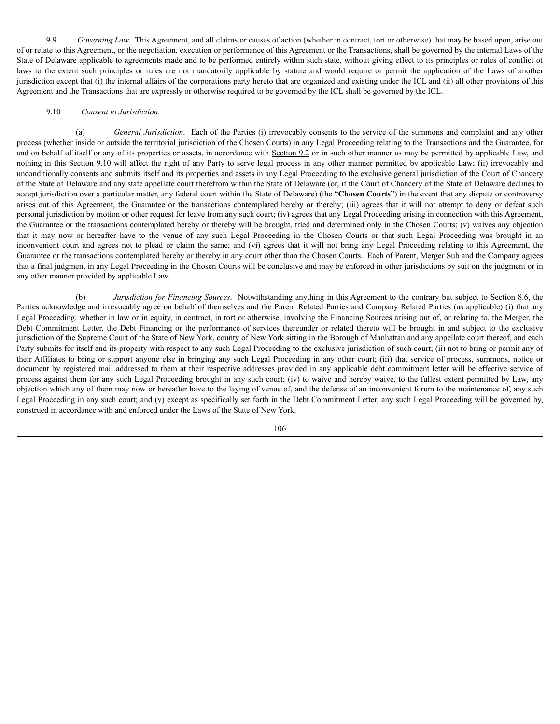9.9 *Governing Law*. This Agreement, and all claims or causes of action (whether in contract, tort or otherwise) that may be based upon, arise out of or relate to this Agreement, or the negotiation, execution or performance of this Agreement or the Transactions, shall be governed by the internal Laws of the State of Delaware applicable to agreements made and to be performed entirely within such state, without giving effect to its principles or rules of conflict of laws to the extent such principles or rules are not mandatorily applicable by statute and would require or permit the application of the Laws of another jurisdiction except that (i) the internal affairs of the corporations party hereto that are organized and existing under the ICL and (ii) all other provisions of this Agreement and the Transactions that are expressly or otherwise required to be governed by the ICL shall be governed by the ICL.

### 9.10 *Consent to Jurisdiction*.

(a) *General Jurisdiction*. Each of the Parties (i) irrevocably consents to the service of the summons and complaint and any other process (whether inside or outside the territorial jurisdiction of the Chosen Courts) in any Legal Proceeding relating to the Transactions and the Guarantee, for and on behalf of itself or any of its properties or assets, in accordance with Section 9.2 or in such other manner as may be permitted by applicable Law, and nothing in this Section 9.10 will affect the right of any Party to serve legal process in any other manner permitted by applicable Law; (ii) irrevocably and unconditionally consents and submits itself and its properties and assets in any Legal Proceeding to the exclusive general jurisdiction of the Court of Chancery of the State of Delaware and any state appellate court therefrom within the State of Delaware (or, if the Court of Chancery of the State of Delaware declines to accept jurisdiction over a particular matter, any federal court within the State of Delaware) (the "**Chosen Courts**") in the event that any dispute or controversy arises out of this Agreement, the Guarantee or the transactions contemplated hereby or thereby; (iii) agrees that it will not attempt to deny or defeat such personal jurisdiction by motion or other request for leave from any such court; (iv) agrees that any Legal Proceeding arising in connection with this Agreement, the Guarantee or the transactions contemplated hereby or thereby will be brought, tried and determined only in the Chosen Courts; (v) waives any objection that it may now or hereafter have to the venue of any such Legal Proceeding in the Chosen Courts or that such Legal Proceeding was brought in an inconvenient court and agrees not to plead or claim the same; and (vi) agrees that it will not bring any Legal Proceeding relating to this Agreement, the Guarantee or the transactions contemplated hereby or thereby in any court other than the Chosen Courts. Each of Parent, Merger Sub and the Company agrees that a final judgment in any Legal Proceeding in the Chosen Courts will be conclusive and may be enforced in other jurisdictions by suit on the judgment or in any other manner provided by applicable Law.

(b) *Jurisdiction for Financing Sources*. Notwithstanding anything in this Agreement to the contrary but subject to Section 8.6, the Parties acknowledge and irrevocably agree on behalf of themselves and the Parent Related Parties and Company Related Parties (as applicable) (i) that any Legal Proceeding, whether in law or in equity, in contract, in tort or otherwise, involving the Financing Sources arising out of, or relating to, the Merger, the Debt Commitment Letter, the Debt Financing or the performance of services thereunder or related thereto will be brought in and subject to the exclusive jurisdiction of the Supreme Court of the State of New York, county of New York sitting in the Borough of Manhattan and any appellate court thereof, and each Party submits for itself and its property with respect to any such Legal Proceeding to the exclusive jurisdiction of such court; (ii) not to bring or permit any of their Affiliates to bring or support anyone else in bringing any such Legal Proceeding in any other court; (iii) that service of process, summons, notice or document by registered mail addressed to them at their respective addresses provided in any applicable debt commitment letter will be effective service of process against them for any such Legal Proceeding brought in any such court; (iv) to waive and hereby waive, to the fullest extent permitted by Law, any objection which any of them may now or hereafter have to the laying of venue of, and the defense of an inconvenient forum to the maintenance of, any such Legal Proceeding in any such court; and (v) except as specifically set forth in the Debt Commitment Letter, any such Legal Proceeding will be governed by, construed in accordance with and enforced under the Laws of the State of New York.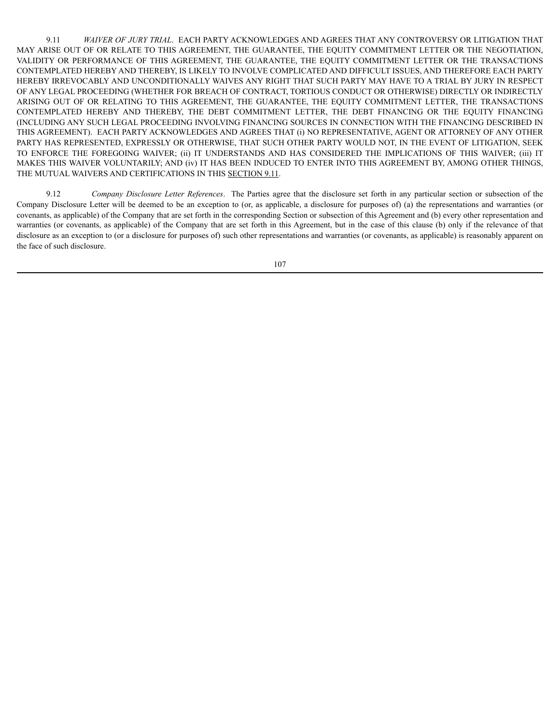9.11 *WAIVER OF JURY TRIAL*. EACH PARTY ACKNOWLEDGES AND AGREES THAT ANY CONTROVERSY OR LITIGATION THAT MAY ARISE OUT OF OR RELATE TO THIS AGREEMENT, THE GUARANTEE, THE EQUITY COMMITMENT LETTER OR THE NEGOTIATION, VALIDITY OR PERFORMANCE OF THIS AGREEMENT, THE GUARANTEE, THE EQUITY COMMITMENT LETTER OR THE TRANSACTIONS CONTEMPLATED HEREBY AND THEREBY, IS LIKELY TO INVOLVE COMPLICATED AND DIFFICULT ISSUES, AND THEREFORE EACH PARTY HEREBY IRREVOCABLY AND UNCONDITIONALLY WAIVES ANY RIGHT THAT SUCH PARTY MAY HAVE TO A TRIAL BY JURY IN RESPECT OF ANY LEGAL PROCEEDING (WHETHER FOR BREACH OF CONTRACT, TORTIOUS CONDUCT OR OTHERWISE) DIRECTLY OR INDIRECTLY ARISING OUT OF OR RELATING TO THIS AGREEMENT, THE GUARANTEE, THE EQUITY COMMITMENT LETTER, THE TRANSACTIONS CONTEMPLATED HEREBY AND THEREBY, THE DEBT COMMITMENT LETTER, THE DEBT FINANCING OR THE EQUITY FINANCING (INCLUDING ANY SUCH LEGAL PROCEEDING INVOLVING FINANCING SOURCES IN CONNECTION WITH THE FINANCING DESCRIBED IN THIS AGREEMENT). EACH PARTY ACKNOWLEDGES AND AGREES THAT (i) NO REPRESENTATIVE, AGENT OR ATTORNEY OF ANY OTHER PARTY HAS REPRESENTED, EXPRESSLY OR OTHERWISE, THAT SUCH OTHER PARTY WOULD NOT, IN THE EVENT OF LITIGATION, SEEK TO ENFORCE THE FOREGOING WAIVER; (ii) IT UNDERSTANDS AND HAS CONSIDERED THE IMPLICATIONS OF THIS WAIVER; (iii) IT MAKES THIS WAIVER VOLUNTARILY; AND (iv) IT HAS BEEN INDUCED TO ENTER INTO THIS AGREEMENT BY, AMONG OTHER THINGS, THE MUTUAL WAIVERS AND CERTIFICATIONS IN THIS SECTION 9.11.

9.12 *Company Disclosure Letter References*. The Parties agree that the disclosure set forth in any particular section or subsection of the Company Disclosure Letter will be deemed to be an exception to (or, as applicable, a disclosure for purposes of) (a) the representations and warranties (or covenants, as applicable) of the Company that are set forth in the corresponding Section or subsection of this Agreement and (b) every other representation and warranties (or covenants, as applicable) of the Company that are set forth in this Agreement, but in the case of this clause (b) only if the relevance of that disclosure as an exception to (or a disclosure for purposes of) such other representations and warranties (or covenants, as applicable) is reasonably apparent on the face of such disclosure.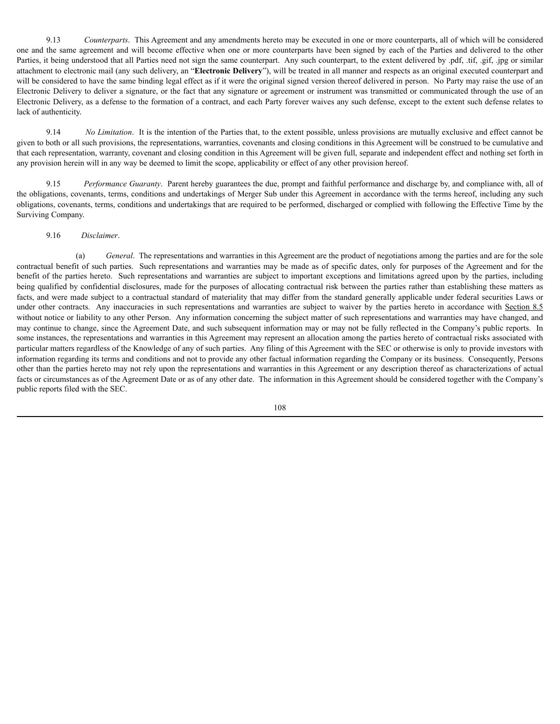9.13 *Counterparts*. This Agreement and any amendments hereto may be executed in one or more counterparts, all of which will be considered one and the same agreement and will become effective when one or more counterparts have been signed by each of the Parties and delivered to the other Parties, it being understood that all Parties need not sign the same counterpart. Any such counterpart, to the extent delivered by .pdf, .tif, .gif, .jpg or similar attachment to electronic mail (any such delivery, an "**Electronic Delivery**"), will be treated in all manner and respects as an original executed counterpart and will be considered to have the same binding legal effect as if it were the original signed version thereof delivered in person. No Party may raise the use of an Electronic Delivery to deliver a signature, or the fact that any signature or agreement or instrument was transmitted or communicated through the use of an Electronic Delivery, as a defense to the formation of a contract, and each Party forever waives any such defense, except to the extent such defense relates to lack of authenticity.

9.14 *No Limitation*. It is the intention of the Parties that, to the extent possible, unless provisions are mutually exclusive and effect cannot be given to both or all such provisions, the representations, warranties, covenants and closing conditions in this Agreement will be construed to be cumulative and that each representation, warranty, covenant and closing condition in this Agreement will be given full, separate and independent effect and nothing set forth in any provision herein will in any way be deemed to limit the scope, applicability or effect of any other provision hereof.

9.15 *Performance Guaranty*. Parent hereby guarantees the due, prompt and faithful performance and discharge by, and compliance with, all of the obligations, covenants, terms, conditions and undertakings of Merger Sub under this Agreement in accordance with the terms hereof, including any such obligations, covenants, terms, conditions and undertakings that are required to be performed, discharged or complied with following the Effective Time by the Surviving Company.

### 9.16 *Disclaimer*.

(a) *General*. The representations and warranties in this Agreement are the product of negotiations among the parties and are for the sole contractual benefit of such parties. Such representations and warranties may be made as of specific dates, only for purposes of the Agreement and for the benefit of the parties hereto. Such representations and warranties are subject to important exceptions and limitations agreed upon by the parties, including being qualified by confidential disclosures, made for the purposes of allocating contractual risk between the parties rather than establishing these matters as facts, and were made subject to a contractual standard of materiality that may differ from the standard generally applicable under federal securities Laws or under other contracts. Any inaccuracies in such representations and warranties are subject to waiver by the parties hereto in accordance with Section 8.5 without notice or liability to any other Person. Any information concerning the subject matter of such representations and warranties may have changed, and may continue to change, since the Agreement Date, and such subsequent information may or may not be fully reflected in the Company's public reports. In some instances, the representations and warranties in this Agreement may represent an allocation among the parties hereto of contractual risks associated with particular matters regardless of the Knowledge of any of such parties. Any filing of this Agreement with the SEC or otherwise is only to provide investors with information regarding its terms and conditions and not to provide any other factual information regarding the Company or its business. Consequently, Persons other than the parties hereto may not rely upon the representations and warranties in this Agreement or any description thereof as characterizations of actual facts or circumstances as of the Agreement Date or as of any other date. The information in this Agreement should be considered together with the Company's public reports filed with the SEC.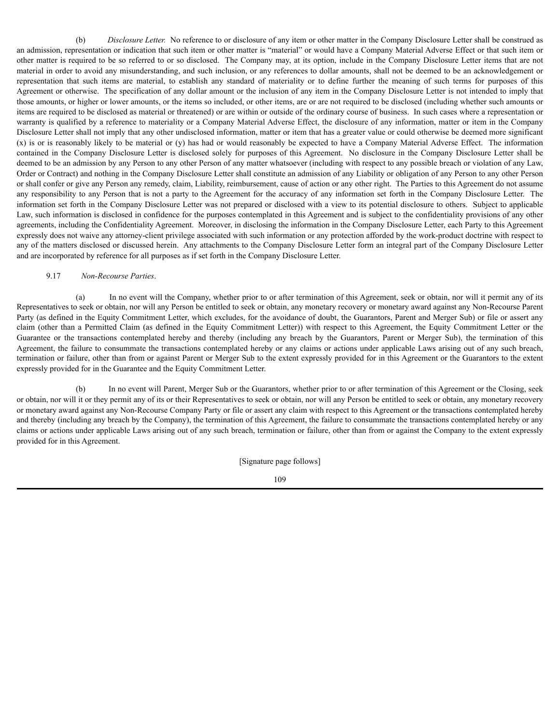(b) *Disclosure Letter.* No reference to or disclosure of any item or other matter in the Company Disclosure Letter shall be construed as an admission, representation or indication that such item or other matter is "material" or would have a Company Material Adverse Effect or that such item or other matter is required to be so referred to or so disclosed. The Company may, at its option, include in the Company Disclosure Letter items that are not material in order to avoid any misunderstanding, and such inclusion, or any references to dollar amounts, shall not be deemed to be an acknowledgement or representation that such items are material, to establish any standard of materiality or to define further the meaning of such terms for purposes of this Agreement or otherwise. The specification of any dollar amount or the inclusion of any item in the Company Disclosure Letter is not intended to imply that those amounts, or higher or lower amounts, or the items so included, or other items, are or are not required to be disclosed (including whether such amounts or items are required to be disclosed as material or threatened) or are within or outside of the ordinary course of business. In such cases where a representation or warranty is qualified by a reference to materiality or a Company Material Adverse Effect, the disclosure of any information, matter or item in the Company Disclosure Letter shall not imply that any other undisclosed information, matter or item that has a greater value or could otherwise be deemed more significant (x) is or is reasonably likely to be material or (y) has had or would reasonably be expected to have a Company Material Adverse Effect. The information contained in the Company Disclosure Letter is disclosed solely for purposes of this Agreement. No disclosure in the Company Disclosure Letter shall be deemed to be an admission by any Person to any other Person of any matter whatsoever (including with respect to any possible breach or violation of any Law, Order or Contract) and nothing in the Company Disclosure Letter shall constitute an admission of any Liability or obligation of any Person to any other Person or shall confer or give any Person any remedy, claim, Liability, reimbursement, cause of action or any other right. The Parties to this Agreement do not assume any responsibility to any Person that is not a party to the Agreement for the accuracy of any information set forth in the Company Disclosure Letter. The information set forth in the Company Disclosure Letter was not prepared or disclosed with a view to its potential disclosure to others. Subject to applicable Law, such information is disclosed in confidence for the purposes contemplated in this Agreement and is subject to the confidentiality provisions of any other agreements, including the Confidentiality Agreement. Moreover, in disclosing the information in the Company Disclosure Letter, each Party to this Agreement expressly does not waive any attorney-client privilege associated with such information or any protection afforded by the work-product doctrine with respect to any of the matters disclosed or discussed herein. Any attachments to the Company Disclosure Letter form an integral part of the Company Disclosure Letter and are incorporated by reference for all purposes as if set forth in the Company Disclosure Letter.

## 9.17 *Non-Recourse Parties*.

(a) In no event will the Company, whether prior to or after termination of this Agreement, seek or obtain, nor will it permit any of its Representatives to seek or obtain, nor will any Person be entitled to seek or obtain, any monetary recovery or monetary award against any Non-Recourse Parent Party (as defined in the Equity Commitment Letter, which excludes, for the avoidance of doubt, the Guarantors, Parent and Merger Sub) or file or assert any claim (other than a Permitted Claim (as defined in the Equity Commitment Letter)) with respect to this Agreement, the Equity Commitment Letter or the Guarantee or the transactions contemplated hereby and thereby (including any breach by the Guarantors, Parent or Merger Sub), the termination of this Agreement, the failure to consummate the transactions contemplated hereby or any claims or actions under applicable Laws arising out of any such breach, termination or failure, other than from or against Parent or Merger Sub to the extent expressly provided for in this Agreement or the Guarantors to the extent expressly provided for in the Guarantee and the Equity Commitment Letter.

(b) In no event will Parent, Merger Sub or the Guarantors, whether prior to or after termination of this Agreement or the Closing, seek or obtain, nor will it or they permit any of its or their Representatives to seek or obtain, nor will any Person be entitled to seek or obtain, any monetary recovery or monetary award against any Non-Recourse Company Party or file or assert any claim with respect to this Agreement or the transactions contemplated hereby and thereby (including any breach by the Company), the termination of this Agreement, the failure to consummate the transactions contemplated hereby or any claims or actions under applicable Laws arising out of any such breach, termination or failure, other than from or against the Company to the extent expressly provided for in this Agreement.

[Signature page follows]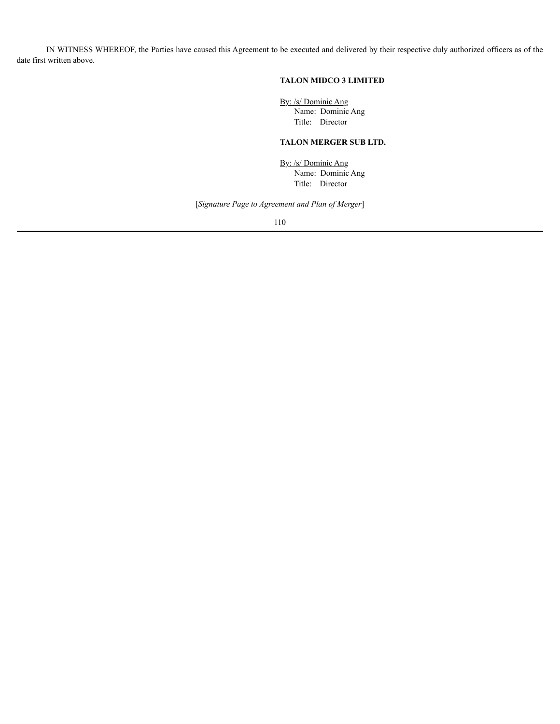IN WITNESS WHEREOF, the Parties have caused this Agreement to be executed and delivered by their respective duly authorized officers as of the date first written above.

# **TALON MIDCO 3 LIMITED**

By: /s/ Dominic Ang Name: Dominic Ang Title: Director

## **TALON MERGER SUB LTD.**

By: /s/ Dominic Ang Name: Dominic Ang Title: Director

[*Signature Page to Agreement and Plan of Merger*]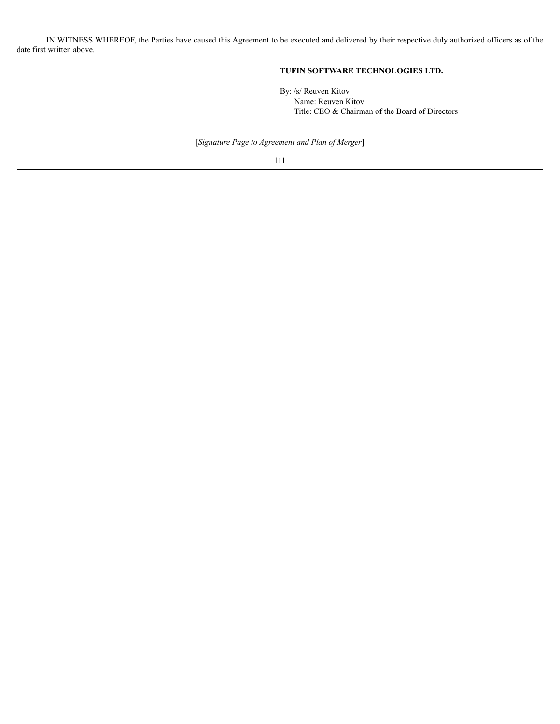IN WITNESS WHEREOF, the Parties have caused this Agreement to be executed and delivered by their respective duly authorized officers as of the date first written above.

# **TUFIN SOFTWARE TECHNOLOGIES LTD.**

By: /s/ Reuven Kitov Name: Reuven Kitov Title: CEO & Chairman of the Board of Directors

[*Signature Page to Agreement and Plan of Merger*]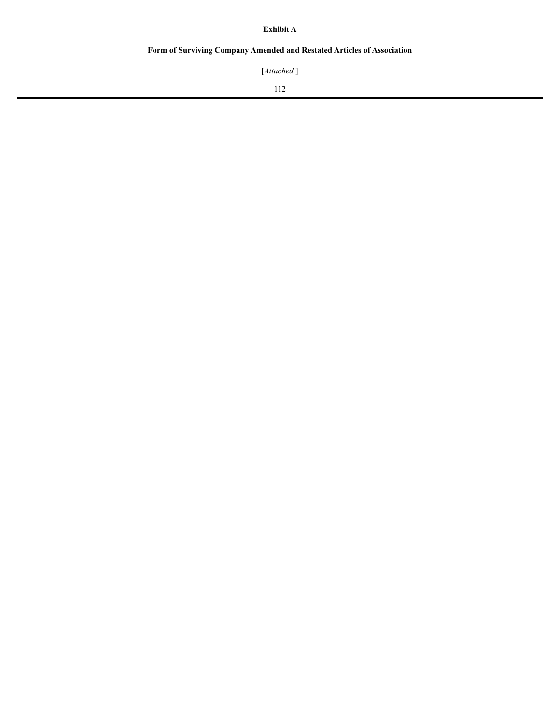# **Exhibit A**

# **Form of Surviving Company Amended and Restated Articles of Association**

[*Attached.*]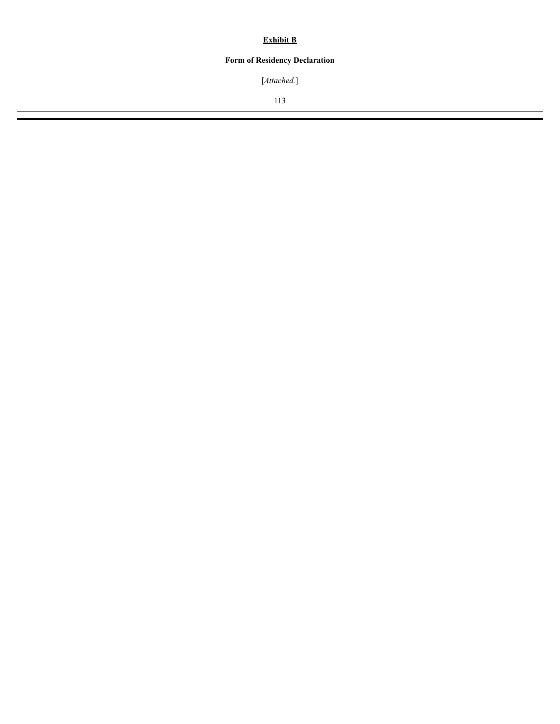# **Exhibit B**

# **Form of Residency Declaration**

[*Attached.*]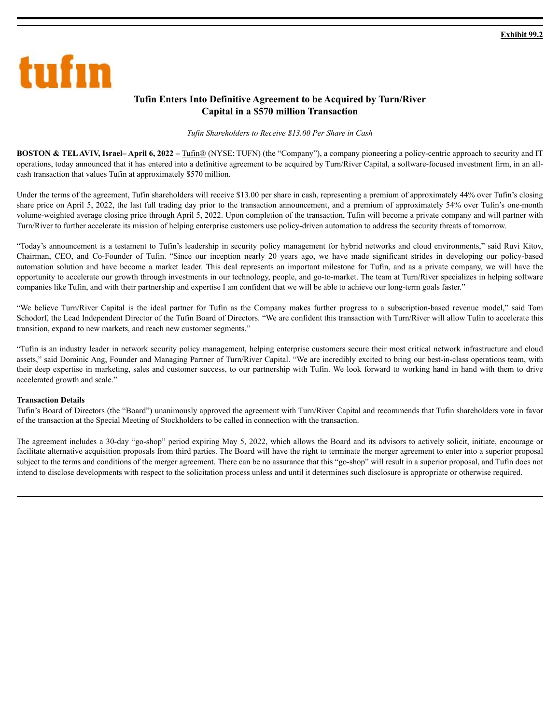

# **Tufin Enters Into Definitive Agreement to be Acquired by Turn/River Capital in a \$570 million Transaction**

### *Tufin Shareholders to Receive \$13.00 Per Share in Cash*

**BOSTON & TELAVIV, Israel– April 6, 2022 –** Tufin® (NYSE: TUFN) (the "Company"), a company pioneering a policy-centric approach to security and IT operations, today announced that it has entered into a definitive agreement to be acquired by Turn/River Capital, a software-focused investment firm, in an allcash transaction that values Tufin at approximately \$570 million.

Under the terms of the agreement, Tufin shareholders will receive \$13.00 per share in cash, representing a premium of approximately 44% over Tufin's closing share price on April 5, 2022, the last full trading day prior to the transaction announcement, and a premium of approximately 54% over Tufin's one-month volume-weighted average closing price through April 5, 2022. Upon completion of the transaction, Tufin will become a private company and will partner with Turn/River to further accelerate its mission of helping enterprise customers use policy-driven automation to address the security threats of tomorrow.

"Today's announcement is a testament to Tufin's leadership in security policy management for hybrid networks and cloud environments," said Ruvi Kitov, Chairman, CEO, and Co-Founder of Tufin. "Since our inception nearly 20 years ago, we have made significant strides in developing our policy-based automation solution and have become a market leader. This deal represents an important milestone for Tufin, and as a private company, we will have the opportunity to accelerate our growth through investments in our technology, people, and go-to-market. The team at Turn/River specializes in helping software companies like Tufin, and with their partnership and expertise I am confident that we will be able to achieve our long-term goals faster."

"We believe Turn/River Capital is the ideal partner for Tufin as the Company makes further progress to a subscription-based revenue model," said Tom Schodorf, the Lead Independent Director of the Tufin Board of Directors. "We are confident this transaction with Turn/River will allow Tufin to accelerate this transition, expand to new markets, and reach new customer segments."

"Tufin is an industry leader in network security policy management, helping enterprise customers secure their most critical network infrastructure and cloud assets," said Dominic Ang, Founder and Managing Partner of Turn/River Capital. "We are incredibly excited to bring our best-in-class operations team, with their deep expertise in marketing, sales and customer success, to our partnership with Tufin. We look forward to working hand in hand with them to drive accelerated growth and scale."

### **Transaction Details**

Tufin's Board of Directors (the "Board") unanimously approved the agreement with Turn/River Capital and recommends that Tufin shareholders vote in favor of the transaction at the Special Meeting of Stockholders to be called in connection with the transaction.

The agreement includes a 30-day "go-shop" period expiring May 5, 2022, which allows the Board and its advisors to actively solicit, initiate, encourage or facilitate alternative acquisition proposals from third parties. The Board will have the right to terminate the merger agreement to enter into a superior proposal subject to the terms and conditions of the merger agreement. There can be no assurance that this "go-shop" will result in a superior proposal, and Tufin does not intend to disclose developments with respect to the solicitation process unless and until it determines such disclosure is appropriate or otherwise required.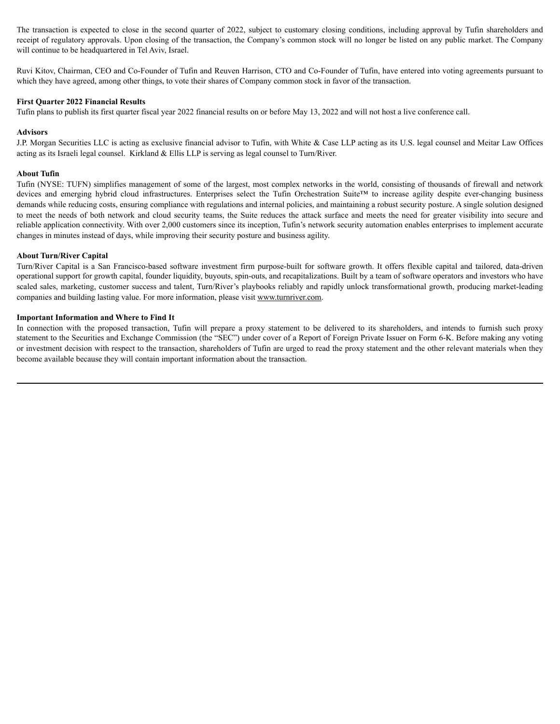The transaction is expected to close in the second quarter of 2022, subject to customary closing conditions, including approval by Tufin shareholders and receipt of regulatory approvals. Upon closing of the transaction, the Company's common stock will no longer be listed on any public market. The Company will continue to be headquartered in Tel Aviv, Israel.

Ruvi Kitov, Chairman, CEO and Co-Founder of Tufin and Reuven Harrison, CTO and Co-Founder of Tufin, have entered into voting agreements pursuant to which they have agreed, among other things, to vote their shares of Company common stock in favor of the transaction.

### **First Quarter 2022 Financial Results**

Tufin plans to publish its first quarter fiscal year 2022 financial results on or before May 13, 2022 and will not host a live conference call.

### **Advisors**

J.P. Morgan Securities LLC is acting as exclusive financial advisor to Tufin, with White & Case LLP acting as its U.S. legal counsel and Meitar Law Offices acting as its Israeli legal counsel. Kirkland & Ellis LLP is serving as legal counsel to Turn/River.

### **About Tufin**

Tufin (NYSE: TUFN) simplifies management of some of the largest, most complex networks in the world, consisting of thousands of firewall and network devices and emerging hybrid cloud infrastructures. Enterprises select the Tufin Orchestration Suite™ to increase agility despite ever-changing business demands while reducing costs, ensuring compliance with regulations and internal policies, and maintaining a robust security posture. A single solution designed to meet the needs of both network and cloud security teams, the Suite reduces the attack surface and meets the need for greater visibility into secure and reliable application connectivity. With over 2,000 customers since its inception, Tufin's network security automation enables enterprises to implement accurate changes in minutes instead of days, while improving their security posture and business agility.

### **About Turn/River Capital**

Turn/River Capital is a San Francisco-based software investment firm purpose-built for software growth. It offers flexible capital and tailored, data-driven operational support for growth capital, founder liquidity, buyouts, spin-outs, and recapitalizations. Built by a team of software operators and investors who have scaled sales, marketing, customer success and talent, Turn/River's playbooks reliably and rapidly unlock transformational growth, producing market-leading companies and building lasting value. For more information, please visit www.turnriver.com.

### **Important Information and Where to Find It**

In connection with the proposed transaction, Tufin will prepare a proxy statement to be delivered to its shareholders, and intends to furnish such proxy statement to the Securities and Exchange Commission (the "SEC") under cover of a Report of Foreign Private Issuer on Form 6-K. Before making any voting or investment decision with respect to the transaction, shareholders of Tufin are urged to read the proxy statement and the other relevant materials when they become available because they will contain important information about the transaction.